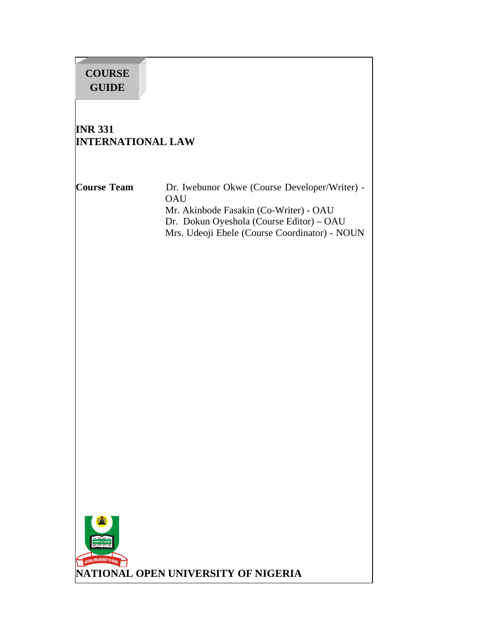# **COURSE GUIDE**

# **INR 331 INTERNATIONAL LAW**

**Course Team** Dr. Iwebunor Okwe (Course Developer/Writer) - **OAU**  Mr. Akinbode Fasakin (Co-Writer) - OAU Dr. Dokun Oyeshola (Course Editor) – OAU Mrs. Udeoji Ebele (Course Coordinator) - NOUN

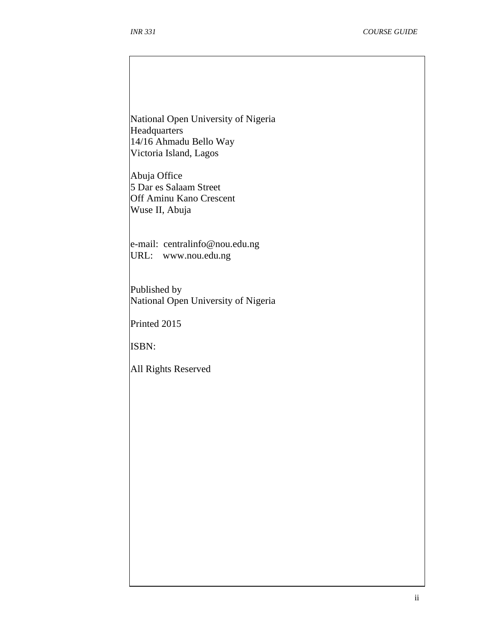National Open University of Nigeria Headquarters 14/16 Ahmadu Bello Way Victoria Island, Lagos

Abuja Office 5 Dar es Salaam Street Off Aminu Kano Crescent Wuse II, Abuja

e-mail: centralinfo@nou.edu.ng URL: www.nou.edu.ng

Published by National Open University of Nigeria

Printed 2015

ISBN:

All Rights Reserved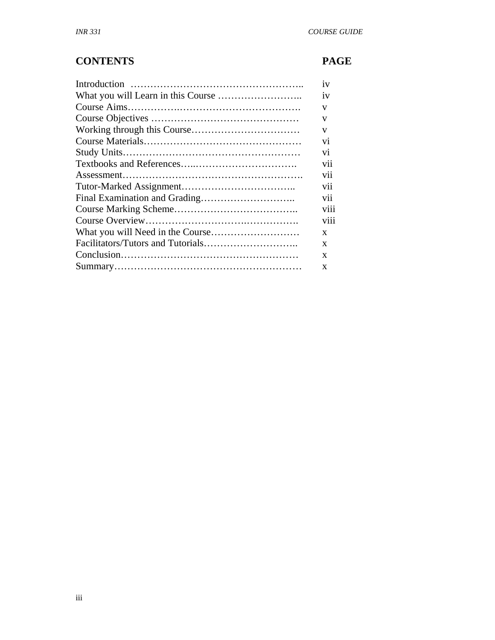# **CONTENTS PAGE**

| 1V   |
|------|
| 1V   |
| V    |
| V    |
| V    |
| V1   |
| vi   |
| vii  |
| V11  |
| vii  |
| vii  |
| VIII |
| viii |
| X    |
| X    |
| X    |
| X    |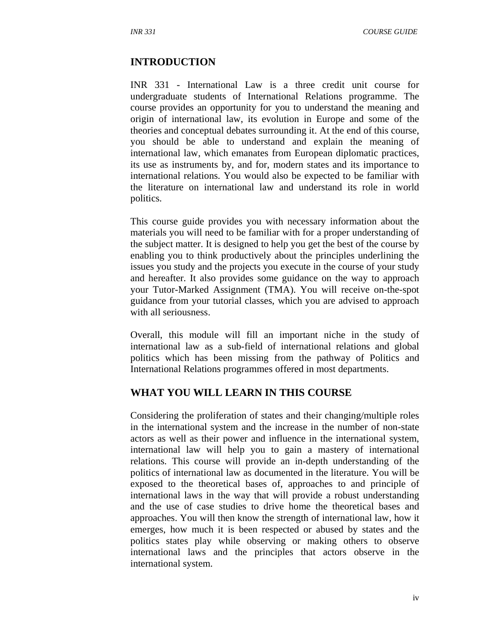#### **INTRODUCTION**

INR 331 - International Law is a three credit unit course for undergraduate students of International Relations programme. The course provides an opportunity for you to understand the meaning and origin of international law, its evolution in Europe and some of the theories and conceptual debates surrounding it. At the end of this course, you should be able to understand and explain the meaning of international law, which emanates from European diplomatic practices, its use as instruments by, and for, modern states and its importance to international relations. You would also be expected to be familiar with the literature on international law and understand its role in world politics.

This course guide provides you with necessary information about the materials you will need to be familiar with for a proper understanding of the subject matter. It is designed to help you get the best of the course by enabling you to think productively about the principles underlining the issues you study and the projects you execute in the course of your study and hereafter. It also provides some guidance on the way to approach your Tutor-Marked Assignment (TMA). You will receive on-the-spot guidance from your tutorial classes, which you are advised to approach with all seriousness.

Overall, this module will fill an important niche in the study of international law as a sub-field of international relations and global politics which has been missing from the pathway of Politics and International Relations programmes offered in most departments.

#### **WHAT YOU WILL LEARN IN THIS COURSE**

Considering the proliferation of states and their changing/multiple roles in the international system and the increase in the number of non-state actors as well as their power and influence in the international system, international law will help you to gain a mastery of international relations. This course will provide an in-depth understanding of the politics of international law as documented in the literature. You will be exposed to the theoretical bases of, approaches to and principle of international laws in the way that will provide a robust understanding and the use of case studies to drive home the theoretical bases and approaches. You will then know the strength of international law, how it emerges, how much it is been respected or abused by states and the politics states play while observing or making others to observe international laws and the principles that actors observe in the international system.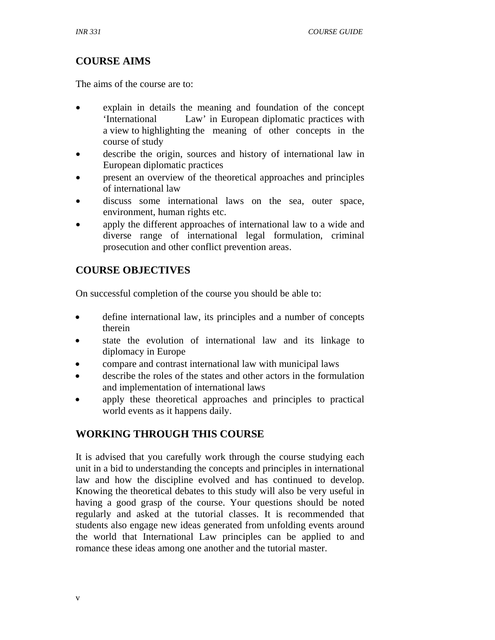# **COURSE AIMS**

The aims of the course are to:

- explain in details the meaning and foundation of the concept 'International Law' in European diplomatic practices with a view to highlighting the meaning of other concepts in the course of study
- describe the origin, sources and history of international law in European diplomatic practices
- present an overview of the theoretical approaches and principles of international law
- discuss some international laws on the sea, outer space, environment, human rights etc.
- apply the different approaches of international law to a wide and diverse range of international legal formulation, criminal prosecution and other conflict prevention areas.

# **COURSE OBJECTIVES**

On successful completion of the course you should be able to:

- define international law, its principles and a number of concepts therein
- state the evolution of international law and its linkage to diplomacy in Europe
- compare and contrast international law with municipal laws
- describe the roles of the states and other actors in the formulation and implementation of international laws
- apply these theoretical approaches and principles to practical world events as it happens daily.

# **WORKING THROUGH THIS COURSE**

It is advised that you carefully work through the course studying each unit in a bid to understanding the concepts and principles in international law and how the discipline evolved and has continued to develop. Knowing the theoretical debates to this study will also be very useful in having a good grasp of the course. Your questions should be noted regularly and asked at the tutorial classes. It is recommended that students also engage new ideas generated from unfolding events around the world that International Law principles can be applied to and romance these ideas among one another and the tutorial master.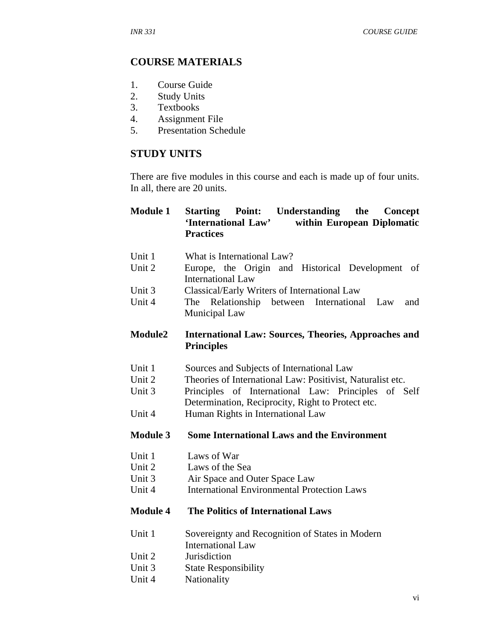#### **COURSE MATERIALS**

- 1. Course Guide
- 2. Study Units
- 3. Textbooks
- 4. Assignment File
- 5. Presentation Schedule

#### **STUDY UNITS**

There are five modules in this course and each is made up of four units. In all, there are 20 units.

#### **Module 1 Starting Point: Understanding the Concept 'International Law' within European Diplomatic Practices**

- Unit 1 What is International Law?
- Unit 2 Europe, the Origin and Historical Development of International Law
- Unit 3 Classical/Early Writers of International Law
- Unit 4 The Relationship between International Law and Municipal Law

#### **Module2 International Law: Sources, Theories, Approaches and Principles**

- Unit 1 Sources and Subjects of International Law
- Unit 2 Theories of International Law: Positivist, Naturalist etc.
- Unit 3 Principles of International Law: Principles of Self Determination, Reciprocity, Right to Protect etc.
- Unit 4 Human Rights in International Law

#### **Module 3 Some International Laws and the Environment**

- Unit 1 Laws of War
- Unit 2 Laws of the Sea
- Unit 3 Air Space and Outer Space Law
- Unit 4 International Environmental Protection Laws

#### **Module 4 The Politics of International Laws**

- Unit 1 Sovereignty and Recognition of States in Modern International Law
- Unit 2 Jurisdiction
- Unit 3 State Responsibility
- Unit 4 Nationality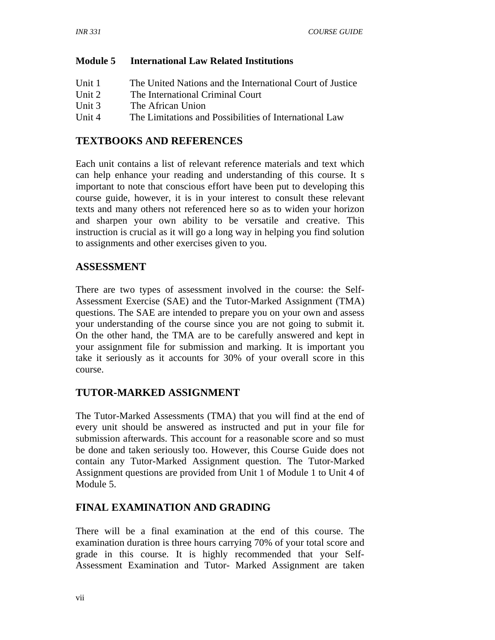| Unit 1    | The United Nations and the International Court of Justice |
|-----------|-----------------------------------------------------------|
| Unit $21$ | The International Criminal Court                          |
| Unit $3$  | The African Union                                         |
| Unit 4    | The Limitations and Possibilities of International Law    |

# **TEXTBOOKS AND REFERENCES**

Each unit contains a list of relevant reference materials and text which can help enhance your reading and understanding of this course. It s important to note that conscious effort have been put to developing this course guide, however, it is in your interest to consult these relevant texts and many others not referenced here so as to widen your horizon and sharpen your own ability to be versatile and creative. This instruction is crucial as it will go a long way in helping you find solution to assignments and other exercises given to you.

# **ASSESSMENT**

There are two types of assessment involved in the course: the Self-Assessment Exercise (SAE) and the Tutor-Marked Assignment (TMA) questions. The SAE are intended to prepare you on your own and assess your understanding of the course since you are not going to submit it. On the other hand, the TMA are to be carefully answered and kept in your assignment file for submission and marking. It is important you take it seriously as it accounts for 30% of your overall score in this course.

# **TUTOR-MARKED ASSIGNMENT**

The Tutor-Marked Assessments (TMA) that you will find at the end of every unit should be answered as instructed and put in your file for submission afterwards. This account for a reasonable score and so must be done and taken seriously too. However, this Course Guide does not contain any Tutor-Marked Assignment question. The Tutor-Marked Assignment questions are provided from Unit 1 of Module 1 to Unit 4 of Module 5.

# **FINAL EXAMINATION AND GRADING**

There will be a final examination at the end of this course. The examination duration is three hours carrying 70% of your total score and grade in this course. It is highly recommended that your Self-Assessment Examination and Tutor- Marked Assignment are taken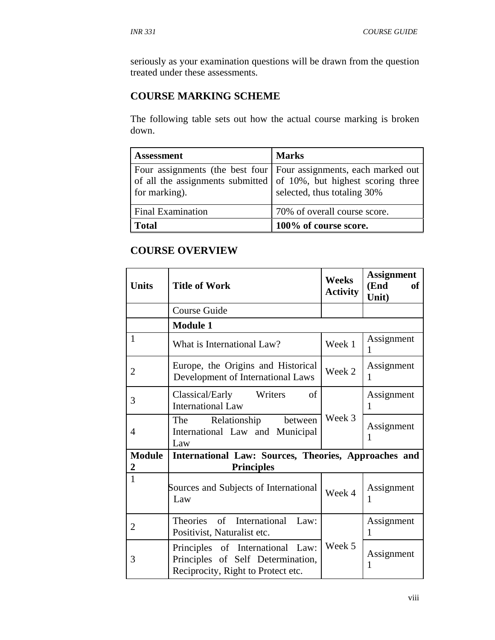seriously as your examination questions will be drawn from the question treated under these assessments.

# **COURSE MARKING SCHEME**

The following table sets out how the actual course marking is broken down.

| <b>Assessment</b>        | <b>Marks</b>                                                                                                                                                   |
|--------------------------|----------------------------------------------------------------------------------------------------------------------------------------------------------------|
|                          | Four assignments (the best four   Four assignments, each marked out<br>of all the assignments submitted of $10\%$ , but highest scoring three<br>for marking). |
| <b>Final Examination</b> | 70% of overall course score.                                                                                                                                   |
| Total                    | 100% of course score.                                                                                                                                          |

# **COURSE OVERVIEW**

| <b>Units</b>                      | <b>Title of Work</b>                                                                                        | <b>Weeks</b><br><b>Activity</b> | <b>Assignment</b><br>(End<br>of<br>Unit) |
|-----------------------------------|-------------------------------------------------------------------------------------------------------------|---------------------------------|------------------------------------------|
|                                   | <b>Course Guide</b>                                                                                         |                                 |                                          |
|                                   | <b>Module 1</b>                                                                                             |                                 |                                          |
| 1                                 | What is International Law?                                                                                  | Week 1                          | Assignment<br>1                          |
| 2                                 | Europe, the Origins and Historical<br>Development of International Laws                                     | Week 2                          | Assignment<br>1                          |
| 3                                 | Classical/Early Writers<br>of<br><b>International Law</b>                                                   | Week 3                          | Assignment<br>1                          |
| 4                                 | The Relationship<br>between<br>International Law and Municipal<br>Law                                       |                                 | Assignment                               |
| <b>Module</b><br>$\boldsymbol{2}$ | International Law: Sources, Theories, Approaches and<br><b>Principles</b>                                   |                                 |                                          |
| $\mathbf{1}$                      | Sources and Subjects of International<br>Law                                                                | Week 4                          | Assignment<br>1                          |
| 2                                 | Theories of International Law:<br>Positivist, Naturalist etc.                                               |                                 | Assignment<br>1                          |
| 3                                 | Principles of International Law:<br>Principles of Self Determination,<br>Reciprocity, Right to Protect etc. | Week 5                          | Assignment<br>1                          |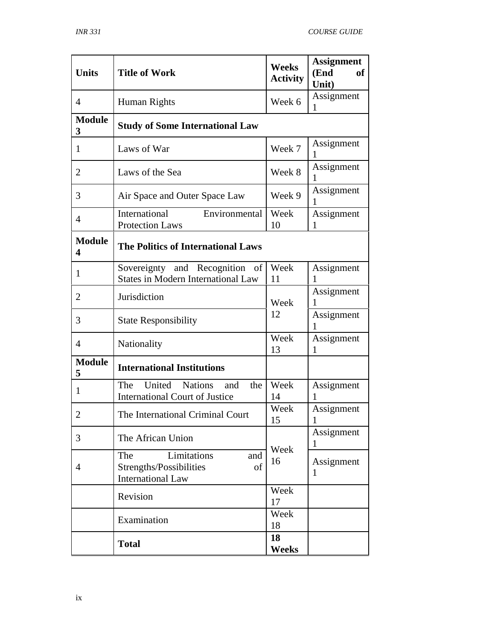| <b>Units</b>       | <b>Title of Work</b>                                                                   | <b>Weeks</b><br><b>Activity</b> | <b>Assignment</b><br>(End<br>of<br>Unit) |
|--------------------|----------------------------------------------------------------------------------------|---------------------------------|------------------------------------------|
| $\overline{4}$     | Human Rights                                                                           | Week 6                          | Assignment                               |
| <b>Module</b><br>3 | <b>Study of Some International Law</b>                                                 |                                 |                                          |
| 1                  | Laws of War                                                                            | Week 7                          | Assignment                               |
| 2                  | Laws of the Sea                                                                        | Week 8                          | Assignment                               |
| 3                  | Air Space and Outer Space Law                                                          | Week 9                          | Assignment                               |
| 4                  | International<br>Environmental<br><b>Protection Laws</b>                               | Week<br>10                      | Assignment                               |
| <b>Module</b><br>4 | <b>The Politics of International Laws</b>                                              |                                 |                                          |
| 1                  | Sovereignty and Recognition<br>of<br><b>States in Modern International Law</b>         | Week<br>11                      | Assignment                               |
| 2                  | Jurisdiction                                                                           | Week                            | Assignment                               |
| 3                  | <b>State Responsibility</b>                                                            | 12                              | Assignment<br>1                          |
| $\overline{4}$     | Nationality                                                                            | Week<br>13                      | Assignment<br>1                          |
| <b>Module</b><br>5 | <b>International Institutions</b>                                                      |                                 |                                          |
| 1                  | United<br>The<br><b>Nations</b><br>the<br>and<br><b>International Court of Justice</b> | Week<br>14                      | Assignment                               |
| $\overline{c}$     | The International Criminal Court                                                       | Week<br>15                      | Assignment<br>$\mathbf{1}$               |
| 3                  | The African Union                                                                      |                                 | Assignment<br>1                          |
| $\overline{4}$     | Limitations<br>The<br>and<br>Strengths/Possibilities<br>of<br><b>International Law</b> | Week<br>16                      | Assignment<br>1                          |
|                    | Revision                                                                               | Week<br>17                      |                                          |
|                    | Examination                                                                            | Week<br>18                      |                                          |
|                    | <b>Total</b>                                                                           | 18<br>Weeks                     |                                          |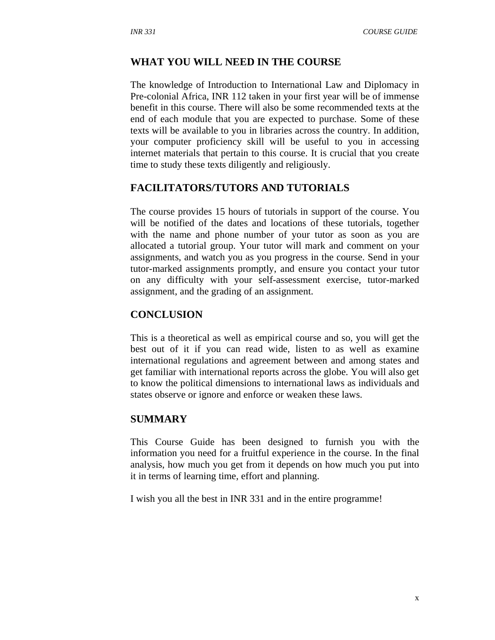#### **WHAT YOU WILL NEED IN THE COURSE**

The knowledge of Introduction to International Law and Diplomacy in Pre-colonial Africa, INR 112 taken in your first year will be of immense benefit in this course. There will also be some recommended texts at the end of each module that you are expected to purchase. Some of these texts will be available to you in libraries across the country. In addition, your computer proficiency skill will be useful to you in accessing internet materials that pertain to this course. It is crucial that you create time to study these texts diligently and religiously.

#### **FACILITATORS/TUTORS AND TUTORIALS**

The course provides 15 hours of tutorials in support of the course. You will be notified of the dates and locations of these tutorials, together with the name and phone number of your tutor as soon as you are allocated a tutorial group. Your tutor will mark and comment on your assignments, and watch you as you progress in the course. Send in your tutor-marked assignments promptly, and ensure you contact your tutor on any difficulty with your self-assessment exercise, tutor-marked assignment, and the grading of an assignment.

#### **CONCLUSION**

This is a theoretical as well as empirical course and so, you will get the best out of it if you can read wide, listen to as well as examine international regulations and agreement between and among states and get familiar with international reports across the globe. You will also get to know the political dimensions to international laws as individuals and states observe or ignore and enforce or weaken these laws.

#### **SUMMARY**

This Course Guide has been designed to furnish you with the information you need for a fruitful experience in the course. In the final analysis, how much you get from it depends on how much you put into it in terms of learning time, effort and planning.

I wish you all the best in INR 331 and in the entire programme!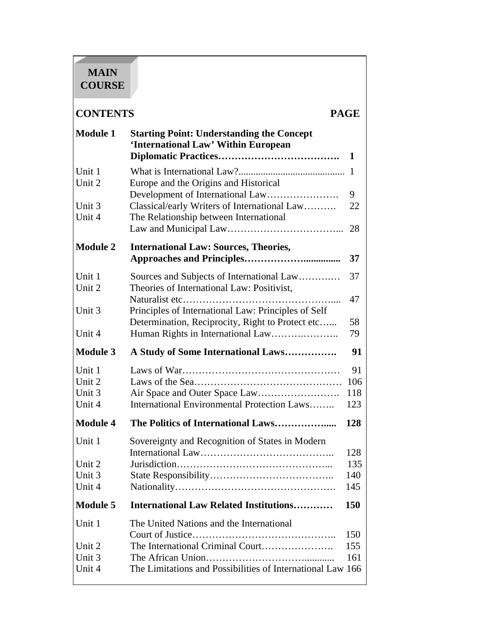# **MAIN COURSE**

# **CONTENTS PAGE**

| <b>Module 1</b>  | <b>Starting Point: Understanding the Concept</b><br>'International Law' Within European |              |
|------------------|-----------------------------------------------------------------------------------------|--------------|
|                  |                                                                                         | 1            |
| Unit 1           |                                                                                         | $\mathbf{1}$ |
| Unit 2           | Europe and the Origins and Historical                                                   | 9            |
| Unit 3           | Development of International Law<br>Classical/early Writers of International Law        | 22           |
| Unit 4           | The Relationship between International                                                  |              |
|                  |                                                                                         | 28           |
| <b>Module 2</b>  | <b>International Law: Sources, Theories,</b>                                            |              |
|                  |                                                                                         | 37           |
| Unit 1           | Sources and Subjects of International Law                                               | 37           |
| Unit 2           | Theories of International Law: Positivist,                                              |              |
|                  | Naturalist etc                                                                          | 47           |
| Unit 3           | Principles of International Law: Principles of Self                                     |              |
|                  | Determination, Reciprocity, Right to Protect etc                                        | 58           |
| Unit 4           | Human Rights in International Law                                                       | 79           |
| <b>Module 3</b>  | A Study of Some International Laws                                                      | 91           |
|                  |                                                                                         |              |
| Unit 1           |                                                                                         | 91           |
| Unit 2           |                                                                                         | 106          |
| Unit 3           |                                                                                         | 118          |
| Unit 4           | International Environmental Protection Laws                                             | 123          |
| <b>Module 4</b>  |                                                                                         | 128          |
| Unit 1           | Sovereignty and Recognition of States in Modern                                         |              |
|                  |                                                                                         | 128          |
| Unit 2           |                                                                                         | 135          |
| Unit 3           |                                                                                         | 140          |
| Unit 4           |                                                                                         | 145          |
| <b>Module 5</b>  | <b>International Law Related Institutions</b>                                           | 150          |
| Unit 1           | The United Nations and the International                                                |              |
|                  |                                                                                         | 150          |
| Unit 2           | The International Criminal Court                                                        | 155          |
| Unit 3<br>Unit 4 | The Limitations and Possibilities of International Law 166                              | 161          |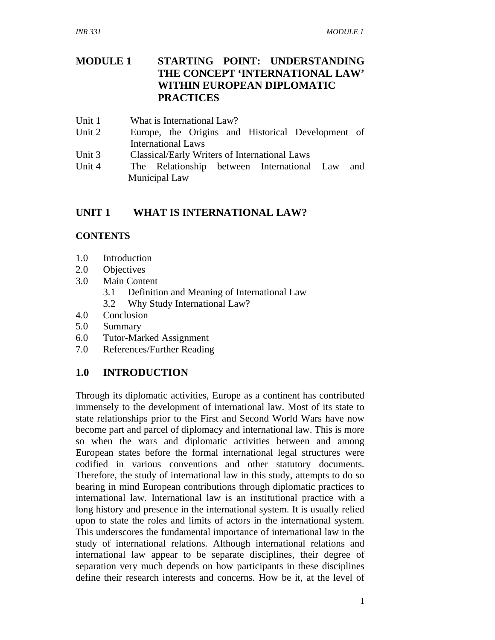### **MODULE 1 STARTING POINT: UNDERSTANDING THE CONCEPT 'INTERNATIONAL LAW' WITHIN EUROPEAN DIPLOMATIC PRACTICES**

- Unit 1 What is International Law?
- Unit 2 Europe, the Origins and Historical Development of International Laws
- Unit 3 Classical/Early Writers of International Laws
- Unit 4 The Relationship between International Law and Municipal Law

#### **UNIT 1 WHAT IS INTERNATIONAL LAW?**

#### **CONTENTS**

- 1.0 Introduction
- 2.0 Objectives
- 3.0 Main Content
	- 3.1 Definition and Meaning of International Law
	- 3.2 Why Study International Law?
- 4.0 Conclusion
- 5.0 Summary
- 6.0 Tutor-Marked Assignment
- 7.0 References/Further Reading

### **1.0 INTRODUCTION**

Through its diplomatic activities, Europe as a continent has contributed immensely to the development of international law. Most of its state to state relationships prior to the First and Second World Wars have now become part and parcel of diplomacy and international law. This is more so when the wars and diplomatic activities between and among European states before the formal international legal structures were codified in various conventions and other statutory documents. Therefore, the study of international law in this study, attempts to do so bearing in mind European contributions through diplomatic practices to international law. International law is an institutional practice with a long history and presence in the international system. It is usually relied upon to state the roles and limits of actors in the international system. This underscores the fundamental importance of international law in the study of international relations. Although international relations and international law appear to be separate disciplines, their degree of separation very much depends on how participants in these disciplines define their research interests and concerns. How be it, at the level of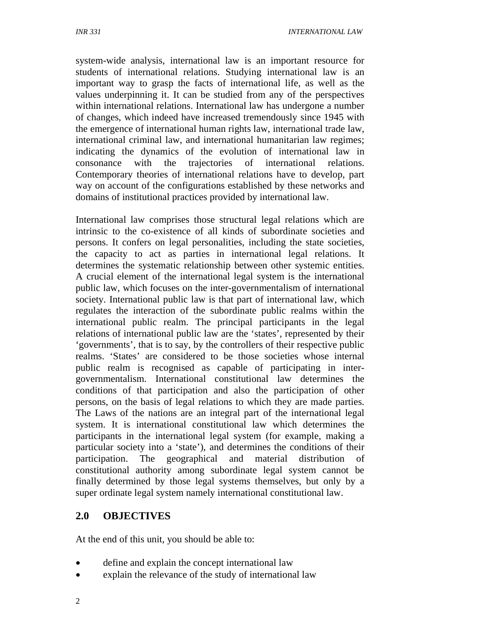system-wide analysis, international law is an important resource for students of international relations. Studying international law is an important way to grasp the facts of international life, as well as the values underpinning it. It can be studied from any of the perspectives within international relations. International law has undergone a number of changes, which indeed have increased tremendously since 1945 with the emergence of international human rights law, international trade law, international criminal law, and international humanitarian law regimes; indicating the dynamics of the evolution of international law in consonance with the trajectories of international relations. Contemporary theories of international relations have to develop, part way on account of the configurations established by these networks and domains of institutional practices provided by international law.

International law comprises those structural legal relations which are intrinsic to the co-existence of all kinds of subordinate societies and persons. It confers on legal personalities, including the state societies, the capacity to act as parties in international legal relations. It determines the systematic relationship between other systemic entities. A crucial element of the international legal system is the international public law, which focuses on the inter-governmentalism of international society. International public law is that part of international law, which regulates the interaction of the subordinate public realms within the international public realm. The principal participants in the legal relations of international public law are the 'states', represented by their 'governments', that is to say, by the controllers of their respective public realms. 'States' are considered to be those societies whose internal public realm is recognised as capable of participating in intergovernmentalism. International constitutional law determines the conditions of that participation and also the participation of other persons, on the basis of legal relations to which they are made parties. The Laws of the nations are an integral part of the international legal system. It is international constitutional law which determines the participants in the international legal system (for example, making a particular society into a 'state'), and determines the conditions of their participation. The geographical and material distribution of constitutional authority among subordinate legal system cannot be finally determined by those legal systems themselves, but only by a super ordinate legal system namely international constitutional law.

### **2.0 OBJECTIVES**

At the end of this unit, you should be able to:

- define and explain the concept international law
- explain the relevance of the study of international law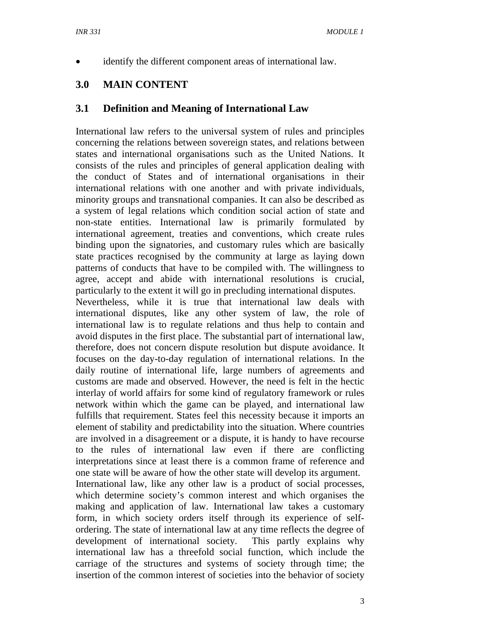• identify the different component areas of international law.

# **3.0 MAIN CONTENT**

### **3.1 Definition and Meaning of International Law**

International law refers to the universal system of rules and principles concerning the relations between sovereign states, and relations between states and international organisations such as the United Nations. It consists of the rules and principles of general application dealing with the conduct of States and of international organisations in their international relations with one another and with private individuals, minority groups and transnational companies. It can also be described as a system of legal relations which condition social action of state and non-state entities. International law is primarily formulated by international agreement, treaties and conventions, which create rules binding upon the signatories, and customary rules which are basically state practices recognised by the community at large as laying down patterns of conducts that have to be compiled with. The willingness to agree, accept and abide with international resolutions is crucial, particularly to the extent it will go in precluding international disputes. Nevertheless, while it is true that international law deals with international disputes, like any other system of law, the role of international law is to regulate relations and thus help to contain and avoid disputes in the first place. The substantial part of international law, therefore, does not concern dispute resolution but dispute avoidance. It focuses on the day-to-day regulation of international relations. In the daily routine of international life, large numbers of agreements and customs are made and observed. However, the need is felt in the hectic interlay of world affairs for some kind of regulatory framework or rules network within which the game can be played, and international law fulfills that requirement. States feel this necessity because it imports an element of stability and predictability into the situation. Where countries are involved in a disagreement or a dispute, it is handy to have recourse to the rules of international law even if there are conflicting interpretations since at least there is a common frame of reference and one state will be aware of how the other state will develop its argument.

International law, like any other law is a product of social processes, which determine society's common interest and which organises the making and application of law. International law takes a customary form, in which society orders itself through its experience of selfordering. The state of international law at any time reflects the degree of development of international society. This partly explains why international law has a threefold social function, which include the carriage of the structures and systems of society through time; the insertion of the common interest of societies into the behavior of society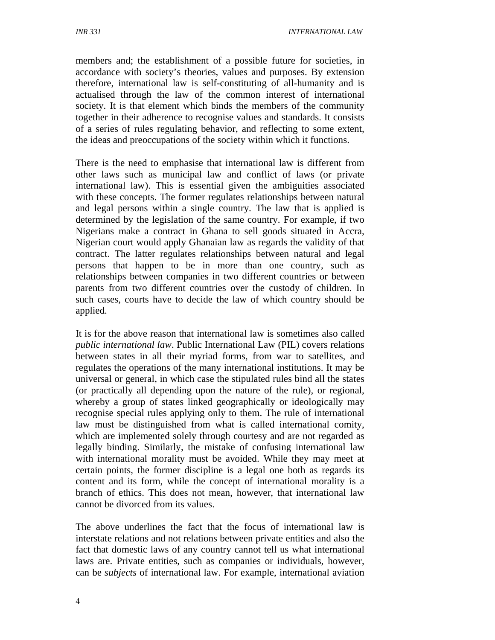*INR 331 INTERNATIONAL LAW* 

members and; the establishment of a possible future for societies, in accordance with society's theories, values and purposes. By extension therefore, international law is self-constituting of all-humanity and is actualised through the law of the common interest of international society. It is that element which binds the members of the community together in their adherence to recognise values and standards. It consists of a series of rules regulating behavior, and reflecting to some extent, the ideas and preoccupations of the society within which it functions.

There is the need to emphasise that international law is different from other laws such as municipal law and conflict of laws (or private international law). This is essential given the ambiguities associated with these concepts. The former regulates relationships between natural and legal persons within a single country. The law that is applied is determined by the legislation of the same country. For example, if two Nigerians make a contract in Ghana to sell goods situated in Accra, Nigerian court would apply Ghanaian law as regards the validity of that contract. The latter regulates relationships between natural and legal persons that happen to be in more than one country, such as relationships between companies in two different countries or between parents from two different countries over the custody of children. In such cases, courts have to decide the law of which country should be applied.

It is for the above reason that international law is sometimes also called *public international law*. Public International Law (PIL) covers relations between states in all their myriad forms, from war to satellites, and regulates the operations of the many international institutions. It may be universal or general, in which case the stipulated rules bind all the states (or practically all depending upon the nature of the rule), or regional, whereby a group of states linked geographically or ideologically may recognise special rules applying only to them. The rule of international law must be distinguished from what is called international comity, which are implemented solely through courtesy and are not regarded as legally binding. Similarly, the mistake of confusing international law with international morality must be avoided. While they may meet at certain points, the former discipline is a legal one both as regards its content and its form, while the concept of international morality is a branch of ethics. This does not mean, however, that international law cannot be divorced from its values.

The above underlines the fact that the focus of international law is interstate relations and not relations between private entities and also the fact that domestic laws of any country cannot tell us what international laws are. Private entities, such as companies or individuals, however, can be *subjects* of international law. For example, international aviation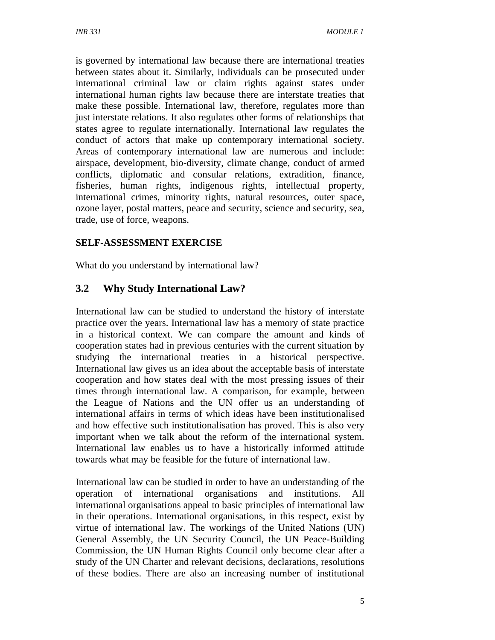is governed by international law because there are international treaties between states about it. Similarly, individuals can be prosecuted under international criminal law or claim rights against states under international human rights law because there are interstate treaties that make these possible. International law, therefore, regulates more than just interstate relations. It also regulates other forms of relationships that states agree to regulate internationally. International law regulates the conduct of actors that make up contemporary international society. Areas of contemporary international law are numerous and include: airspace, development, bio-diversity, climate change, conduct of armed conflicts, diplomatic and consular relations, extradition, finance, fisheries, human rights, indigenous rights, intellectual property, international crimes, minority rights, natural resources, outer space, ozone layer, postal matters, peace and security, science and security, sea, trade, use of force, weapons.

#### **SELF-ASSESSMENT EXERCISE**

What do you understand by international law?

# **3.2 Why Study International Law?**

International law can be studied to understand the history of interstate practice over the years. International law has a memory of state practice in a historical context. We can compare the amount and kinds of cooperation states had in previous centuries with the current situation by studying the international treaties in a historical perspective. International law gives us an idea about the acceptable basis of interstate cooperation and how states deal with the most pressing issues of their times through international law. A comparison, for example, between the League of Nations and the UN offer us an understanding of international affairs in terms of which ideas have been institutionalised and how effective such institutionalisation has proved. This is also very important when we talk about the reform of the international system. International law enables us to have a historically informed attitude towards what may be feasible for the future of international law.

International law can be studied in order to have an understanding of the operation of international organisations and institutions. All international organisations appeal to basic principles of international law in their operations. International organisations, in this respect, exist by virtue of international law. The workings of the United Nations (UN) General Assembly, the UN Security Council, the UN Peace-Building Commission, the UN Human Rights Council only become clear after a study of the UN Charter and relevant decisions, declarations, resolutions of these bodies. There are also an increasing number of institutional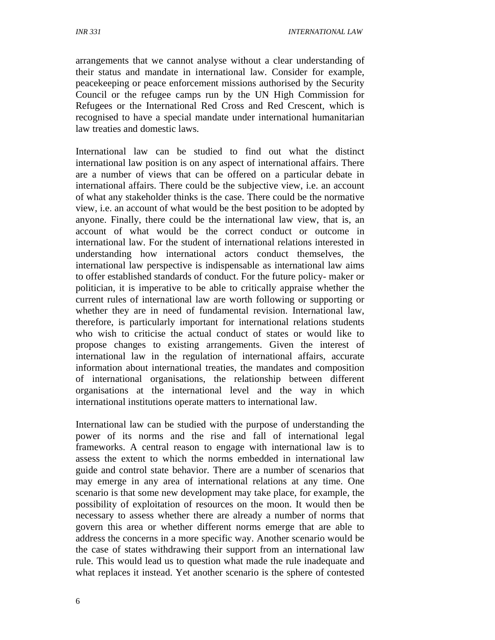*INR 331 INTERNATIONAL LAW* 

arrangements that we cannot analyse without a clear understanding of their status and mandate in international law. Consider for example, peacekeeping or peace enforcement missions authorised by the Security Council or the refugee camps run by the UN High Commission for Refugees or the International Red Cross and Red Crescent, which is recognised to have a special mandate under international humanitarian law treaties and domestic laws.

International law can be studied to find out what the distinct international law position is on any aspect of international affairs. There are a number of views that can be offered on a particular debate in international affairs. There could be the subjective view, i.e. an account of what any stakeholder thinks is the case. There could be the normative view, i.e. an account of what would be the best position to be adopted by anyone. Finally, there could be the international law view, that is, an account of what would be the correct conduct or outcome in international law. For the student of international relations interested in understanding how international actors conduct themselves, the international law perspective is indispensable as international law aims to offer established standards of conduct. For the future policy- maker or politician, it is imperative to be able to critically appraise whether the current rules of international law are worth following or supporting or whether they are in need of fundamental revision. International law, therefore, is particularly important for international relations students who wish to criticise the actual conduct of states or would like to propose changes to existing arrangements. Given the interest of international law in the regulation of international affairs, accurate information about international treaties, the mandates and composition of international organisations, the relationship between different organisations at the international level and the way in which international institutions operate matters to international law.

International law can be studied with the purpose of understanding the power of its norms and the rise and fall of international legal frameworks. A central reason to engage with international law is to assess the extent to which the norms embedded in international law guide and control state behavior. There are a number of scenarios that may emerge in any area of international relations at any time. One scenario is that some new development may take place, for example, the possibility of exploitation of resources on the moon. It would then be necessary to assess whether there are already a number of norms that govern this area or whether different norms emerge that are able to address the concerns in a more specific way. Another scenario would be the case of states withdrawing their support from an international law rule. This would lead us to question what made the rule inadequate and what replaces it instead. Yet another scenario is the sphere of contested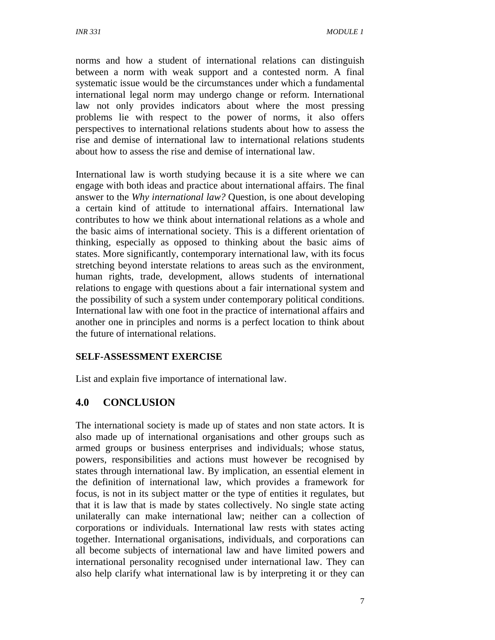norms and how a student of international relations can distinguish between a norm with weak support and a contested norm. A final systematic issue would be the circumstances under which a fundamental international legal norm may undergo change or reform. International law not only provides indicators about where the most pressing problems lie with respect to the power of norms, it also offers perspectives to international relations students about how to assess the rise and demise of international law to international relations students about how to assess the rise and demise of international law.

International law is worth studying because it is a site where we can engage with both ideas and practice about international affairs. The final answer to the *Why international law?* Question, is one about developing a certain kind of attitude to international affairs. International law contributes to how we think about international relations as a whole and the basic aims of international society. This is a different orientation of thinking, especially as opposed to thinking about the basic aims of states. More significantly, contemporary international law, with its focus stretching beyond interstate relations to areas such as the environment, human rights, trade, development, allows students of international relations to engage with questions about a fair international system and the possibility of such a system under contemporary political conditions. International law with one foot in the practice of international affairs and another one in principles and norms is a perfect location to think about the future of international relations.

### **SELF-ASSESSMENT EXERCISE**

List and explain five importance of international law.

### **4.0 CONCLUSION**

The international society is made up of states and non state actors. It is also made up of international organisations and other groups such as armed groups or business enterprises and individuals; whose status, powers, responsibilities and actions must however be recognised by states through international law. By implication, an essential element in the definition of international law, which provides a framework for focus, is not in its subject matter or the type of entities it regulates, but that it is law that is made by states collectively. No single state acting unilaterally can make international law; neither can a collection of corporations or individuals. International law rests with states acting together. International organisations, individuals, and corporations can all become subjects of international law and have limited powers and international personality recognised under international law. They can also help clarify what international law is by interpreting it or they can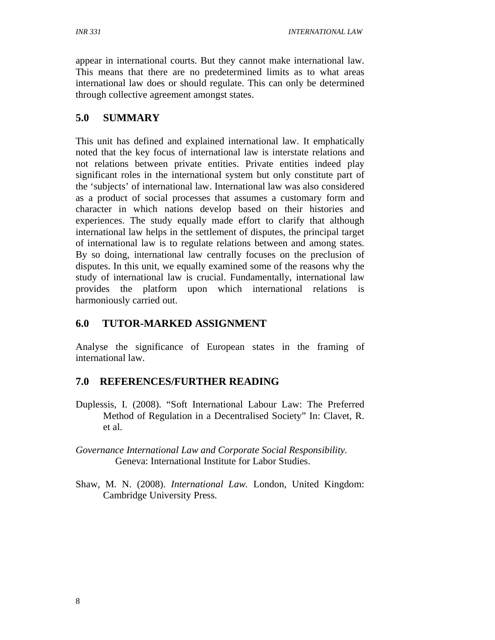appear in international courts. But they cannot make international law. This means that there are no predetermined limits as to what areas international law does or should regulate. This can only be determined through collective agreement amongst states.

# **5.0 SUMMARY**

This unit has defined and explained international law. It emphatically noted that the key focus of international law is interstate relations and not relations between private entities. Private entities indeed play significant roles in the international system but only constitute part of the 'subjects' of international law. International law was also considered as a product of social processes that assumes a customary form and character in which nations develop based on their histories and experiences. The study equally made effort to clarify that although international law helps in the settlement of disputes, the principal target of international law is to regulate relations between and among states. By so doing, international law centrally focuses on the preclusion of disputes. In this unit, we equally examined some of the reasons why the study of international law is crucial. Fundamentally, international law provides the platform upon which international relations is harmoniously carried out.

# **6.0 TUTOR-MARKED ASSIGNMENT**

Analyse the significance of European states in the framing of international law.

# **7.0 REFERENCES/FURTHER READING**

- Duplessis, I. (2008). "Soft International Labour Law: The Preferred Method of Regulation in a Decentralised Society" In: Clavet, R. et al.
- *Governance International Law and Corporate Social Responsibility.*  Geneva: International Institute for Labor Studies.
- Shaw, M. N. (2008). *International Law.* London, United Kingdom: Cambridge University Press.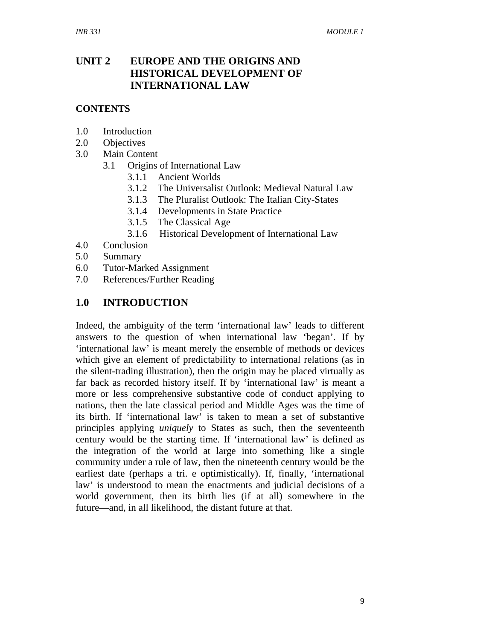### **UNIT 2 EUROPE AND THE ORIGINS AND HISTORICAL DEVELOPMENT OF INTERNATIONAL LAW**

#### **CONTENTS**

- 1.0 Introduction
- 2.0 Objectives
- 3.0 Main Content
	- 3.1 Origins of International Law
		- 3.1.1 Ancient Worlds
		- 3.1.2 The Universalist Outlook: Medieval Natural Law
		- 3.1.3 The Pluralist Outlook: The Italian City-States
		- 3.1.4 Developments in State Practice
		- 3.1.5 The Classical Age
		- 3.1.6 Historical Development of International Law
- 4.0 Conclusion
- 5.0 Summary
- 6.0 Tutor-Marked Assignment
- 7.0 References/Further Reading

#### **1.0 INTRODUCTION**

Indeed, the ambiguity of the term 'international law' leads to different answers to the question of when international law 'began'. If by 'international law' is meant merely the ensemble of methods or devices which give an element of predictability to international relations (as in the silent-trading illustration), then the origin may be placed virtually as far back as recorded history itself. If by 'international law' is meant a more or less comprehensive substantive code of conduct applying to nations, then the late classical period and Middle Ages was the time of its birth. If 'international law' is taken to mean a set of substantive principles applying *uniquely* to States as such, then the seventeenth century would be the starting time. If 'international law' is defined as the integration of the world at large into something like a single community under a rule of law, then the nineteenth century would be the earliest date (perhaps a tri. e optimistically). If, finally, 'international law' is understood to mean the enactments and judicial decisions of a world government, then its birth lies (if at all) somewhere in the future—and, in all likelihood, the distant future at that.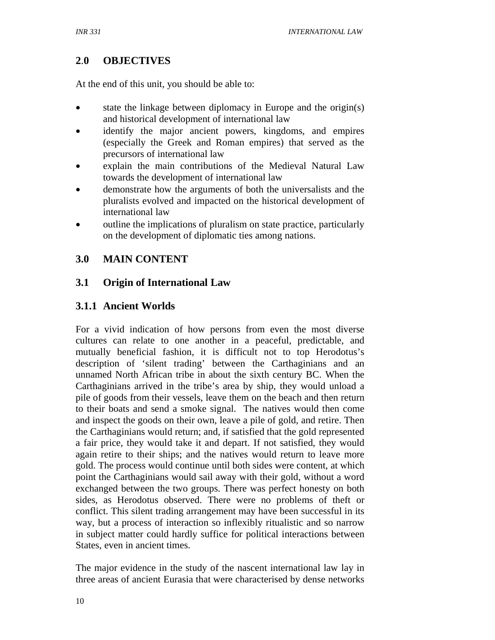# **2**.**0 OBJECTIVES**

At the end of this unit, you should be able to:

- state the linkage between diplomacy in Europe and the origin(s) and historical development of international law
- identify the major ancient powers, kingdoms, and empires (especially the Greek and Roman empires) that served as the precursors of international law
- explain the main contributions of the Medieval Natural Law towards the development of international law
- demonstrate how the arguments of both the universalists and the pluralists evolved and impacted on the historical development of international law
- outline the implications of pluralism on state practice, particularly on the development of diplomatic ties among nations.

# **3.0 MAIN CONTENT**

### **3.1 Origin of International Law**

# **3.1.1 Ancient Worlds**

For a vivid indication of how persons from even the most diverse cultures can relate to one another in a peaceful, predictable, and mutually beneficial fashion, it is difficult not to top Herodotus's description of 'silent trading' between the Carthaginians and an unnamed North African tribe in about the sixth century BC. When the Carthaginians arrived in the tribe's area by ship, they would unload a pile of goods from their vessels, leave them on the beach and then return to their boats and send a smoke signal. The natives would then come and inspect the goods on their own, leave a pile of gold, and retire. Then the Carthaginians would return; and, if satisfied that the gold represented a fair price, they would take it and depart. If not satisfied, they would again retire to their ships; and the natives would return to leave more gold. The process would continue until both sides were content, at which point the Carthaginians would sail away with their gold, without a word exchanged between the two groups. There was perfect honesty on both sides, as Herodotus observed. There were no problems of theft or conflict. This silent trading arrangement may have been successful in its way, but a process of interaction so inflexibly ritualistic and so narrow in subject matter could hardly suffice for political interactions between States, even in ancient times.

The major evidence in the study of the nascent international law lay in three areas of ancient Eurasia that were characterised by dense networks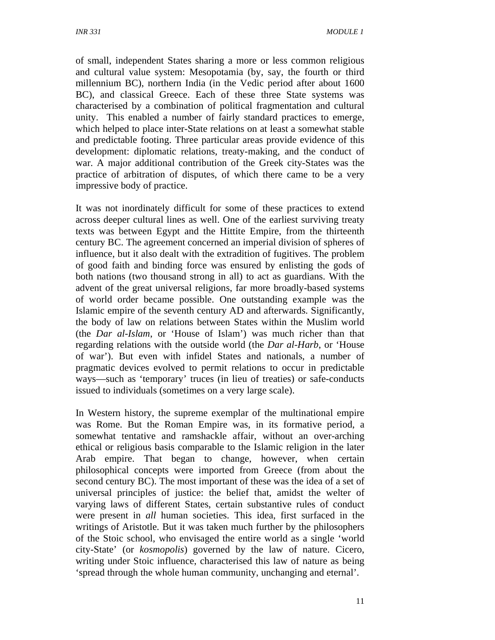of small, independent States sharing a more or less common religious and cultural value system: Mesopotamia (by, say, the fourth or third millennium BC), northern India (in the Vedic period after about 1600 BC), and classical Greece. Each of these three State systems was characterised by a combination of political fragmentation and cultural unity. This enabled a number of fairly standard practices to emerge, which helped to place inter-State relations on at least a somewhat stable and predictable footing. Three particular areas provide evidence of this development: diplomatic relations, treaty-making, and the conduct of war. A major additional contribution of the Greek city-States was the practice of arbitration of disputes, of which there came to be a very impressive body of practice.

It was not inordinately difficult for some of these practices to extend across deeper cultural lines as well. One of the earliest surviving treaty texts was between Egypt and the Hittite Empire, from the thirteenth century BC. The agreement concerned an imperial division of spheres of influence, but it also dealt with the extradition of fugitives. The problem of good faith and binding force was ensured by enlisting the gods of both nations (two thousand strong in all) to act as guardians. With the advent of the great universal religions, far more broadly-based systems of world order became possible. One outstanding example was the Islamic empire of the seventh century AD and afterwards. Significantly, the body of law on relations between States within the Muslim world (the *Dar al-Islam*, or 'House of Islam') was much richer than that regarding relations with the outside world (the *Dar al-Harb*, or 'House of war'). But even with infidel States and nationals, a number of pragmatic devices evolved to permit relations to occur in predictable ways—such as 'temporary' truces (in lieu of treaties) or safe-conducts issued to individuals (sometimes on a very large scale).

In Western history, the supreme exemplar of the multinational empire was Rome. But the Roman Empire was, in its formative period, a somewhat tentative and ramshackle affair, without an over-arching ethical or religious basis comparable to the Islamic religion in the later Arab empire. That began to change, however, when certain philosophical concepts were imported from Greece (from about the second century BC). The most important of these was the idea of a set of universal principles of justice: the belief that, amidst the welter of varying laws of different States, certain substantive rules of conduct were present in *all* human societies. This idea, first surfaced in the writings of Aristotle. But it was taken much further by the philosophers of the Stoic school, who envisaged the entire world as a single 'world city-State' (or *kosmopolis*) governed by the law of nature. Cicero, writing under Stoic influence, characterised this law of nature as being 'spread through the whole human community, unchanging and eternal'.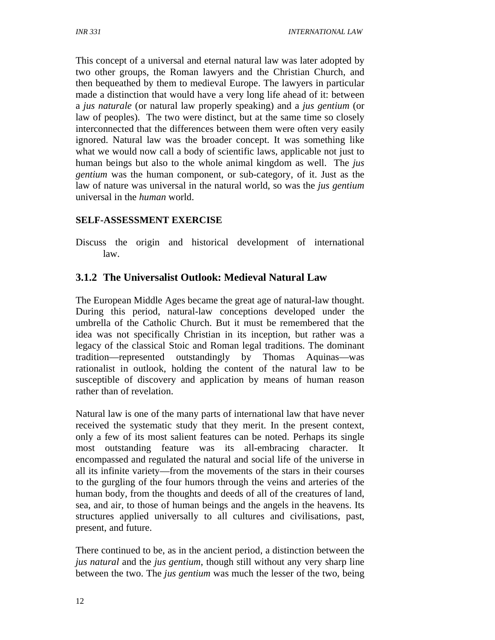This concept of a universal and eternal natural law was later adopted by two other groups, the Roman lawyers and the Christian Church, and then bequeathed by them to medieval Europe. The lawyers in particular made a distinction that would have a very long life ahead of it: between a *jus naturale* (or natural law properly speaking) and a *jus gentium* (or law of peoples). The two were distinct, but at the same time so closely interconnected that the differences between them were often very easily ignored. Natural law was the broader concept. It was something like what we would now call a body of scientific laws, applicable not just to human beings but also to the whole animal kingdom as well. The *jus gentium* was the human component, or sub-category, of it. Just as the law of nature was universal in the natural world, so was the *jus gentium*  universal in the *human* world.

# **SELF-ASSESSMENT EXERCISE**

Discuss the origin and historical development of international law.

# **3.1.2 The Universalist Outlook: Medieval Natural Law**

The European Middle Ages became the great age of natural-law thought. During this period, natural-law conceptions developed under the umbrella of the Catholic Church. But it must be remembered that the idea was not specifically Christian in its inception, but rather was a legacy of the classical Stoic and Roman legal traditions. The dominant tradition—represented outstandingly by Thomas Aquinas—was rationalist in outlook, holding the content of the natural law to be susceptible of discovery and application by means of human reason rather than of revelation.

Natural law is one of the many parts of international law that have never received the systematic study that they merit. In the present context, only a few of its most salient features can be noted. Perhaps its single most outstanding feature was its all-embracing character. It encompassed and regulated the natural and social life of the universe in all its infinite variety—from the movements of the stars in their courses to the gurgling of the four humors through the veins and arteries of the human body, from the thoughts and deeds of all of the creatures of land, sea, and air, to those of human beings and the angels in the heavens. Its structures applied universally to all cultures and civilisations, past, present, and future.

There continued to be, as in the ancient period, a distinction between the *jus natural* and the *jus gentium*, though still without any very sharp line between the two. The *jus gentium* was much the lesser of the two, being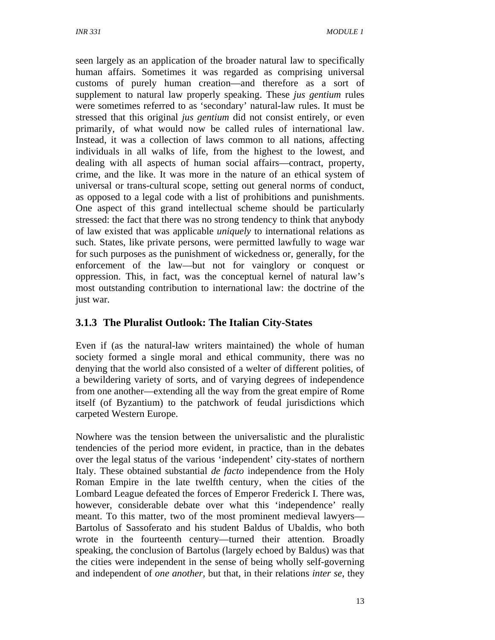seen largely as an application of the broader natural law to specifically human affairs. Sometimes it was regarded as comprising universal customs of purely human creation—and therefore as a sort of supplement to natural law properly speaking. These *jus gentium* rules were sometimes referred to as 'secondary' natural-law rules. It must be stressed that this original *jus gentium* did not consist entirely, or even primarily, of what would now be called rules of international law. Instead, it was a collection of laws common to all nations, affecting individuals in all walks of life, from the highest to the lowest, and dealing with all aspects of human social affairs—contract, property, crime, and the like. It was more in the nature of an ethical system of universal or trans-cultural scope, setting out general norms of conduct, as opposed to a legal code with a list of prohibitions and punishments. One aspect of this grand intellectual scheme should be particularly stressed: the fact that there was no strong tendency to think that anybody of law existed that was applicable *uniquely* to international relations as such. States, like private persons, were permitted lawfully to wage war for such purposes as the punishment of wickedness or, generally, for the enforcement of the law—but not for vainglory or conquest or oppression. This, in fact, was the conceptual kernel of natural law's most outstanding contribution to international law: the doctrine of the just war.

### **3.1.3 The Pluralist Outlook: The Italian City-States**

Even if (as the natural-law writers maintained) the whole of human society formed a single moral and ethical community, there was no denying that the world also consisted of a welter of different polities, of a bewildering variety of sorts, and of varying degrees of independence from one another—extending all the way from the great empire of Rome itself (of Byzantium) to the patchwork of feudal jurisdictions which carpeted Western Europe.

Nowhere was the tension between the universalistic and the pluralistic tendencies of the period more evident, in practice, than in the debates over the legal status of the various 'independent' city-states of northern Italy. These obtained substantial *de facto* independence from the Holy Roman Empire in the late twelfth century, when the cities of the Lombard League defeated the forces of Emperor Frederick I. There was, however, considerable debate over what this 'independence' really meant. To this matter, two of the most prominent medieval lawyers— Bartolus of Sassoferato and his student Baldus of Ubaldis, who both wrote in the fourteenth century—turned their attention. Broadly speaking, the conclusion of Bartolus (largely echoed by Baldus) was that the cities were independent in the sense of being wholly self-governing and independent of *one another*, but that, in their relations *inter se*, they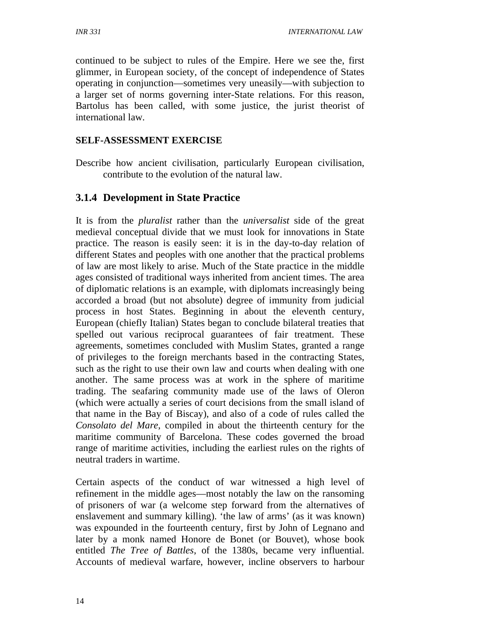continued to be subject to rules of the Empire. Here we see the, first glimmer, in European society, of the concept of independence of States operating in conjunction—sometimes very uneasily—with subjection to a larger set of norms governing inter-State relations. For this reason, Bartolus has been called, with some justice, the jurist theorist of international law.

#### **SELF-ASSESSMENT EXERCISE**

Describe how ancient civilisation, particularly European civilisation, contribute to the evolution of the natural law.

#### **3.1.4 Development in State Practice**

It is from the *pluralist* rather than the *universalist* side of the great medieval conceptual divide that we must look for innovations in State practice. The reason is easily seen: it is in the day-to-day relation of different States and peoples with one another that the practical problems of law are most likely to arise. Much of the State practice in the middle ages consisted of traditional ways inherited from ancient times. The area of diplomatic relations is an example, with diplomats increasingly being accorded a broad (but not absolute) degree of immunity from judicial process in host States. Beginning in about the eleventh century, European (chiefly Italian) States began to conclude bilateral treaties that spelled out various reciprocal guarantees of fair treatment. These agreements, sometimes concluded with Muslim States, granted a range of privileges to the foreign merchants based in the contracting States, such as the right to use their own law and courts when dealing with one another. The same process was at work in the sphere of maritime trading. The seafaring community made use of the laws of Oleron (which were actually a series of court decisions from the small island of that name in the Bay of Biscay), and also of a code of rules called the *Consolato del Mare*, compiled in about the thirteenth century for the maritime community of Barcelona. These codes governed the broad range of maritime activities, including the earliest rules on the rights of neutral traders in wartime.

Certain aspects of the conduct of war witnessed a high level of refinement in the middle ages—most notably the law on the ransoming of prisoners of war (a welcome step forward from the alternatives of enslavement and summary killing). 'the law of arms' (as it was known) was expounded in the fourteenth century, first by John of Legnano and later by a monk named Honore de Bonet (or Bouvet), whose book entitled *The Tree of Battles*, of the 1380s, became very influential. Accounts of medieval warfare, however, incline observers to harbour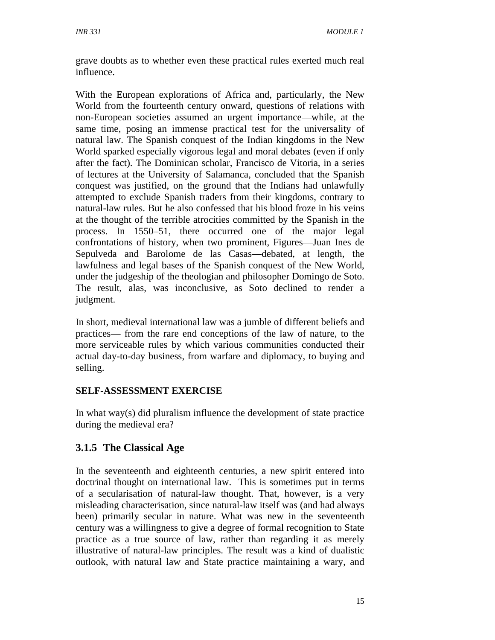grave doubts as to whether even these practical rules exerted much real influence.

With the European explorations of Africa and, particularly, the New World from the fourteenth century onward, questions of relations with non-European societies assumed an urgent importance—while, at the same time, posing an immense practical test for the universality of natural law. The Spanish conquest of the Indian kingdoms in the New World sparked especially vigorous legal and moral debates (even if only after the fact). The Dominican scholar, Francisco de Vitoria, in a series of lectures at the University of Salamanca, concluded that the Spanish conquest was justified, on the ground that the Indians had unlawfully attempted to exclude Spanish traders from their kingdoms, contrary to natural-law rules. But he also confessed that his blood froze in his veins at the thought of the terrible atrocities committed by the Spanish in the process. In 1550–51, there occurred one of the major legal confrontations of history, when two prominent, Figures—Juan Ines de Sepulveda and Barolome de las Casas—debated, at length, the lawfulness and legal bases of the Spanish conquest of the New World, under the judgeship of the theologian and philosopher Domingo de Soto. The result, alas, was inconclusive, as Soto declined to render a judgment.

In short, medieval international law was a jumble of different beliefs and practices— from the rare end conceptions of the law of nature, to the more serviceable rules by which various communities conducted their actual day-to-day business, from warfare and diplomacy, to buying and selling.

#### **SELF-ASSESSMENT EXERCISE**

In what way(s) did pluralism influence the development of state practice during the medieval era?

# **3.1.5 The Classical Age**

In the seventeenth and eighteenth centuries, a new spirit entered into doctrinal thought on international law. This is sometimes put in terms of a secularisation of natural-law thought. That, however, is a very misleading characterisation, since natural-law itself was (and had always been) primarily secular in nature. What was new in the seventeenth century was a willingness to give a degree of formal recognition to State practice as a true source of law, rather than regarding it as merely illustrative of natural-law principles. The result was a kind of dualistic outlook, with natural law and State practice maintaining a wary, and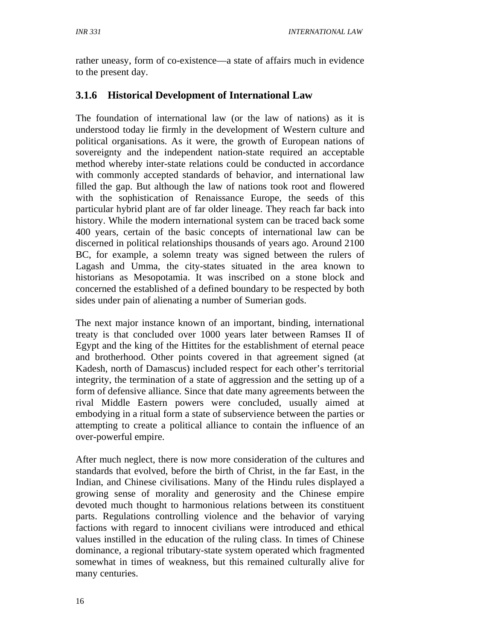rather uneasy, form of co-existence—a state of affairs much in evidence to the present day.

# **3.1.6 Historical Development of International Law**

The foundation of international law (or the law of nations) as it is understood today lie firmly in the development of Western culture and political organisations. As it were, the growth of European nations of sovereignty and the independent nation-state required an acceptable method whereby inter-state relations could be conducted in accordance with commonly accepted standards of behavior, and international law filled the gap. But although the law of nations took root and flowered with the sophistication of Renaissance Europe, the seeds of this particular hybrid plant are of far older lineage. They reach far back into history. While the modern international system can be traced back some 400 years, certain of the basic concepts of international law can be discerned in political relationships thousands of years ago. Around 2100 BC, for example, a solemn treaty was signed between the rulers of Lagash and Umma, the city-states situated in the area known to historians as Mesopotamia. It was inscribed on a stone block and concerned the established of a defined boundary to be respected by both sides under pain of alienating a number of Sumerian gods.

The next major instance known of an important, binding, international treaty is that concluded over 1000 years later between Ramses II of Egypt and the king of the Hittites for the establishment of eternal peace and brotherhood. Other points covered in that agreement signed (at Kadesh, north of Damascus) included respect for each other's territorial integrity, the termination of a state of aggression and the setting up of a form of defensive alliance. Since that date many agreements between the rival Middle Eastern powers were concluded, usually aimed at embodying in a ritual form a state of subservience between the parties or attempting to create a political alliance to contain the influence of an over-powerful empire.

After much neglect, there is now more consideration of the cultures and standards that evolved, before the birth of Christ, in the far East, in the Indian, and Chinese civilisations. Many of the Hindu rules displayed a growing sense of morality and generosity and the Chinese empire devoted much thought to harmonious relations between its constituent parts. Regulations controlling violence and the behavior of varying factions with regard to innocent civilians were introduced and ethical values instilled in the education of the ruling class. In times of Chinese dominance, a regional tributary-state system operated which fragmented somewhat in times of weakness, but this remained culturally alive for many centuries.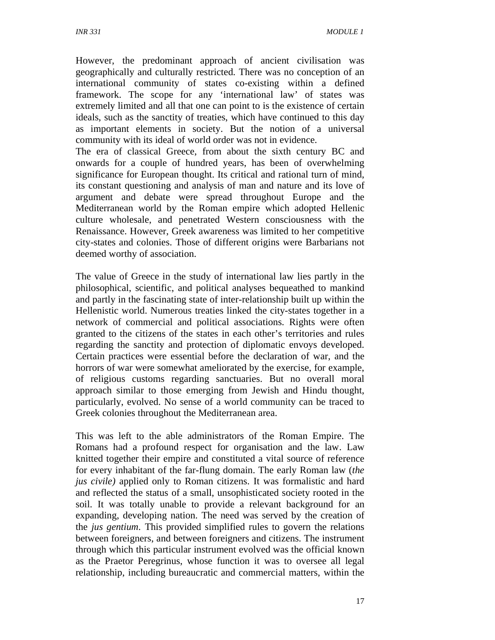However, the predominant approach of ancient civilisation was geographically and culturally restricted. There was no conception of an international community of states co-existing within a defined framework. The scope for any 'international law' of states was extremely limited and all that one can point to is the existence of certain ideals, such as the sanctity of treaties, which have continued to this day as important elements in society. But the notion of a universal community with its ideal of world order was not in evidence.

The era of classical Greece, from about the sixth century BC and onwards for a couple of hundred years, has been of overwhelming significance for European thought. Its critical and rational turn of mind, its constant questioning and analysis of man and nature and its love of argument and debate were spread throughout Europe and the Mediterranean world by the Roman empire which adopted Hellenic culture wholesale, and penetrated Western consciousness with the Renaissance. However, Greek awareness was limited to her competitive city-states and colonies. Those of different origins were Barbarians not deemed worthy of association.

The value of Greece in the study of international law lies partly in the philosophical, scientific, and political analyses bequeathed to mankind and partly in the fascinating state of inter-relationship built up within the Hellenistic world. Numerous treaties linked the city-states together in a network of commercial and political associations. Rights were often granted to the citizens of the states in each other's territories and rules regarding the sanctity and protection of diplomatic envoys developed. Certain practices were essential before the declaration of war, and the horrors of war were somewhat ameliorated by the exercise, for example, of religious customs regarding sanctuaries. But no overall moral approach similar to those emerging from Jewish and Hindu thought, particularly, evolved. No sense of a world community can be traced to Greek colonies throughout the Mediterranean area.

This was left to the able administrators of the Roman Empire. The Romans had a profound respect for organisation and the law. Law knitted together their empire and constituted a vital source of reference for every inhabitant of the far-flung domain. The early Roman law (*the jus civile)* applied only to Roman citizens. It was formalistic and hard and reflected the status of a small, unsophisticated society rooted in the soil. It was totally unable to provide a relevant background for an expanding, developing nation. The need was served by the creation of the *jus gentium.* This provided simplified rules to govern the relations between foreigners, and between foreigners and citizens. The instrument through which this particular instrument evolved was the official known as the Praetor Peregrinus, whose function it was to oversee all legal relationship, including bureaucratic and commercial matters, within the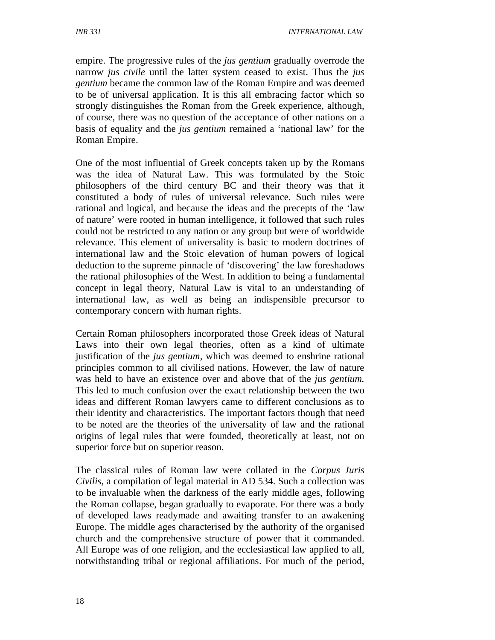empire. The progressive rules of the *jus gentium* gradually overrode the narrow *jus civile* until the latter system ceased to exist. Thus the *jus gentium* became the common law of the Roman Empire and was deemed to be of universal application. It is this all embracing factor which so strongly distinguishes the Roman from the Greek experience, although, of course, there was no question of the acceptance of other nations on a basis of equality and the *jus gentium* remained a 'national law' for the Roman Empire.

One of the most influential of Greek concepts taken up by the Romans was the idea of Natural Law. This was formulated by the Stoic philosophers of the third century BC and their theory was that it constituted a body of rules of universal relevance. Such rules were rational and logical, and because the ideas and the precepts of the 'law of nature' were rooted in human intelligence, it followed that such rules could not be restricted to any nation or any group but were of worldwide relevance. This element of universality is basic to modern doctrines of international law and the Stoic elevation of human powers of logical deduction to the supreme pinnacle of 'discovering' the law foreshadows the rational philosophies of the West. In addition to being a fundamental concept in legal theory, Natural Law is vital to an understanding of international law, as well as being an indispensible precursor to contemporary concern with human rights.

Certain Roman philosophers incorporated those Greek ideas of Natural Laws into their own legal theories, often as a kind of ultimate justification of the *jus gentium,* which was deemed to enshrine rational principles common to all civilised nations. However, the law of nature was held to have an existence over and above that of the *jus gentium.*  This led to much confusion over the exact relationship between the two ideas and different Roman lawyers came to different conclusions as to their identity and characteristics. The important factors though that need to be noted are the theories of the universality of law and the rational origins of legal rules that were founded, theoretically at least, not on superior force but on superior reason.

The classical rules of Roman law were collated in the *Corpus Juris Civilis,* a compilation of legal material in AD 534. Such a collection was to be invaluable when the darkness of the early middle ages, following the Roman collapse, began gradually to evaporate. For there was a body of developed laws readymade and awaiting transfer to an awakening Europe. The middle ages characterised by the authority of the organised church and the comprehensive structure of power that it commanded. All Europe was of one religion, and the ecclesiastical law applied to all, notwithstanding tribal or regional affiliations. For much of the period,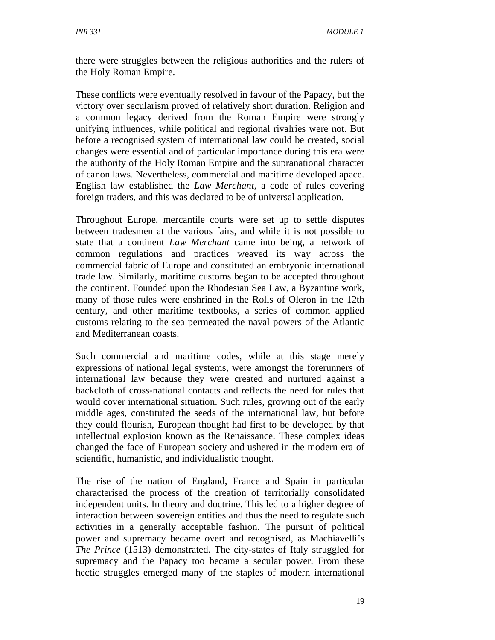there were struggles between the religious authorities and the rulers of the Holy Roman Empire.

These conflicts were eventually resolved in favour of the Papacy, but the victory over secularism proved of relatively short duration. Religion and a common legacy derived from the Roman Empire were strongly unifying influences, while political and regional rivalries were not. But before a recognised system of international law could be created, social changes were essential and of particular importance during this era were the authority of the Holy Roman Empire and the supranational character of canon laws. Nevertheless, commercial and maritime developed apace. English law established the *Law Merchant,* a code of rules covering foreign traders, and this was declared to be of universal application.

Throughout Europe, mercantile courts were set up to settle disputes between tradesmen at the various fairs, and while it is not possible to state that a continent *Law Merchant* came into being, a network of common regulations and practices weaved its way across the commercial fabric of Europe and constituted an embryonic international trade law. Similarly, maritime customs began to be accepted throughout the continent. Founded upon the Rhodesian Sea Law, a Byzantine work, many of those rules were enshrined in the Rolls of Oleron in the 12th century, and other maritime textbooks, a series of common applied customs relating to the sea permeated the naval powers of the Atlantic and Mediterranean coasts.

Such commercial and maritime codes, while at this stage merely expressions of national legal systems, were amongst the forerunners of international law because they were created and nurtured against a backcloth of cross-national contacts and reflects the need for rules that would cover international situation. Such rules, growing out of the early middle ages, constituted the seeds of the international law, but before they could flourish, European thought had first to be developed by that intellectual explosion known as the Renaissance. These complex ideas changed the face of European society and ushered in the modern era of scientific, humanistic, and individualistic thought.

The rise of the nation of England, France and Spain in particular characterised the process of the creation of territorially consolidated independent units. In theory and doctrine. This led to a higher degree of interaction between sovereign entities and thus the need to regulate such activities in a generally acceptable fashion. The pursuit of political power and supremacy became overt and recognised, as Machiavelli's *The Prince* (1513) demonstrated. The city-states of Italy struggled for supremacy and the Papacy too became a secular power. From these hectic struggles emerged many of the staples of modern international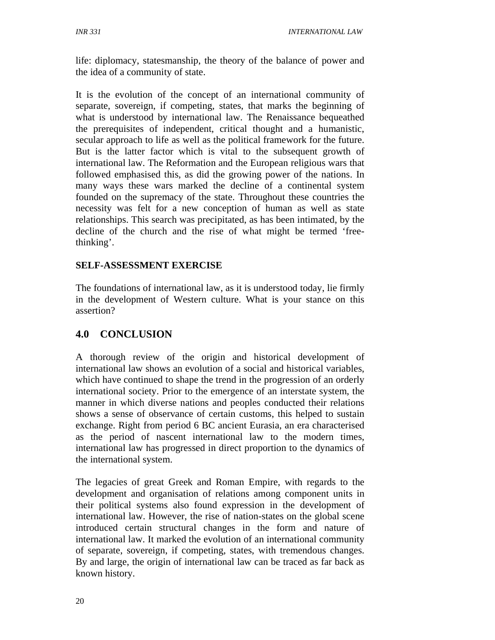life: diplomacy, statesmanship, the theory of the balance of power and the idea of a community of state.

It is the evolution of the concept of an international community of separate, sovereign, if competing, states, that marks the beginning of what is understood by international law. The Renaissance bequeathed the prerequisites of independent, critical thought and a humanistic, secular approach to life as well as the political framework for the future. But is the latter factor which is vital to the subsequent growth of international law. The Reformation and the European religious wars that followed emphasised this, as did the growing power of the nations. In many ways these wars marked the decline of a continental system founded on the supremacy of the state. Throughout these countries the necessity was felt for a new conception of human as well as state relationships. This search was precipitated, as has been intimated, by the decline of the church and the rise of what might be termed 'freethinking'.

### **SELF-ASSESSMENT EXERCISE**

The foundations of international law, as it is understood today, lie firmly in the development of Western culture. What is your stance on this assertion?

# **4.0 CONCLUSION**

A thorough review of the origin and historical development of international law shows an evolution of a social and historical variables, which have continued to shape the trend in the progression of an orderly international society. Prior to the emergence of an interstate system, the manner in which diverse nations and peoples conducted their relations shows a sense of observance of certain customs, this helped to sustain exchange. Right from period 6 BC ancient Eurasia, an era characterised as the period of nascent international law to the modern times, international law has progressed in direct proportion to the dynamics of the international system.

The legacies of great Greek and Roman Empire, with regards to the development and organisation of relations among component units in their political systems also found expression in the development of international law. However, the rise of nation-states on the global scene introduced certain structural changes in the form and nature of international law. It marked the evolution of an international community of separate, sovereign, if competing, states, with tremendous changes. By and large, the origin of international law can be traced as far back as known history.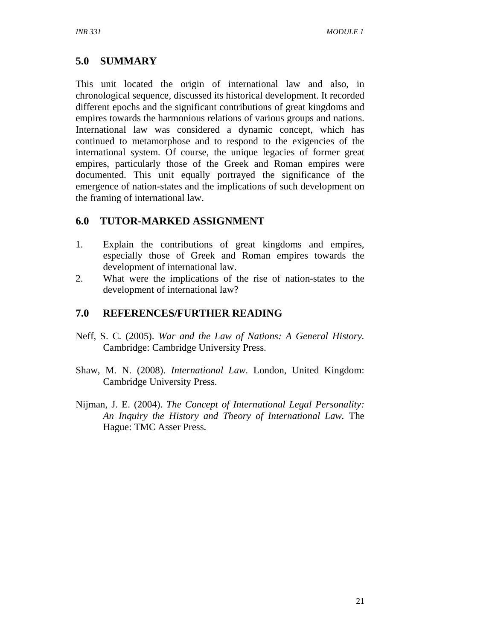# **5.0 SUMMARY**

This unit located the origin of international law and also, in chronological sequence, discussed its historical development. It recorded different epochs and the significant contributions of great kingdoms and empires towards the harmonious relations of various groups and nations. International law was considered a dynamic concept, which has continued to metamorphose and to respond to the exigencies of the international system. Of course, the unique legacies of former great empires, particularly those of the Greek and Roman empires were documented. This unit equally portrayed the significance of the emergence of nation-states and the implications of such development on the framing of international law.

# **6.0 TUTOR-MARKED ASSIGNMENT**

- 1. Explain the contributions of great kingdoms and empires, especially those of Greek and Roman empires towards the development of international law.
- 2. What were the implications of the rise of nation-states to the development of international law?

### **7.0 REFERENCES/FURTHER READING**

- Neff, S. C. (2005). *War and the Law of Nations: A General History.*  Cambridge: Cambridge University Press.
- Shaw, M. N. (2008). *International Law*. London, United Kingdom: Cambridge University Press.
- Nijman, J. E. (2004). *The Concept of International Legal Personality: An Inquiry the History and Theory of International Law.* The Hague: TMC Asser Press.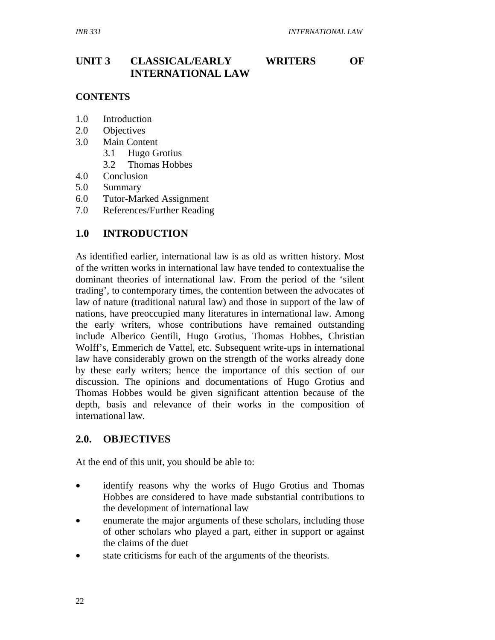# **UNIT 3 CLASSICAL/EARLY WRITERS OF INTERNATIONAL LAW**

#### **CONTENTS**

- 1.0 Introduction
- 2.0 Objectives
- 3.0 Main Content
	- 3.1 Hugo Grotius
	- 3.2 Thomas Hobbes
- 4.0 Conclusion
- 5.0 Summary
- 6.0 Tutor-Marked Assignment
- 7.0 References/Further Reading

# **1.0 INTRODUCTION**

As identified earlier, international law is as old as written history. Most of the written works in international law have tended to contextualise the dominant theories of international law. From the period of the 'silent trading', to contemporary times, the contention between the advocates of law of nature (traditional natural law) and those in support of the law of nations, have preoccupied many literatures in international law. Among the early writers, whose contributions have remained outstanding include Alberico Gentili, Hugo Grotius, Thomas Hobbes, Christian Wolff's, Emmerich de Vattel, etc. Subsequent write-ups in international law have considerably grown on the strength of the works already done by these early writers; hence the importance of this section of our discussion. The opinions and documentations of Hugo Grotius and Thomas Hobbes would be given significant attention because of the depth, basis and relevance of their works in the composition of international law.

### **2.0. OBJECTIVES**

At the end of this unit, you should be able to:

- identify reasons why the works of Hugo Grotius and Thomas Hobbes are considered to have made substantial contributions to the development of international law
- enumerate the major arguments of these scholars, including those of other scholars who played a part, either in support or against the claims of the duet
- state criticisms for each of the arguments of the theorists.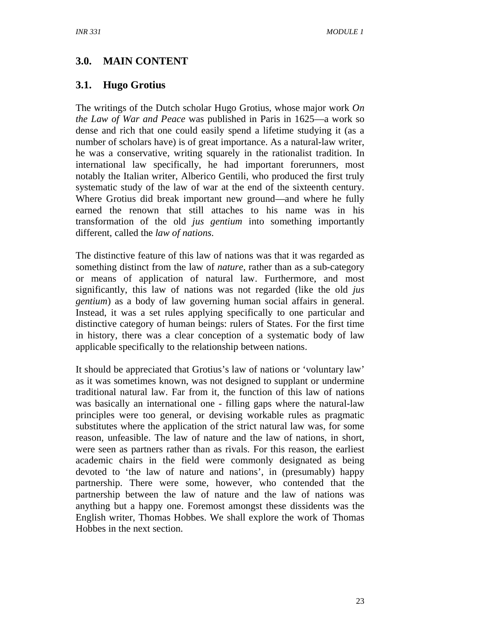### **3.0. MAIN CONTENT**

#### **3.1. Hugo Grotius**

The writings of the Dutch scholar Hugo Grotius, whose major work *On the Law of War and Peace* was published in Paris in 1625—a work so dense and rich that one could easily spend a lifetime studying it (as a number of scholars have) is of great importance. As a natural-law writer, he was a conservative, writing squarely in the rationalist tradition. In international law specifically, he had important forerunners, most notably the Italian writer, Alberico Gentili, who produced the first truly systematic study of the law of war at the end of the sixteenth century. Where Grotius did break important new ground—and where he fully earned the renown that still attaches to his name was in his transformation of the old *jus gentium* into something importantly different, called the *law of nations*.

The distinctive feature of this law of nations was that it was regarded as something distinct from the law of *nature*, rather than as a sub-category or means of application of natural law. Furthermore, and most significantly, this law of nations was not regarded (like the old *jus gentium*) as a body of law governing human social affairs in general. Instead, it was a set rules applying specifically to one particular and distinctive category of human beings: rulers of States. For the first time in history, there was a clear conception of a systematic body of law applicable specifically to the relationship between nations.

It should be appreciated that Grotius's law of nations or 'voluntary law' as it was sometimes known, was not designed to supplant or undermine traditional natural law. Far from it, the function of this law of nations was basically an international one - filling gaps where the natural-law principles were too general, or devising workable rules as pragmatic substitutes where the application of the strict natural law was, for some reason, unfeasible. The law of nature and the law of nations, in short, were seen as partners rather than as rivals. For this reason, the earliest academic chairs in the field were commonly designated as being devoted to 'the law of nature and nations', in (presumably) happy partnership. There were some, however, who contended that the partnership between the law of nature and the law of nations was anything but a happy one. Foremost amongst these dissidents was the English writer, Thomas Hobbes. We shall explore the work of Thomas Hobbes in the next section.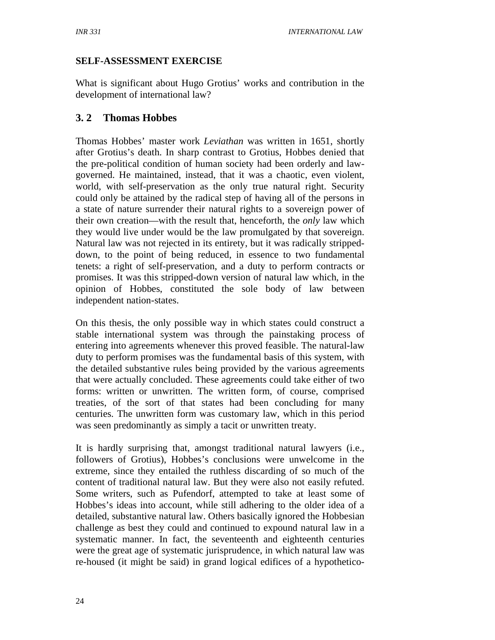#### **SELF-ASSESSMENT EXERCISE**

What is significant about Hugo Grotius' works and contribution in the development of international law?

# **3. 2 Thomas Hobbes**

Thomas Hobbes' master work *Leviathan* was written in 1651, shortly after Grotius's death. In sharp contrast to Grotius, Hobbes denied that the pre-political condition of human society had been orderly and lawgoverned. He maintained, instead, that it was a chaotic, even violent, world, with self-preservation as the only true natural right. Security could only be attained by the radical step of having all of the persons in a state of nature surrender their natural rights to a sovereign power of their own creation—with the result that, henceforth, the *only* law which they would live under would be the law promulgated by that sovereign. Natural law was not rejected in its entirety, but it was radically strippeddown, to the point of being reduced, in essence to two fundamental tenets: a right of self-preservation, and a duty to perform contracts or promises. It was this stripped-down version of natural law which, in the opinion of Hobbes, constituted the sole body of law between independent nation-states.

On this thesis, the only possible way in which states could construct a stable international system was through the painstaking process of entering into agreements whenever this proved feasible. The natural-law duty to perform promises was the fundamental basis of this system, with the detailed substantive rules being provided by the various agreements that were actually concluded. These agreements could take either of two forms: written or unwritten. The written form, of course, comprised treaties, of the sort of that states had been concluding for many centuries. The unwritten form was customary law, which in this period was seen predominantly as simply a tacit or unwritten treaty.

It is hardly surprising that, amongst traditional natural lawyers (i.e., followers of Grotius), Hobbes's conclusions were unwelcome in the extreme, since they entailed the ruthless discarding of so much of the content of traditional natural law. But they were also not easily refuted. Some writers, such as Pufendorf, attempted to take at least some of Hobbes's ideas into account, while still adhering to the older idea of a detailed, substantive natural law. Others basically ignored the Hobbesian challenge as best they could and continued to expound natural law in a systematic manner. In fact, the seventeenth and eighteenth centuries were the great age of systematic jurisprudence, in which natural law was re-housed (it might be said) in grand logical edifices of a hypothetico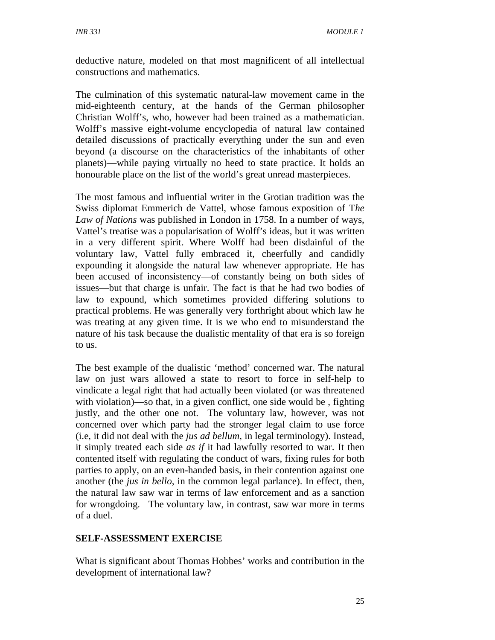deductive nature, modeled on that most magnificent of all intellectual constructions and mathematics.

The culmination of this systematic natural-law movement came in the mid-eighteenth century, at the hands of the German philosopher Christian Wolff's, who, however had been trained as a mathematician. Wolff's massive eight-volume encyclopedia of natural law contained detailed discussions of practically everything under the sun and even beyond (a discourse on the characteristics of the inhabitants of other planets)—while paying virtually no heed to state practice. It holds an honourable place on the list of the world's great unread masterpieces.

The most famous and influential writer in the Grotian tradition was the Swiss diplomat Emmerich de Vattel, whose famous exposition of T*he Law of Nations* was published in London in 1758. In a number of ways, Vattel's treatise was a popularisation of Wolff's ideas, but it was written in a very different spirit. Where Wolff had been disdainful of the voluntary law, Vattel fully embraced it, cheerfully and candidly expounding it alongside the natural law whenever appropriate. He has been accused of inconsistency—of constantly being on both sides of issues—but that charge is unfair. The fact is that he had two bodies of law to expound, which sometimes provided differing solutions to practical problems. He was generally very forthright about which law he was treating at any given time. It is we who end to misunderstand the nature of his task because the dualistic mentality of that era is so foreign to us.

The best example of the dualistic 'method' concerned war. The natural law on just wars allowed a state to resort to force in self-help to vindicate a legal right that had actually been violated (or was threatened with violation)—so that, in a given conflict, one side would be , fighting justly, and the other one not. The voluntary law, however, was not concerned over which party had the stronger legal claim to use force (i.e, it did not deal with the *jus ad bellum*, in legal terminology). Instead, it simply treated each side *as if* it had lawfully resorted to war. It then contented itself with regulating the conduct of wars, fixing rules for both parties to apply, on an even-handed basis, in their contention against one another (the *jus in bello*, in the common legal parlance). In effect, then, the natural law saw war in terms of law enforcement and as a sanction for wrongdoing. The voluntary law, in contrast, saw war more in terms of a duel.

#### **SELF-ASSESSMENT EXERCISE**

What is significant about Thomas Hobbes' works and contribution in the development of international law?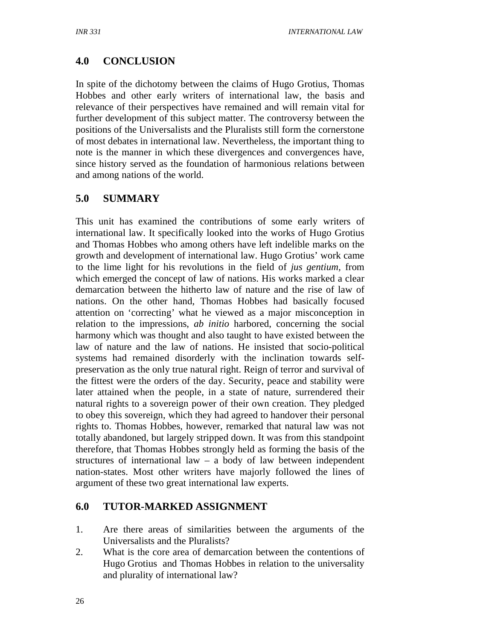# **4.0 CONCLUSION**

In spite of the dichotomy between the claims of Hugo Grotius, Thomas Hobbes and other early writers of international law, the basis and relevance of their perspectives have remained and will remain vital for further development of this subject matter. The controversy between the positions of the Universalists and the Pluralists still form the cornerstone of most debates in international law. Nevertheless, the important thing to note is the manner in which these divergences and convergences have, since history served as the foundation of harmonious relations between and among nations of the world.

# **5.0 SUMMARY**

This unit has examined the contributions of some early writers of international law. It specifically looked into the works of Hugo Grotius and Thomas Hobbes who among others have left indelible marks on the growth and development of international law. Hugo Grotius' work came to the lime light for his revolutions in the field of *jus gentium,* from which emerged the concept of law of nations. His works marked a clear demarcation between the hitherto law of nature and the rise of law of nations. On the other hand, Thomas Hobbes had basically focused attention on 'correcting' what he viewed as a major misconception in relation to the impressions, *ab initio* harbored, concerning the social harmony which was thought and also taught to have existed between the law of nature and the law of nations. He insisted that socio-political systems had remained disorderly with the inclination towards selfpreservation as the only true natural right. Reign of terror and survival of the fittest were the orders of the day. Security, peace and stability were later attained when the people, in a state of nature, surrendered their natural rights to a sovereign power of their own creation. They pledged to obey this sovereign, which they had agreed to handover their personal rights to. Thomas Hobbes, however, remarked that natural law was not totally abandoned, but largely stripped down. It was from this standpoint therefore, that Thomas Hobbes strongly held as forming the basis of the structures of international law – a body of law between independent nation-states. Most other writers have majorly followed the lines of argument of these two great international law experts.

## **6.0 TUTOR-MARKED ASSIGNMENT**

- 1. Are there areas of similarities between the arguments of the Universalists and the Pluralists?
- 2. What is the core area of demarcation between the contentions of Hugo Grotius and Thomas Hobbes in relation to the universality and plurality of international law?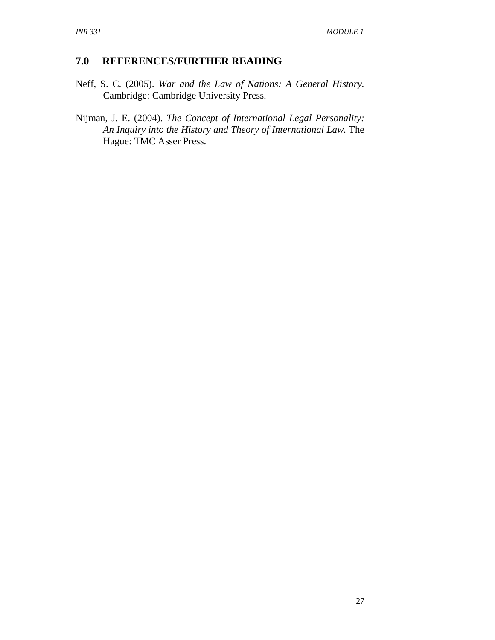## **7.0 REFERENCES/FURTHER READING**

- Neff, S. C. (2005). *War and the Law of Nations: A General History.*  Cambridge: Cambridge University Press.
- Nijman, J. E. (2004). *The Concept of International Legal Personality: An Inquiry into the History and Theory of International Law.* The Hague: TMC Asser Press.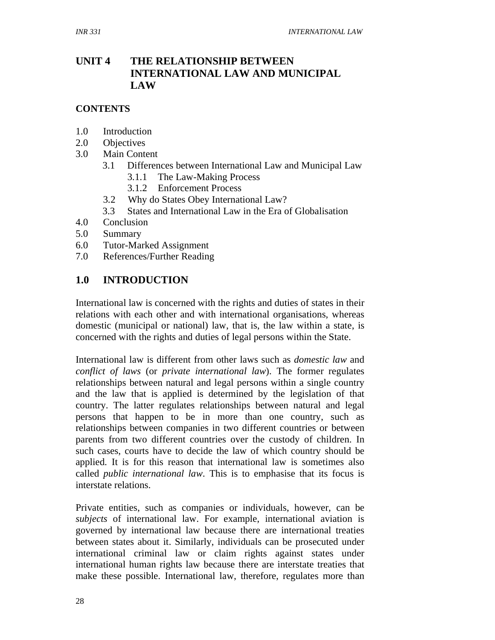### **UNIT 4 THE RELATIONSHIP BETWEEN INTERNATIONAL LAW AND MUNICIPAL LAW**

#### **CONTENTS**

- 1.0 Introduction
- 2.0 Objectives
- 3.0 Main Content
	- 3.1 Differences between International Law and Municipal Law
		- 3.1.1 The Law-Making Process
		- 3.1.2 Enforcement Process
	- 3.2 Why do States Obey International Law?
	- 3.3 States and International Law in the Era of Globalisation
- 4.0 Conclusion
- 5.0 Summary
- 6.0 Tutor-Marked Assignment
- 7.0 References/Further Reading

### **1.0 INTRODUCTION**

International law is concerned with the rights and duties of states in their relations with each other and with international organisations, whereas domestic (municipal or national) law, that is, the law within a state, is concerned with the rights and duties of legal persons within the State.

International law is different from other laws such as *domestic law* and *conflict of laws* (or *private international law*). The former regulates relationships between natural and legal persons within a single country and the law that is applied is determined by the legislation of that country. The latter regulates relationships between natural and legal persons that happen to be in more than one country, such as relationships between companies in two different countries or between parents from two different countries over the custody of children. In such cases, courts have to decide the law of which country should be applied. It is for this reason that international law is sometimes also called *public international law*. This is to emphasise that its focus is interstate relations.

Private entities, such as companies or individuals, however, can be *subjects* of international law. For example, international aviation is governed by international law because there are international treaties between states about it. Similarly, individuals can be prosecuted under international criminal law or claim rights against states under international human rights law because there are interstate treaties that make these possible. International law, therefore, regulates more than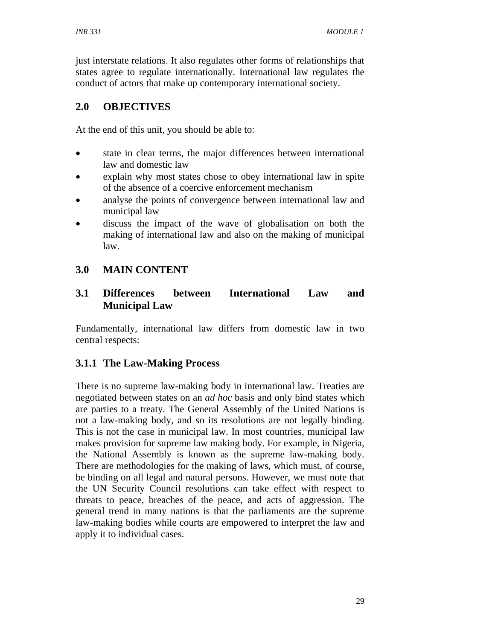just interstate relations. It also regulates other forms of relationships that states agree to regulate internationally. International law regulates the conduct of actors that make up contemporary international society.

# **2.0 OBJECTIVES**

At the end of this unit, you should be able to:

- state in clear terms, the major differences between international law and domestic law
- explain why most states chose to obey international law in spite of the absence of a coercive enforcement mechanism
- analyse the points of convergence between international law and municipal law
- discuss the impact of the wave of globalisation on both the making of international law and also on the making of municipal law.

# **3.0 MAIN CONTENT**

# **3.1 Differences between International Law and Municipal Law**

Fundamentally, international law differs from domestic law in two central respects:

# **3.1.1 The Law-Making Process**

There is no supreme law-making body in international law. Treaties are negotiated between states on an *ad hoc* basis and only bind states which are parties to a treaty. The General Assembly of the United Nations is not a law-making body, and so its resolutions are not legally binding. This is not the case in municipal law. In most countries, municipal law makes provision for supreme law making body. For example, in Nigeria, the National Assembly is known as the supreme law-making body. There are methodologies for the making of laws, which must, of course, be binding on all legal and natural persons. However, we must note that the UN Security Council resolutions can take effect with respect to threats to peace, breaches of the peace, and acts of aggression. The general trend in many nations is that the parliaments are the supreme law-making bodies while courts are empowered to interpret the law and apply it to individual cases.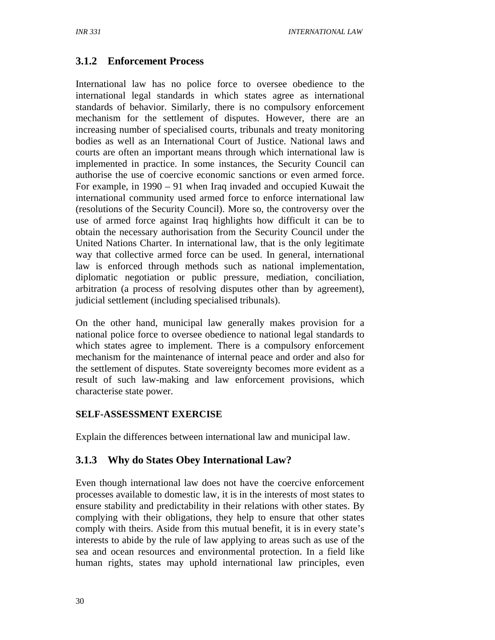# **3.1.2 Enforcement Process**

International law has no police force to oversee obedience to the international legal standards in which states agree as international standards of behavior. Similarly, there is no compulsory enforcement mechanism for the settlement of disputes. However, there are an increasing number of specialised courts, tribunals and treaty monitoring bodies as well as an International Court of Justice. National laws and courts are often an important means through which international law is implemented in practice. In some instances, the Security Council can authorise the use of coercive economic sanctions or even armed force. For example, in 1990 – 91 when Iraq invaded and occupied Kuwait the international community used armed force to enforce international law (resolutions of the Security Council). More so, the controversy over the use of armed force against Iraq highlights how difficult it can be to obtain the necessary authorisation from the Security Council under the United Nations Charter. In international law, that is the only legitimate way that collective armed force can be used. In general, international law is enforced through methods such as national implementation, diplomatic negotiation or public pressure, mediation, conciliation, arbitration (a process of resolving disputes other than by agreement), judicial settlement (including specialised tribunals).

On the other hand, municipal law generally makes provision for a national police force to oversee obedience to national legal standards to which states agree to implement. There is a compulsory enforcement mechanism for the maintenance of internal peace and order and also for the settlement of disputes. State sovereignty becomes more evident as a result of such law-making and law enforcement provisions, which characterise state power.

#### **SELF-ASSESSMENT EXERCISE**

Explain the differences between international law and municipal law.

## **3.1.3 Why do States Obey International Law?**

Even though international law does not have the coercive enforcement processes available to domestic law, it is in the interests of most states to ensure stability and predictability in their relations with other states. By complying with their obligations, they help to ensure that other states comply with theirs. Aside from this mutual benefit, it is in every state's interests to abide by the rule of law applying to areas such as use of the sea and ocean resources and environmental protection. In a field like human rights, states may uphold international law principles, even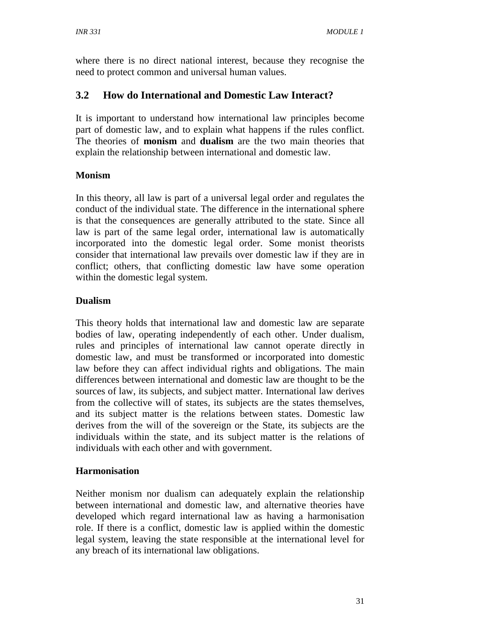where there is no direct national interest, because they recognise the need to protect common and universal human values.

# **3.2 How do International and Domestic Law Interact?**

It is important to understand how international law principles become part of domestic law, and to explain what happens if the rules conflict. The theories of **monism** and **dualism** are the two main theories that explain the relationship between international and domestic law.

# **Monism**

In this theory, all law is part of a universal legal order and regulates the conduct of the individual state. The difference in the international sphere is that the consequences are generally attributed to the state. Since all law is part of the same legal order, international law is automatically incorporated into the domestic legal order. Some monist theorists consider that international law prevails over domestic law if they are in conflict; others, that conflicting domestic law have some operation within the domestic legal system.

# **Dualism**

This theory holds that international law and domestic law are separate bodies of law, operating independently of each other. Under dualism, rules and principles of international law cannot operate directly in domestic law, and must be transformed or incorporated into domestic law before they can affect individual rights and obligations. The main differences between international and domestic law are thought to be the sources of law, its subjects, and subject matter. International law derives from the collective will of states, its subjects are the states themselves, and its subject matter is the relations between states. Domestic law derives from the will of the sovereign or the State, its subjects are the individuals within the state, and its subject matter is the relations of individuals with each other and with government.

## **Harmonisation**

Neither monism nor dualism can adequately explain the relationship between international and domestic law, and alternative theories have developed which regard international law as having a harmonisation role. If there is a conflict, domestic law is applied within the domestic legal system, leaving the state responsible at the international level for any breach of its international law obligations.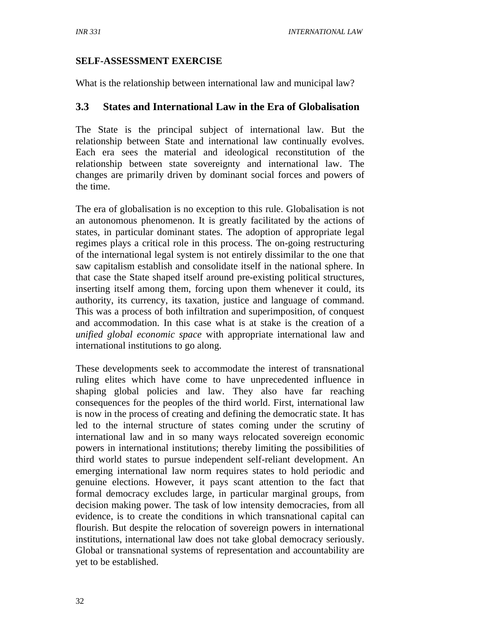### **SELF-ASSESSMENT EXERCISE**

What is the relationship between international law and municipal law?

### **3.3 States and International Law in the Era of Globalisation**

The State is the principal subject of international law. But the relationship between State and international law continually evolves. Each era sees the material and ideological reconstitution of the relationship between state sovereignty and international law. The changes are primarily driven by dominant social forces and powers of the time.

The era of globalisation is no exception to this rule. Globalisation is not an autonomous phenomenon. It is greatly facilitated by the actions of states, in particular dominant states. The adoption of appropriate legal regimes plays a critical role in this process. The on-going restructuring of the international legal system is not entirely dissimilar to the one that saw capitalism establish and consolidate itself in the national sphere. In that case the State shaped itself around pre-existing political structures, inserting itself among them, forcing upon them whenever it could, its authority, its currency, its taxation, justice and language of command. This was a process of both infiltration and superimposition, of conquest and accommodation. In this case what is at stake is the creation of a *unified global economic space* with appropriate international law and international institutions to go along.

These developments seek to accommodate the interest of transnational ruling elites which have come to have unprecedented influence in shaping global policies and law. They also have far reaching consequences for the peoples of the third world. First, international law is now in the process of creating and defining the democratic state. It has led to the internal structure of states coming under the scrutiny of international law and in so many ways relocated sovereign economic powers in international institutions; thereby limiting the possibilities of third world states to pursue independent self-reliant development. An emerging international law norm requires states to hold periodic and genuine elections. However, it pays scant attention to the fact that formal democracy excludes large, in particular marginal groups, from decision making power. The task of low intensity democracies, from all evidence, is to create the conditions in which transnational capital can flourish. But despite the relocation of sovereign powers in international institutions, international law does not take global democracy seriously. Global or transnational systems of representation and accountability are yet to be established.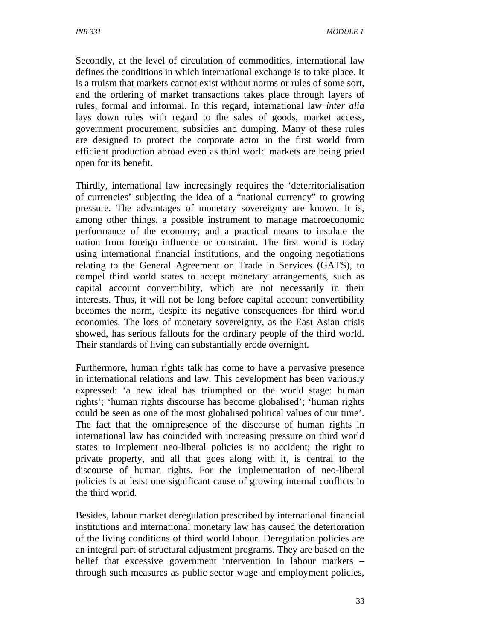Secondly, at the level of circulation of commodities, international law defines the conditions in which international exchange is to take place. It is a truism that markets cannot exist without norms or rules of some sort, and the ordering of market transactions takes place through layers of rules, formal and informal. In this regard, international law *inter alia*  lays down rules with regard to the sales of goods, market access, government procurement, subsidies and dumping. Many of these rules are designed to protect the corporate actor in the first world from efficient production abroad even as third world markets are being pried open for its benefit.

Thirdly, international law increasingly requires the 'deterritorialisation of currencies' subjecting the idea of a "national currency" to growing pressure. The advantages of monetary sovereignty are known. It is, among other things, a possible instrument to manage macroeconomic performance of the economy; and a practical means to insulate the nation from foreign influence or constraint. The first world is today using international financial institutions, and the ongoing negotiations relating to the General Agreement on Trade in Services (GATS), to compel third world states to accept monetary arrangements, such as capital account convertibility, which are not necessarily in their interests. Thus, it will not be long before capital account convertibility becomes the norm, despite its negative consequences for third world economies. The loss of monetary sovereignty, as the East Asian crisis showed, has serious fallouts for the ordinary people of the third world. Their standards of living can substantially erode overnight.

Furthermore, human rights talk has come to have a pervasive presence in international relations and law. This development has been variously expressed: 'a new ideal has triumphed on the world stage: human rights'; 'human rights discourse has become globalised'; 'human rights could be seen as one of the most globalised political values of our time'. The fact that the omnipresence of the discourse of human rights in international law has coincided with increasing pressure on third world states to implement neo-liberal policies is no accident; the right to private property, and all that goes along with it, is central to the discourse of human rights. For the implementation of neo-liberal policies is at least one significant cause of growing internal conflicts in the third world.

Besides, labour market deregulation prescribed by international financial institutions and international monetary law has caused the deterioration of the living conditions of third world labour. Deregulation policies are an integral part of structural adjustment programs. They are based on the belief that excessive government intervention in labour markets – through such measures as public sector wage and employment policies,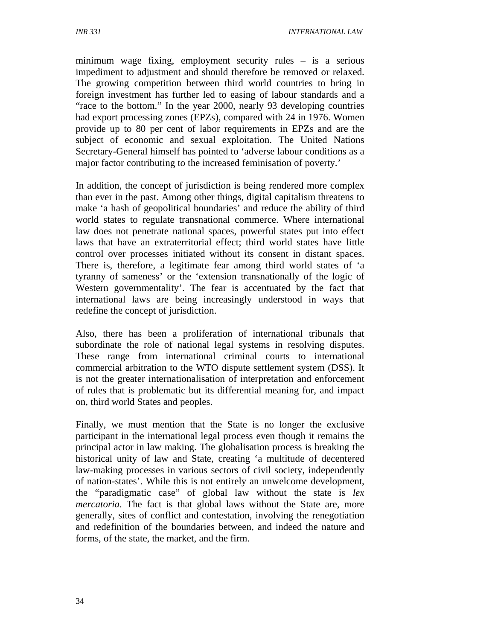minimum wage fixing, employment security rules – is a serious impediment to adjustment and should therefore be removed or relaxed. The growing competition between third world countries to bring in foreign investment has further led to easing of labour standards and a "race to the bottom." In the year 2000, nearly 93 developing countries had export processing zones (EPZs), compared with 24 in 1976. Women provide up to 80 per cent of labor requirements in EPZs and are the subject of economic and sexual exploitation. The United Nations Secretary-General himself has pointed to 'adverse labour conditions as a major factor contributing to the increased feminisation of poverty.'

In addition, the concept of jurisdiction is being rendered more complex than ever in the past. Among other things, digital capitalism threatens to make 'a hash of geopolitical boundaries' and reduce the ability of third world states to regulate transnational commerce. Where international law does not penetrate national spaces, powerful states put into effect laws that have an extraterritorial effect; third world states have little control over processes initiated without its consent in distant spaces. There is, therefore, a legitimate fear among third world states of 'a tyranny of sameness' or the 'extension transnationally of the logic of Western governmentality'. The fear is accentuated by the fact that international laws are being increasingly understood in ways that redefine the concept of jurisdiction.

Also, there has been a proliferation of international tribunals that subordinate the role of national legal systems in resolving disputes. These range from international criminal courts to international commercial arbitration to the WTO dispute settlement system (DSS). It is not the greater internationalisation of interpretation and enforcement of rules that is problematic but its differential meaning for, and impact on, third world States and peoples.

Finally, we must mention that the State is no longer the exclusive participant in the international legal process even though it remains the principal actor in law making. The globalisation process is breaking the historical unity of law and State, creating 'a multitude of decentered law-making processes in various sectors of civil society, independently of nation-states'. While this is not entirely an unwelcome development, the "paradigmatic case" of global law without the state is *lex mercatoria*. The fact is that global laws without the State are, more generally, sites of conflict and contestation, involving the renegotiation and redefinition of the boundaries between, and indeed the nature and forms, of the state, the market, and the firm.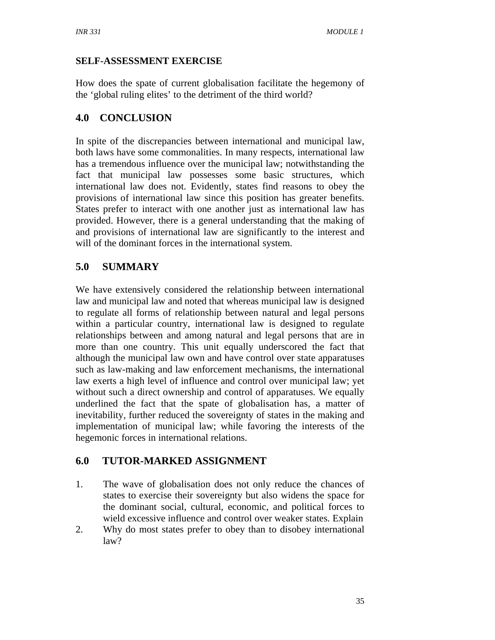### **SELF-ASSESSMENT EXERCISE**

How does the spate of current globalisation facilitate the hegemony of the 'global ruling elites' to the detriment of the third world?

# **4.0 CONCLUSION**

In spite of the discrepancies between international and municipal law, both laws have some commonalities. In many respects, international law has a tremendous influence over the municipal law; notwithstanding the fact that municipal law possesses some basic structures, which international law does not. Evidently, states find reasons to obey the provisions of international law since this position has greater benefits. States prefer to interact with one another just as international law has provided. However, there is a general understanding that the making of and provisions of international law are significantly to the interest and will of the dominant forces in the international system.

# **5.0 SUMMARY**

We have extensively considered the relationship between international law and municipal law and noted that whereas municipal law is designed to regulate all forms of relationship between natural and legal persons within a particular country, international law is designed to regulate relationships between and among natural and legal persons that are in more than one country. This unit equally underscored the fact that although the municipal law own and have control over state apparatuses such as law-making and law enforcement mechanisms, the international law exerts a high level of influence and control over municipal law; yet without such a direct ownership and control of apparatuses. We equally underlined the fact that the spate of globalisation has, a matter of inevitability, further reduced the sovereignty of states in the making and implementation of municipal law; while favoring the interests of the hegemonic forces in international relations.

# **6.0 TUTOR-MARKED ASSIGNMENT**

- 1. The wave of globalisation does not only reduce the chances of states to exercise their sovereignty but also widens the space for the dominant social, cultural, economic, and political forces to wield excessive influence and control over weaker states. Explain
- 2. Why do most states prefer to obey than to disobey international law?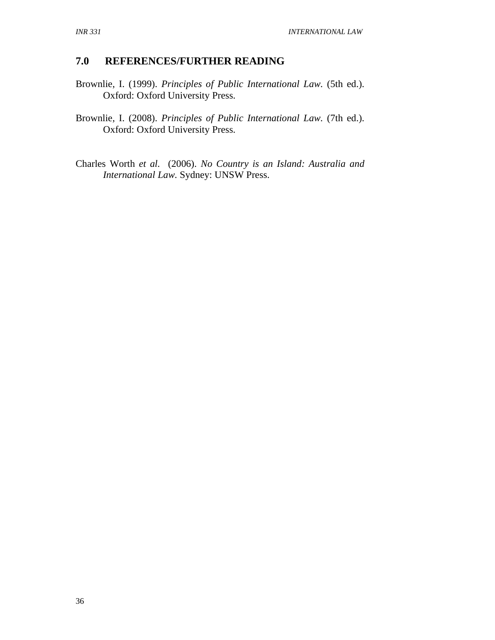### **7.0 REFERENCES/FURTHER READING**

- Brownlie, I. (1999). *Principles of Public International Law.* (5th ed.). Oxford: Oxford University Press.
- Brownlie, I. (2008). *Principles of Public International Law.* (7th ed.). Oxford: Oxford University Press.
- Charles Worth *et al.* (2006). *No Country is an Island: Australia and International Law.* Sydney: UNSW Press.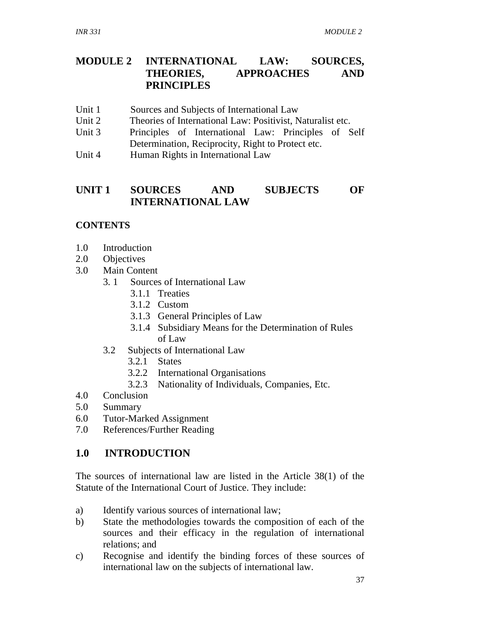# **MODULE 2 INTERNATIONAL LAW: SOURCES, THEORIES, APPROACHES AND PRINCIPLES**

- Unit 1 Sources and Subjects of International Law
- Unit 2 Theories of International Law: Positivist, Naturalist etc.
- Unit 3 Principles of International Law: Principles of Self Determination, Reciprocity, Right to Protect etc.
- Unit 4 Human Rights in International Law

# **UNIT 1 SOURCES AND SUBJECTS OF INTERNATIONAL LAW**

#### **CONTENTS**

- 1.0 Introduction
- 2.0 Objectives
- 3.0 Main Content
	- 3. 1 Sources of International Law
		- 3.1.1 Treaties
		- 3.1.2 Custom
		- 3.1.3 General Principles of Law
		- 3.1.4 Subsidiary Means for the Determination of Rules of Law
	- 3.2 Subjects of International Law
		- 3.2.1 States
		- 3.2.2 International Organisations
		- 3.2.3 Nationality of Individuals, Companies, Etc.
- 4.0 Conclusion
- 5.0 Summary
- 6.0 Tutor-Marked Assignment
- 7.0 References/Further Reading

## **1.0 INTRODUCTION**

The sources of international law are listed in the Article 38(1) of the Statute of the International Court of Justice. They include:

- a) Identify various sources of international law;
- b) State the methodologies towards the composition of each of the sources and their efficacy in the regulation of international relations; and
- c) Recognise and identify the binding forces of these sources of international law on the subjects of international law.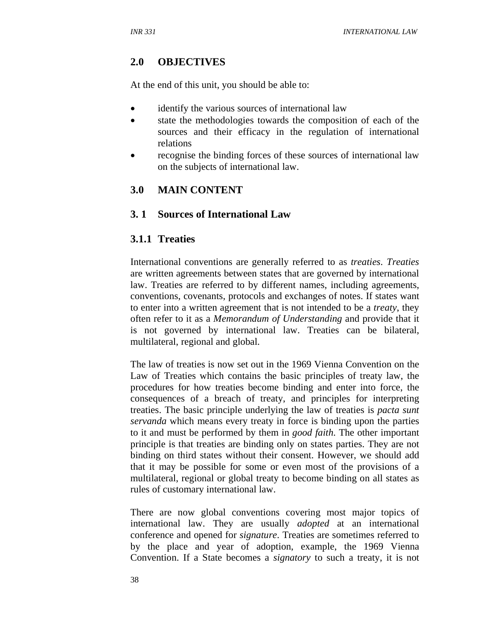# **2.0 OBJECTIVES**

At the end of this unit, you should be able to:

- identify the various sources of international law
- state the methodologies towards the composition of each of the sources and their efficacy in the regulation of international relations
- recognise the binding forces of these sources of international law on the subjects of international law.

## **3.0 MAIN CONTENT**

### **3. 1 Sources of International Law**

#### **3.1.1 Treaties**

International conventions are generally referred to as *treaties*. *Treaties*  are written agreements between states that are governed by international law. Treaties are referred to by different names, including agreements, conventions, covenants, protocols and exchanges of notes. If states want to enter into a written agreement that is not intended to be a *treaty*, they often refer to it as a *Memorandum of Understanding* and provide that it is not governed by international law. Treaties can be bilateral, multilateral, regional and global.

The law of treaties is now set out in the 1969 Vienna Convention on the Law of Treaties which contains the basic principles of treaty law, the procedures for how treaties become binding and enter into force, the consequences of a breach of treaty, and principles for interpreting treaties. The basic principle underlying the law of treaties is *pacta sunt servanda* which means every treaty in force is binding upon the parties to it and must be performed by them in *good faith*. The other important principle is that treaties are binding only on states parties. They are not binding on third states without their consent. However, we should add that it may be possible for some or even most of the provisions of a multilateral, regional or global treaty to become binding on all states as rules of customary international law.

There are now global conventions covering most major topics of international law. They are usually *adopted* at an international conference and opened for *signature*. Treaties are sometimes referred to by the place and year of adoption, example, the 1969 Vienna Convention. If a State becomes a *signatory* to such a treaty, it is not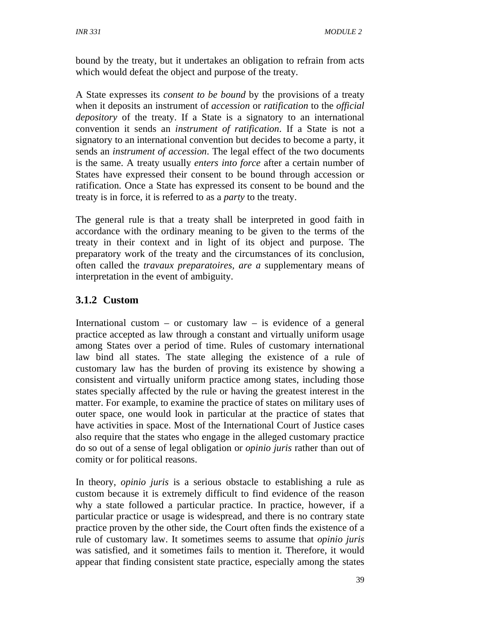bound by the treaty, but it undertakes an obligation to refrain from acts which would defeat the object and purpose of the treaty.

A State expresses its *consent to be bound* by the provisions of a treaty when it deposits an instrument of *accession* or *ratification* to the *official depository* of the treaty. If a State is a signatory to an international convention it sends an *instrument of ratification*. If a State is not a signatory to an international convention but decides to become a party, it sends an *instrument of accession*. The legal effect of the two documents is the same. A treaty usually *enters into force* after a certain number of States have expressed their consent to be bound through accession or ratification. Once a State has expressed its consent to be bound and the treaty is in force, it is referred to as a *party* to the treaty.

The general rule is that a treaty shall be interpreted in good faith in accordance with the ordinary meaning to be given to the terms of the treaty in their context and in light of its object and purpose. The preparatory work of the treaty and the circumstances of its conclusion, often called the *travaux preparatoires, are a* supplementary means of interpretation in the event of ambiguity.

# **3.1.2 Custom**

International custom – or customary law – is evidence of a general practice accepted as law through a constant and virtually uniform usage among States over a period of time. Rules of customary international law bind all states. The state alleging the existence of a rule of customary law has the burden of proving its existence by showing a consistent and virtually uniform practice among states, including those states specially affected by the rule or having the greatest interest in the matter. For example, to examine the practice of states on military uses of outer space, one would look in particular at the practice of states that have activities in space. Most of the International Court of Justice cases also require that the states who engage in the alleged customary practice do so out of a sense of legal obligation or *opinio juris* rather than out of comity or for political reasons.

In theory, *opinio juris* is a serious obstacle to establishing a rule as custom because it is extremely difficult to find evidence of the reason why a state followed a particular practice. In practice, however, if a particular practice or usage is widespread, and there is no contrary state practice proven by the other side, the Court often finds the existence of a rule of customary law. It sometimes seems to assume that *opinio juris*  was satisfied, and it sometimes fails to mention it. Therefore, it would appear that finding consistent state practice, especially among the states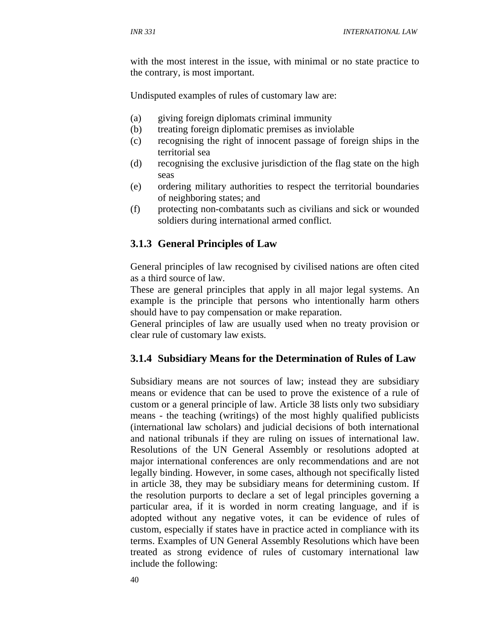with the most interest in the issue, with minimal or no state practice to the contrary, is most important.

Undisputed examples of rules of customary law are:

- (a) giving foreign diplomats criminal immunity
- (b) treating foreign diplomatic premises as inviolable
- (c) recognising the right of innocent passage of foreign ships in the territorial sea
- (d) recognising the exclusive jurisdiction of the flag state on the high seas
- (e) ordering military authorities to respect the territorial boundaries of neighboring states; and
- (f) protecting non-combatants such as civilians and sick or wounded soldiers during international armed conflict.

## **3.1.3 General Principles of Law**

General principles of law recognised by civilised nations are often cited as a third source of law.

These are general principles that apply in all major legal systems. An example is the principle that persons who intentionally harm others should have to pay compensation or make reparation.

General principles of law are usually used when no treaty provision or clear rule of customary law exists.

#### **3.1.4 Subsidiary Means for the Determination of Rules of Law**

Subsidiary means are not sources of law; instead they are subsidiary means or evidence that can be used to prove the existence of a rule of custom or a general principle of law. Article 38 lists only two subsidiary means - the teaching (writings) of the most highly qualified publicists (international law scholars) and judicial decisions of both international and national tribunals if they are ruling on issues of international law. Resolutions of the UN General Assembly or resolutions adopted at major international conferences are only recommendations and are not legally binding. However, in some cases, although not specifically listed in article 38, they may be subsidiary means for determining custom. If the resolution purports to declare a set of legal principles governing a particular area, if it is worded in norm creating language, and if is adopted without any negative votes, it can be evidence of rules of custom, especially if states have in practice acted in compliance with its terms. Examples of UN General Assembly Resolutions which have been treated as strong evidence of rules of customary international law include the following: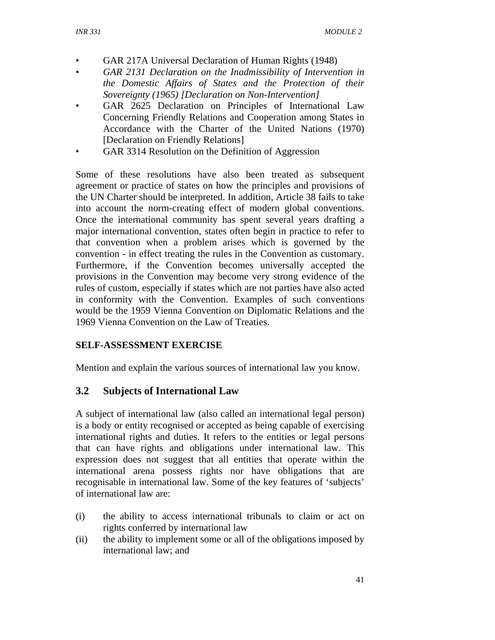- GAR 217A Universal Declaration of Human Rights (1948)
- *GAR 2131 Declaration on the Inadmissibility of Intervention in the Domestic Affairs of States and the Protection of their Sovereignty (1965) [Declaration on Non-Intervention]*
- GAR 2625 Declaration on Principles of International Law Concerning Friendly Relations and Cooperation among States in Accordance with the Charter of the United Nations (1970) [Declaration on Friendly Relations]
- GAR 3314 Resolution on the Definition of Aggression

Some of these resolutions have also been treated as subsequent agreement or practice of states on how the principles and provisions of the UN Charter should be interpreted. In addition, Article 38 fails to take into account the norm-creating effect of modern global conventions. Once the international community has spent several years drafting a major international convention, states often begin in practice to refer to that convention when a problem arises which is governed by the convention - in effect treating the rules in the Convention as customary. Furthermore, if the Convention becomes universally accepted the provisions in the Convention may become very strong evidence of the rules of custom, especially if states which are not parties have also acted in conformity with the Convention. Examples of such conventions would be the 1959 Vienna Convention on Diplomatic Relations and the 1969 Vienna Convention on the Law of Treaties.

#### **SELF-ASSESSMENT EXERCISE**

Mention and explain the various sources of international law you know.

## **3.2 Subjects of International Law**

A subject of international law (also called an international legal person) is a body or entity recognised or accepted as being capable of exercising international rights and duties. It refers to the entities or legal persons that can have rights and obligations under international law. This expression does not suggest that all entities that operate within the international arena possess rights nor have obligations that are recognisable in international law. Some of the key features of 'subjects' of international law are:

- (i) the ability to access international tribunals to claim or act on rights conferred by international law
- (ii)the ability to implement some or all of the obligations imposed by international law; and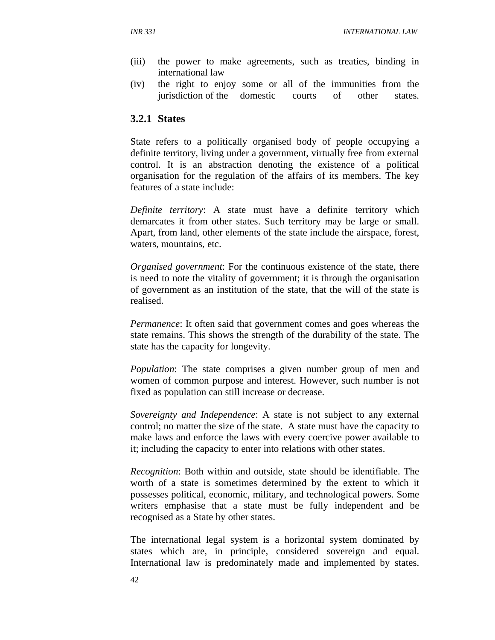- (iii)the power to make agreements, such as treaties, binding in international law
- (iv)the right to enjoy some or all of the immunities from the jurisdiction of the domestic courts of other states.

#### **3.2.1 States**

State refers to a politically organised body of people occupying a definite territory, living under a government, virtually free from external control. It is an abstraction denoting the existence of a political organisation for the regulation of the affairs of its members. The key features of a state include:

*Definite territory*: A state must have a definite territory which demarcates it from other states. Such territory may be large or small. Apart, from land, other elements of the state include the airspace, forest, waters, mountains, etc.

*Organised government*: For the continuous existence of the state, there is need to note the vitality of government; it is through the organisation of government as an institution of the state, that the will of the state is realised.

*Permanence*: It often said that government comes and goes whereas the state remains. This shows the strength of the durability of the state. The state has the capacity for longevity.

*Population*: The state comprises a given number group of men and women of common purpose and interest. However, such number is not fixed as population can still increase or decrease.

*Sovereignty and Independence*: A state is not subject to any external control; no matter the size of the state. A state must have the capacity to make laws and enforce the laws with every coercive power available to it; including the capacity to enter into relations with other states.

*Recognition*: Both within and outside, state should be identifiable. The worth of a state is sometimes determined by the extent to which it possesses political, economic, military, and technological powers. Some writers emphasise that a state must be fully independent and be recognised as a State by other states.

The international legal system is a horizontal system dominated by states which are, in principle, considered sovereign and equal. International law is predominately made and implemented by states.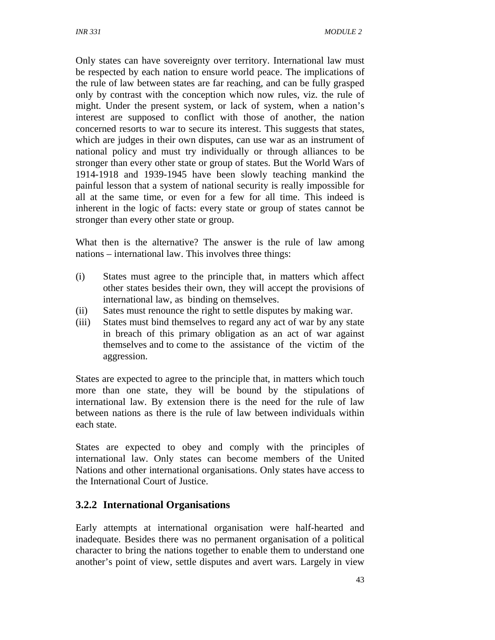Only states can have sovereignty over territory. International law must be respected by each nation to ensure world peace. The implications of the rule of law between states are far reaching, and can be fully grasped only by contrast with the conception which now rules, viz. the rule of might. Under the present system, or lack of system, when a nation's interest are supposed to conflict with those of another, the nation concerned resorts to war to secure its interest. This suggests that states, which are judges in their own disputes, can use war as an instrument of national policy and must try individually or through alliances to be stronger than every other state or group of states. But the World Wars of 1914-1918 and 1939-1945 have been slowly teaching mankind the painful lesson that a system of national security is really impossible for all at the same time, or even for a few for all time. This indeed is inherent in the logic of facts: every state or group of states cannot be stronger than every other state or group.

What then is the alternative? The answer is the rule of law among nations – international law. This involves three things:

- (i) States must agree to the principle that, in matters which affect other states besides their own, they will accept the provisions of international law, as binding on themselves.
- (ii) Sates must renounce the right to settle disputes by making war.
- (iii) States must bind themselves to regard any act of war by any state in breach of this primary obligation as an act of war against themselves and to come to the assistance of the victim of the aggression.

States are expected to agree to the principle that, in matters which touch more than one state, they will be bound by the stipulations of international law. By extension there is the need for the rule of law between nations as there is the rule of law between individuals within each state.

States are expected to obey and comply with the principles of international law. Only states can become members of the United Nations and other international organisations. Only states have access to the International Court of Justice.

# **3.2.2 International Organisations**

Early attempts at international organisation were half-hearted and inadequate. Besides there was no permanent organisation of a political character to bring the nations together to enable them to understand one another's point of view, settle disputes and avert wars. Largely in view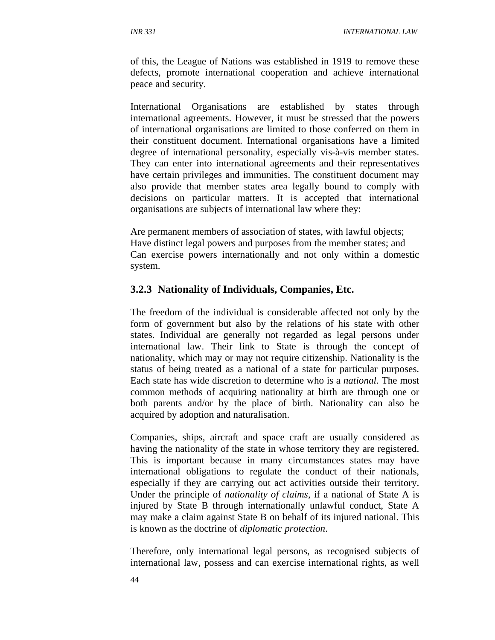of this, the League of Nations was established in 1919 to remove these defects, promote international cooperation and achieve international peace and security.

International Organisations are established by states through international agreements. However, it must be stressed that the powers of international organisations are limited to those conferred on them in their constituent document. International organisations have a limited degree of international personality, especially vis-à-vis member states. They can enter into international agreements and their representatives have certain privileges and immunities. The constituent document may also provide that member states area legally bound to comply with decisions on particular matters. It is accepted that international organisations are subjects of international law where they:

Are permanent members of association of states, with lawful objects; Have distinct legal powers and purposes from the member states; and Can exercise powers internationally and not only within a domestic system.

#### **3.2.3 Nationality of Individuals, Companies, Etc.**

The freedom of the individual is considerable affected not only by the form of government but also by the relations of his state with other states. Individual are generally not regarded as legal persons under international law. Their link to State is through the concept of nationality, which may or may not require citizenship. Nationality is the status of being treated as a national of a state for particular purposes. Each state has wide discretion to determine who is a *national*. The most common methods of acquiring nationality at birth are through one or both parents and/or by the place of birth. Nationality can also be acquired by adoption and naturalisation.

Companies, ships, aircraft and space craft are usually considered as having the nationality of the state in whose territory they are registered. This is important because in many circumstances states may have international obligations to regulate the conduct of their nationals, especially if they are carrying out act activities outside their territory. Under the principle of *nationality of claims*, if a national of State A is injured by State B through internationally unlawful conduct, State A may make a claim against State B on behalf of its injured national. This is known as the doctrine of *diplomatic protection*.

Therefore, only international legal persons, as recognised subjects of international law, possess and can exercise international rights, as well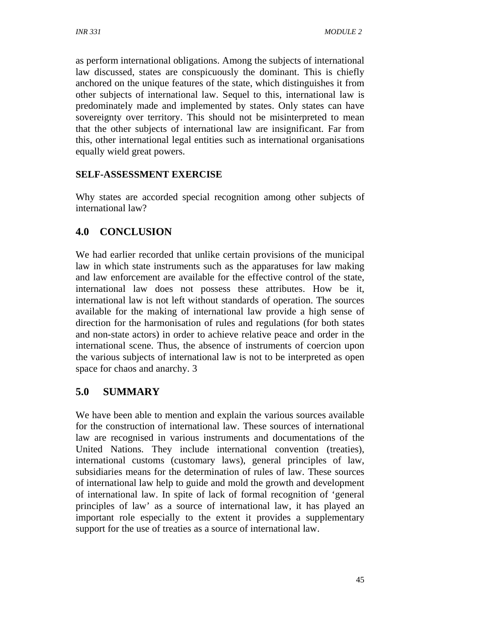as perform international obligations. Among the subjects of international law discussed, states are conspicuously the dominant. This is chiefly anchored on the unique features of the state, which distinguishes it from other subjects of international law. Sequel to this, international law is predominately made and implemented by states. Only states can have sovereignty over territory. This should not be misinterpreted to mean that the other subjects of international law are insignificant. Far from this, other international legal entities such as international organisations equally wield great powers.

### **SELF-ASSESSMENT EXERCISE**

Why states are accorded special recognition among other subjects of international law?

# **4.0 CONCLUSION**

We had earlier recorded that unlike certain provisions of the municipal law in which state instruments such as the apparatuses for law making and law enforcement are available for the effective control of the state, international law does not possess these attributes. How be it, international law is not left without standards of operation. The sources available for the making of international law provide a high sense of direction for the harmonisation of rules and regulations (for both states and non-state actors) in order to achieve relative peace and order in the international scene. Thus, the absence of instruments of coercion upon the various subjects of international law is not to be interpreted as open space for chaos and anarchy. 3

# **5.0 SUMMARY**

We have been able to mention and explain the various sources available for the construction of international law. These sources of international law are recognised in various instruments and documentations of the United Nations. They include international convention (treaties), international customs (customary laws), general principles of law, subsidiaries means for the determination of rules of law. These sources of international law help to guide and mold the growth and development of international law. In spite of lack of formal recognition of 'general principles of law' as a source of international law, it has played an important role especially to the extent it provides a supplementary support for the use of treaties as a source of international law.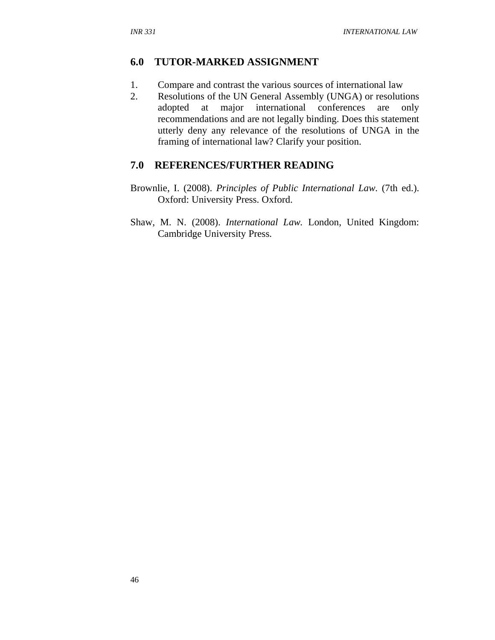### **6.0 TUTOR-MARKED ASSIGNMENT**

- 1. Compare and contrast the various sources of international law
- 2. Resolutions of the UN General Assembly (UNGA) or resolutions adopted at major international conferences are only recommendations and are not legally binding. Does this statement utterly deny any relevance of the resolutions of UNGA in the framing of international law? Clarify your position.

### **7.0 REFERENCES/FURTHER READING**

- Brownlie, I. (2008). *Principles of Public International Law.* (7th ed.). Oxford: University Press. Oxford.
- Shaw, M. N. (2008). *International Law.* London, United Kingdom: Cambridge University Press.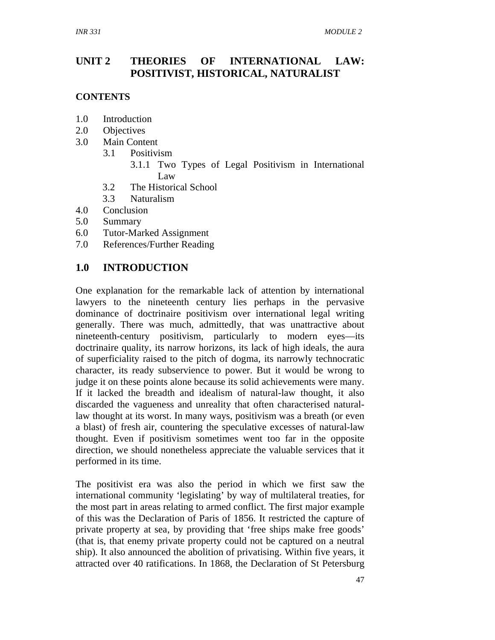# **UNIT 2 THEORIES OF INTERNATIONAL LAW: POSITIVIST, HISTORICAL, NATURALIST**

### **CONTENTS**

- 1.0 Introduction
- 2.0 Objectives
- 3.0 Main Content
	- 3.1 Positivism
		- 3.1.1 Two Types of Legal Positivism in International Law
	- 3.2 The Historical School
	- 3.3 Naturalism
- 4.0 Conclusion
- 5.0 Summary
- 6.0 Tutor-Marked Assignment
- 7.0 References/Further Reading

# **1.0 INTRODUCTION**

One explanation for the remarkable lack of attention by international lawyers to the nineteenth century lies perhaps in the pervasive dominance of doctrinaire positivism over international legal writing generally. There was much, admittedly, that was unattractive about nineteenth-century positivism, particularly to modern eyes—its doctrinaire quality, its narrow horizons, its lack of high ideals, the aura of superficiality raised to the pitch of dogma, its narrowly technocratic character, its ready subservience to power. But it would be wrong to judge it on these points alone because its solid achievements were many. If it lacked the breadth and idealism of natural-law thought, it also discarded the vagueness and unreality that often characterised naturallaw thought at its worst. In many ways, positivism was a breath (or even a blast) of fresh air, countering the speculative excesses of natural-law thought. Even if positivism sometimes went too far in the opposite direction, we should nonetheless appreciate the valuable services that it performed in its time.

The positivist era was also the period in which we first saw the international community 'legislating' by way of multilateral treaties, for the most part in areas relating to armed conflict. The first major example of this was the Declaration of Paris of 1856. It restricted the capture of private property at sea, by providing that 'free ships make free goods' (that is, that enemy private property could not be captured on a neutral ship). It also announced the abolition of privatising. Within five years, it attracted over 40 ratifications. In 1868, the Declaration of St Petersburg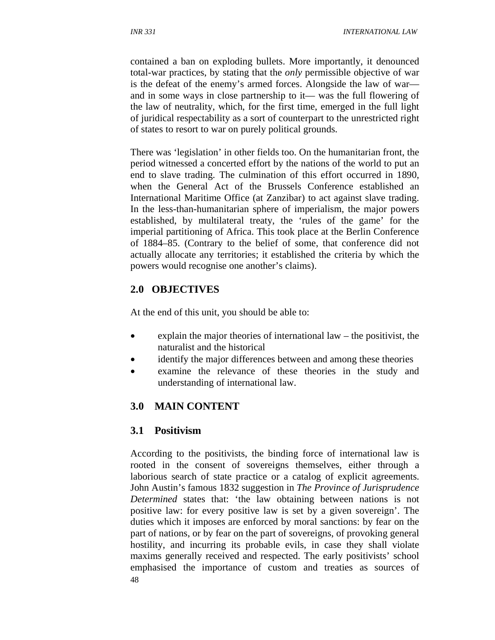contained a ban on exploding bullets. More importantly, it denounced total-war practices, by stating that the *only* permissible objective of war is the defeat of the enemy's armed forces. Alongside the law of war and in some ways in close partnership to it— was the full flowering of the law of neutrality, which, for the first time, emerged in the full light of juridical respectability as a sort of counterpart to the unrestricted right of states to resort to war on purely political grounds.

There was 'legislation' in other fields too. On the humanitarian front, the period witnessed a concerted effort by the nations of the world to put an end to slave trading. The culmination of this effort occurred in 1890, when the General Act of the Brussels Conference established an International Maritime Office (at Zanzibar) to act against slave trading. In the less-than-humanitarian sphere of imperialism, the major powers established, by multilateral treaty, the 'rules of the game' for the imperial partitioning of Africa. This took place at the Berlin Conference of 1884–85. (Contrary to the belief of some, that conference did not actually allocate any territories; it established the criteria by which the powers would recognise one another's claims).

# **2.0 OBJECTIVES**

At the end of this unit, you should be able to:

- explain the major theories of international  $law -$  the positivist, the naturalist and the historical
- identify the major differences between and among these theories
- examine the relevance of these theories in the study and understanding of international law.

# **3.0 MAIN CONTENT**

## **3.1 Positivism**

48 According to the positivists, the binding force of international law is rooted in the consent of sovereigns themselves, either through a laborious search of state practice or a catalog of explicit agreements. John Austin's famous 1832 suggestion in *The Province of Jurisprudence Determined* states that: 'the law obtaining between nations is not positive law: for every positive law is set by a given sovereign'. The duties which it imposes are enforced by moral sanctions: by fear on the part of nations, or by fear on the part of sovereigns, of provoking general hostility, and incurring its probable evils, in case they shall violate maxims generally received and respected. The early positivists' school emphasised the importance of custom and treaties as sources of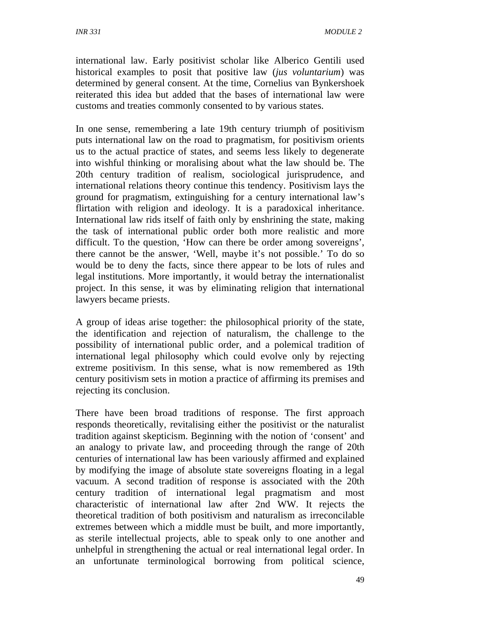international law. Early positivist scholar like Alberico Gentili used historical examples to posit that positive law (*jus voluntarium*) was determined by general consent. At the time, Cornelius van Bynkershoek reiterated this idea but added that the bases of international law were customs and treaties commonly consented to by various states.

In one sense, remembering a late 19th century triumph of positivism puts international law on the road to pragmatism, for positivism orients us to the actual practice of states, and seems less likely to degenerate into wishful thinking or moralising about what the law should be. The 20th century tradition of realism, sociological jurisprudence, and international relations theory continue this tendency. Positivism lays the ground for pragmatism, extinguishing for a century international law's flirtation with religion and ideology. It is a paradoxical inheritance. International law rids itself of faith only by enshrining the state, making the task of international public order both more realistic and more difficult. To the question, 'How can there be order among sovereigns', there cannot be the answer, 'Well, maybe it's not possible.' To do so would be to deny the facts, since there appear to be lots of rules and legal institutions. More importantly, it would betray the internationalist project. In this sense, it was by eliminating religion that international lawyers became priests.

A group of ideas arise together: the philosophical priority of the state, the identification and rejection of naturalism, the challenge to the possibility of international public order, and a polemical tradition of international legal philosophy which could evolve only by rejecting extreme positivism. In this sense, what is now remembered as 19th century positivism sets in motion a practice of affirming its premises and rejecting its conclusion.

There have been broad traditions of response. The first approach responds theoretically, revitalising either the positivist or the naturalist tradition against skepticism. Beginning with the notion of 'consent' and an analogy to private law, and proceeding through the range of 20th centuries of international law has been variously affirmed and explained by modifying the image of absolute state sovereigns floating in a legal vacuum. A second tradition of response is associated with the 20th century tradition of international legal pragmatism and most characteristic of international law after 2nd WW. It rejects the theoretical tradition of both positivism and naturalism as irreconcilable extremes between which a middle must be built, and more importantly, as sterile intellectual projects, able to speak only to one another and unhelpful in strengthening the actual or real international legal order. In an unfortunate terminological borrowing from political science,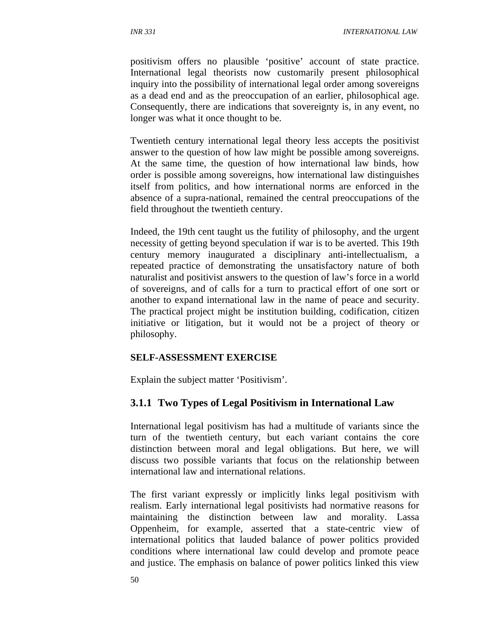positivism offers no plausible 'positive' account of state practice. International legal theorists now customarily present philosophical inquiry into the possibility of international legal order among sovereigns as a dead end and as the preoccupation of an earlier, philosophical age. Consequently, there are indications that sovereignty is, in any event, no longer was what it once thought to be.

Twentieth century international legal theory less accepts the positivist answer to the question of how law might be possible among sovereigns. At the same time, the question of how international law binds, how order is possible among sovereigns, how international law distinguishes itself from politics, and how international norms are enforced in the absence of a supra-national, remained the central preoccupations of the field throughout the twentieth century.

Indeed, the 19th cent taught us the futility of philosophy, and the urgent necessity of getting beyond speculation if war is to be averted. This 19th century memory inaugurated a disciplinary anti-intellectualism, a repeated practice of demonstrating the unsatisfactory nature of both naturalist and positivist answers to the question of law's force in a world of sovereigns, and of calls for a turn to practical effort of one sort or another to expand international law in the name of peace and security. The practical project might be institution building, codification, citizen initiative or litigation, but it would not be a project of theory or philosophy.

#### **SELF-ASSESSMENT EXERCISE**

Explain the subject matter 'Positivism'.

#### **3.1.1 Two Types of Legal Positivism in International Law**

International legal positivism has had a multitude of variants since the turn of the twentieth century, but each variant contains the core distinction between moral and legal obligations. But here, we will discuss two possible variants that focus on the relationship between international law and international relations.

The first variant expressly or implicitly links legal positivism with realism. Early international legal positivists had normative reasons for maintaining the distinction between law and morality. Lassa Oppenheim, for example, asserted that a state-centric view of international politics that lauded balance of power politics provided conditions where international law could develop and promote peace and justice. The emphasis on balance of power politics linked this view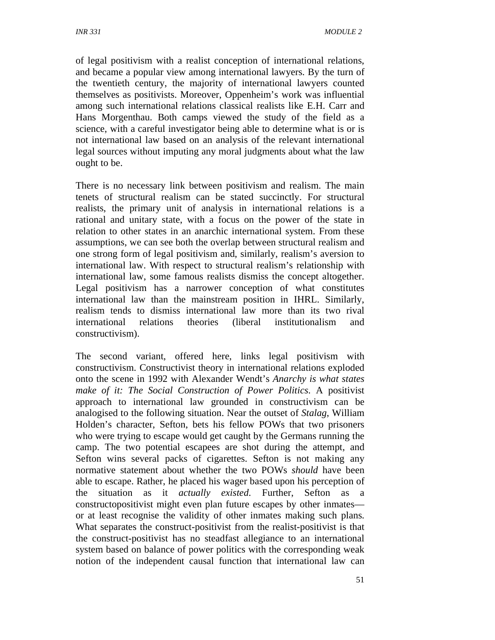of legal positivism with a realist conception of international relations, and became a popular view among international lawyers. By the turn of the twentieth century, the majority of international lawyers counted themselves as positivists. Moreover, Oppenheim's work was influential among such international relations classical realists like E.H. Carr and Hans Morgenthau. Both camps viewed the study of the field as a science, with a careful investigator being able to determine what is or is not international law based on an analysis of the relevant international legal sources without imputing any moral judgments about what the law ought to be.

There is no necessary link between positivism and realism. The main tenets of structural realism can be stated succinctly. For structural realists, the primary unit of analysis in international relations is a rational and unitary state, with a focus on the power of the state in relation to other states in an anarchic international system. From these assumptions, we can see both the overlap between structural realism and one strong form of legal positivism and, similarly, realism's aversion to international law. With respect to structural realism's relationship with international law, some famous realists dismiss the concept altogether. Legal positivism has a narrower conception of what constitutes international law than the mainstream position in IHRL. Similarly, realism tends to dismiss international law more than its two rival international relations theories (liberal institutionalism and constructivism).

The second variant, offered here, links legal positivism with constructivism. Constructivist theory in international relations exploded onto the scene in 1992 with Alexander Wendt's *Anarchy is what states make of it: The Social Construction of Power Politics*. A positivist approach to international law grounded in constructivism can be analogised to the following situation. Near the outset of *Stalag*, William Holden's character, Sefton, bets his fellow POWs that two prisoners who were trying to escape would get caught by the Germans running the camp. The two potential escapees are shot during the attempt, and Sefton wins several packs of cigarettes. Sefton is not making any normative statement about whether the two POWs *should* have been able to escape. Rather, he placed his wager based upon his perception of the situation as it *actually existed*. Further, Sefton as a constructopositivist might even plan future escapes by other inmates or at least recognise the validity of other inmates making such plans. What separates the construct-positivist from the realist-positivist is that the construct-positivist has no steadfast allegiance to an international system based on balance of power politics with the corresponding weak notion of the independent causal function that international law can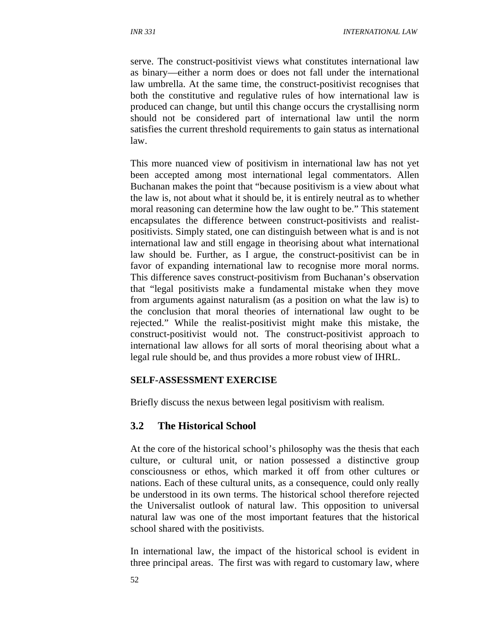serve. The construct-positivist views what constitutes international law as binary—either a norm does or does not fall under the international law umbrella. At the same time, the construct-positivist recognises that both the constitutive and regulative rules of how international law is produced can change, but until this change occurs the crystallising norm should not be considered part of international law until the norm satisfies the current threshold requirements to gain status as international law.

This more nuanced view of positivism in international law has not yet been accepted among most international legal commentators. Allen Buchanan makes the point that "because positivism is a view about what the law is, not about what it should be, it is entirely neutral as to whether moral reasoning can determine how the law ought to be." This statement encapsulates the difference between construct-positivists and realistpositivists. Simply stated, one can distinguish between what is and is not international law and still engage in theorising about what international law should be. Further, as I argue, the construct-positivist can be in favor of expanding international law to recognise more moral norms. This difference saves construct-positivism from Buchanan's observation that "legal positivists make a fundamental mistake when they move from arguments against naturalism (as a position on what the law is) to the conclusion that moral theories of international law ought to be rejected." While the realist-positivist might make this mistake, the construct-positivist would not. The construct-positivist approach to international law allows for all sorts of moral theorising about what a legal rule should be, and thus provides a more robust view of IHRL.

#### **SELF-ASSESSMENT EXERCISE**

Briefly discuss the nexus between legal positivism with realism.

#### **3.2 The Historical School**

At the core of the historical school's philosophy was the thesis that each culture, or cultural unit, or nation possessed a distinctive group consciousness or ethos, which marked it off from other cultures or nations. Each of these cultural units, as a consequence, could only really be understood in its own terms. The historical school therefore rejected the Universalist outlook of natural law. This opposition to universal natural law was one of the most important features that the historical school shared with the positivists.

In international law, the impact of the historical school is evident in three principal areas. The first was with regard to customary law, where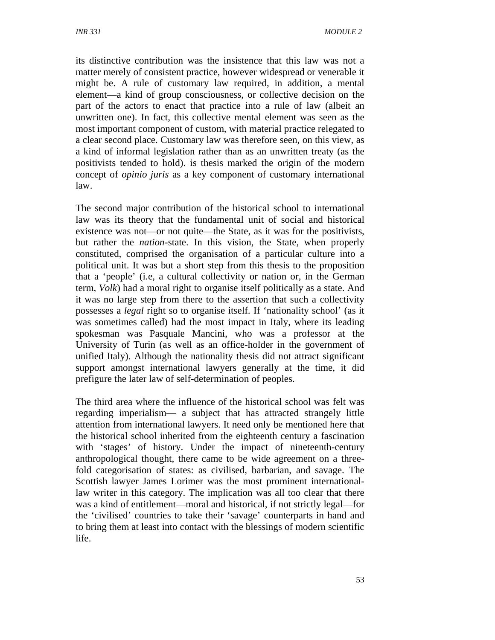its distinctive contribution was the insistence that this law was not a matter merely of consistent practice, however widespread or venerable it might be. A rule of customary law required, in addition, a mental element—a kind of group consciousness, or collective decision on the part of the actors to enact that practice into a rule of law (albeit an unwritten one). In fact, this collective mental element was seen as the most important component of custom, with material practice relegated to a clear second place. Customary law was therefore seen, on this view, as a kind of informal legislation rather than as an unwritten treaty (as the positivists tended to hold). is thesis marked the origin of the modern concept of *opinio juris* as a key component of customary international law.

The second major contribution of the historical school to international law was its theory that the fundamental unit of social and historical existence was not—or not quite—the State, as it was for the positivists, but rather the *nation*-state. In this vision, the State, when properly constituted, comprised the organisation of a particular culture into a political unit. It was but a short step from this thesis to the proposition that a 'people' (i.e, a cultural collectivity or nation or, in the German term, *Volk*) had a moral right to organise itself politically as a state. And it was no large step from there to the assertion that such a collectivity possesses a *legal* right so to organise itself. If 'nationality school' (as it was sometimes called) had the most impact in Italy, where its leading spokesman was Pasquale Mancini, who was a professor at the University of Turin (as well as an office-holder in the government of unified Italy). Although the nationality thesis did not attract significant support amongst international lawyers generally at the time, it did prefigure the later law of self-determination of peoples.

The third area where the influence of the historical school was felt was regarding imperialism— a subject that has attracted strangely little attention from international lawyers. It need only be mentioned here that the historical school inherited from the eighteenth century a fascination with 'stages' of history. Under the impact of nineteenth-century anthropological thought, there came to be wide agreement on a threefold categorisation of states: as civilised, barbarian, and savage. The Scottish lawyer James Lorimer was the most prominent internationallaw writer in this category. The implication was all too clear that there was a kind of entitlement—moral and historical, if not strictly legal—for the 'civilised' countries to take their 'savage' counterparts in hand and to bring them at least into contact with the blessings of modern scientific life.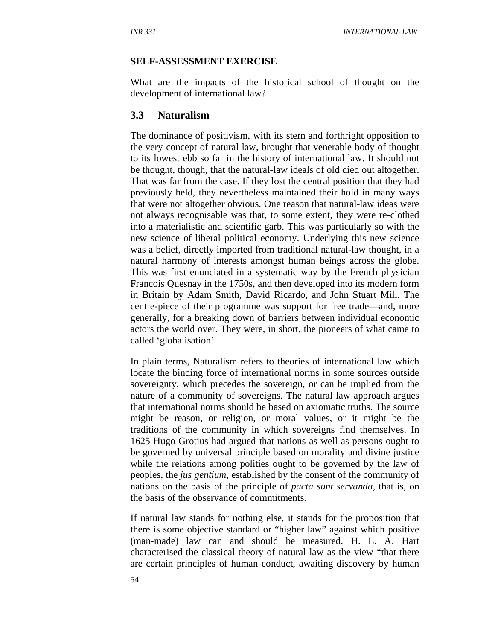#### **SELF-ASSESSMENT EXERCISE**

What are the impacts of the historical school of thought on the development of international law?

#### **3.3 Naturalism**

The dominance of positivism, with its stern and forthright opposition to the very concept of natural law, brought that venerable body of thought to its lowest ebb so far in the history of international law. It should not be thought, though, that the natural-law ideals of old died out altogether. That was far from the case. If they lost the central position that they had previously held, they nevertheless maintained their hold in many ways that were not altogether obvious. One reason that natural-law ideas were not always recognisable was that, to some extent, they were re-clothed into a materialistic and scientific garb. This was particularly so with the new science of liberal political economy. Underlying this new science was a belief, directly imported from traditional natural-law thought, in a natural harmony of interests amongst human beings across the globe. This was first enunciated in a systematic way by the French physician Francois Quesnay in the 1750s, and then developed into its modern form in Britain by Adam Smith, David Ricardo, and John Stuart Mill. The centre-piece of their programme was support for free trade—and, more generally, for a breaking down of barriers between individual economic actors the world over. They were, in short, the pioneers of what came to called 'globalisation'

In plain terms, Naturalism refers to theories of international law which locate the binding force of international norms in some sources outside sovereignty, which precedes the sovereign, or can be implied from the nature of a community of sovereigns. The natural law approach argues that international norms should be based on axiomatic truths. The source might be reason, or religion, or moral values, or it might be the traditions of the community in which sovereigns find themselves. In 1625 Hugo Grotius had argued that nations as well as persons ought to be governed by universal principle based on morality and divine justice while the relations among polities ought to be governed by the law of peoples, the *jus gentium*, established by the consent of the community of nations on the basis of the principle of *pacta sunt servanda*, that is, on the basis of the observance of commitments.

If natural law stands for nothing else, it stands for the proposition that there is some objective standard or "higher law" against which positive (man-made) law can and should be measured. H. L. A. Hart characterised the classical theory of natural law as the view "that there are certain principles of human conduct, awaiting discovery by human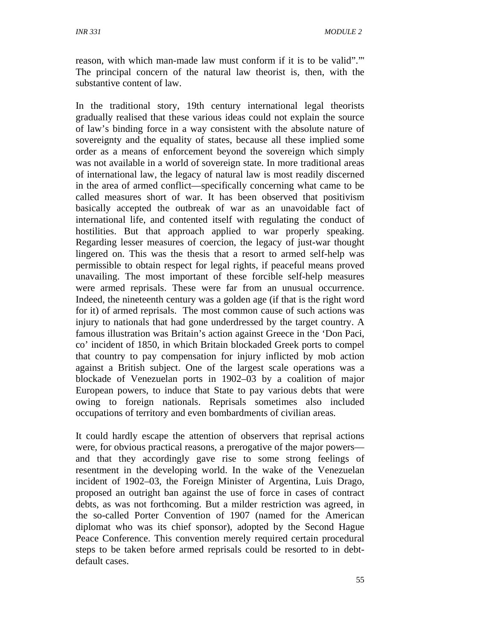reason, with which man-made law must conform if it is to be valid"."' The principal concern of the natural law theorist is, then, with the substantive content of law.

In the traditional story, 19th century international legal theorists gradually realised that these various ideas could not explain the source of law's binding force in a way consistent with the absolute nature of sovereignty and the equality of states, because all these implied some order as a means of enforcement beyond the sovereign which simply was not available in a world of sovereign state. In more traditional areas of international law, the legacy of natural law is most readily discerned in the area of armed conflict—specifically concerning what came to be called measures short of war. It has been observed that positivism basically accepted the outbreak of war as an unavoidable fact of international life, and contented itself with regulating the conduct of hostilities. But that approach applied to war properly speaking. Regarding lesser measures of coercion, the legacy of just-war thought lingered on. This was the thesis that a resort to armed self-help was permissible to obtain respect for legal rights, if peaceful means proved unavailing. The most important of these forcible self-help measures were armed reprisals. These were far from an unusual occurrence. Indeed, the nineteenth century was a golden age (if that is the right word for it) of armed reprisals. The most common cause of such actions was injury to nationals that had gone underdressed by the target country. A famous illustration was Britain's action against Greece in the 'Don Paci, co' incident of 1850, in which Britain blockaded Greek ports to compel that country to pay compensation for injury inflicted by mob action against a British subject. One of the largest scale operations was a blockade of Venezuelan ports in 1902–03 by a coalition of major European powers, to induce that State to pay various debts that were owing to foreign nationals. Reprisals sometimes also included occupations of territory and even bombardments of civilian areas.

It could hardly escape the attention of observers that reprisal actions were, for obvious practical reasons, a prerogative of the major powers and that they accordingly gave rise to some strong feelings of resentment in the developing world. In the wake of the Venezuelan incident of 1902–03, the Foreign Minister of Argentina, Luis Drago, proposed an outright ban against the use of force in cases of contract debts, as was not forthcoming. But a milder restriction was agreed, in the so-called Porter Convention of 1907 (named for the American diplomat who was its chief sponsor), adopted by the Second Hague Peace Conference. This convention merely required certain procedural steps to be taken before armed reprisals could be resorted to in debtdefault cases.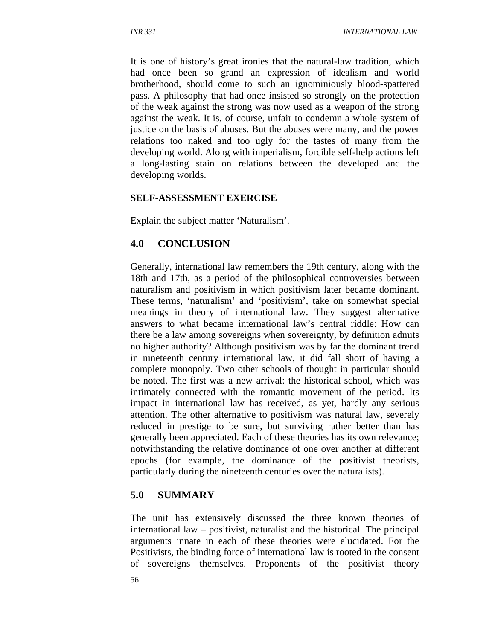It is one of history's great ironies that the natural-law tradition, which had once been so grand an expression of idealism and world brotherhood, should come to such an ignominiously blood-spattered pass. A philosophy that had once insisted so strongly on the protection of the weak against the strong was now used as a weapon of the strong against the weak. It is, of course, unfair to condemn a whole system of justice on the basis of abuses. But the abuses were many, and the power relations too naked and too ugly for the tastes of many from the developing world. Along with imperialism, forcible self-help actions left a long-lasting stain on relations between the developed and the developing worlds.

#### **SELF-ASSESSMENT EXERCISE**

Explain the subject matter 'Naturalism'.

## **4.0 CONCLUSION**

Generally, international law remembers the 19th century, along with the 18th and 17th, as a period of the philosophical controversies between naturalism and positivism in which positivism later became dominant. These terms, 'naturalism' and 'positivism', take on somewhat special meanings in theory of international law. They suggest alternative answers to what became international law's central riddle: How can there be a law among sovereigns when sovereignty, by definition admits no higher authority? Although positivism was by far the dominant trend in nineteenth century international law, it did fall short of having a complete monopoly. Two other schools of thought in particular should be noted. The first was a new arrival: the historical school, which was intimately connected with the romantic movement of the period. Its impact in international law has received, as yet, hardly any serious attention. The other alternative to positivism was natural law, severely reduced in prestige to be sure, but surviving rather better than has generally been appreciated. Each of these theories has its own relevance; notwithstanding the relative dominance of one over another at different epochs (for example, the dominance of the positivist theorists, particularly during the nineteenth centuries over the naturalists).

#### **5.0 SUMMARY**

The unit has extensively discussed the three known theories of international law – positivist, naturalist and the historical. The principal arguments innate in each of these theories were elucidated. For the Positivists, the binding force of international law is rooted in the consent of sovereigns themselves. Proponents of the positivist theory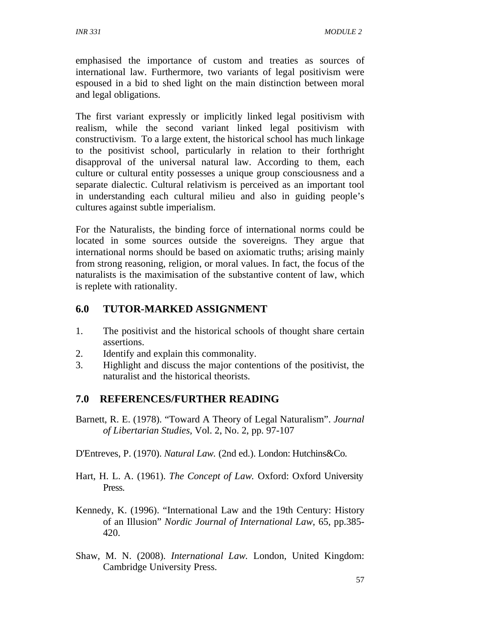emphasised the importance of custom and treaties as sources of international law. Furthermore, two variants of legal positivism were espoused in a bid to shed light on the main distinction between moral and legal obligations.

The first variant expressly or implicitly linked legal positivism with realism, while the second variant linked legal positivism with constructivism. To a large extent, the historical school has much linkage to the positivist school, particularly in relation to their forthright disapproval of the universal natural law. According to them, each culture or cultural entity possesses a unique group consciousness and a separate dialectic. Cultural relativism is perceived as an important tool in understanding each cultural milieu and also in guiding people's cultures against subtle imperialism.

For the Naturalists, the binding force of international norms could be located in some sources outside the sovereigns. They argue that international norms should be based on axiomatic truths; arising mainly from strong reasoning, religion, or moral values. In fact, the focus of the naturalists is the maximisation of the substantive content of law, which is replete with rationality.

## **6.0 TUTOR-MARKED ASSIGNMENT**

- 1. The positivist and the historical schools of thought share certain assertions.
- 2. Identify and explain this commonality.
- 3. Highlight and discuss the major contentions of the positivist, the naturalist and the historical theorists.

# **7.0 REFERENCES/FURTHER READING**

- Barnett, R. E. (1978). "Toward A Theory of Legal Naturalism". *Journal of Libertarian Studies,* Vol. 2, No. 2, pp. 97-107
- D'Entreves, P. (1970). *Natural Law.* (2nd ed.). London: Hutchins&Co.
- Hart, H. L. A. (1961). *The Concept of Law.* Oxford: Oxford University Press.
- Kennedy, K. (1996). "International Law and the 19th Century: History of an Illusion" *Nordic Journal of International Law*, 65, pp.385- 420.
- Shaw, M. N. (2008). *International Law.* London, United Kingdom: Cambridge University Press.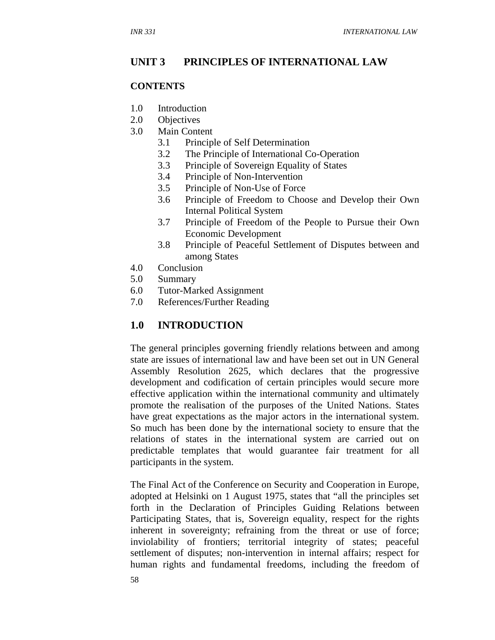#### **UNIT 3 PRINCIPLES OF INTERNATIONAL LAW**

#### **CONTENTS**

- 1.0 Introduction
- 2.0 Objectives
- 3.0 Main Content
	- 3.1 Principle of Self Determination
	- 3.2 The Principle of International Co-Operation
	- 3.3 Principle of Sovereign Equality of States
	- 3.4 Principle of Non-Intervention
	- 3.5 Principle of Non-Use of Force
	- 3.6 Principle of Freedom to Choose and Develop their Own Internal Political System
	- 3.7 Principle of Freedom of the People to Pursue their Own Economic Development
	- 3.8 Principle of Peaceful Settlement of Disputes between and among States
- 4.0 Conclusion
- 5.0 Summary
- 6.0 Tutor-Marked Assignment
- 7.0 References/Further Reading

#### **1.0 INTRODUCTION**

The general principles governing friendly relations between and among state are issues of international law and have been set out in UN General Assembly Resolution 2625, which declares that the progressive development and codification of certain principles would secure more effective application within the international community and ultimately promote the realisation of the purposes of the United Nations. States have great expectations as the major actors in the international system. So much has been done by the international society to ensure that the relations of states in the international system are carried out on predictable templates that would guarantee fair treatment for all participants in the system.

The Final Act of the Conference on Security and Cooperation in Europe, adopted at Helsinki on 1 August 1975, states that "all the principles set forth in the Declaration of Principles Guiding Relations between Participating States, that is, Sovereign equality, respect for the rights inherent in sovereignty; refraining from the threat or use of force; inviolability of frontiers; territorial integrity of states; peaceful settlement of disputes; non-intervention in internal affairs; respect for human rights and fundamental freedoms, including the freedom of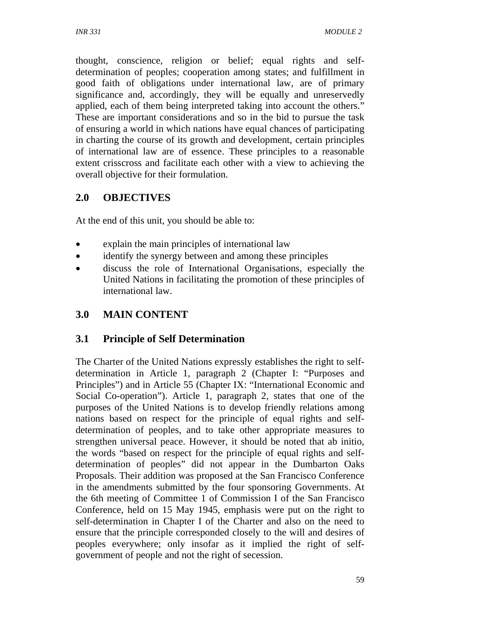thought, conscience, religion or belief; equal rights and selfdetermination of peoples; cooperation among states; and fulfillment in good faith of obligations under international law, are of primary significance and, accordingly, they will be equally and unreservedly applied, each of them being interpreted taking into account the others." These are important considerations and so in the bid to pursue the task of ensuring a world in which nations have equal chances of participating in charting the course of its growth and development, certain principles of international law are of essence. These principles to a reasonable extent crisscross and facilitate each other with a view to achieving the overall objective for their formulation.

# **2.0 OBJECTIVES**

At the end of this unit, you should be able to:

- explain the main principles of international law
- identify the synergy between and among these principles
- discuss the role of International Organisations, especially the United Nations in facilitating the promotion of these principles of international law.

# **3.0 MAIN CONTENT**

# **3.1 Principle of Self Determination**

The Charter of the United Nations expressly establishes the right to selfdetermination in Article 1, paragraph 2 (Chapter I: "Purposes and Principles") and in Article 55 (Chapter IX: "International Economic and Social Co-operation"). Article 1, paragraph 2, states that one of the purposes of the United Nations is to develop friendly relations among nations based on respect for the principle of equal rights and selfdetermination of peoples, and to take other appropriate measures to strengthen universal peace. However, it should be noted that ab initio, the words "based on respect for the principle of equal rights and selfdetermination of peoples" did not appear in the Dumbarton Oaks Proposals. Their addition was proposed at the San Francisco Conference in the amendments submitted by the four sponsoring Governments. At the 6th meeting of Committee 1 of Commission I of the San Francisco Conference, held on 15 May 1945, emphasis were put on the right to self-determination in Chapter I of the Charter and also on the need to ensure that the principle corresponded closely to the will and desires of peoples everywhere; only insofar as it implied the right of selfgovernment of people and not the right of secession.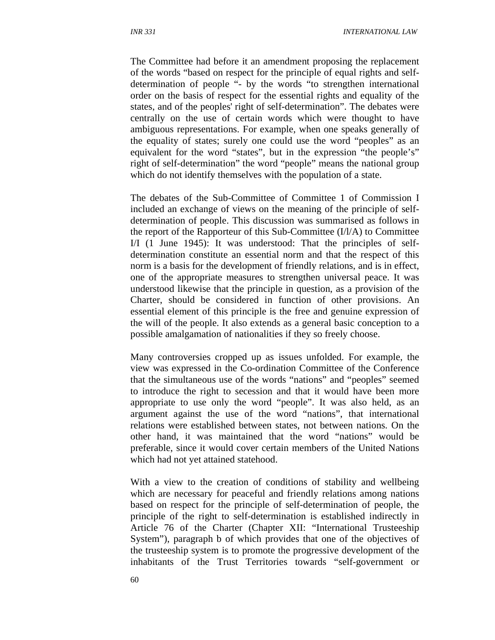The Committee had before it an amendment proposing the replacement of the words "based on respect for the principle of equal rights and selfdetermination of people "- by the words "to strengthen international order on the basis of respect for the essential rights and equality of the states, and of the peoples' right of self-determination". The debates were centrally on the use of certain words which were thought to have ambiguous representations. For example, when one speaks generally of the equality of states; surely one could use the word "peoples" as an equivalent for the word "states", but in the expression "the people's" right of self-determination" the word "people" means the national group which do not identify themselves with the population of a state.

The debates of the Sub-Committee of Committee 1 of Commission I included an exchange of views on the meaning of the principle of selfdetermination of people. This discussion was summarised as follows in the report of the Rapporteur of this Sub-Committee (I/l/A) to Committee I/I (1 June 1945): It was understood: That the principles of selfdetermination constitute an essential norm and that the respect of this norm is a basis for the development of friendly relations, and is in effect, one of the appropriate measures to strengthen universal peace. It was understood likewise that the principle in question, as a provision of the Charter, should be considered in function of other provisions. An essential element of this principle is the free and genuine expression of the will of the people. It also extends as a general basic conception to a possible amalgamation of nationalities if they so freely choose.

Many controversies cropped up as issues unfolded. For example, the view was expressed in the Co-ordination Committee of the Conference that the simultaneous use of the words "nations" and "peoples" seemed to introduce the right to secession and that it would have been more appropriate to use only the word "people". It was also held, as an argument against the use of the word "nations", that international relations were established between states, not between nations. On the other hand, it was maintained that the word "nations" would be preferable, since it would cover certain members of the United Nations which had not yet attained statehood.

With a view to the creation of conditions of stability and wellbeing which are necessary for peaceful and friendly relations among nations based on respect for the principle of self-determination of people, the principle of the right to self-determination is established indirectly in Article 76 of the Charter (Chapter XII: "International Trusteeship System"), paragraph b of which provides that one of the objectives of the trusteeship system is to promote the progressive development of the inhabitants of the Trust Territories towards "self-government or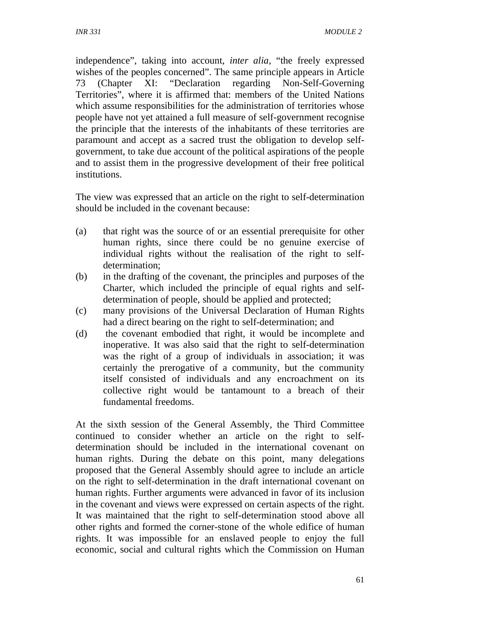independence", taking into account, *inter alia,* "the freely expressed wishes of the peoples concerned". The same principle appears in Article 73 (Chapter XI: "Declaration regarding Non-Self-Governing Territories", where it is affirmed that: members of the United Nations which assume responsibilities for the administration of territories whose people have not yet attained a full measure of self-government recognise the principle that the interests of the inhabitants of these territories are paramount and accept as a sacred trust the obligation to develop selfgovernment, to take due account of the political aspirations of the people and to assist them in the progressive development of their free political institutions.

The view was expressed that an article on the right to self-determination should be included in the covenant because:

- (a) that right was the source of or an essential prerequisite for other human rights, since there could be no genuine exercise of individual rights without the realisation of the right to selfdetermination;
- (b) in the drafting of the covenant, the principles and purposes of the Charter, which included the principle of equal rights and selfdetermination of people, should be applied and protected;
- (c) many provisions of the Universal Declaration of Human Rights had a direct bearing on the right to self-determination; and
- (d) the covenant embodied that right, it would be incomplete and inoperative. It was also said that the right to self-determination was the right of a group of individuals in association; it was certainly the prerogative of a community, but the community itself consisted of individuals and any encroachment on its collective right would be tantamount to a breach of their fundamental freedoms.

At the sixth session of the General Assembly, the Third Committee continued to consider whether an article on the right to selfdetermination should be included in the international covenant on human rights. During the debate on this point, many delegations proposed that the General Assembly should agree to include an article on the right to self-determination in the draft international covenant on human rights. Further arguments were advanced in favor of its inclusion in the covenant and views were expressed on certain aspects of the right. It was maintained that the right to self-determination stood above all other rights and formed the corner-stone of the whole edifice of human rights. It was impossible for an enslaved people to enjoy the full economic, social and cultural rights which the Commission on Human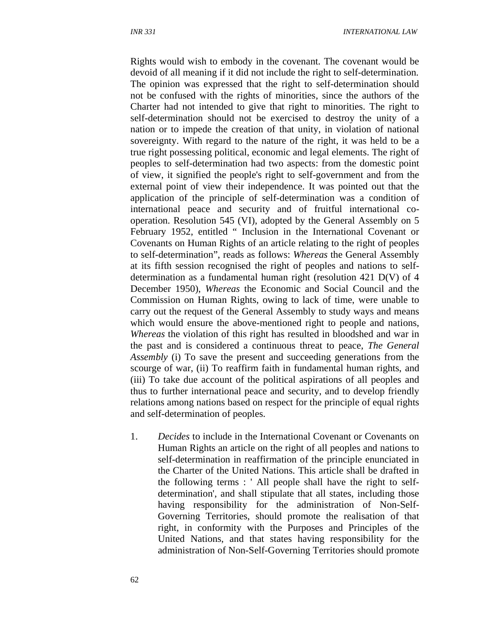Rights would wish to embody in the covenant. The covenant would be devoid of all meaning if it did not include the right to self-determination. The opinion was expressed that the right to self-determination should not be confused with the rights of minorities, since the authors of the Charter had not intended to give that right to minorities. The right to self-determination should not be exercised to destroy the unity of a nation or to impede the creation of that unity, in violation of national sovereignty. With regard to the nature of the right, it was held to be a true right possessing political, economic and legal elements. The right of peoples to self-determination had two aspects: from the domestic point of view, it signified the people's right to self-government and from the external point of view their independence. It was pointed out that the application of the principle of self-determination was a condition of international peace and security and of fruitful international cooperation. Resolution 545 (VI), adopted by the General Assembly on 5 February 1952, entitled "Inclusion in the International Covenant or Covenants on Human Rights of an article relating to the right of peoples to self-determination", reads as follows: *Whereas* the General Assembly at its fifth session recognised the right of peoples and nations to selfdetermination as a fundamental human right (resolution 421 D(V) of 4 December 1950), *Whereas* the Economic and Social Council and the Commission on Human Rights, owing to lack of time, were unable to carry out the request of the General Assembly to study ways and means which would ensure the above-mentioned right to people and nations, *Whereas* the violation of this right has resulted in bloodshed and war in the past and is considered a continuous threat to peace, *The General Assembly* (i) To save the present and succeeding generations from the scourge of war, (ii) To reaffirm faith in fundamental human rights, and (iii) To take due account of the political aspirations of all peoples and thus to further international peace and security, and to develop friendly relations among nations based on respect for the principle of equal rights and self-determination of peoples.

1. *Decides* to include in the International Covenant or Covenants on Human Rights an article on the right of all peoples and nations to self-determination in reaffirmation of the principle enunciated in the Charter of the United Nations. This article shall be drafted in the following terms : ' All people shall have the right to selfdetermination', and shall stipulate that all states, including those having responsibility for the administration of Non-Self-Governing Territories, should promote the realisation of that right, in conformity with the Purposes and Principles of the United Nations, and that states having responsibility for the administration of Non-Self-Governing Territories should promote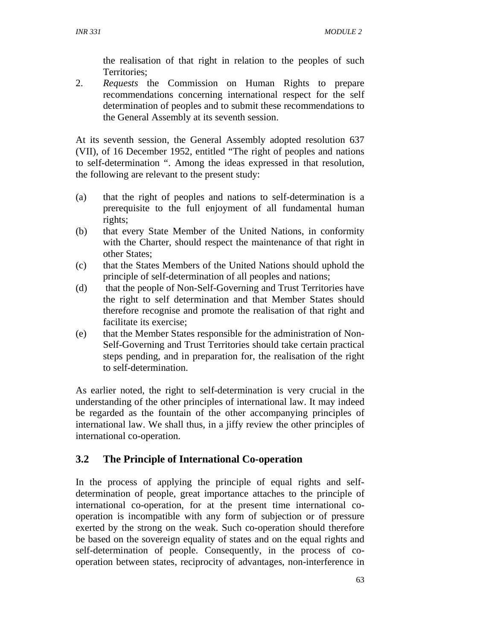the realisation of that right in relation to the peoples of such Territories;

2. *Requests* the Commission on Human Rights to prepare recommendations concerning international respect for the self determination of peoples and to submit these recommendations to the General Assembly at its seventh session.

At its seventh session, the General Assembly adopted resolution 637 (VII), of 16 December 1952, entitled "The right of peoples and nations to self-determination ". Among the ideas expressed in that resolution, the following are relevant to the present study:

- (a)that the right of peoples and nations to self-determination is a prerequisite to the full enjoyment of all fundamental human rights;
- (b) that every State Member of the United Nations, in conformity with the Charter, should respect the maintenance of that right in other States;
- (c) that the States Members of the United Nations should uphold the principle of self-determination of all peoples and nations;
- (d)that the people of Non-Self-Governing and Trust Territories have the right to self determination and that Member States should therefore recognise and promote the realisation of that right and facilitate its exercise;
- (e) that the Member States responsible for the administration of Non-Self-Governing and Trust Territories should take certain practical steps pending, and in preparation for, the realisation of the right to self-determination.

As earlier noted, the right to self-determination is very crucial in the understanding of the other principles of international law. It may indeed be regarded as the fountain of the other accompanying principles of international law. We shall thus, in a jiffy review the other principles of international co-operation.

# **3.2 The Principle of International Co-operation**

In the process of applying the principle of equal rights and selfdetermination of people, great importance attaches to the principle of international co-operation, for at the present time international cooperation is incompatible with any form of subjection or of pressure exerted by the strong on the weak. Such co-operation should therefore be based on the sovereign equality of states and on the equal rights and self-determination of people. Consequently, in the process of cooperation between states, reciprocity of advantages, non-interference in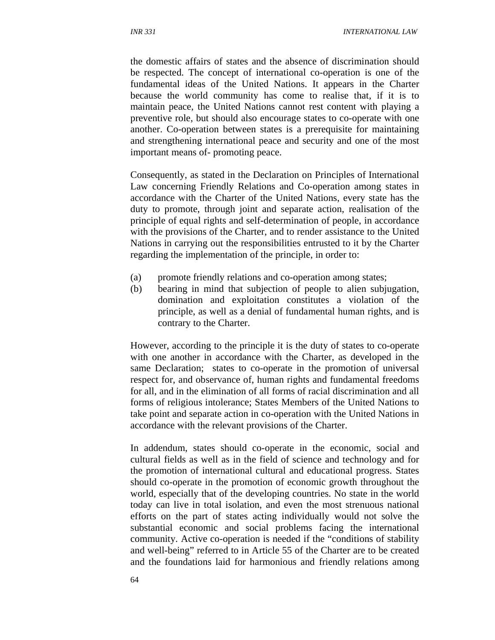the domestic affairs of states and the absence of discrimination should be respected. The concept of international co-operation is one of the fundamental ideas of the United Nations. It appears in the Charter because the world community has come to realise that, if it is to maintain peace, the United Nations cannot rest content with playing a preventive role, but should also encourage states to co-operate with one another. Co-operation between states is a prerequisite for maintaining and strengthening international peace and security and one of the most important means of- promoting peace.

Consequently, as stated in the Declaration on Principles of International Law concerning Friendly Relations and Co-operation among states in accordance with the Charter of the United Nations, every state has the duty to promote, through joint and separate action, realisation of the principle of equal rights and self-determination of people, in accordance with the provisions of the Charter, and to render assistance to the United Nations in carrying out the responsibilities entrusted to it by the Charter regarding the implementation of the principle, in order to:

- (a) promote friendly relations and co-operation among states;
- (b) bearing in mind that subjection of people to alien subjugation, domination and exploitation constitutes a violation of the principle, as well as a denial of fundamental human rights, and is contrary to the Charter.

However, according to the principle it is the duty of states to co-operate with one another in accordance with the Charter, as developed in the same Declaration; states to co-operate in the promotion of universal respect for, and observance of, human rights and fundamental freedoms for all, and in the elimination of all forms of racial discrimination and all forms of religious intolerance; States Members of the United Nations to take point and separate action in co-operation with the United Nations in accordance with the relevant provisions of the Charter.

In addendum, states should co-operate in the economic, social and cultural fields as well as in the field of science and technology and for the promotion of international cultural and educational progress. States should co-operate in the promotion of economic growth throughout the world, especially that of the developing countries. No state in the world today can live in total isolation, and even the most strenuous national efforts on the part of states acting individually would not solve the substantial economic and social problems facing the international community. Active co-operation is needed if the "conditions of stability and well-being" referred to in Article 55 of the Charter are to be created and the foundations laid for harmonious and friendly relations among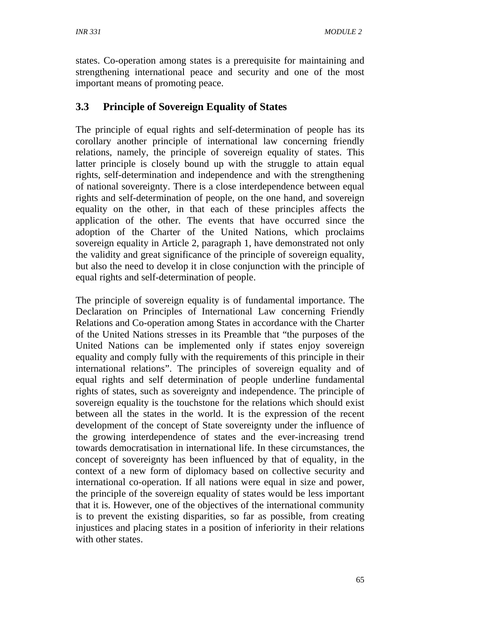states. Co-operation among states is a prerequisite for maintaining and strengthening international peace and security and one of the most important means of promoting peace.

# **3.3 Principle of Sovereign Equality of States**

The principle of equal rights and self-determination of people has its corollary another principle of international law concerning friendly relations, namely, the principle of sovereign equality of states. This latter principle is closely bound up with the struggle to attain equal rights, self-determination and independence and with the strengthening of national sovereignty. There is a close interdependence between equal rights and self-determination of people, on the one hand, and sovereign equality on the other, in that each of these principles affects the application of the other. The events that have occurred since the adoption of the Charter of the United Nations, which proclaims sovereign equality in Article 2, paragraph 1, have demonstrated not only the validity and great significance of the principle of sovereign equality, but also the need to develop it in close conjunction with the principle of equal rights and self-determination of people.

The principle of sovereign equality is of fundamental importance. The Declaration on Principles of International Law concerning Friendly Relations and Co-operation among States in accordance with the Charter of the United Nations stresses in its Preamble that "the purposes of the United Nations can be implemented only if states enjoy sovereign equality and comply fully with the requirements of this principle in their international relations". The principles of sovereign equality and of equal rights and self determination of people underline fundamental rights of states, such as sovereignty and independence. The principle of sovereign equality is the touchstone for the relations which should exist between all the states in the world. It is the expression of the recent development of the concept of State sovereignty under the influence of the growing interdependence of states and the ever-increasing trend towards democratisation in international life. In these circumstances, the concept of sovereignty has been influenced by that of equality, in the context of a new form of diplomacy based on collective security and international co-operation. If all nations were equal in size and power, the principle of the sovereign equality of states would be less important that it is. However, one of the objectives of the international community is to prevent the existing disparities, so far as possible, from creating injustices and placing states in a position of inferiority in their relations with other states.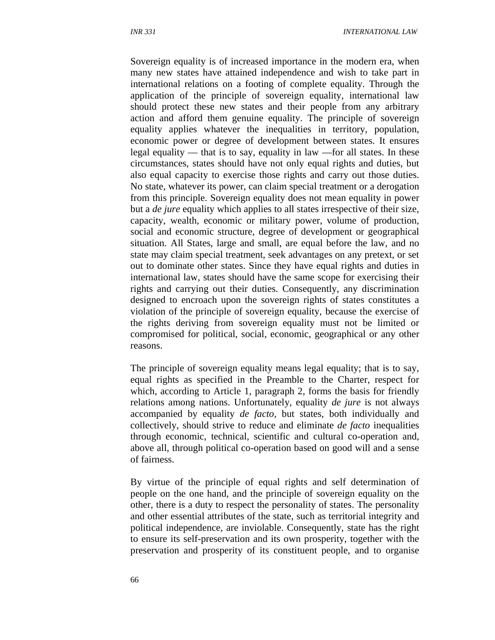Sovereign equality is of increased importance in the modern era, when many new states have attained independence and wish to take part in international relations on a footing of complete equality. Through the application of the principle of sovereign equality, international law should protect these new states and their people from any arbitrary action and afford them genuine equality. The principle of sovereign equality applies whatever the inequalities in territory, population, economic power or degree of development between states. It ensures legal equality — that is to say, equality in law —for all states. In these circumstances, states should have not only equal rights and duties, but also equal capacity to exercise those rights and carry out those duties. No state, whatever its power, can claim special treatment or a derogation from this principle. Sovereign equality does not mean equality in power but a *de jure* equality which applies to all states irrespective of their size, capacity, wealth, economic or military power, volume of production, social and economic structure, degree of development or geographical situation. All States, large and small, are equal before the law, and no state may claim special treatment, seek advantages on any pretext, or set out to dominate other states. Since they have equal rights and duties in international law, states should have the same scope for exercising their rights and carrying out their duties. Consequently, any discrimination designed to encroach upon the sovereign rights of states constitutes a violation of the principle of sovereign equality, because the exercise of the rights deriving from sovereign equality must not be limited or compromised for political, social, economic, geographical or any other reasons.

The principle of sovereign equality means legal equality; that is to say, equal rights as specified in the Preamble to the Charter, respect for which, according to Article 1, paragraph 2, forms the basis for friendly relations among nations. Unfortunately, equality *de jure* is not always accompanied by equality *de facto,* but states, both individually and collectively, should strive to reduce and eliminate *de facto* inequalities through economic, technical, scientific and cultural co-operation and, above all, through political co-operation based on good will and a sense of fairness.

By virtue of the principle of equal rights and self determination of people on the one hand, and the principle of sovereign equality on the other, there is a duty to respect the personality of states. The personality and other essential attributes of the state, such as territorial integrity and political independence, are inviolable. Consequently, state has the right to ensure its self-preservation and its own prosperity, together with the preservation and prosperity of its constituent people, and to organise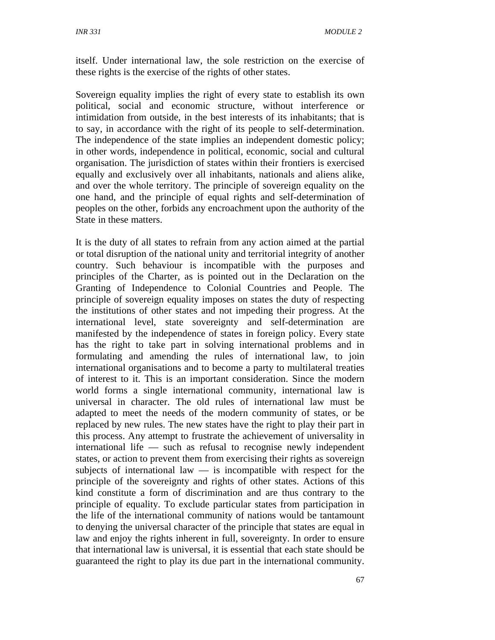itself. Under international law, the sole restriction on the exercise of these rights is the exercise of the rights of other states.

Sovereign equality implies the right of every state to establish its own political, social and economic structure, without interference or intimidation from outside, in the best interests of its inhabitants; that is to say, in accordance with the right of its people to self-determination. The independence of the state implies an independent domestic policy; in other words, independence in political, economic, social and cultural organisation. The jurisdiction of states within their frontiers is exercised equally and exclusively over all inhabitants, nationals and aliens alike, and over the whole territory. The principle of sovereign equality on the one hand, and the principle of equal rights and self-determination of peoples on the other, forbids any encroachment upon the authority of the State in these matters.

It is the duty of all states to refrain from any action aimed at the partial or total disruption of the national unity and territorial integrity of another country. Such behaviour is incompatible with the purposes and principles of the Charter, as is pointed out in the Declaration on the Granting of Independence to Colonial Countries and People. The principle of sovereign equality imposes on states the duty of respecting the institutions of other states and not impeding their progress. At the international level, state sovereignty and self-determination are manifested by the independence of states in foreign policy. Every state has the right to take part in solving international problems and in formulating and amending the rules of international law, to join international organisations and to become a party to multilateral treaties of interest to it. This is an important consideration. Since the modern world forms a single international community, international law is universal in character. The old rules of international law must be adapted to meet the needs of the modern community of states, or be replaced by new rules. The new states have the right to play their part in this process. Any attempt to frustrate the achievement of universality in international life — such as refusal to recognise newly independent states, or action to prevent them from exercising their rights as sovereign subjects of international law — is incompatible with respect for the principle of the sovereignty and rights of other states. Actions of this kind constitute a form of discrimination and are thus contrary to the principle of equality. To exclude particular states from participation in the life of the international community of nations would be tantamount to denying the universal character of the principle that states are equal in law and enjoy the rights inherent in full, sovereignty. In order to ensure that international law is universal, it is essential that each state should be guaranteed the right to play its due part in the international community.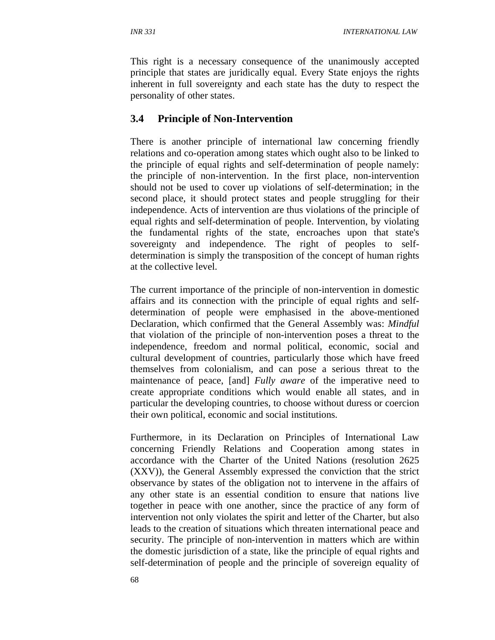This right is a necessary consequence of the unanimously accepted principle that states are juridically equal. Every State enjoys the rights inherent in full sovereignty and each state has the duty to respect the personality of other states.

### **3.4 Principle of Non-Intervention**

There is another principle of international law concerning friendly relations and co-operation among states which ought also to be linked to the principle of equal rights and self-determination of people namely: the principle of non-intervention. In the first place, non-intervention should not be used to cover up violations of self-determination; in the second place, it should protect states and people struggling for their independence. Acts of intervention are thus violations of the principle of equal rights and self-determination of people. Intervention, by violating the fundamental rights of the state, encroaches upon that state's sovereignty and independence. The right of peoples to selfdetermination is simply the transposition of the concept of human rights at the collective level.

The current importance of the principle of non-intervention in domestic affairs and its connection with the principle of equal rights and selfdetermination of people were emphasised in the above-mentioned Declaration, which confirmed that the General Assembly was: *Mindful*  that violation of the principle of non-intervention poses a threat to the independence, freedom and normal political, economic, social and cultural development of countries, particularly those which have freed themselves from colonialism, and can pose a serious threat to the maintenance of peace, [and] *Fully aware* of the imperative need to create appropriate conditions which would enable all states, and in particular the developing countries, to choose without duress or coercion their own political, economic and social institutions.

Furthermore, in its Declaration on Principles of International Law concerning Friendly Relations and Cooperation among states in accordance with the Charter of the United Nations (resolution 2625 (XXV)), the General Assembly expressed the conviction that the strict observance by states of the obligation not to intervene in the affairs of any other state is an essential condition to ensure that nations live together in peace with one another, since the practice of any form of intervention not only violates the spirit and letter of the Charter, but also leads to the creation of situations which threaten international peace and security. The principle of non-intervention in matters which are within the domestic jurisdiction of a state, like the principle of equal rights and self-determination of people and the principle of sovereign equality of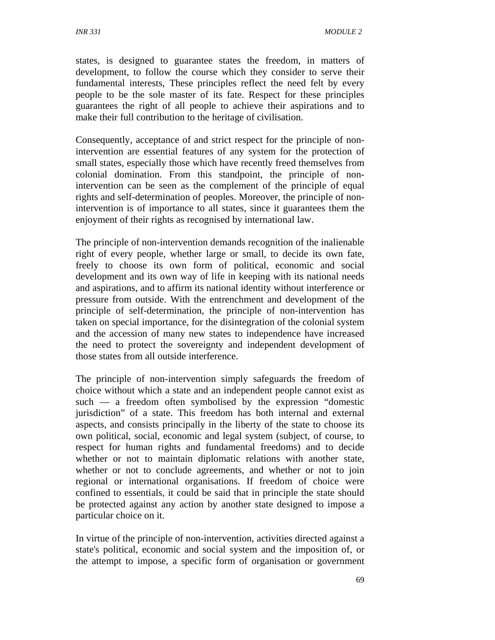states, is designed to guarantee states the freedom, in matters of development, to follow the course which they consider to serve their fundamental interests, These principles reflect the need felt by every people to be the sole master of its fate. Respect for these principles guarantees the right of all people to achieve their aspirations and to make their full contribution to the heritage of civilisation.

Consequently, acceptance of and strict respect for the principle of nonintervention are essential features of any system for the protection of small states, especially those which have recently freed themselves from colonial domination. From this standpoint, the principle of nonintervention can be seen as the complement of the principle of equal rights and self-determination of peoples. Moreover, the principle of nonintervention is of importance to all states, since it guarantees them the enjoyment of their rights as recognised by international law.

The principle of non-intervention demands recognition of the inalienable right of every people, whether large or small, to decide its own fate, freely to choose its own form of political, economic and social development and its own way of life in keeping with its national needs and aspirations, and to affirm its national identity without interference or pressure from outside. With the entrenchment and development of the principle of self-determination, the principle of non-intervention has taken on special importance, for the disintegration of the colonial system and the accession of many new states to independence have increased the need to protect the sovereignty and independent development of those states from all outside interference.

The principle of non-intervention simply safeguards the freedom of choice without which a state and an independent people cannot exist as such — a freedom often symbolised by the expression "domestic jurisdiction" of a state. This freedom has both internal and external aspects, and consists principally in the liberty of the state to choose its own political, social, economic and legal system (subject, of course, to respect for human rights and fundamental freedoms) and to decide whether or not to maintain diplomatic relations with another state, whether or not to conclude agreements, and whether or not to join regional or international organisations. If freedom of choice were confined to essentials, it could be said that in principle the state should be protected against any action by another state designed to impose a particular choice on it.

In virtue of the principle of non-intervention, activities directed against a state's political, economic and social system and the imposition of, or the attempt to impose, a specific form of organisation or government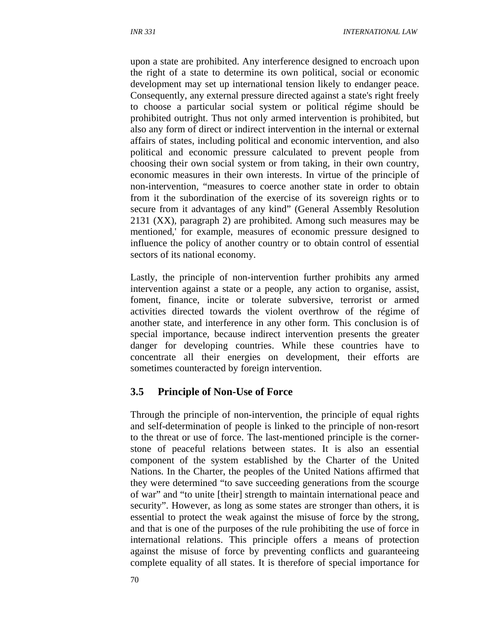upon a state are prohibited. Any interference designed to encroach upon the right of a state to determine its own political, social or economic development may set up international tension likely to endanger peace. Consequently, any external pressure directed against a state's right freely to choose a particular social system or political régime should be prohibited outright. Thus not only armed intervention is prohibited, but also any form of direct or indirect intervention in the internal or external affairs of states, including political and economic intervention, and also political and economic pressure calculated to prevent people from choosing their own social system or from taking, in their own country, economic measures in their own interests. In virtue of the principle of non-intervention, "measures to coerce another state in order to obtain from it the subordination of the exercise of its sovereign rights or to secure from it advantages of any kind" (General Assembly Resolution 2131 (XX), paragraph 2) are prohibited. Among such measures may be mentioned,' for example, measures of economic pressure designed to influence the policy of another country or to obtain control of essential sectors of its national economy.

Lastly, the principle of non-intervention further prohibits any armed intervention against a state or a people, any action to organise, assist, foment, finance, incite or tolerate subversive, terrorist or armed activities directed towards the violent overthrow of the régime of another state, and interference in any other form. This conclusion is of special importance, because indirect intervention presents the greater danger for developing countries. While these countries have to concentrate all their energies on development, their efforts are sometimes counteracted by foreign intervention.

#### **3.5 Principle of Non-Use of Force**

Through the principle of non-intervention, the principle of equal rights and self-determination of people is linked to the principle of non-resort to the threat or use of force. The last-mentioned principle is the cornerstone of peaceful relations between states. It is also an essential component of the system established by the Charter of the United Nations. In the Charter, the peoples of the United Nations affirmed that they were determined "to save succeeding generations from the scourge of war" and "to unite [their] strength to maintain international peace and security". However, as long as some states are stronger than others, it is essential to protect the weak against the misuse of force by the strong, and that is one of the purposes of the rule prohibiting the use of force in international relations. This principle offers a means of protection against the misuse of force by preventing conflicts and guaranteeing complete equality of all states. It is therefore of special importance for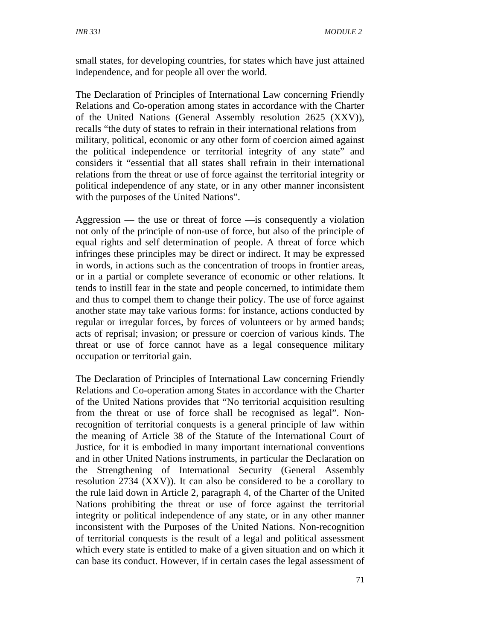small states, for developing countries, for states which have just attained independence, and for people all over the world.

The Declaration of Principles of International Law concerning Friendly Relations and Co-operation among states in accordance with the Charter of the United Nations (General Assembly resolution 2625 (XXV)), recalls "the duty of states to refrain in their international relations from military, political, economic or any other form of coercion aimed against the political independence or territorial integrity of any state" and considers it "essential that all states shall refrain in their international relations from the threat or use of force against the territorial integrity or political independence of any state, or in any other manner inconsistent with the purposes of the United Nations".

Aggression — the use or threat of force —is consequently a violation not only of the principle of non-use of force, but also of the principle of equal rights and self determination of people. A threat of force which infringes these principles may be direct or indirect. It may be expressed in words, in actions such as the concentration of troops in frontier areas, or in a partial or complete severance of economic or other relations. It tends to instill fear in the state and people concerned, to intimidate them and thus to compel them to change their policy. The use of force against another state may take various forms: for instance, actions conducted by regular or irregular forces, by forces of volunteers or by armed bands; acts of reprisal; invasion; or pressure or coercion of various kinds. The threat or use of force cannot have as a legal consequence military occupation or territorial gain.

The Declaration of Principles of International Law concerning Friendly Relations and Co-operation among States in accordance with the Charter of the United Nations provides that "No territorial acquisition resulting from the threat or use of force shall be recognised as legal". Nonrecognition of territorial conquests is a general principle of law within the meaning of Article 38 of the Statute of the International Court of Justice, for it is embodied in many important international conventions and in other United Nations instruments, in particular the Declaration on the Strengthening of International Security (General Assembly resolution 2734 (XXV)). It can also be considered to be a corollary to the rule laid down in Article 2, paragraph 4, of the Charter of the United Nations prohibiting the threat or use of force against the territorial integrity or political independence of any state, or in any other manner inconsistent with the Purposes of the United Nations. Non-recognition of territorial conquests is the result of a legal and political assessment which every state is entitled to make of a given situation and on which it can base its conduct. However, if in certain cases the legal assessment of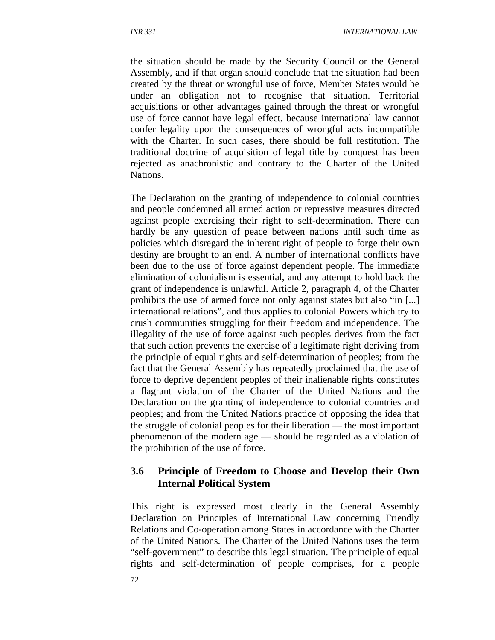the situation should be made by the Security Council or the General Assembly, and if that organ should conclude that the situation had been created by the threat or wrongful use of force, Member States would be under an obligation not to recognise that situation. Territorial acquisitions or other advantages gained through the threat or wrongful use of force cannot have legal effect, because international law cannot confer legality upon the consequences of wrongful acts incompatible with the Charter. In such cases, there should be full restitution. The traditional doctrine of acquisition of legal title by conquest has been rejected as anachronistic and contrary to the Charter of the United Nations.

The Declaration on the granting of independence to colonial countries and people condemned all armed action or repressive measures directed against people exercising their right to self-determination. There can hardly be any question of peace between nations until such time as policies which disregard the inherent right of people to forge their own destiny are brought to an end. A number of international conflicts have been due to the use of force against dependent people. The immediate elimination of colonialism is essential, and any attempt to hold back the grant of independence is unlawful. Article 2, paragraph 4, of the Charter prohibits the use of armed force not only against states but also "in [...] international relations", and thus applies to colonial Powers which try to crush communities struggling for their freedom and independence. The illegality of the use of force against such peoples derives from the fact that such action prevents the exercise of a legitimate right deriving from the principle of equal rights and self-determination of peoples; from the fact that the General Assembly has repeatedly proclaimed that the use of force to deprive dependent peoples of their inalienable rights constitutes a flagrant violation of the Charter of the United Nations and the Declaration on the granting of independence to colonial countries and peoples; and from the United Nations practice of opposing the idea that the struggle of colonial peoples for their liberation — the most important phenomenon of the modern age — should be regarded as a violation of the prohibition of the use of force.

## **3.6 Principle of Freedom to Choose and Develop their Own Internal Political System**

This right is expressed most clearly in the General Assembly Declaration on Principles of International Law concerning Friendly Relations and Co-operation among States in accordance with the Charter of the United Nations. The Charter of the United Nations uses the term "self-government" to describe this legal situation. The principle of equal rights and self-determination of people comprises, for a people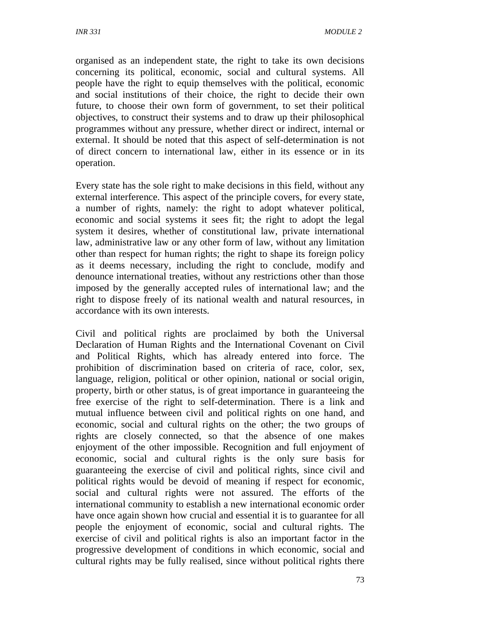organised as an independent state, the right to take its own decisions concerning its political, economic, social and cultural systems. All people have the right to equip themselves with the political, economic and social institutions of their choice, the right to decide their own future, to choose their own form of government, to set their political objectives, to construct their systems and to draw up their philosophical programmes without any pressure, whether direct or indirect, internal or external. It should be noted that this aspect of self-determination is not of direct concern to international law, either in its essence or in its operation.

Every state has the sole right to make decisions in this field, without any external interference. This aspect of the principle covers, for every state, a number of rights, namely: the right to adopt whatever political, economic and social systems it sees fit; the right to adopt the legal system it desires, whether of constitutional law, private international law, administrative law or any other form of law, without any limitation other than respect for human rights; the right to shape its foreign policy as it deems necessary, including the right to conclude, modify and denounce international treaties, without any restrictions other than those imposed by the generally accepted rules of international law; and the right to dispose freely of its national wealth and natural resources, in accordance with its own interests.

Civil and political rights are proclaimed by both the Universal Declaration of Human Rights and the International Covenant on Civil and Political Rights, which has already entered into force. The prohibition of discrimination based on criteria of race, color, sex, language, religion, political or other opinion, national or social origin, property, birth or other status, is of great importance in guaranteeing the free exercise of the right to self-determination. There is a link and mutual influence between civil and political rights on one hand, and economic, social and cultural rights on the other; the two groups of rights are closely connected, so that the absence of one makes enjoyment of the other impossible. Recognition and full enjoyment of economic, social and cultural rights is the only sure basis for guaranteeing the exercise of civil and political rights, since civil and political rights would be devoid of meaning if respect for economic, social and cultural rights were not assured. The efforts of the international community to establish a new international economic order have once again shown how crucial and essential it is to guarantee for all people the enjoyment of economic, social and cultural rights. The exercise of civil and political rights is also an important factor in the progressive development of conditions in which economic, social and cultural rights may be fully realised, since without political rights there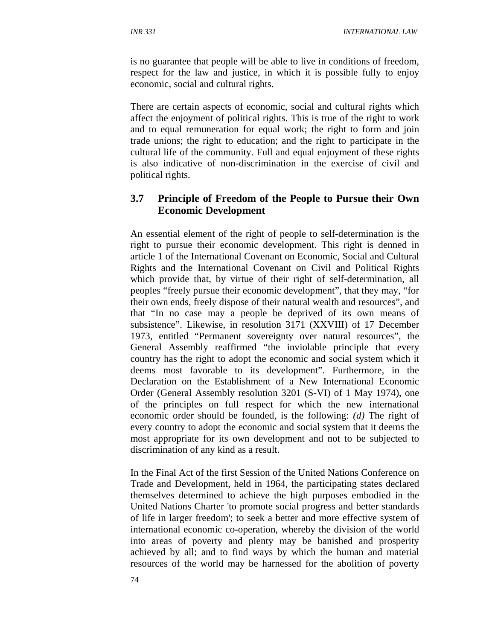is no guarantee that people will be able to live in conditions of freedom, respect for the law and justice, in which it is possible fully to enjoy economic, social and cultural rights.

There are certain aspects of economic, social and cultural rights which affect the enjoyment of political rights. This is true of the right to work and to equal remuneration for equal work; the right to form and join trade unions; the right to education; and the right to participate in the cultural life of the community. Full and equal enjoyment of these rights is also indicative of non-discrimination in the exercise of civil and political rights.

# **3.7 Principle of Freedom of the People to Pursue their Own Economic Development**

An essential element of the right of people to self-determination is the right to pursue their economic development. This right is denned in article 1 of the International Covenant on Economic, Social and Cultural Rights and the International Covenant on Civil and Political Rights which provide that, by virtue of their right of self-determination, all peoples "freely pursue their economic development", that they may, "for their own ends, freely dispose of their natural wealth and resources", and that "In no case may a people be deprived of its own means of subsistence". Likewise, in resolution 3171 (XXVIII) of 17 December 1973, entitled "Permanent sovereignty over natural resources", the General Assembly reaffirmed "the inviolable principle that every country has the right to adopt the economic and social system which it deems most favorable to its development". Furthermore, in the Declaration on the Establishment of a New International Economic Order (General Assembly resolution 3201 (S-VI) of 1 May 1974), one of the principles on full respect for which the new international economic order should be founded, is the following: *(d)* The right of every country to adopt the economic and social system that it deems the most appropriate for its own development and not to be subjected to discrimination of any kind as a result.

In the Final Act of the first Session of the United Nations Conference on Trade and Development, held in 1964, the participating states declared themselves determined to achieve the high purposes embodied in the United Nations Charter 'to promote social progress and better standards of life in larger freedom'; to seek a better and more effective system of international economic co-operation, whereby the division of the world into areas of poverty and plenty may be banished and prosperity achieved by all; and to find ways by which the human and material resources of the world may be harnessed for the abolition of poverty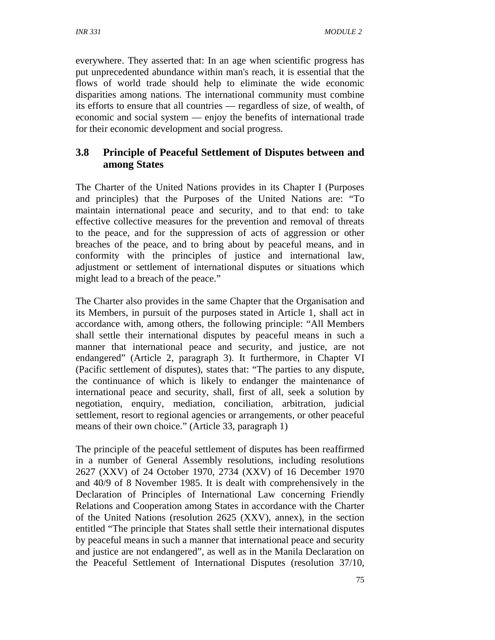everywhere. They asserted that: In an age when scientific progress has put unprecedented abundance within man's reach, it is essential that the flows of world trade should help to eliminate the wide economic disparities among nations. The international community must combine its efforts to ensure that all countries — regardless of size, of wealth, of economic and social system — enjoy the benefits of international trade for their economic development and social progress.

# **3.8 Principle of Peaceful Settlement of Disputes between and among States**

The Charter of the United Nations provides in its Chapter I (Purposes and principles) that the Purposes of the United Nations are: "To maintain international peace and security, and to that end: to take effective collective measures for the prevention and removal of threats to the peace, and for the suppression of acts of aggression or other breaches of the peace, and to bring about by peaceful means, and in conformity with the principles of justice and international law, adjustment or settlement of international disputes or situations which might lead to a breach of the peace."

The Charter also provides in the same Chapter that the Organisation and its Members, in pursuit of the purposes stated in Article 1, shall act in accordance with, among others, the following principle: "All Members shall settle their international disputes by peaceful means in such a manner that international peace and security, and justice, are not endangered" (Article 2, paragraph 3). It furthermore, in Chapter VI (Pacific settlement of disputes), states that: "The parties to any dispute, the continuance of which is likely to endanger the maintenance of international peace and security, shall, first of all, seek a solution by negotiation, enquiry, mediation, conciliation, arbitration, judicial settlement, resort to regional agencies or arrangements, or other peaceful means of their own choice." (Article 33, paragraph 1)

The principle of the peaceful settlement of disputes has been reaffirmed in a number of General Assembly resolutions, including resolutions 2627 (XXV) of 24 October 1970, 2734 (XXV) of 16 December 1970 and 40/9 of 8 November 1985. It is dealt with comprehensively in the Declaration of Principles of International Law concerning Friendly Relations and Cooperation among States in accordance with the Charter of the United Nations (resolution 2625 (XXV), annex), in the section entitled "The principle that States shall settle their international disputes by peaceful means in such a manner that international peace and security and justice are not endangered", as well as in the Manila Declaration on the Peaceful Settlement of International Disputes (resolution 37/10,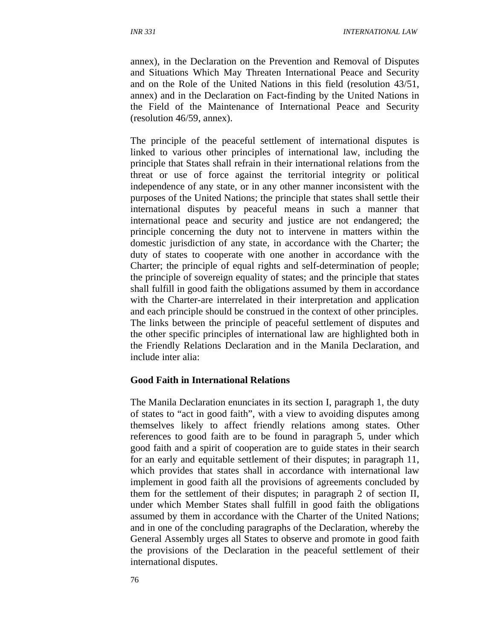*INR 331 INTERNATIONAL LAW* 

annex), in the Declaration on the Prevention and Removal of Disputes and Situations Which May Threaten International Peace and Security and on the Role of the United Nations in this field (resolution 43/51, annex) and in the Declaration on Fact-finding by the United Nations in the Field of the Maintenance of International Peace and Security (resolution 46/59, annex).

The principle of the peaceful settlement of international disputes is linked to various other principles of international law, including the principle that States shall refrain in their international relations from the threat or use of force against the territorial integrity or political independence of any state, or in any other manner inconsistent with the purposes of the United Nations; the principle that states shall settle their international disputes by peaceful means in such a manner that international peace and security and justice are not endangered; the principle concerning the duty not to intervene in matters within the domestic jurisdiction of any state, in accordance with the Charter; the duty of states to cooperate with one another in accordance with the Charter; the principle of equal rights and self-determination of people; the principle of sovereign equality of states; and the principle that states shall fulfill in good faith the obligations assumed by them in accordance with the Charter-are interrelated in their interpretation and application and each principle should be construed in the context of other principles. The links between the principle of peaceful settlement of disputes and the other specific principles of international law are highlighted both in the Friendly Relations Declaration and in the Manila Declaration, and include inter alia:

#### **Good Faith in International Relations**

The Manila Declaration enunciates in its section I, paragraph 1, the duty of states to "act in good faith", with a view to avoiding disputes among themselves likely to affect friendly relations among states. Other references to good faith are to be found in paragraph 5, under which good faith and a spirit of cooperation are to guide states in their search for an early and equitable settlement of their disputes; in paragraph 11, which provides that states shall in accordance with international law implement in good faith all the provisions of agreements concluded by them for the settlement of their disputes; in paragraph 2 of section II, under which Member States shall fulfill in good faith the obligations assumed by them in accordance with the Charter of the United Nations; and in one of the concluding paragraphs of the Declaration, whereby the General Assembly urges all States to observe and promote in good faith the provisions of the Declaration in the peaceful settlement of their international disputes.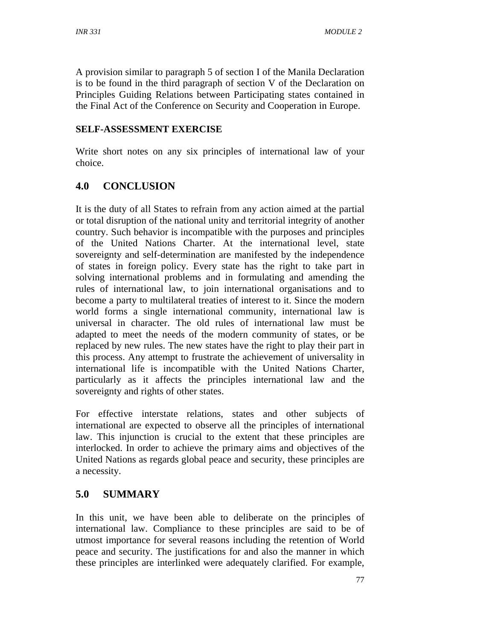A provision similar to paragraph 5 of section I of the Manila Declaration is to be found in the third paragraph of section V of the Declaration on Principles Guiding Relations between Participating states contained in the Final Act of the Conference on Security and Cooperation in Europe.

# **SELF-ASSESSMENT EXERCISE**

Write short notes on any six principles of international law of your choice.

# **4.0 CONCLUSION**

It is the duty of all States to refrain from any action aimed at the partial or total disruption of the national unity and territorial integrity of another country. Such behavior is incompatible with the purposes and principles of the United Nations Charter. At the international level, state sovereignty and self-determination are manifested by the independence of states in foreign policy. Every state has the right to take part in solving international problems and in formulating and amending the rules of international law, to join international organisations and to become a party to multilateral treaties of interest to it. Since the modern world forms a single international community, international law is universal in character. The old rules of international law must be adapted to meet the needs of the modern community of states, or be replaced by new rules. The new states have the right to play their part in this process. Any attempt to frustrate the achievement of universality in international life is incompatible with the United Nations Charter, particularly as it affects the principles international law and the sovereignty and rights of other states.

For effective interstate relations, states and other subjects of international are expected to observe all the principles of international law. This injunction is crucial to the extent that these principles are interlocked. In order to achieve the primary aims and objectives of the United Nations as regards global peace and security, these principles are a necessity.

# **5.0 SUMMARY**

In this unit, we have been able to deliberate on the principles of international law. Compliance to these principles are said to be of utmost importance for several reasons including the retention of World peace and security. The justifications for and also the manner in which these principles are interlinked were adequately clarified. For example,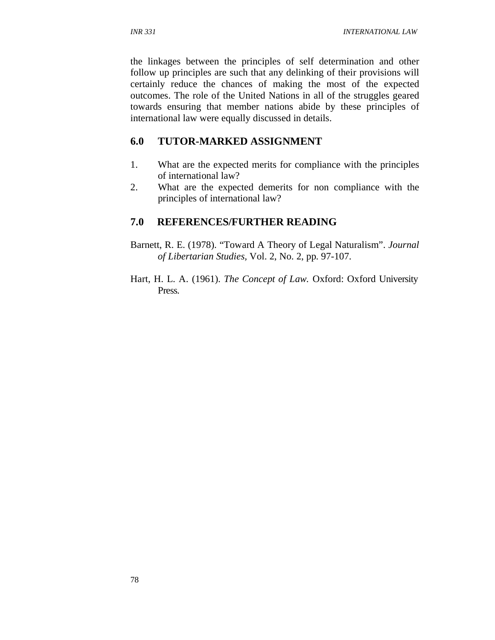the linkages between the principles of self determination and other follow up principles are such that any delinking of their provisions will certainly reduce the chances of making the most of the expected outcomes. The role of the United Nations in all of the struggles geared towards ensuring that member nations abide by these principles of international law were equally discussed in details.

# **6.0 TUTOR-MARKED ASSIGNMENT**

- 1. What are the expected merits for compliance with the principles of international law?
- 2. What are the expected demerits for non compliance with the principles of international law?

# **7.0 REFERENCES/FURTHER READING**

- Barnett, R. E. (1978). "Toward A Theory of Legal Naturalism". *Journal of Libertarian Studies,* Vol. 2, No. 2, pp. 97-107.
- Hart, H. L. A. (1961). *The Concept of Law.* Oxford: Oxford University Press.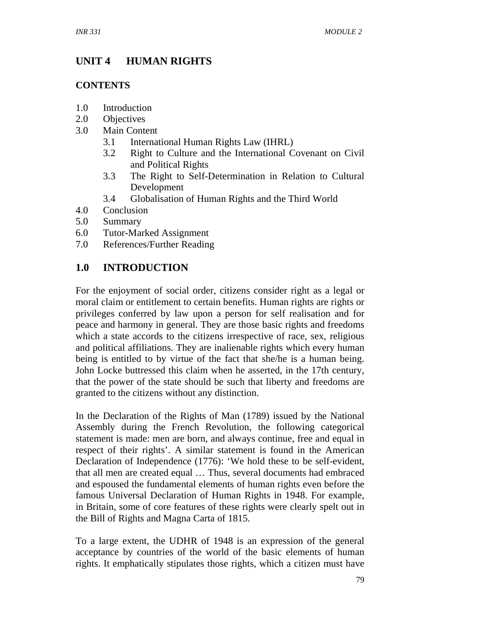# **UNIT 4 HUMAN RIGHTS**

## **CONTENTS**

- 1.0 Introduction
- 2.0 Objectives
- 3.0 Main Content
	- 3.1 International Human Rights Law (IHRL)
	- 3.2 Right to Culture and the International Covenant on Civil and Political Rights
	- 3.3 The Right to Self-Determination in Relation to Cultural Development
	- 3.4 Globalisation of Human Rights and the Third World
- 4.0 Conclusion
- 5.0 Summary
- 6.0 Tutor-Marked Assignment
- 7.0 References/Further Reading

# **1.0 INTRODUCTION**

For the enjoyment of social order, citizens consider right as a legal or moral claim or entitlement to certain benefits. Human rights are rights or privileges conferred by law upon a person for self realisation and for peace and harmony in general. They are those basic rights and freedoms which a state accords to the citizens irrespective of race, sex, religious and political affiliations. They are inalienable rights which every human being is entitled to by virtue of the fact that she/he is a human being. John Locke buttressed this claim when he asserted, in the 17th century, that the power of the state should be such that liberty and freedoms are granted to the citizens without any distinction.

In the Declaration of the Rights of Man (1789) issued by the National Assembly during the French Revolution, the following categorical statement is made: men are born, and always continue, free and equal in respect of their rights'. A similar statement is found in the American Declaration of Independence (1776): 'We hold these to be self-evident, that all men are created equal … Thus, several documents had embraced and espoused the fundamental elements of human rights even before the famous Universal Declaration of Human Rights in 1948. For example, in Britain, some of core features of these rights were clearly spelt out in the Bill of Rights and Magna Carta of 1815.

To a large extent, the UDHR of 1948 is an expression of the general acceptance by countries of the world of the basic elements of human rights. It emphatically stipulates those rights, which a citizen must have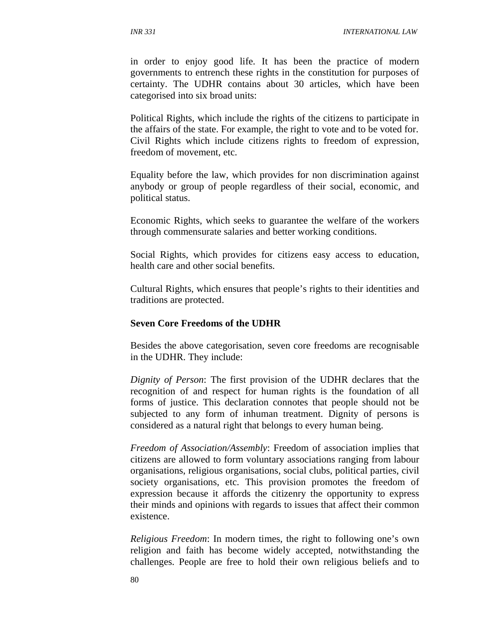in order to enjoy good life. It has been the practice of modern governments to entrench these rights in the constitution for purposes of certainty. The UDHR contains about 30 articles, which have been categorised into six broad units:

Political Rights, which include the rights of the citizens to participate in the affairs of the state. For example, the right to vote and to be voted for. Civil Rights which include citizens rights to freedom of expression, freedom of movement, etc.

Equality before the law, which provides for non discrimination against anybody or group of people regardless of their social, economic, and political status.

Economic Rights, which seeks to guarantee the welfare of the workers through commensurate salaries and better working conditions.

Social Rights, which provides for citizens easy access to education, health care and other social benefits.

Cultural Rights, which ensures that people's rights to their identities and traditions are protected.

#### **Seven Core Freedoms of the UDHR**

Besides the above categorisation, seven core freedoms are recognisable in the UDHR. They include:

*Dignity of Person*: The first provision of the UDHR declares that the recognition of and respect for human rights is the foundation of all forms of justice. This declaration connotes that people should not be subjected to any form of inhuman treatment. Dignity of persons is considered as a natural right that belongs to every human being.

*Freedom of Association/Assembly*: Freedom of association implies that citizens are allowed to form voluntary associations ranging from labour organisations, religious organisations, social clubs, political parties, civil society organisations, etc. This provision promotes the freedom of expression because it affords the citizenry the opportunity to express their minds and opinions with regards to issues that affect their common existence.

*Religious Freedom*: In modern times, the right to following one's own religion and faith has become widely accepted, notwithstanding the challenges. People are free to hold their own religious beliefs and to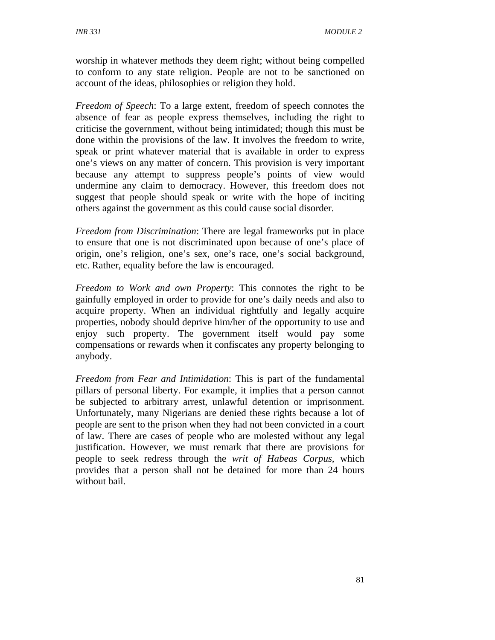worship in whatever methods they deem right; without being compelled to conform to any state religion. People are not to be sanctioned on account of the ideas, philosophies or religion they hold.

*Freedom of Speech*: To a large extent, freedom of speech connotes the absence of fear as people express themselves, including the right to criticise the government, without being intimidated; though this must be done within the provisions of the law. It involves the freedom to write, speak or print whatever material that is available in order to express one's views on any matter of concern. This provision is very important because any attempt to suppress people's points of view would undermine any claim to democracy. However, this freedom does not suggest that people should speak or write with the hope of inciting others against the government as this could cause social disorder.

*Freedom from Discrimination*: There are legal frameworks put in place to ensure that one is not discriminated upon because of one's place of origin, one's religion, one's sex, one's race, one's social background, etc. Rather, equality before the law is encouraged.

*Freedom to Work and own Property*: This connotes the right to be gainfully employed in order to provide for one's daily needs and also to acquire property. When an individual rightfully and legally acquire properties, nobody should deprive him/her of the opportunity to use and enjoy such property. The government itself would pay some compensations or rewards when it confiscates any property belonging to anybody.

*Freedom from Fear and Intimidation*: This is part of the fundamental pillars of personal liberty. For example, it implies that a person cannot be subjected to arbitrary arrest, unlawful detention or imprisonment. Unfortunately, many Nigerians are denied these rights because a lot of people are sent to the prison when they had not been convicted in a court of law. There are cases of people who are molested without any legal justification. However, we must remark that there are provisions for people to seek redress through the *writ of Habeas Corpus,* which provides that a person shall not be detained for more than 24 hours without bail.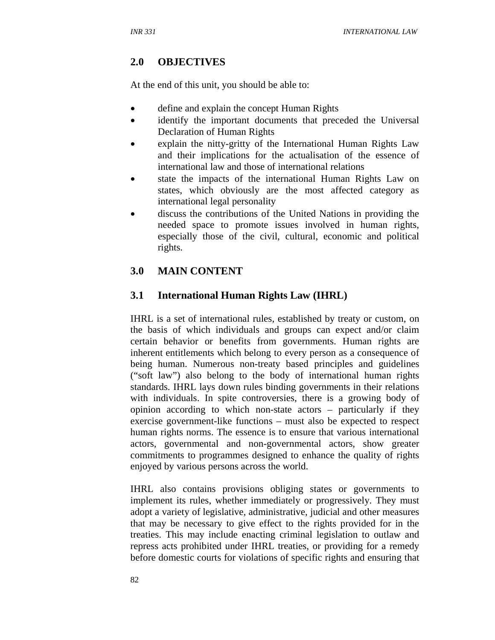# **2.0 OBJECTIVES**

At the end of this unit, you should be able to:

- define and explain the concept Human Rights
- identify the important documents that preceded the Universal Declaration of Human Rights
- explain the nitty-gritty of the International Human Rights Law and their implications for the actualisation of the essence of international law and those of international relations
- state the impacts of the international Human Rights Law on states, which obviously are the most affected category as international legal personality
- discuss the contributions of the United Nations in providing the needed space to promote issues involved in human rights, especially those of the civil, cultural, economic and political rights.

# **3.0 MAIN CONTENT**

# **3.1 International Human Rights Law (IHRL)**

IHRL is a set of international rules, established by treaty or custom, on the basis of which individuals and groups can expect and/or claim certain behavior or benefits from governments. Human rights are inherent entitlements which belong to every person as a consequence of being human. Numerous non-treaty based principles and guidelines ("soft law") also belong to the body of international human rights standards. IHRL lays down rules binding governments in their relations with individuals. In spite controversies, there is a growing body of opinion according to which non-state actors – particularly if they exercise government-like functions – must also be expected to respect human rights norms. The essence is to ensure that various international actors, governmental and non-governmental actors, show greater commitments to programmes designed to enhance the quality of rights enjoyed by various persons across the world.

IHRL also contains provisions obliging states or governments to implement its rules, whether immediately or progressively. They must adopt a variety of legislative, administrative, judicial and other measures that may be necessary to give effect to the rights provided for in the treaties. This may include enacting criminal legislation to outlaw and repress acts prohibited under IHRL treaties, or providing for a remedy before domestic courts for violations of specific rights and ensuring that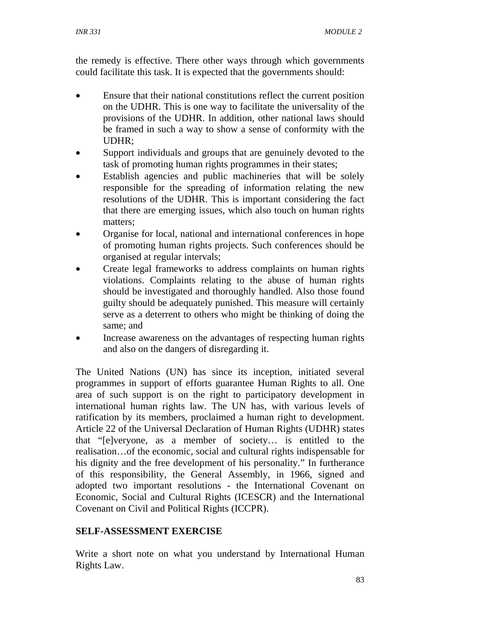the remedy is effective. There other ways through which governments could facilitate this task. It is expected that the governments should:

- Ensure that their national constitutions reflect the current position on the UDHR. This is one way to facilitate the universality of the provisions of the UDHR. In addition, other national laws should be framed in such a way to show a sense of conformity with the UDHR;
- Support individuals and groups that are genuinely devoted to the task of promoting human rights programmes in their states;
- Establish agencies and public machineries that will be solely responsible for the spreading of information relating the new resolutions of the UDHR. This is important considering the fact that there are emerging issues, which also touch on human rights matters;
- Organise for local, national and international conferences in hope of promoting human rights projects. Such conferences should be organised at regular intervals;
- Create legal frameworks to address complaints on human rights violations. Complaints relating to the abuse of human rights should be investigated and thoroughly handled. Also those found guilty should be adequately punished. This measure will certainly serve as a deterrent to others who might be thinking of doing the same; and
- Increase awareness on the advantages of respecting human rights and also on the dangers of disregarding it.

The United Nations (UN) has since its inception, initiated several programmes in support of efforts guarantee Human Rights to all. One area of such support is on the right to participatory development in international human rights law. The UN has, with various levels of ratification by its members, proclaimed a human right to development. Article 22 of the Universal Declaration of Human Rights (UDHR) states that "[e]veryone, as a member of society… is entitled to the realisation…of the economic, social and cultural rights indispensable for his dignity and the free development of his personality." In furtherance of this responsibility, the General Assembly, in 1966, signed and adopted two important resolutions - the International Covenant on Economic, Social and Cultural Rights (ICESCR) and the International Covenant on Civil and Political Rights (ICCPR).

# **SELF-ASSESSMENT EXERCISE**

Write a short note on what you understand by International Human Rights Law.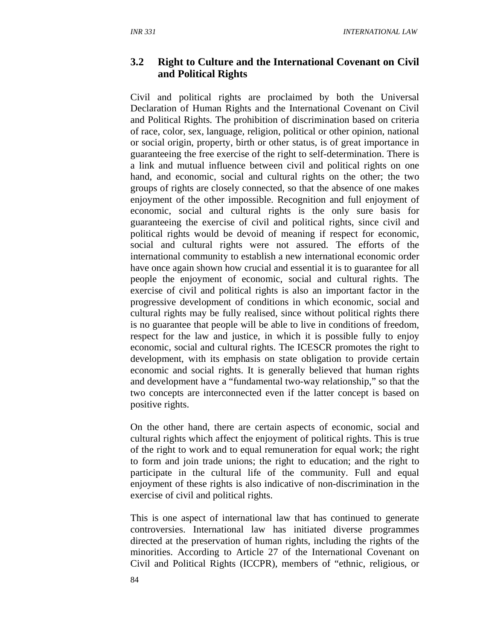# **3.2 Right to Culture and the International Covenant on Civil and Political Rights**

Civil and political rights are proclaimed by both the Universal Declaration of Human Rights and the International Covenant on Civil and Political Rights. The prohibition of discrimination based on criteria of race, color, sex, language, religion, political or other opinion, national or social origin, property, birth or other status, is of great importance in guaranteeing the free exercise of the right to self-determination. There is a link and mutual influence between civil and political rights on one hand, and economic, social and cultural rights on the other; the two groups of rights are closely connected, so that the absence of one makes enjoyment of the other impossible. Recognition and full enjoyment of economic, social and cultural rights is the only sure basis for guaranteeing the exercise of civil and political rights, since civil and political rights would be devoid of meaning if respect for economic, social and cultural rights were not assured. The efforts of the international community to establish a new international economic order have once again shown how crucial and essential it is to guarantee for all people the enjoyment of economic, social and cultural rights. The exercise of civil and political rights is also an important factor in the progressive development of conditions in which economic, social and cultural rights may be fully realised, since without political rights there is no guarantee that people will be able to live in conditions of freedom, respect for the law and justice, in which it is possible fully to enjoy economic, social and cultural rights. The ICESCR promotes the right to development, with its emphasis on state obligation to provide certain economic and social rights. It is generally believed that human rights and development have a "fundamental two-way relationship," so that the two concepts are interconnected even if the latter concept is based on positive rights.

On the other hand, there are certain aspects of economic, social and cultural rights which affect the enjoyment of political rights. This is true of the right to work and to equal remuneration for equal work; the right to form and join trade unions; the right to education; and the right to participate in the cultural life of the community. Full and equal enjoyment of these rights is also indicative of non-discrimination in the exercise of civil and political rights.

This is one aspect of international law that has continued to generate controversies. International law has initiated diverse programmes directed at the preservation of human rights, including the rights of the minorities. According to Article 27 of the International Covenant on Civil and Political Rights (ICCPR), members of "ethnic, religious, or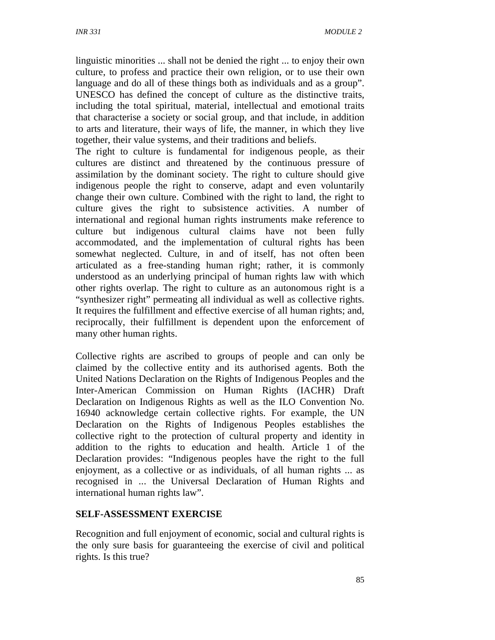linguistic minorities ... shall not be denied the right ... to enjoy their own culture, to profess and practice their own religion, or to use their own language and do all of these things both as individuals and as a group". UNESCO has defined the concept of culture as the distinctive traits, including the total spiritual, material, intellectual and emotional traits that characterise a society or social group, and that include, in addition to arts and literature, their ways of life, the manner, in which they live together, their value systems, and their traditions and beliefs.

The right to culture is fundamental for indigenous people, as their cultures are distinct and threatened by the continuous pressure of assimilation by the dominant society. The right to culture should give indigenous people the right to conserve, adapt and even voluntarily change their own culture. Combined with the right to land, the right to culture gives the right to subsistence activities. A number of international and regional human rights instruments make reference to culture but indigenous cultural claims have not been fully accommodated, and the implementation of cultural rights has been somewhat neglected. Culture, in and of itself, has not often been articulated as a free-standing human right; rather, it is commonly understood as an underlying principal of human rights law with which other rights overlap. The right to culture as an autonomous right is a "synthesizer right" permeating all individual as well as collective rights. It requires the fulfillment and effective exercise of all human rights; and, reciprocally, their fulfillment is dependent upon the enforcement of many other human rights.

Collective rights are ascribed to groups of people and can only be claimed by the collective entity and its authorised agents. Both the United Nations Declaration on the Rights of Indigenous Peoples and the Inter-American Commission on Human Rights (IACHR) Draft Declaration on Indigenous Rights as well as the ILO Convention No. 16940 acknowledge certain collective rights. For example, the UN Declaration on the Rights of Indigenous Peoples establishes the collective right to the protection of cultural property and identity in addition to the rights to education and health. Article 1 of the Declaration provides: "Indigenous peoples have the right to the full enjoyment, as a collective or as individuals, of all human rights ... as recognised in ... the Universal Declaration of Human Rights and international human rights law".

### **SELF-ASSESSMENT EXERCISE**

Recognition and full enjoyment of economic, social and cultural rights is the only sure basis for guaranteeing the exercise of civil and political rights. Is this true?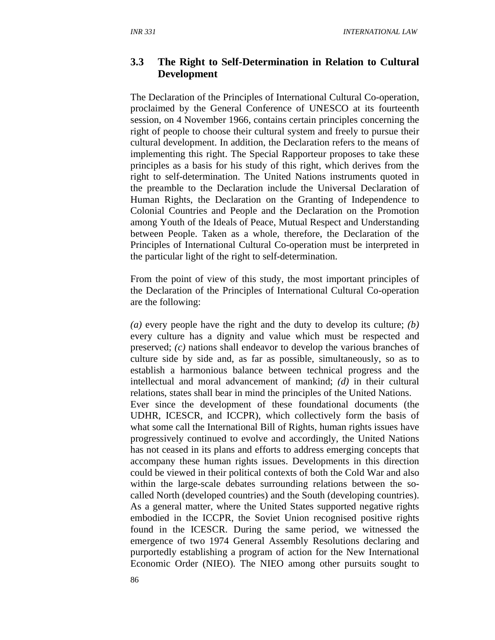## **3.3 The Right to Self-Determination in Relation to Cultural Development**

The Declaration of the Principles of International Cultural Co-operation, proclaimed by the General Conference of UNESCO at its fourteenth session, on 4 November 1966, contains certain principles concerning the right of people to choose their cultural system and freely to pursue their cultural development. In addition, the Declaration refers to the means of implementing this right. The Special Rapporteur proposes to take these principles as a basis for his study of this right, which derives from the right to self-determination. The United Nations instruments quoted in the preamble to the Declaration include the Universal Declaration of Human Rights, the Declaration on the Granting of Independence to Colonial Countries and People and the Declaration on the Promotion among Youth of the Ideals of Peace, Mutual Respect and Understanding between People. Taken as a whole, therefore, the Declaration of the Principles of International Cultural Co-operation must be interpreted in the particular light of the right to self-determination.

From the point of view of this study, the most important principles of the Declaration of the Principles of International Cultural Co-operation are the following:

*(a)* every people have the right and the duty to develop its culture; *(b)*  every culture has a dignity and value which must be respected and preserved; *(c)* nations shall endeavor to develop the various branches of culture side by side and, as far as possible, simultaneously, so as to establish a harmonious balance between technical progress and the intellectual and moral advancement of mankind; *(d)* in their cultural relations, states shall bear in mind the principles of the United Nations. Ever since the development of these foundational documents (the UDHR, ICESCR, and ICCPR), which collectively form the basis of what some call the International Bill of Rights, human rights issues have progressively continued to evolve and accordingly, the United Nations has not ceased in its plans and efforts to address emerging concepts that accompany these human rights issues. Developments in this direction could be viewed in their political contexts of both the Cold War and also within the large-scale debates surrounding relations between the socalled North (developed countries) and the South (developing countries). As a general matter, where the United States supported negative rights embodied in the ICCPR, the Soviet Union recognised positive rights found in the ICESCR. During the same period, we witnessed the emergence of two 1974 General Assembly Resolutions declaring and purportedly establishing a program of action for the New International Economic Order (NIEO). The NIEO among other pursuits sought to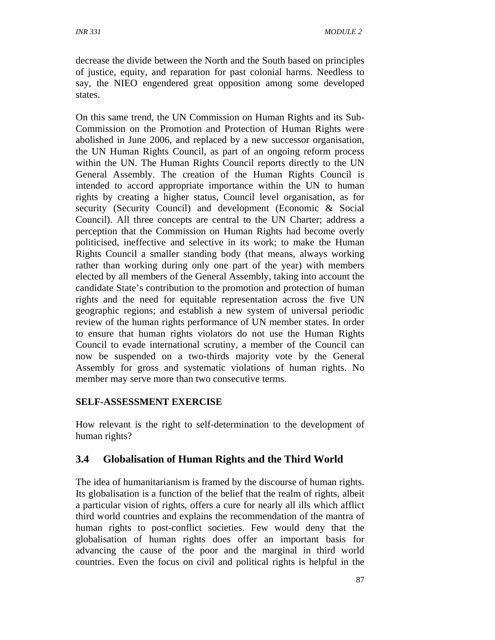decrease the divide between the North and the South based on principles of justice, equity, and reparation for past colonial harms. Needless to say, the NIEO engendered great opposition among some developed states.

On this same trend, the UN Commission on Human Rights and its Sub-Commission on the Promotion and Protection of Human Rights were abolished in June 2006, and replaced by a new successor organisation, the UN Human Rights Council, as part of an ongoing reform process within the UN. The Human Rights Council reports directly to the UN General Assembly. The creation of the Human Rights Council is intended to accord appropriate importance within the UN to human rights by creating a higher status, Council level organisation, as for security (Security Council) and development (Economic & Social Council). All three concepts are central to the UN Charter; address a perception that the Commission on Human Rights had become overly politicised, ineffective and selective in its work; to make the Human Rights Council a smaller standing body (that means, always working rather than working during only one part of the year) with members elected by all members of the General Assembly, taking into account the candidate State's contribution to the promotion and protection of human rights and the need for equitable representation across the five UN geographic regions; and establish a new system of universal periodic review of the human rights performance of UN member states. In order to ensure that human rights violators do not use the Human Rights Council to evade international scrutiny, a member of the Council can now be suspended on a two-thirds majority vote by the General Assembly for gross and systematic violations of human rights. No member may serve more than two consecutive terms.

### **SELF-ASSESSMENT EXERCISE**

How relevant is the right to self-determination to the development of human rights?

# **3.4 Globalisation of Human Rights and the Third World**

The idea of humanitarianism is framed by the discourse of human rights. Its globalisation is a function of the belief that the realm of rights, albeit a particular vision of rights, offers a cure for nearly all ills which afflict third world countries and explains the recommendation of the mantra of human rights to post-conflict societies. Few would deny that the globalisation of human rights does offer an important basis for advancing the cause of the poor and the marginal in third world countries. Even the focus on civil and political rights is helpful in the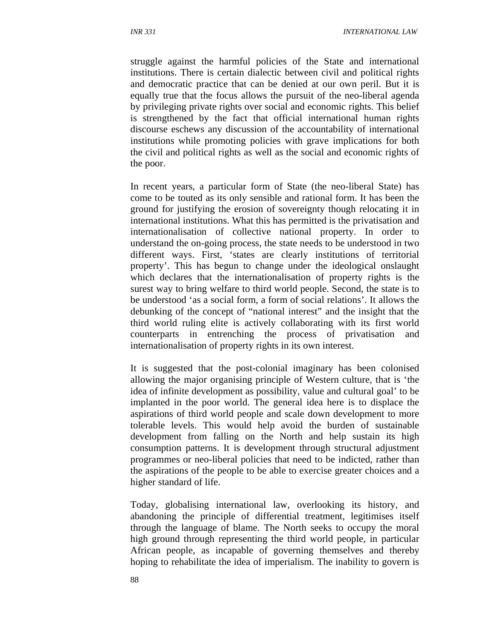struggle against the harmful policies of the State and international institutions. There is certain dialectic between civil and political rights and democratic practice that can be denied at our own peril. But it is equally true that the focus allows the pursuit of the neo-liberal agenda by privileging private rights over social and economic rights. This belief is strengthened by the fact that official international human rights discourse eschews any discussion of the accountability of international institutions while promoting policies with grave implications for both the civil and political rights as well as the social and economic rights of the poor.

In recent years, a particular form of State (the neo-liberal State) has come to be touted as its only sensible and rational form. It has been the ground for justifying the erosion of sovereignty though relocating it in international institutions. What this has permitted is the privatisation and internationalisation of collective national property. In order to understand the on-going process, the state needs to be understood in two different ways. First, 'states are clearly institutions of territorial property'. This has begun to change under the ideological onslaught which declares that the internationalisation of property rights is the surest way to bring welfare to third world people. Second, the state is to be understood 'as a social form, a form of social relations'. It allows the debunking of the concept of "national interest" and the insight that the third world ruling elite is actively collaborating with its first world counterparts in entrenching the process of privatisation and internationalisation of property rights in its own interest.

It is suggested that the post-colonial imaginary has been colonised allowing the major organising principle of Western culture, that is 'the idea of infinite development as possibility, value and cultural goal' to be implanted in the poor world. The general idea here is to displace the aspirations of third world people and scale down development to more tolerable levels. This would help avoid the burden of sustainable development from falling on the North and help sustain its high consumption patterns. It is development through structural adjustment programmes or neo-liberal policies that need to be indicted, rather than the aspirations of the people to be able to exercise greater choices and a higher standard of life.

Today, globalising international law, overlooking its history, and abandoning the principle of differential treatment, legitimises itself through the language of blame. The North seeks to occupy the moral high ground through representing the third world people, in particular African people, as incapable of governing themselves and thereby hoping to rehabilitate the idea of imperialism. The inability to govern is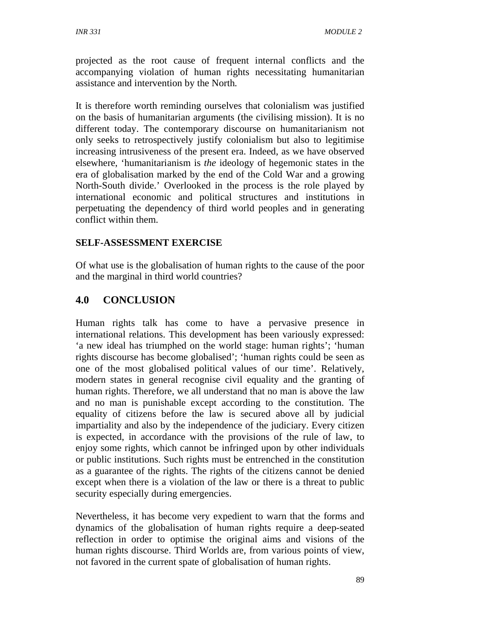projected as the root cause of frequent internal conflicts and the accompanying violation of human rights necessitating humanitarian assistance and intervention by the North.

It is therefore worth reminding ourselves that colonialism was justified on the basis of humanitarian arguments (the civilising mission). It is no different today. The contemporary discourse on humanitarianism not only seeks to retrospectively justify colonialism but also to legitimise increasing intrusiveness of the present era. Indeed, as we have observed elsewhere, 'humanitarianism is *the* ideology of hegemonic states in the era of globalisation marked by the end of the Cold War and a growing North-South divide.' Overlooked in the process is the role played by international economic and political structures and institutions in perpetuating the dependency of third world peoples and in generating conflict within them.

## **SELF-ASSESSMENT EXERCISE**

Of what use is the globalisation of human rights to the cause of the poor and the marginal in third world countries?

# **4.0 CONCLUSION**

Human rights talk has come to have a pervasive presence in international relations. This development has been variously expressed: 'a new ideal has triumphed on the world stage: human rights'; 'human rights discourse has become globalised'; 'human rights could be seen as one of the most globalised political values of our time'. Relatively, modern states in general recognise civil equality and the granting of human rights. Therefore, we all understand that no man is above the law and no man is punishable except according to the constitution. The equality of citizens before the law is secured above all by judicial impartiality and also by the independence of the judiciary. Every citizen is expected, in accordance with the provisions of the rule of law, to enjoy some rights, which cannot be infringed upon by other individuals or public institutions. Such rights must be entrenched in the constitution as a guarantee of the rights. The rights of the citizens cannot be denied except when there is a violation of the law or there is a threat to public security especially during emergencies.

Nevertheless, it has become very expedient to warn that the forms and dynamics of the globalisation of human rights require a deep-seated reflection in order to optimise the original aims and visions of the human rights discourse. Third Worlds are, from various points of view, not favored in the current spate of globalisation of human rights.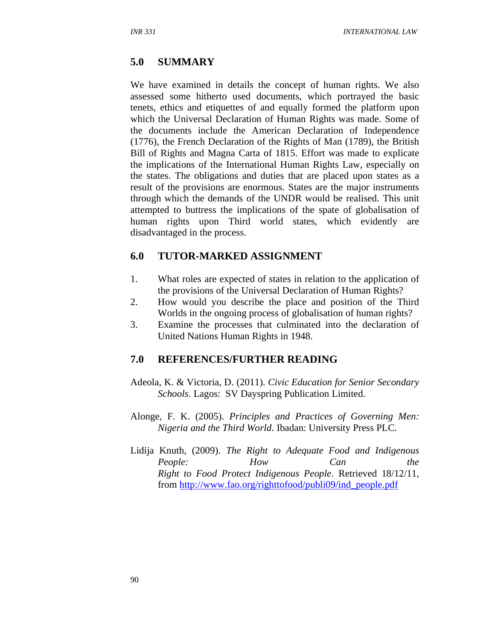#### **5.0 SUMMARY**

We have examined in details the concept of human rights. We also assessed some hitherto used documents, which portrayed the basic tenets, ethics and etiquettes of and equally formed the platform upon which the Universal Declaration of Human Rights was made. Some of the documents include the American Declaration of Independence (1776), the French Declaration of the Rights of Man (1789), the British Bill of Rights and Magna Carta of 1815. Effort was made to explicate the implications of the International Human Rights Law, especially on the states. The obligations and duties that are placed upon states as a result of the provisions are enormous. States are the major instruments through which the demands of the UNDR would be realised. This unit attempted to buttress the implications of the spate of globalisation of human rights upon Third world states, which evidently are disadvantaged in the process.

#### **6.0 TUTOR-MARKED ASSIGNMENT**

- 1. What roles are expected of states in relation to the application of the provisions of the Universal Declaration of Human Rights?
- 2. How would you describe the place and position of the Third Worlds in the ongoing process of globalisation of human rights?
- 3. Examine the processes that culminated into the declaration of United Nations Human Rights in 1948.

#### **7.0 REFERENCES/FURTHER READING**

- Adeola, K. & Victoria, D. (2011). *Civic Education for Senior Secondary Schools*. Lagos: SV Dayspring Publication Limited.
- Alonge, F. K. (2005). *Principles and Practices of Governing Men: Nigeria and the Third World*. Ibadan: University Press PLC.
- Lidija Knuth, (2009). *The Right to Adequate Food and Indigenous People: How Can the Right to Food Protect Indigenous People*. Retrieved 18/12/11, from http://www.fao.org/righttofood/publi09/ind\_people.pdf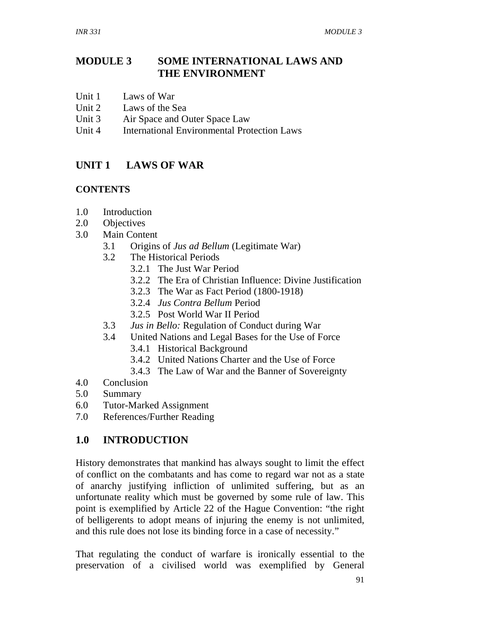### **MODULE 3 SOME INTERNATIONAL LAWS AND THE ENVIRONMENT**

- Unit 1 Laws of War
- Unit 2 Laws of the Sea
- Unit 3 Air Space and Outer Space Law
- Unit 4 International Environmental Protection Laws

## **UNIT 1 LAWS OF WAR**

#### **CONTENTS**

- 1.0 Introduction
- 2.0 Objectives
- 3.0 Main Content
	- 3.1 Origins of *Jus ad Bellum* (Legitimate War)
	- 3.2 The Historical Periods
		- 3.2.1 The Just War Period
		- 3.2.2 The Era of Christian Influence: Divine Justification
		- 3.2.3 The War as Fact Period (1800-1918)
		- 3.2.4 *Jus Contra Bellum* Period
		- 3.2.5 Post World War II Period
	- 3.3 *Jus in Bello:* Regulation of Conduct during War
	- 3.4 United Nations and Legal Bases for the Use of Force
		- 3.4.1 Historical Background
		- 3.4.2 United Nations Charter and the Use of Force
		- 3.4.3 The Law of War and the Banner of Sovereignty
- 4.0 Conclusion
- 5.0 Summary
- 6.0 Tutor-Marked Assignment
- 7.0 References/Further Reading

### **1.0 INTRODUCTION**

History demonstrates that mankind has always sought to limit the effect of conflict on the combatants and has come to regard war not as a state of anarchy justifying infliction of unlimited suffering, but as an unfortunate reality which must be governed by some rule of law. This point is exemplified by Article 22 of the Hague Convention: "the right of belligerents to adopt means of injuring the enemy is not unlimited, and this rule does not lose its binding force in a case of necessity."

That regulating the conduct of warfare is ironically essential to the preservation of a civilised world was exemplified by General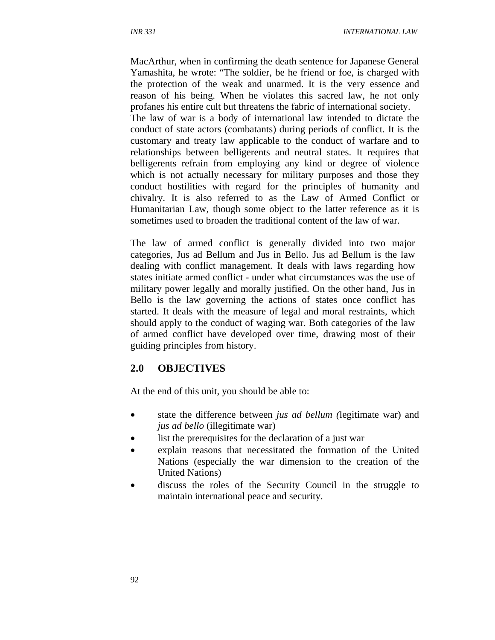MacArthur, when in confirming the death sentence for Japanese General Yamashita, he wrote: "The soldier, be he friend or foe, is charged with the protection of the weak and unarmed. It is the very essence and reason of his being. When he violates this sacred law, he not only profanes his entire cult but threatens the fabric of international society. The law of war is a body of international law intended to dictate the conduct of state actors (combatants) during periods of conflict. It is the customary and treaty law applicable to the conduct of warfare and to relationships between belligerents and neutral states. It requires that belligerents refrain from employing any kind or degree of violence which is not actually necessary for military purposes and those they conduct hostilities with regard for the principles of humanity and chivalry. It is also referred to as the Law of Armed Conflict or Humanitarian Law, though some object to the latter reference as it is sometimes used to broaden the traditional content of the law of war.

The law of armed conflict is generally divided into two major categories, Jus ad Bellum and Jus in Bello. Jus ad Bellum is the law dealing with conflict management. It deals with laws regarding how states initiate armed conflict - under what circumstances was the use of military power legally and morally justified. On the other hand, Jus in Bello is the law governing the actions of states once conflict has started. It deals with the measure of legal and moral restraints, which should apply to the conduct of waging war. Both categories of the law of armed conflict have developed over time, drawing most of their guiding principles from history.

#### **2.0 OBJECTIVES**

At the end of this unit, you should be able to:

- state the difference between *jus ad bellum (*legitimate war) and *jus ad bello* (illegitimate war)
- list the prerequisites for the declaration of a just war
- explain reasons that necessitated the formation of the United Nations (especially the war dimension to the creation of the United Nations)
- discuss the roles of the Security Council in the struggle to maintain international peace and security.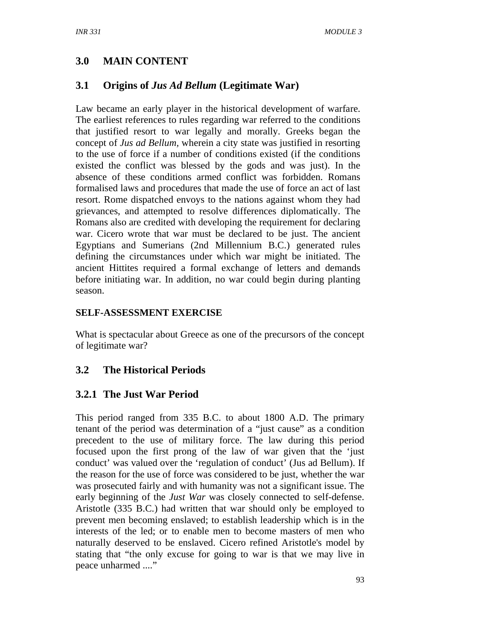# **3.0 MAIN CONTENT**

# **3.1 Origins of** *Jus Ad Bellum* **(Legitimate War)**

Law became an early player in the historical development of warfare. The earliest references to rules regarding war referred to the conditions that justified resort to war legally and morally. Greeks began the concept of *Jus ad Bellum,* wherein a city state was justified in resorting to the use of force if a number of conditions existed (if the conditions existed the conflict was blessed by the gods and was just). In the absence of these conditions armed conflict was forbidden. Romans formalised laws and procedures that made the use of force an act of last resort. Rome dispatched envoys to the nations against whom they had grievances, and attempted to resolve differences diplomatically. The Romans also are credited with developing the requirement for declaring war. Cicero wrote that war must be declared to be just. The ancient Egyptians and Sumerians (2nd Millennium B.C.) generated rules defining the circumstances under which war might be initiated. The ancient Hittites required a formal exchange of letters and demands before initiating war. In addition, no war could begin during planting season.

#### **SELF-ASSESSMENT EXERCISE**

What is spectacular about Greece as one of the precursors of the concept of legitimate war?

# **3.2 The Historical Periods**

### **3.2.1 The Just War Period**

This period ranged from 335 B.C. to about 1800 A.D. The primary tenant of the period was determination of a "just cause" as a condition precedent to the use of military force. The law during this period focused upon the first prong of the law of war given that the 'just conduct' was valued over the 'regulation of conduct' (Jus ad Bellum). If the reason for the use of force was considered to be just, whether the war was prosecuted fairly and with humanity was not a significant issue. The early beginning of the *Just War* was closely connected to self-defense. Aristotle (335 B.C.) had written that war should only be employed to prevent men becoming enslaved; to establish leadership which is in the interests of the led; or to enable men to become masters of men who naturally deserved to be enslaved. Cicero refined Aristotle's model by stating that "the only excuse for going to war is that we may live in peace unharmed ...."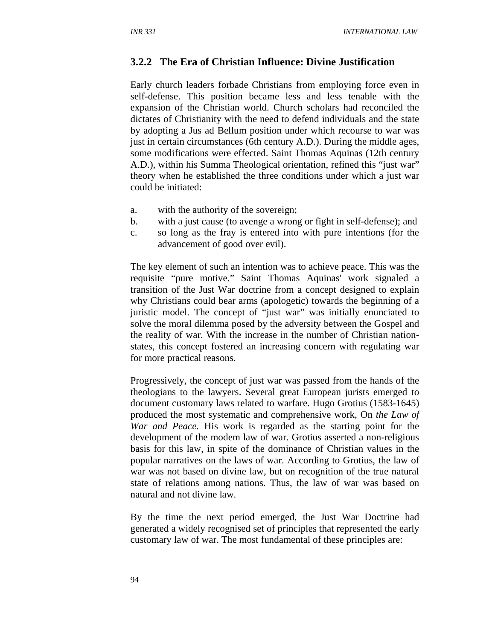### **3.2.2 The Era of Christian Influence: Divine Justification**

Early church leaders forbade Christians from employing force even in self-defense. This position became less and less tenable with the expansion of the Christian world. Church scholars had reconciled the dictates of Christianity with the need to defend individuals and the state by adopting a Jus ad Bellum position under which recourse to war was just in certain circumstances (6th century A.D.). During the middle ages, some modifications were effected. Saint Thomas Aquinas (12th century A.D.), within his Summa Theological orientation, refined this "just war" theory when he established the three conditions under which a just war could be initiated:

- a. with the authority of the sovereign;
- b. with a just cause (to avenge a wrong or fight in self-defense); and
- c. so long as the fray is entered into with pure intentions (for the advancement of good over evil).

The key element of such an intention was to achieve peace. This was the requisite "pure motive." Saint Thomas Aquinas' work signaled a transition of the Just War doctrine from a concept designed to explain why Christians could bear arms (apologetic) towards the beginning of a juristic model. The concept of "just war" was initially enunciated to solve the moral dilemma posed by the adversity between the Gospel and the reality of war. With the increase in the number of Christian nationstates, this concept fostered an increasing concern with regulating war for more practical reasons.

Progressively, the concept of just war was passed from the hands of the theologians to the lawyers. Several great European jurists emerged to document customary laws related to warfare. Hugo Grotius (1583-1645) produced the most systematic and comprehensive work, On *the Law of War and Peace.* His work is regarded as the starting point for the development of the modem law of war. Grotius asserted a non-religious basis for this law, in spite of the dominance of Christian values in the popular narratives on the laws of war. According to Grotius, the law of war was not based on divine law, but on recognition of the true natural state of relations among nations. Thus, the law of war was based on natural and not divine law.

By the time the next period emerged, the Just War Doctrine had generated a widely recognised set of principles that represented the early customary law of war. The most fundamental of these principles are: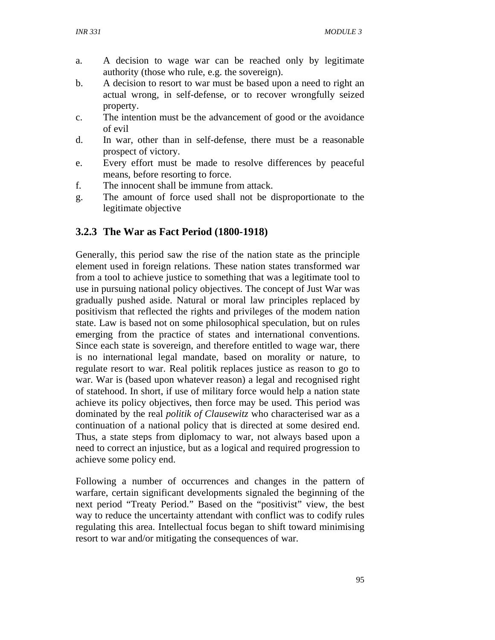- a. A decision to wage war can be reached only by legitimate authority (those who rule, e.g. the sovereign).
- b. A decision to resort to war must be based upon a need to right an actual wrong, in self-defense, or to recover wrongfully seized property.
- c. The intention must be the advancement of good or the avoidance of evil
- d. In war, other than in self-defense, there must be a reasonable prospect of victory.
- e. Every effort must be made to resolve differences by peaceful means, before resorting to force.
- f. The innocent shall be immune from attack.
- g. The amount of force used shall not be disproportionate to the legitimate objective

# **3.2.3 The War as Fact Period (1800-1918)**

Generally, this period saw the rise of the nation state as the principle element used in foreign relations. These nation states transformed war from a tool to achieve justice to something that was a legitimate tool to use in pursuing national policy objectives. The concept of Just War was gradually pushed aside. Natural or moral law principles replaced by positivism that reflected the rights and privileges of the modem nation state. Law is based not on some philosophical speculation, but on rules emerging from the practice of states and international conventions. Since each state is sovereign, and therefore entitled to wage war, there is no international legal mandate, based on morality or nature, to regulate resort to war. Real politik replaces justice as reason to go to war. War is (based upon whatever reason) a legal and recognised right of statehood. In short, if use of military force would help a nation state achieve its policy objectives, then force may be used. This period was dominated by the real *politik of Clausewitz* who characterised war as a continuation of a national policy that is directed at some desired end. Thus, a state steps from diplomacy to war, not always based upon a need to correct an injustice, but as a logical and required progression to achieve some policy end.

Following a number of occurrences and changes in the pattern of warfare, certain significant developments signaled the beginning of the next period "Treaty Period." Based on the "positivist" view, the best way to reduce the uncertainty attendant with conflict was to codify rules regulating this area. Intellectual focus began to shift toward minimising resort to war and/or mitigating the consequences of war.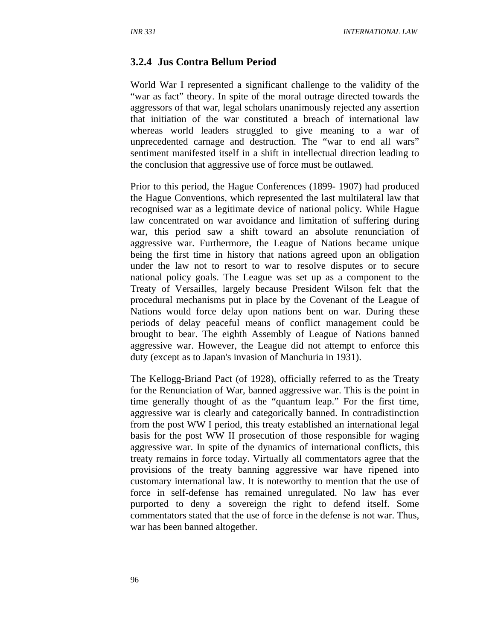### **3.2.4 Jus Contra Bellum Period**

World War I represented a significant challenge to the validity of the "war as fact" theory. In spite of the moral outrage directed towards the aggressors of that war, legal scholars unanimously rejected any assertion that initiation of the war constituted a breach of international law whereas world leaders struggled to give meaning to a war of unprecedented carnage and destruction. The "war to end all wars" sentiment manifested itself in a shift in intellectual direction leading to the conclusion that aggressive use of force must be outlawed.

Prior to this period, the Hague Conferences (1899- 1907) had produced the Hague Conventions, which represented the last multilateral law that recognised war as a legitimate device of national policy. While Hague law concentrated on war avoidance and limitation of suffering during war, this period saw a shift toward an absolute renunciation of aggressive war. Furthermore, the League of Nations became unique being the first time in history that nations agreed upon an obligation under the law not to resort to war to resolve disputes or to secure national policy goals. The League was set up as a component to the Treaty of Versailles, largely because President Wilson felt that the procedural mechanisms put in place by the Covenant of the League of Nations would force delay upon nations bent on war. During these periods of delay peaceful means of conflict management could be brought to bear. The eighth Assembly of League of Nations banned aggressive war. However, the League did not attempt to enforce this duty (except as to Japan's invasion of Manchuria in 1931).

The Kellogg-Briand Pact (of 1928), officially referred to as the Treaty for the Renunciation of War, banned aggressive war. This is the point in time generally thought of as the "quantum leap." For the first time, aggressive war is clearly and categorically banned. In contradistinction from the post WW I period, this treaty established an international legal basis for the post WW II prosecution of those responsible for waging aggressive war. In spite of the dynamics of international conflicts, this treaty remains in force today. Virtually all commentators agree that the provisions of the treaty banning aggressive war have ripened into customary international law. It is noteworthy to mention that the use of force in self-defense has remained unregulated. No law has ever purported to deny a sovereign the right to defend itself. Some commentators stated that the use of force in the defense is not war. Thus, war has been banned altogether.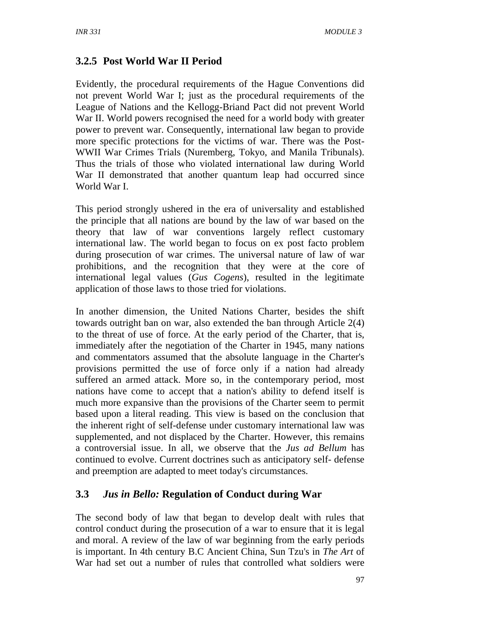# **3.2.5 Post World War II Period**

Evidently, the procedural requirements of the Hague Conventions did not prevent World War I; just as the procedural requirements of the League of Nations and the Kellogg-Briand Pact did not prevent World War II. World powers recognised the need for a world body with greater power to prevent war. Consequently, international law began to provide more specific protections for the victims of war. There was the Post-WWII War Crimes Trials (Nuremberg, Tokyo, and Manila Tribunals). Thus the trials of those who violated international law during World War II demonstrated that another quantum leap had occurred since World War I.

This period strongly ushered in the era of universality and established the principle that all nations are bound by the law of war based on the theory that law of war conventions largely reflect customary international law. The world began to focus on ex post facto problem during prosecution of war crimes. The universal nature of law of war prohibitions, and the recognition that they were at the core of international legal values (*Gus Cogens*), resulted in the legitimate application of those laws to those tried for violations.

In another dimension, the United Nations Charter, besides the shift towards outright ban on war, also extended the ban through Article 2(4) to the threat of use of force. At the early period of the Charter, that is, immediately after the negotiation of the Charter in 1945, many nations and commentators assumed that the absolute language in the Charter's provisions permitted the use of force only if a nation had already suffered an armed attack. More so, in the contemporary period, most nations have come to accept that a nation's ability to defend itself is much more expansive than the provisions of the Charter seem to permit based upon a literal reading. This view is based on the conclusion that the inherent right of self-defense under customary international law was supplemented, and not displaced by the Charter. However, this remains a controversial issue. In all, we observe that the *Jus ad Bellum* has continued to evolve. Current doctrines such as anticipatory self- defense and preemption are adapted to meet today's circumstances.

# **3.3** *Jus in Bello:* **Regulation of Conduct during War**

The second body of law that began to develop dealt with rules that control conduct during the prosecution of a war to ensure that it is legal and moral. A review of the law of war beginning from the early periods is important. In 4th century B.C Ancient China, Sun Tzu's in *The Art* of War had set out a number of rules that controlled what soldiers were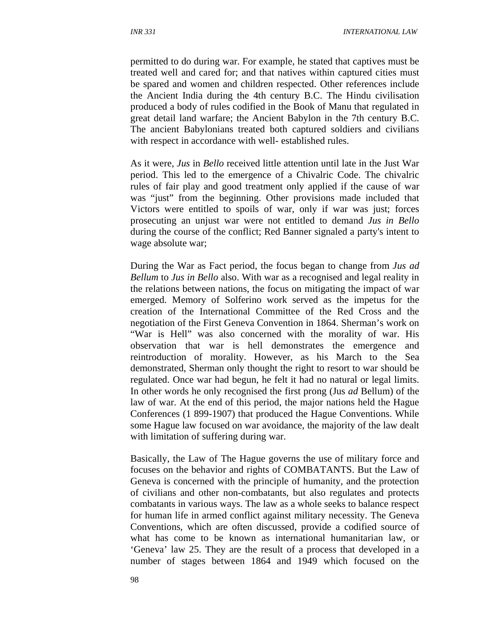permitted to do during war. For example, he stated that captives must be treated well and cared for; and that natives within captured cities must be spared and women and children respected. Other references include the Ancient India during the 4th century B.C. The Hindu civilisation produced a body of rules codified in the Book of Manu that regulated in great detail land warfare; the Ancient Babylon in the 7th century B.C. The ancient Babylonians treated both captured soldiers and civilians with respect in accordance with well- established rules.

As it were, *Jus* in *Bello* received little attention until late in the Just War period. This led to the emergence of a Chivalric Code. The chivalric rules of fair play and good treatment only applied if the cause of war was "just" from the beginning. Other provisions made included that Victors were entitled to spoils of war, only if war was just; forces prosecuting an unjust war were not entitled to demand *Jus in Bello* during the course of the conflict; Red Banner signaled a party's intent to wage absolute war;

During the War as Fact period, the focus began to change from *Jus ad Bellum* to *Jus in Bello* also. With war as a recognised and legal reality in the relations between nations, the focus on mitigating the impact of war emerged. Memory of Solferino work served as the impetus for the creation of the International Committee of the Red Cross and the negotiation of the First Geneva Convention in 1864. Sherman's work on "War is Hell" was also concerned with the morality of war. His observation that war is hell demonstrates the emergence and reintroduction of morality. However, as his March to the Sea demonstrated, Sherman only thought the right to resort to war should be regulated. Once war had begun, he felt it had no natural or legal limits. In other words he only recognised the first prong (Jus *ad* Bellum) of the law of war. At the end of this period, the major nations held the Hague Conferences (1 899-1907) that produced the Hague Conventions. While some Hague law focused on war avoidance, the majority of the law dealt with limitation of suffering during war.

Basically, the Law of The Hague governs the use of military force and focuses on the behavior and rights of COMBATANTS. But the Law of Geneva is concerned with the principle of humanity, and the protection of civilians and other non-combatants, but also regulates and protects combatants in various ways. The law as a whole seeks to balance respect for human life in armed conflict against military necessity. The Geneva Conventions, which are often discussed, provide a codified source of what has come to be known as international humanitarian law, or 'Geneva' law 25. They are the result of a process that developed in a number of stages between 1864 and 1949 which focused on the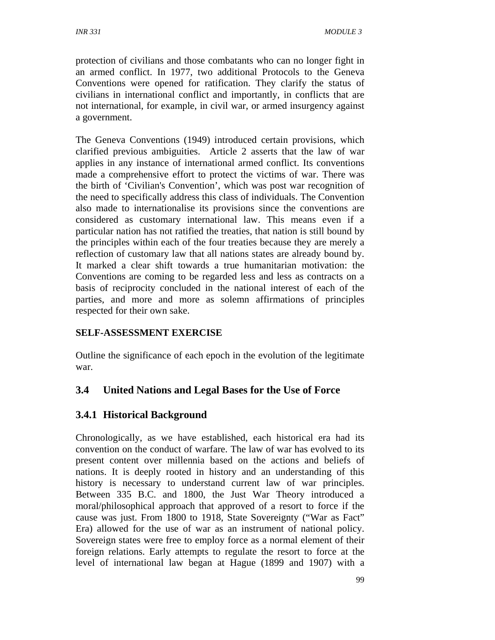protection of civilians and those combatants who can no longer fight in an armed conflict. In 1977, two additional Protocols to the Geneva Conventions were opened for ratification. They clarify the status of civilians in international conflict and importantly, in conflicts that are not international, for example, in civil war, or armed insurgency against a government.

The Geneva Conventions (1949) introduced certain provisions, which clarified previous ambiguities. Article 2 asserts that the law of war applies in any instance of international armed conflict. Its conventions made a comprehensive effort to protect the victims of war. There was the birth of 'Civilian's Convention', which was post war recognition of the need to specifically address this class of individuals. The Convention also made to internationalise its provisions since the conventions are considered as customary international law. This means even if a particular nation has not ratified the treaties, that nation is still bound by the principles within each of the four treaties because they are merely a reflection of customary law that all nations states are already bound by. It marked a clear shift towards a true humanitarian motivation: the Conventions are coming to be regarded less and less as contracts on a basis of reciprocity concluded in the national interest of each of the parties, and more and more as solemn affirmations of principles respected for their own sake.

## **SELF-ASSESSMENT EXERCISE**

Outline the significance of each epoch in the evolution of the legitimate war.

# **3.4 United Nations and Legal Bases for the Use of Force**

# **3.4.1 Historical Background**

Chronologically, as we have established, each historical era had its convention on the conduct of warfare. The law of war has evolved to its present content over millennia based on the actions and beliefs of nations. It is deeply rooted in history and an understanding of this history is necessary to understand current law of war principles. Between 335 B.C. and 1800, the Just War Theory introduced a moral/philosophical approach that approved of a resort to force if the cause was just. From 1800 to 1918, State Sovereignty ("War as Fact" Era) allowed for the use of war as an instrument of national policy. Sovereign states were free to employ force as a normal element of their foreign relations. Early attempts to regulate the resort to force at the level of international law began at Hague (1899 and 1907) with a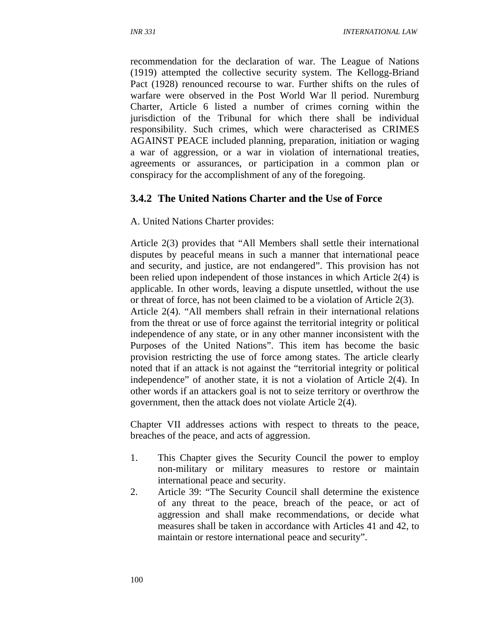recommendation for the declaration of war. The League of Nations (1919) attempted the collective security system. The Kellogg-Briand Pact (1928) renounced recourse to war. Further shifts on the rules of warfare were observed in the Post World War ll period. Nuremburg Charter, Article 6 listed a number of crimes corning within the jurisdiction of the Tribunal for which there shall be individual responsibility. Such crimes, which were characterised as CRIMES AGAINST PEACE included planning, preparation, initiation or waging a war of aggression, or a war in violation of international treaties, agreements or assurances, or participation in a common plan or conspiracy for the accomplishment of any of the foregoing.

#### **3.4.2 The United Nations Charter and the Use of Force**

A. United Nations Charter provides:

Article 2(3) provides that "All Members shall settle their international disputes by peaceful means in such a manner that international peace and security, and justice, are not endangered". This provision has not been relied upon independent of those instances in which Article 2(4) is applicable. In other words, leaving a dispute unsettled, without the use or threat of force, has not been claimed to be a violation of Article 2(3). Article 2(4). "All members shall refrain in their international relations from the threat or use of force against the territorial integrity or political independence of any state, or in any other manner inconsistent with the Purposes of the United Nations". This item has become the basic provision restricting the use of force among states. The article clearly noted that if an attack is not against the "territorial integrity or political independence" of another state, it is not a violation of Article 2(4). In other words if an attackers goal is not to seize territory or overthrow the government, then the attack does not violate Article 2(4).

Chapter VII addresses actions with respect to threats to the peace, breaches of the peace, and acts of aggression.

- 1. This Chapter gives the Security Council the power to employ non-military or military measures to restore or maintain international peace and security.
- 2. Article 39: "The Security Council shall determine the existence of any threat to the peace, breach of the peace, or act of aggression and shall make recommendations, or decide what measures shall be taken in accordance with Articles 41 and 42, to maintain or restore international peace and security".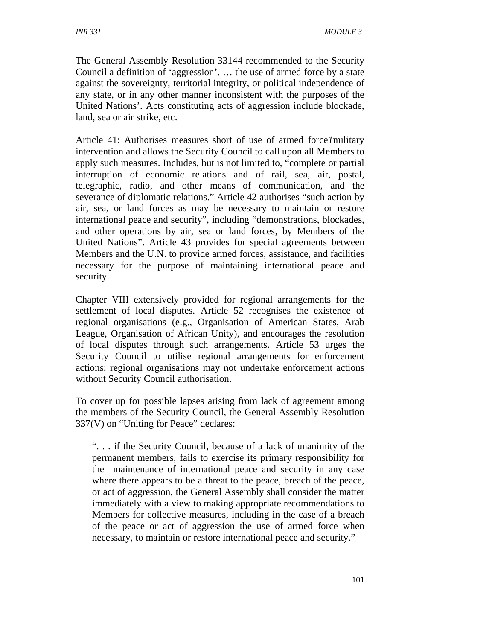The General Assembly Resolution 33144 recommended to the Security Council a definition of 'aggression'. … the use of armed force by a state against the sovereignty, territorial integrity, or political independence of any state, or in any other manner inconsistent with the purposes of the United Nations'. Acts constituting acts of aggression include blockade, land, sea or air strike, etc.

Article 41: Authorises measures short of use of armed force*1*military intervention and allows the Security Council to call upon all Members to apply such measures. Includes, but is not limited to, "complete or partial interruption of economic relations and of rail, sea, air, postal, telegraphic, radio, and other means of communication, and the severance of diplomatic relations." Article 42 authorises "such action by air, sea, or land forces as may be necessary to maintain or restore international peace and security", including "demonstrations, blockades, and other operations by air, sea or land forces, by Members of the United Nations". Article 43 provides for special agreements between Members and the U.N. to provide armed forces, assistance, and facilities necessary for the purpose of maintaining international peace and security.

Chapter VIII extensively provided for regional arrangements for the settlement of local disputes. Article 52 recognises the existence of regional organisations (e.g., Organisation of American States, Arab League, Organisation of African Unity), and encourages the resolution of local disputes through such arrangements. Article 53 urges the Security Council to utilise regional arrangements for enforcement actions; regional organisations may not undertake enforcement actions without Security Council authorisation.

To cover up for possible lapses arising from lack of agreement among the members of the Security Council, the General Assembly Resolution 337(V) on "Uniting for Peace" declares:

". . . if the Security Council, because of a lack of unanimity of the permanent members, fails to exercise its primary responsibility for the maintenance of international peace and security in any case where there appears to be a threat to the peace, breach of the peace, or act of aggression, the General Assembly shall consider the matter immediately with a view to making appropriate recommendations to Members for collective measures, including in the case of a breach of the peace or act of aggression the use of armed force when necessary, to maintain or restore international peace and security."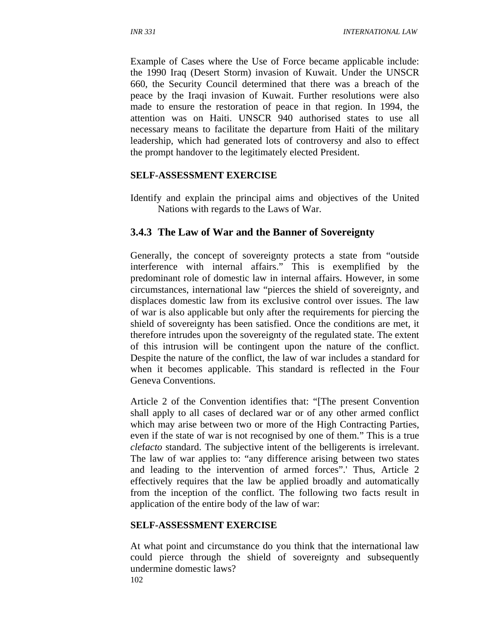Example of Cases where the Use of Force became applicable include: the 1990 Iraq (Desert Storm) invasion of Kuwait. Under the UNSCR 660, the Security Council determined that there was a breach of the peace by the Iraqi invasion of Kuwait. Further resolutions were also made to ensure the restoration of peace in that region. In 1994, the attention was on Haiti. UNSCR 940 authorised states to use all necessary means to facilitate the departure from Haiti of the military leadership, which had generated lots of controversy and also to effect the prompt handover to the legitimately elected President.

#### **SELF-ASSESSMENT EXERCISE**

Identify and explain the principal aims and objectives of the United Nations with regards to the Laws of War.

### **3.4.3 The Law of War and the Banner of Sovereignty**

Generally, the concept of sovereignty protects a state from "outside interference with internal affairs." This is exemplified by the predominant role of domestic law in internal affairs. However, in some circumstances, international law "pierces the shield of sovereignty, and displaces domestic law from its exclusive control over issues. The law of war is also applicable but only after the requirements for piercing the shield of sovereignty has been satisfied. Once the conditions are met, it therefore intrudes upon the sovereignty of the regulated state. The extent of this intrusion will be contingent upon the nature of the conflict. Despite the nature of the conflict, the law of war includes a standard for when it becomes applicable. This standard is reflected in the Four Geneva Conventions.

Article 2 of the Convention identifies that: "[The present Convention shall apply to all cases of declared war or of any other armed conflict which may arise between two or more of the High Contracting Parties, even if the state of war is not recognised by one of them." This is a true *cle*f*acto* standard. The subjective intent of the belligerents is irrelevant. The law of war applies to: "any difference arising between two states and leading to the intervention of armed forces".' Thus, Article 2 effectively requires that the law be applied broadly and automatically from the inception of the conflict. The following two facts result in application of the entire body of the law of war:

#### **SELF-ASSESSMENT EXERCISE**

102 At what point and circumstance do you think that the international law could pierce through the shield of sovereignty and subsequently undermine domestic laws?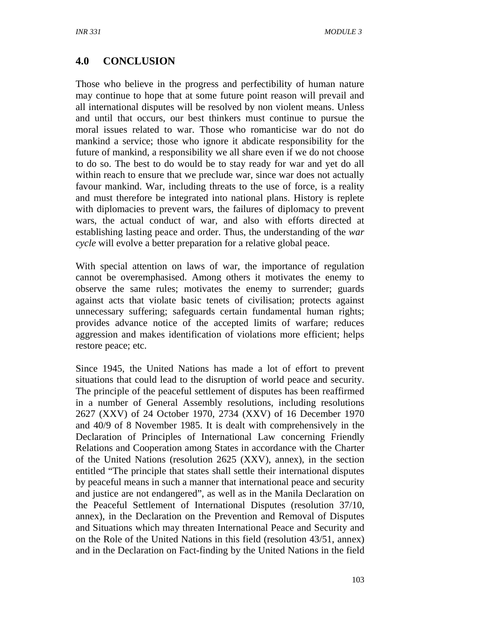# **4.0 CONCLUSION**

Those who believe in the progress and perfectibility of human nature may continue to hope that at some future point reason will prevail and all international disputes will be resolved by non violent means. Unless and until that occurs, our best thinkers must continue to pursue the moral issues related to war. Those who romanticise war do not do mankind a service; those who ignore it abdicate responsibility for the future of mankind, a responsibility we all share even if we do not choose to do so. The best to do would be to stay ready for war and yet do all within reach to ensure that we preclude war, since war does not actually favour mankind. War, including threats to the use of force, is a reality and must therefore be integrated into national plans. History is replete with diplomacies to prevent wars, the failures of diplomacy to prevent wars, the actual conduct of war, and also with efforts directed at establishing lasting peace and order. Thus, the understanding of the *war cycle* will evolve a better preparation for a relative global peace.

With special attention on laws of war, the importance of regulation cannot be overemphasised. Among others it motivates the enemy to observe the same rules; motivates the enemy to surrender; guards against acts that violate basic tenets of civilisation; protects against unnecessary suffering; safeguards certain fundamental human rights; provides advance notice of the accepted limits of warfare; reduces aggression and makes identification of violations more efficient; helps restore peace; etc.

Since 1945, the United Nations has made a lot of effort to prevent situations that could lead to the disruption of world peace and security. The principle of the peaceful settlement of disputes has been reaffirmed in a number of General Assembly resolutions, including resolutions 2627 (XXV) of 24 October 1970, 2734 (XXV) of 16 December 1970 and 40/9 of 8 November 1985. It is dealt with comprehensively in the Declaration of Principles of International Law concerning Friendly Relations and Cooperation among States in accordance with the Charter of the United Nations (resolution 2625 (XXV), annex), in the section entitled "The principle that states shall settle their international disputes by peaceful means in such a manner that international peace and security and justice are not endangered", as well as in the Manila Declaration on the Peaceful Settlement of International Disputes (resolution 37/10, annex), in the Declaration on the Prevention and Removal of Disputes and Situations which may threaten International Peace and Security and on the Role of the United Nations in this field (resolution 43/51, annex) and in the Declaration on Fact-finding by the United Nations in the field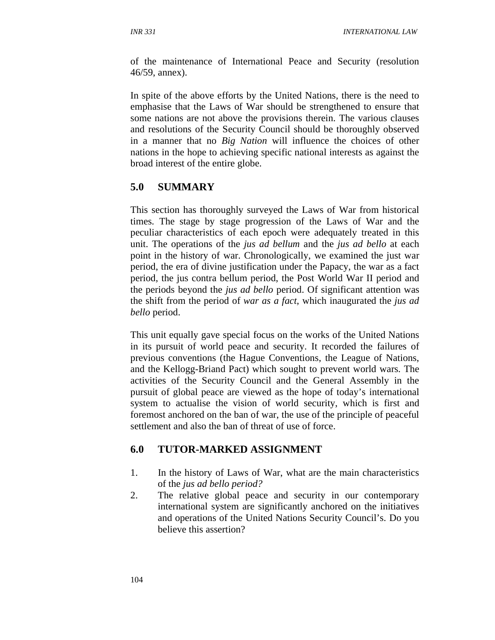of the maintenance of International Peace and Security (resolution 46/59, annex).

In spite of the above efforts by the United Nations, there is the need to emphasise that the Laws of War should be strengthened to ensure that some nations are not above the provisions therein. The various clauses and resolutions of the Security Council should be thoroughly observed in a manner that no *Big Nation* will influence the choices of other nations in the hope to achieving specific national interests as against the broad interest of the entire globe.

# **5.0 SUMMARY**

This section has thoroughly surveyed the Laws of War from historical times. The stage by stage progression of the Laws of War and the peculiar characteristics of each epoch were adequately treated in this unit. The operations of the *jus ad bellum* and the *jus ad bello* at each point in the history of war. Chronologically, we examined the just war period, the era of divine justification under the Papacy, the war as a fact period, the jus contra bellum period, the Post World War II period and the periods beyond the *jus ad bello* period. Of significant attention was the shift from the period of *war as a fact*, which inaugurated the *jus ad bello* period.

This unit equally gave special focus on the works of the United Nations in its pursuit of world peace and security. It recorded the failures of previous conventions (the Hague Conventions, the League of Nations, and the Kellogg-Briand Pact) which sought to prevent world wars. The activities of the Security Council and the General Assembly in the pursuit of global peace are viewed as the hope of today's international system to actualise the vision of world security, which is first and foremost anchored on the ban of war, the use of the principle of peaceful settlement and also the ban of threat of use of force.

## **6.0 TUTOR-MARKED ASSIGNMENT**

- 1. In the history of Laws of War, what are the main characteristics of the *jus ad bello period?*
- 2. The relative global peace and security in our contemporary international system are significantly anchored on the initiatives and operations of the United Nations Security Council's. Do you believe this assertion?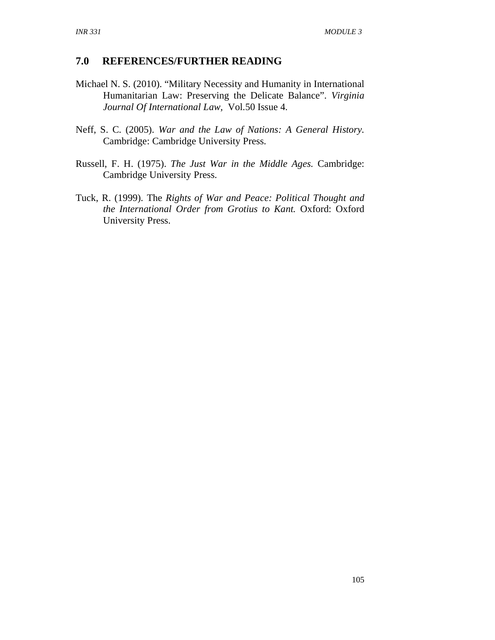## **7.0 REFERENCES/FURTHER READING**

- Michael N. S. (2010). "Military Necessity and Humanity in International Humanitarian Law: Preserving the Delicate Balance". *Virginia Journal Of International Law,* Vol.50 Issue 4.
- Neff, S. C. (2005). *War and the Law of Nations: A General History.*  Cambridge: Cambridge University Press.
- Russell, F. H. (1975). *The Just War in the Middle Ages.* Cambridge: Cambridge University Press.
- Tuck, R. (1999). The *Rights of War and Peace: Political Thought and the International Order from Grotius to Kant.* Oxford: Oxford University Press.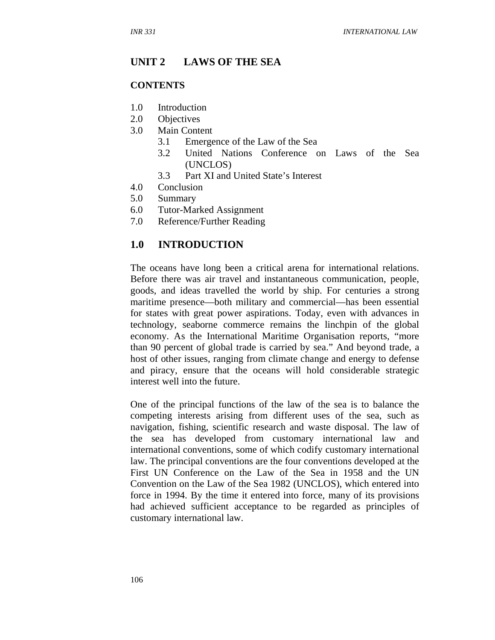#### **UNIT 2 LAWS OF THE SEA**

#### **CONTENTS**

- 1.0 Introduction
- 2.0 Objectives
- 3.0 Main Content
	- 3.1 Emergence of the Law of the Sea
	- 3.2 United Nations Conference on Laws of the Sea (UNCLOS)
	- 3.3 Part XI and United State's Interest
- 4.0 Conclusion
- 5.0 Summary
- 6.0 Tutor-Marked Assignment
- 7.0 Reference/Further Reading

### **1.0 INTRODUCTION**

The oceans have long been a critical arena for international relations. Before there was air travel and instantaneous communication, people, goods, and ideas travelled the world by ship. For centuries a strong maritime presence—both military and commercial—has been essential for states with great power aspirations. Today, even with advances in technology, seaborne commerce remains the linchpin of the global economy. As the International Maritime Organisation reports, "more than 90 percent of global trade is carried by sea." And beyond trade, a host of other issues, ranging from climate change and energy to defense and piracy, ensure that the oceans will hold considerable strategic interest well into the future.

One of the principal functions of the law of the sea is to balance the competing interests arising from different uses of the sea, such as navigation, fishing, scientific research and waste disposal. The law of the sea has developed from customary international law and international conventions, some of which codify customary international law. The principal conventions are the four conventions developed at the First UN Conference on the Law of the Sea in 1958 and the UN Convention on the Law of the Sea 1982 (UNCLOS), which entered into force in 1994. By the time it entered into force, many of its provisions had achieved sufficient acceptance to be regarded as principles of customary international law.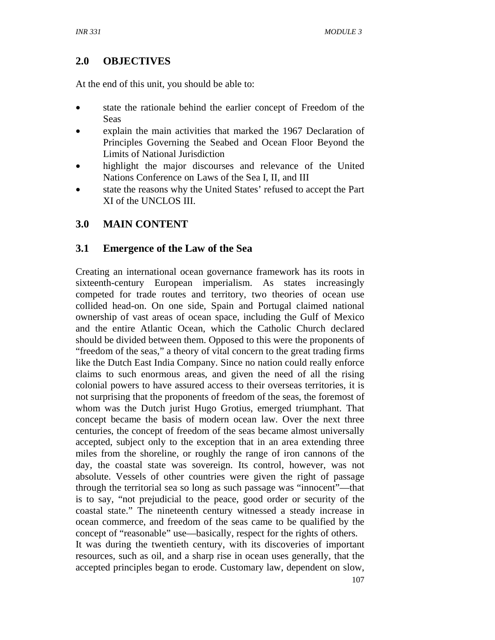# **2.0 OBJECTIVES**

At the end of this unit, you should be able to:

- state the rationale behind the earlier concept of Freedom of the Seas
- explain the main activities that marked the 1967 Declaration of Principles Governing the Seabed and Ocean Floor Beyond the Limits of National Jurisdiction
- highlight the major discourses and relevance of the United Nations Conference on Laws of the Sea I, II, and III
- state the reasons why the United States' refused to accept the Part XI of the UNCLOS III.

# **3.0 MAIN CONTENT**

## **3.1 Emergence of the Law of the Sea**

Creating an international ocean governance framework has its roots in sixteenth-century European imperialism. As states increasingly competed for trade routes and territory, two theories of ocean use collided head-on. On one side, Spain and Portugal claimed national ownership of vast areas of ocean space, including the Gulf of Mexico and the entire Atlantic Ocean, which the Catholic Church declared should be divided between them. Opposed to this were the proponents of "freedom of the seas," a theory of vital concern to the great trading firms like the Dutch East India Company. Since no nation could really enforce claims to such enormous areas, and given the need of all the rising colonial powers to have assured access to their overseas territories, it is not surprising that the proponents of freedom of the seas, the foremost of whom was the Dutch jurist Hugo Grotius, emerged triumphant. That concept became the basis of modern ocean law. Over the next three centuries, the concept of freedom of the seas became almost universally accepted, subject only to the exception that in an area extending three miles from the shoreline, or roughly the range of iron cannons of the day, the coastal state was sovereign. Its control, however, was not absolute. Vessels of other countries were given the right of passage through the territorial sea so long as such passage was "innocent"—that is to say, "not prejudicial to the peace, good order or security of the coastal state." The nineteenth century witnessed a steady increase in ocean commerce, and freedom of the seas came to be qualified by the concept of "reasonable" use—basically, respect for the rights of others. It was during the twentieth century, with its discoveries of important resources, such as oil, and a sharp rise in ocean uses generally, that the accepted principles began to erode. Customary law, dependent on slow,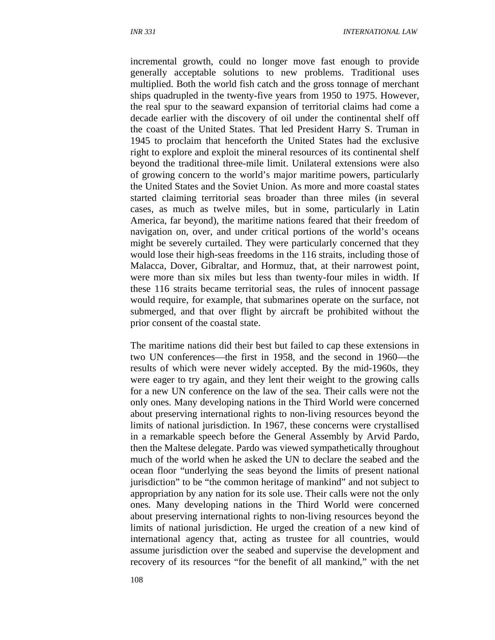incremental growth, could no longer move fast enough to provide generally acceptable solutions to new problems. Traditional uses multiplied. Both the world fish catch and the gross tonnage of merchant ships quadrupled in the twenty-five years from 1950 to 1975. However, the real spur to the seaward expansion of territorial claims had come a decade earlier with the discovery of oil under the continental shelf off the coast of the United States. That led President Harry S. Truman in 1945 to proclaim that henceforth the United States had the exclusive right to explore and exploit the mineral resources of its continental shelf beyond the traditional three-mile limit. Unilateral extensions were also of growing concern to the world's major maritime powers, particularly the United States and the Soviet Union. As more and more coastal states started claiming territorial seas broader than three miles (in several cases, as much as twelve miles, but in some, particularly in Latin America, far beyond), the maritime nations feared that their freedom of navigation on, over, and under critical portions of the world's oceans might be severely curtailed. They were particularly concerned that they would lose their high-seas freedoms in the 116 straits, including those of Malacca, Dover, Gibraltar, and Hormuz, that, at their narrowest point, were more than six miles but less than twenty-four miles in width. If these 116 straits became territorial seas, the rules of innocent passage would require, for example, that submarines operate on the surface, not submerged, and that over flight by aircraft be prohibited without the prior consent of the coastal state.

The maritime nations did their best but failed to cap these extensions in two UN conferences—the first in 1958, and the second in 1960—the results of which were never widely accepted. By the mid-1960s, they were eager to try again, and they lent their weight to the growing calls for a new UN conference on the law of the sea. Their calls were not the only ones. Many developing nations in the Third World were concerned about preserving international rights to non-living resources beyond the limits of national jurisdiction. In 1967, these concerns were crystallised in a remarkable speech before the General Assembly by Arvid Pardo, then the Maltese delegate. Pardo was viewed sympathetically throughout much of the world when he asked the UN to declare the seabed and the ocean floor "underlying the seas beyond the limits of present national jurisdiction" to be "the common heritage of mankind" and not subject to appropriation by any nation for its sole use. Their calls were not the only ones. Many developing nations in the Third World were concerned about preserving international rights to non-living resources beyond the limits of national jurisdiction. He urged the creation of a new kind of international agency that, acting as trustee for all countries, would assume jurisdiction over the seabed and supervise the development and recovery of its resources "for the benefit of all mankind," with the net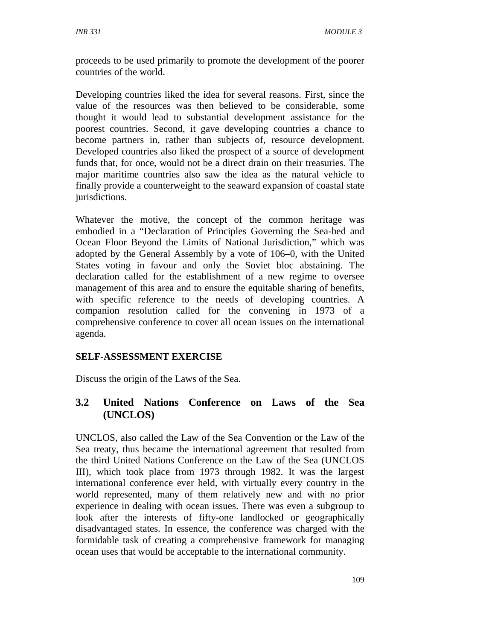proceeds to be used primarily to promote the development of the poorer countries of the world.

Developing countries liked the idea for several reasons. First, since the value of the resources was then believed to be considerable, some thought it would lead to substantial development assistance for the poorest countries. Second, it gave developing countries a chance to become partners in, rather than subjects of, resource development. Developed countries also liked the prospect of a source of development funds that, for once, would not be a direct drain on their treasuries. The major maritime countries also saw the idea as the natural vehicle to finally provide a counterweight to the seaward expansion of coastal state jurisdictions.

Whatever the motive, the concept of the common heritage was embodied in a "Declaration of Principles Governing the Sea-bed and Ocean Floor Beyond the Limits of National Jurisdiction," which was adopted by the General Assembly by a vote of 106–0, with the United States voting in favour and only the Soviet bloc abstaining. The declaration called for the establishment of a new regime to oversee management of this area and to ensure the equitable sharing of benefits, with specific reference to the needs of developing countries. A companion resolution called for the convening in 1973 of a comprehensive conference to cover all ocean issues on the international agenda.

#### **SELF-ASSESSMENT EXERCISE**

Discuss the origin of the Laws of the Sea.

### **3.2 United Nations Conference on Laws of the Sea (UNCLOS)**

UNCLOS, also called the Law of the Sea Convention or the Law of the Sea treaty, thus became the international agreement that resulted from the third United Nations Conference on the Law of the Sea (UNCLOS III), which took place from 1973 through 1982. It was the largest international conference ever held, with virtually every country in the world represented, many of them relatively new and with no prior experience in dealing with ocean issues. There was even a subgroup to look after the interests of fifty-one landlocked or geographically disadvantaged states. In essence, the conference was charged with the formidable task of creating a comprehensive framework for managing ocean uses that would be acceptable to the international community.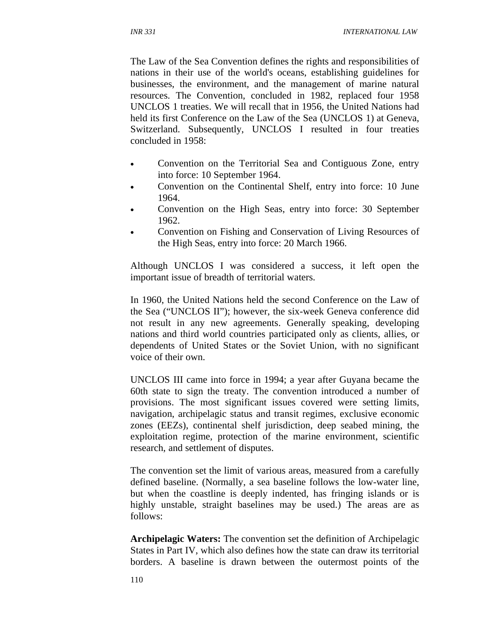The Law of the Sea Convention defines the rights and responsibilities of nations in their use of the world's oceans, establishing guidelines for businesses, the environment, and the management of marine natural resources. The Convention, concluded in 1982, replaced four 1958 UNCLOS 1 treaties. We will recall that in 1956, the United Nations had held its first Conference on the Law of the Sea (UNCLOS 1) at Geneva, Switzerland. Subsequently, UNCLOS I resulted in four treaties concluded in 1958:

- Convention on the Territorial Sea and Contiguous Zone, entry into force: 10 September 1964.
- Convention on the Continental Shelf, entry into force: 10 June 1964.
- Convention on the High Seas, entry into force: 30 September 1962.
- Convention on Fishing and Conservation of Living Resources of the High Seas, entry into force: 20 March 1966.

Although UNCLOS I was considered a success, it left open the important issue of breadth of territorial waters.

In 1960, the United Nations held the second Conference on the Law of the Sea ("UNCLOS II"); however, the six-week Geneva conference did not result in any new agreements. Generally speaking, developing nations and third world countries participated only as clients, allies, or dependents of United States or the Soviet Union, with no significant voice of their own.

UNCLOS III came into force in 1994; a year after Guyana became the 60th state to sign the treaty. The convention introduced a number of provisions. The most significant issues covered were setting limits, navigation, archipelagic status and transit regimes, exclusive economic zones (EEZs), continental shelf jurisdiction, deep seabed mining, the exploitation regime, protection of the marine environment, scientific research, and settlement of disputes.

The convention set the limit of various areas, measured from a carefully defined baseline. (Normally, a sea baseline follows the low-water line, but when the coastline is deeply indented, has fringing islands or is highly unstable, straight baselines may be used.) The areas are as follows:

**Archipelagic Waters:** The convention set the definition of Archipelagic States in Part IV, which also defines how the state can draw its territorial borders. A baseline is drawn between the outermost points of the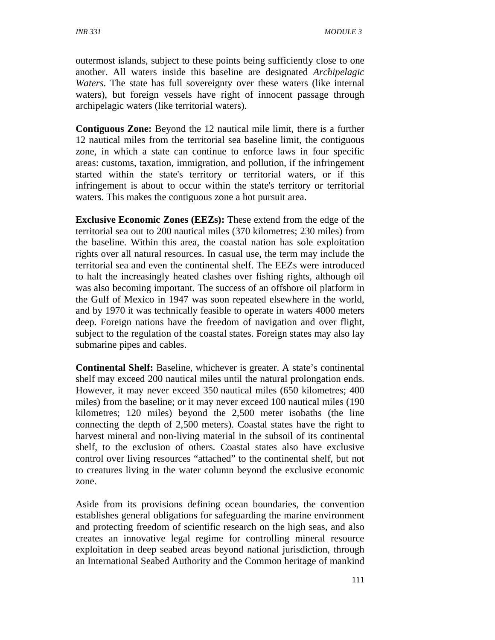outermost islands, subject to these points being sufficiently close to one another. All waters inside this baseline are designated *Archipelagic Waters*. The state has full sovereignty over these waters (like internal waters), but foreign vessels have right of innocent passage through archipelagic waters (like territorial waters).

**Contiguous Zone:** Beyond the 12 nautical mile limit, there is a further 12 nautical miles from the territorial sea baseline limit, the contiguous zone, in which a state can continue to enforce laws in four specific areas: customs, taxation, immigration, and pollution, if the infringement started within the state's territory or territorial waters, or if this infringement is about to occur within the state's territory or territorial waters. This makes the contiguous zone a hot pursuit area.

**Exclusive Economic Zones (EEZs):** These extend from the edge of the territorial sea out to 200 nautical miles (370 kilometres; 230 miles) from the baseline. Within this area, the coastal nation has sole exploitation rights over all natural resources. In casual use, the term may include the territorial sea and even the continental shelf. The EEZs were introduced to halt the increasingly heated clashes over fishing rights, although oil was also becoming important. The success of an offshore oil platform in the Gulf of Mexico in 1947 was soon repeated elsewhere in the world, and by 1970 it was technically feasible to operate in waters 4000 meters deep. Foreign nations have the freedom of navigation and over flight, subject to the regulation of the coastal states. Foreign states may also lay submarine pipes and cables.

**Continental Shelf:** Baseline, whichever is greater. A state's continental shelf may exceed 200 nautical miles until the natural prolongation ends. However, it may never exceed 350 nautical miles (650 kilometres; 400 miles) from the baseline; or it may never exceed 100 nautical miles (190 kilometres; 120 miles) beyond the 2,500 meter isobaths (the line connecting the depth of 2,500 meters). Coastal states have the right to harvest mineral and non-living material in the subsoil of its continental shelf, to the exclusion of others. Coastal states also have exclusive control over living resources "attached" to the continental shelf, but not to creatures living in the water column beyond the exclusive economic zone.

Aside from its provisions defining ocean boundaries, the convention establishes general obligations for safeguarding the marine environment and protecting freedom of scientific research on the high seas, and also creates an innovative legal regime for controlling mineral resource exploitation in deep seabed areas beyond national jurisdiction, through an International Seabed Authority and the Common heritage of mankind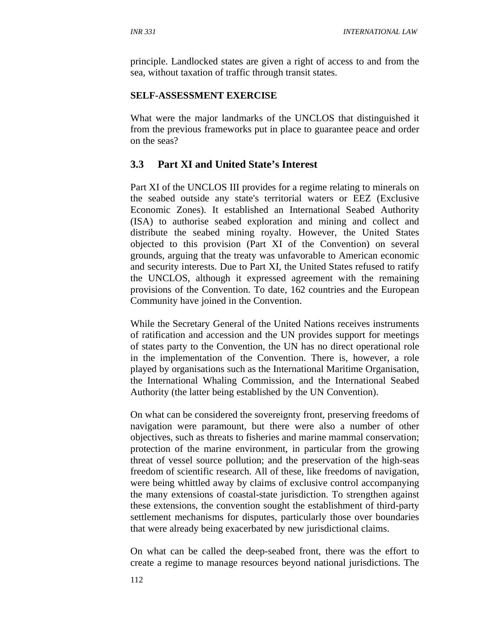principle. Landlocked states are given a right of access to and from the sea, without taxation of traffic through transit states.

#### **SELF-ASSESSMENT EXERCISE**

What were the major landmarks of the UNCLOS that distinguished it from the previous frameworks put in place to guarantee peace and order on the seas?

## **3.3 Part XI and United State's Interest**

Part XI of the UNCLOS III provides for a regime relating to minerals on the seabed outside any state's territorial waters or EEZ (Exclusive Economic Zones). It established an International Seabed Authority (ISA) to authorise seabed exploration and mining and collect and distribute the seabed mining royalty. However, the United States objected to this provision (Part XI of the Convention) on several grounds, arguing that the treaty was unfavorable to American economic and security interests. Due to Part XI, the United States refused to ratify the UNCLOS, although it expressed agreement with the remaining provisions of the Convention. To date, 162 countries and the European Community have joined in the Convention.

While the Secretary General of the United Nations receives instruments of ratification and accession and the UN provides support for meetings of states party to the Convention, the UN has no direct operational role in the implementation of the Convention. There is, however, a role played by organisations such as the International Maritime Organisation, the International Whaling Commission, and the International Seabed Authority (the latter being established by the UN Convention).

On what can be considered the sovereignty front, preserving freedoms of navigation were paramount, but there were also a number of other objectives, such as threats to fisheries and marine mammal conservation; protection of the marine environment, in particular from the growing threat of vessel source pollution; and the preservation of the high-seas freedom of scientific research. All of these, like freedoms of navigation, were being whittled away by claims of exclusive control accompanying the many extensions of coastal-state jurisdiction. To strengthen against these extensions, the convention sought the establishment of third-party settlement mechanisms for disputes, particularly those over boundaries that were already being exacerbated by new jurisdictional claims.

On what can be called the deep-seabed front, there was the effort to create a regime to manage resources beyond national jurisdictions. The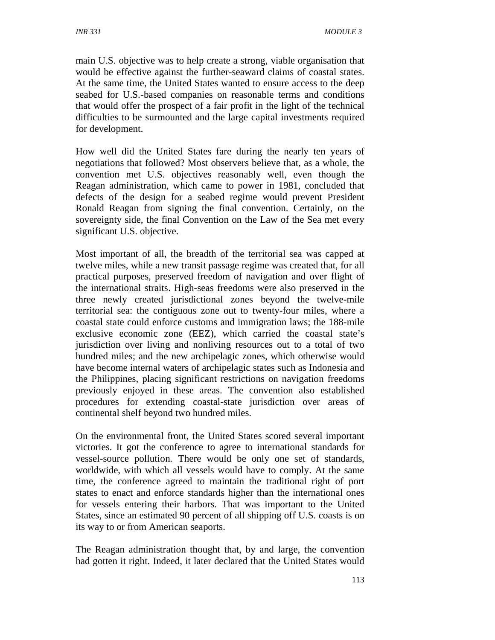main U.S. objective was to help create a strong, viable organisation that would be effective against the further-seaward claims of coastal states. At the same time, the United States wanted to ensure access to the deep seabed for U.S.-based companies on reasonable terms and conditions that would offer the prospect of a fair profit in the light of the technical difficulties to be surmounted and the large capital investments required for development.

How well did the United States fare during the nearly ten years of negotiations that followed? Most observers believe that, as a whole, the convention met U.S. objectives reasonably well, even though the Reagan administration, which came to power in 1981, concluded that defects of the design for a seabed regime would prevent President Ronald Reagan from signing the final convention. Certainly, on the sovereignty side, the final Convention on the Law of the Sea met every significant U.S. objective.

Most important of all, the breadth of the territorial sea was capped at twelve miles, while a new transit passage regime was created that, for all practical purposes, preserved freedom of navigation and over flight of the international straits. High-seas freedoms were also preserved in the three newly created jurisdictional zones beyond the twelve-mile territorial sea: the contiguous zone out to twenty-four miles, where a coastal state could enforce customs and immigration laws; the 188-mile exclusive economic zone (EEZ), which carried the coastal state's jurisdiction over living and nonliving resources out to a total of two hundred miles; and the new archipelagic zones, which otherwise would have become internal waters of archipelagic states such as Indonesia and the Philippines, placing significant restrictions on navigation freedoms previously enjoyed in these areas. The convention also established procedures for extending coastal-state jurisdiction over areas of continental shelf beyond two hundred miles.

On the environmental front, the United States scored several important victories. It got the conference to agree to international standards for vessel-source pollution*.* There would be only one set of standards, worldwide, with which all vessels would have to comply. At the same time, the conference agreed to maintain the traditional right of port states to enact and enforce standards higher than the international ones for vessels entering their harbors. That was important to the United States, since an estimated 90 percent of all shipping off U.S. coasts is on its way to or from American seaports.

The Reagan administration thought that, by and large, the convention had gotten it right. Indeed, it later declared that the United States would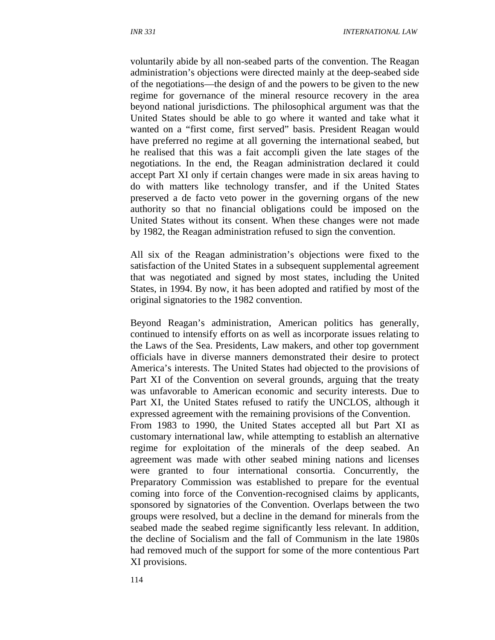voluntarily abide by all non-seabed parts of the convention. The Reagan administration's objections were directed mainly at the deep-seabed side of the negotiations—the design of and the powers to be given to the new regime for governance of the mineral resource recovery in the area beyond national jurisdictions. The philosophical argument was that the United States should be able to go where it wanted and take what it wanted on a "first come, first served" basis. President Reagan would have preferred no regime at all governing the international seabed, but he realised that this was a fait accompli given the late stages of the negotiations. In the end, the Reagan administration declared it could accept Part XI only if certain changes were made in six areas having to do with matters like technology transfer, and if the United States preserved a de facto veto power in the governing organs of the new authority so that no financial obligations could be imposed on the United States without its consent. When these changes were not made by 1982, the Reagan administration refused to sign the convention.

All six of the Reagan administration's objections were fixed to the satisfaction of the United States in a subsequent supplemental agreement that was negotiated and signed by most states, including the United States, in 1994. By now, it has been adopted and ratified by most of the original signatories to the 1982 convention.

Beyond Reagan's administration, American politics has generally, continued to intensify efforts on as well as incorporate issues relating to the Laws of the Sea. Presidents, Law makers, and other top government officials have in diverse manners demonstrated their desire to protect America's interests. The United States had objected to the provisions of Part XI of the Convention on several grounds, arguing that the treaty was unfavorable to American economic and security interests. Due to Part XI, the United States refused to ratify the UNCLOS, although it expressed agreement with the remaining provisions of the Convention. From 1983 to 1990, the United States accepted all but Part XI as customary international law, while attempting to establish an alternative regime for exploitation of the minerals of the deep seabed. An agreement was made with other seabed mining nations and licenses were granted to four international consortia. Concurrently, the Preparatory Commission was established to prepare for the eventual coming into force of the Convention-recognised claims by applicants, sponsored by signatories of the Convention. Overlaps between the two groups were resolved, but a decline in the demand for minerals from the seabed made the seabed regime significantly less relevant. In addition, the decline of Socialism and the fall of Communism in the late 1980s had removed much of the support for some of the more contentious Part XI provisions.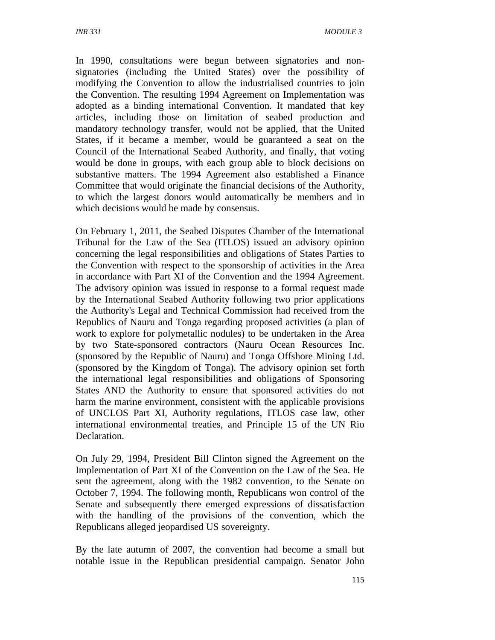In 1990, consultations were begun between signatories and nonsignatories (including the United States) over the possibility of modifying the Convention to allow the industrialised countries to join the Convention. The resulting 1994 Agreement on Implementation was adopted as a binding international Convention. It mandated that key articles, including those on limitation of seabed production and mandatory technology transfer, would not be applied, that the United States, if it became a member, would be guaranteed a seat on the Council of the International Seabed Authority, and finally, that voting would be done in groups, with each group able to block decisions on substantive matters. The 1994 Agreement also established a Finance Committee that would originate the financial decisions of the Authority, to which the largest donors would automatically be members and in which decisions would be made by consensus.

On February 1, 2011, the Seabed Disputes Chamber of the International Tribunal for the Law of the Sea (ITLOS) issued an advisory opinion concerning the legal responsibilities and obligations of States Parties to the Convention with respect to the sponsorship of activities in the Area in accordance with Part XI of the Convention and the 1994 Agreement. The advisory opinion was issued in response to a formal request made by the International Seabed Authority following two prior applications the Authority's Legal and Technical Commission had received from the Republics of Nauru and Tonga regarding proposed activities (a plan of work to explore for polymetallic nodules) to be undertaken in the Area by two State-sponsored contractors (Nauru Ocean Resources Inc. (sponsored by the Republic of Nauru) and Tonga Offshore Mining Ltd. (sponsored by the Kingdom of Tonga). The advisory opinion set forth the international legal responsibilities and obligations of Sponsoring States AND the Authority to ensure that sponsored activities do not harm the marine environment, consistent with the applicable provisions of UNCLOS Part XI, Authority regulations, ITLOS case law, other international environmental treaties, and Principle 15 of the UN Rio Declaration.

On July 29, 1994, President Bill Clinton signed the Agreement on the Implementation of Part XI of the Convention on the Law of the Sea. He sent the agreement, along with the 1982 convention, to the Senate on October 7, 1994. The following month, Republicans won control of the Senate and subsequently there emerged expressions of dissatisfaction with the handling of the provisions of the convention, which the Republicans alleged jeopardised US sovereignty.

By the late autumn of 2007, the convention had become a small but notable issue in the Republican presidential campaign. Senator John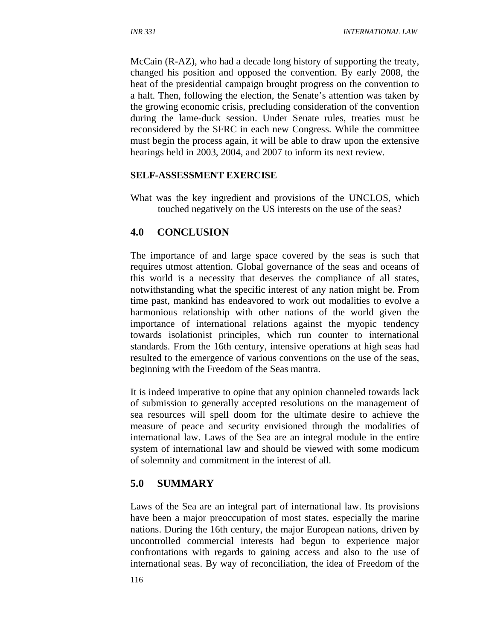McCain (R-AZ), who had a decade long history of supporting the treaty, changed his position and opposed the convention. By early 2008, the heat of the presidential campaign brought progress on the convention to a halt. Then, following the election, the Senate's attention was taken by the growing economic crisis, precluding consideration of the convention during the lame-duck session. Under Senate rules, treaties must be reconsidered by the SFRC in each new Congress. While the committee must begin the process again, it will be able to draw upon the extensive hearings held in 2003, 2004, and 2007 to inform its next review.

#### **SELF-ASSESSMENT EXERCISE**

What was the key ingredient and provisions of the UNCLOS, which touched negatively on the US interests on the use of the seas?

## **4.0 CONCLUSION**

The importance of and large space covered by the seas is such that requires utmost attention. Global governance of the seas and oceans of this world is a necessity that deserves the compliance of all states, notwithstanding what the specific interest of any nation might be. From time past, mankind has endeavored to work out modalities to evolve a harmonious relationship with other nations of the world given the importance of international relations against the myopic tendency towards isolationist principles, which run counter to international standards. From the 16th century, intensive operations at high seas had resulted to the emergence of various conventions on the use of the seas, beginning with the Freedom of the Seas mantra.

It is indeed imperative to opine that any opinion channeled towards lack of submission to generally accepted resolutions on the management of sea resources will spell doom for the ultimate desire to achieve the measure of peace and security envisioned through the modalities of international law. Laws of the Sea are an integral module in the entire system of international law and should be viewed with some modicum of solemnity and commitment in the interest of all.

#### **5.0 SUMMARY**

Laws of the Sea are an integral part of international law. Its provisions have been a major preoccupation of most states, especially the marine nations. During the 16th century, the major European nations, driven by uncontrolled commercial interests had begun to experience major confrontations with regards to gaining access and also to the use of international seas. By way of reconciliation, the idea of Freedom of the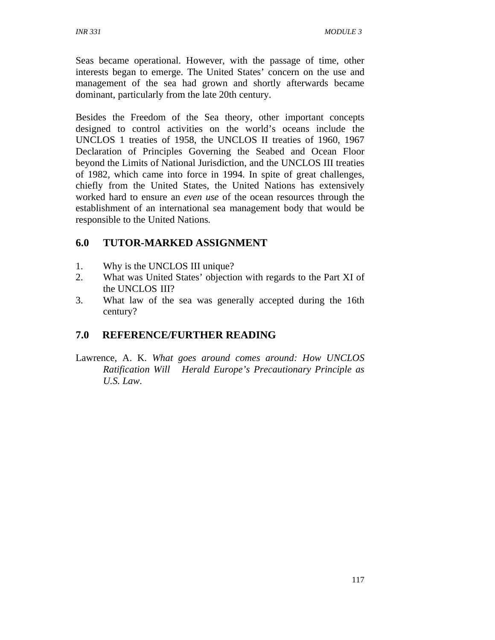Seas became operational. However, with the passage of time, other interests began to emerge. The United States' concern on the use and management of the sea had grown and shortly afterwards became dominant, particularly from the late 20th century.

Besides the Freedom of the Sea theory, other important concepts designed to control activities on the world's oceans include the UNCLOS 1 treaties of 1958, the UNCLOS II treaties of 1960, 1967 Declaration of Principles Governing the Seabed and Ocean Floor beyond the Limits of National Jurisdiction, and the UNCLOS III treaties of 1982, which came into force in 1994. In spite of great challenges, chiefly from the United States, the United Nations has extensively worked hard to ensure an *even use* of the ocean resources through the establishment of an international sea management body that would be responsible to the United Nations.

# **6.0 TUTOR-MARKED ASSIGNMENT**

- 1. Why is the UNCLOS III unique?
- 2. What was United States' objection with regards to the Part XI of the UNCLOS III?
- 3. What law of the sea was generally accepted during the 16th century?

# **7.0 REFERENCE/FURTHER READING**

Lawrence, A. K. *What goes around comes around: How UNCLOS Ratification Will Herald Europe's Precautionary Principle as U.S. Law*.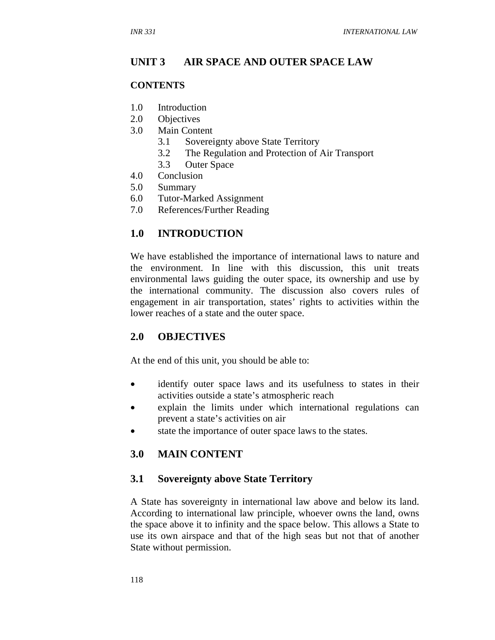#### **UNIT 3 AIR SPACE AND OUTER SPACE LAW**

#### **CONTENTS**

- 1.0 Introduction
- 2.0 Objectives
- 3.0 Main Content
	- 3.1 Sovereignty above State Territory
	- 3.2 The Regulation and Protection of Air Transport
	- 3.3 Outer Space
- 4.0 Conclusion
- 5.0 Summary
- 6.0 Tutor-Marked Assignment
- 7.0 References/Further Reading

#### **1.0 INTRODUCTION**

We have established the importance of international laws to nature and the environment. In line with this discussion, this unit treats environmental laws guiding the outer space, its ownership and use by the international community. The discussion also covers rules of engagement in air transportation, states' rights to activities within the lower reaches of a state and the outer space.

#### **2.0 OBJECTIVES**

At the end of this unit, you should be able to:

- identify outer space laws and its usefulness to states in their activities outside a state's atmospheric reach
- explain the limits under which international regulations can prevent a state's activities on air
- state the importance of outer space laws to the states.

#### **3.0 MAIN CONTENT**

#### **3.1 Sovereignty above State Territory**

A State has sovereignty in international law above and below its land. According to international law principle, whoever owns the land, owns the space above it to infinity and the space below. This allows a State to use its own airspace and that of the high seas but not that of another State without permission.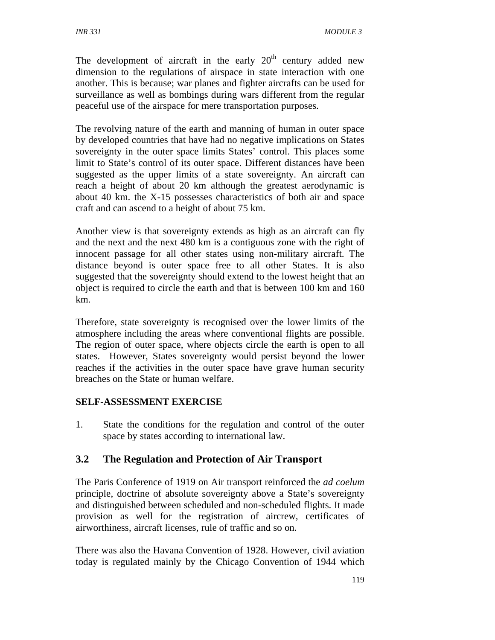The development of aircraft in the early  $20<sup>th</sup>$  century added new dimension to the regulations of airspace in state interaction with one another. This is because; war planes and fighter aircrafts can be used for surveillance as well as bombings during wars different from the regular peaceful use of the airspace for mere transportation purposes.

The revolving nature of the earth and manning of human in outer space by developed countries that have had no negative implications on States sovereignty in the outer space limits States' control. This places some limit to State's control of its outer space. Different distances have been suggested as the upper limits of a state sovereignty. An aircraft can reach a height of about 20 km although the greatest aerodynamic is about 40 km. the X-15 possesses characteristics of both air and space craft and can ascend to a height of about 75 km.

Another view is that sovereignty extends as high as an aircraft can fly and the next and the next 480 km is a contiguous zone with the right of innocent passage for all other states using non-military aircraft. The distance beyond is outer space free to all other States. It is also suggested that the sovereignty should extend to the lowest height that an object is required to circle the earth and that is between 100 km and 160 km.

Therefore, state sovereignty is recognised over the lower limits of the atmosphere including the areas where conventional flights are possible. The region of outer space, where objects circle the earth is open to all states. However, States sovereignty would persist beyond the lower reaches if the activities in the outer space have grave human security breaches on the State or human welfare.

#### **SELF-ASSESSMENT EXERCISE**

1. State the conditions for the regulation and control of the outer space by states according to international law.

## **3.2 The Regulation and Protection of Air Transport**

The Paris Conference of 1919 on Air transport reinforced the *ad coelum*  principle, doctrine of absolute sovereignty above a State's sovereignty and distinguished between scheduled and non-scheduled flights. It made provision as well for the registration of aircrew, certificates of airworthiness, aircraft licenses, rule of traffic and so on.

There was also the Havana Convention of 1928. However, civil aviation today is regulated mainly by the Chicago Convention of 1944 which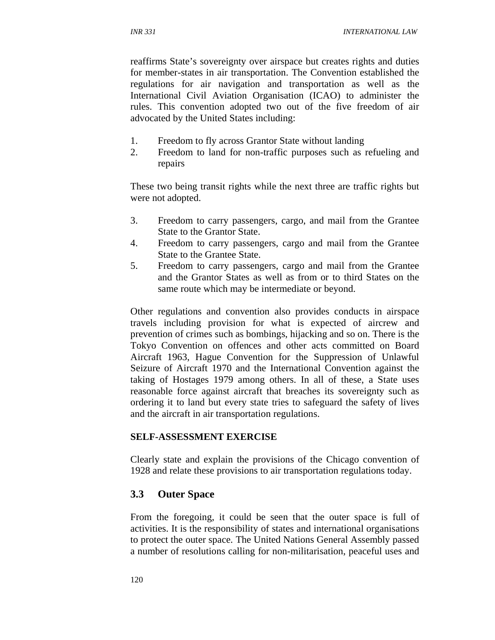reaffirms State's sovereignty over airspace but creates rights and duties for member-states in air transportation. The Convention established the regulations for air navigation and transportation as well as the International Civil Aviation Organisation (ICAO) to administer the rules. This convention adopted two out of the five freedom of air advocated by the United States including:

- 1. Freedom to fly across Grantor State without landing
- 2. Freedom to land for non-traffic purposes such as refueling and repairs

These two being transit rights while the next three are traffic rights but were not adopted.

- 3. Freedom to carry passengers, cargo, and mail from the Grantee State to the Grantor State.
- 4. Freedom to carry passengers, cargo and mail from the Grantee State to the Grantee State.
- 5. Freedom to carry passengers, cargo and mail from the Grantee and the Grantor States as well as from or to third States on the same route which may be intermediate or beyond.

Other regulations and convention also provides conducts in airspace travels including provision for what is expected of aircrew and prevention of crimes such as bombings, hijacking and so on. There is the Tokyo Convention on offences and other acts committed on Board Aircraft 1963, Hague Convention for the Suppression of Unlawful Seizure of Aircraft 1970 and the International Convention against the taking of Hostages 1979 among others. In all of these, a State uses reasonable force against aircraft that breaches its sovereignty such as ordering it to land but every state tries to safeguard the safety of lives and the aircraft in air transportation regulations.

#### **SELF-ASSESSMENT EXERCISE**

Clearly state and explain the provisions of the Chicago convention of 1928 and relate these provisions to air transportation regulations today.

#### **3.3 Outer Space**

From the foregoing, it could be seen that the outer space is full of activities. It is the responsibility of states and international organisations to protect the outer space. The United Nations General Assembly passed a number of resolutions calling for non-militarisation, peaceful uses and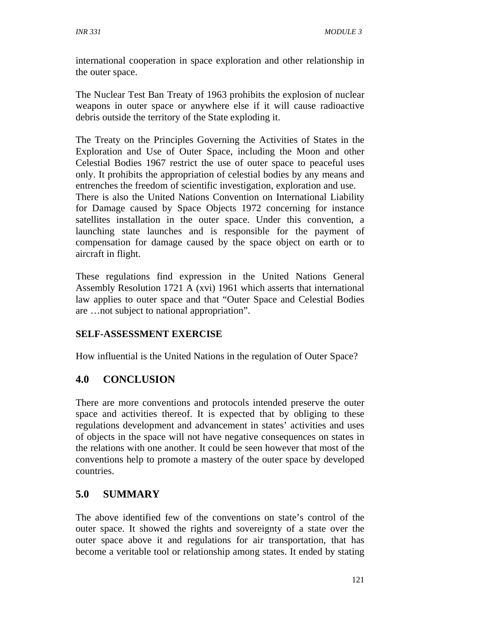international cooperation in space exploration and other relationship in the outer space.

The Nuclear Test Ban Treaty of 1963 prohibits the explosion of nuclear weapons in outer space or anywhere else if it will cause radioactive debris outside the territory of the State exploding it.

The Treaty on the Principles Governing the Activities of States in the Exploration and Use of Outer Space, including the Moon and other Celestial Bodies 1967 restrict the use of outer space to peaceful uses only. It prohibits the appropriation of celestial bodies by any means and entrenches the freedom of scientific investigation, exploration and use.

There is also the United Nations Convention on International Liability for Damage caused by Space Objects 1972 concerning for instance satellites installation in the outer space. Under this convention, a launching state launches and is responsible for the payment of compensation for damage caused by the space object on earth or to aircraft in flight.

These regulations find expression in the United Nations General Assembly Resolution 1721 A (xvi) 1961 which asserts that international law applies to outer space and that "Outer Space and Celestial Bodies are …not subject to national appropriation".

## **SELF-ASSESSMENT EXERCISE**

How influential is the United Nations in the regulation of Outer Space?

# **4.0 CONCLUSION**

There are more conventions and protocols intended preserve the outer space and activities thereof. It is expected that by obliging to these regulations development and advancement in states' activities and uses of objects in the space will not have negative consequences on states in the relations with one another. It could be seen however that most of the conventions help to promote a mastery of the outer space by developed countries.

## **5.0 SUMMARY**

The above identified few of the conventions on state's control of the outer space. It showed the rights and sovereignty of a state over the outer space above it and regulations for air transportation, that has become a veritable tool or relationship among states. It ended by stating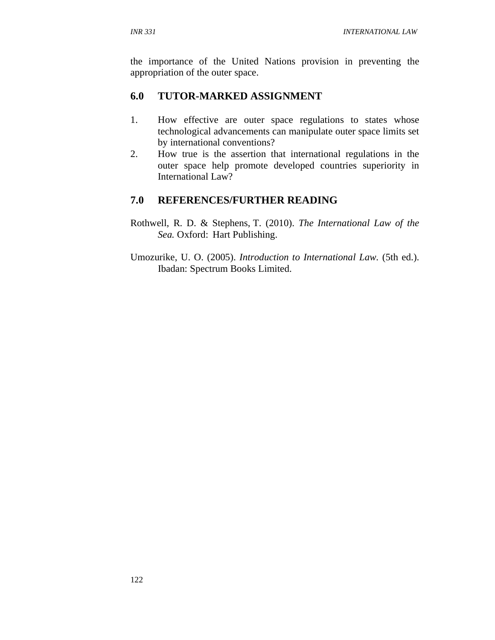the importance of the United Nations provision in preventing the appropriation of the outer space.

### **6.0 TUTOR-MARKED ASSIGNMENT**

- 1. How effective are outer space regulations to states whose technological advancements can manipulate outer space limits set by international conventions?
- 2. How true is the assertion that international regulations in the outer space help promote developed countries superiority in International Law?

## **7.0 REFERENCES/FURTHER READING**

- Rothwell, R. D. & Stephens, T. (2010). *The International Law of the Sea.* Oxford: Hart Publishing.
- Umozurike, U. O. (2005). *Introduction to International Law.* (5th ed.). Ibadan: Spectrum Books Limited.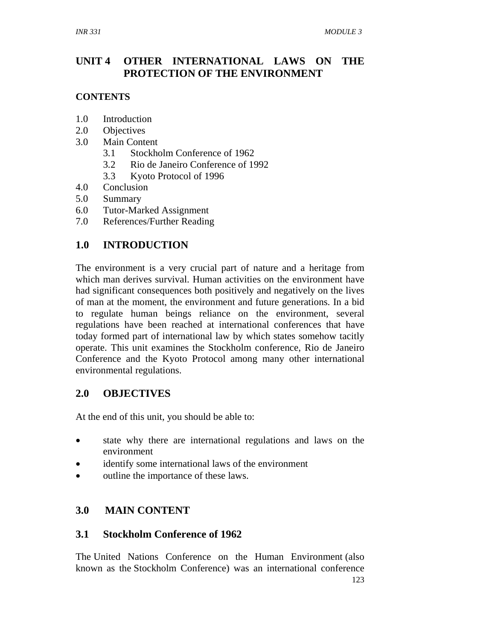# **UNIT 4 OTHER INTERNATIONAL LAWS ON THE PROTECTION OF THE ENVIRONMENT**

### **CONTENTS**

- 1.0 Introduction
- 2.0 Objectives
- 3.0 Main Content
	- 3.1 Stockholm Conference of 1962
	- 3.2 Rio de Janeiro Conference of 1992
	- 3.3 Kyoto Protocol of 1996
- 4.0 Conclusion
- 5.0 Summary
- 6.0 Tutor-Marked Assignment
- 7.0 References/Further Reading

# **1.0 INTRODUCTION**

The environment is a very crucial part of nature and a heritage from which man derives survival. Human activities on the environment have had significant consequences both positively and negatively on the lives of man at the moment, the environment and future generations. In a bid to regulate human beings reliance on the environment, several regulations have been reached at international conferences that have today formed part of international law by which states somehow tacitly operate. This unit examines the Stockholm conference, Rio de Janeiro Conference and the Kyoto Protocol among many other international environmental regulations.

## **2.0 OBJECTIVES**

At the end of this unit, you should be able to:

- state why there are international regulations and laws on the environment
- identify some international laws of the environment
- outline the importance of these laws.

# **3.0 MAIN CONTENT**

## **3.1 Stockholm Conference of 1962**

The United Nations Conference on the Human Environment (also known as the Stockholm Conference) was an international conference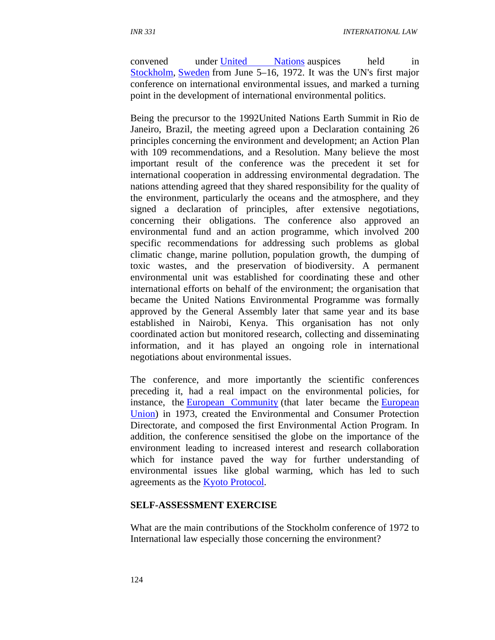convened under United Nations auspices held in Stockholm, Sweden from June 5–16, 1972. It was the UN's first major conference on international environmental issues, and marked a turning point in the development of international environmental politics.

Being the precursor to the 1992United Nations Earth Summit in Rio de Janeiro, Brazil, the meeting agreed upon a Declaration containing 26 principles concerning the environment and development; an Action Plan with 109 recommendations, and a Resolution. Many believe the most important result of the conference was the precedent it set for international cooperation in addressing environmental degradation. The nations attending agreed that they shared responsibility for the quality of the environment, particularly the oceans and the atmosphere, and they signed a declaration of principles, after extensive negotiations, concerning their obligations. The conference also approved an environmental fund and an action programme, which involved 200 specific recommendations for addressing such problems as global climatic change, marine pollution, population growth, the dumping of toxic wastes, and the preservation of biodiversity. A permanent environmental unit was established for coordinating these and other international efforts on behalf of the environment; the organisation that became the United Nations Environmental Programme was formally approved by the General Assembly later that same year and its base established in Nairobi, Kenya. This organisation has not only coordinated action but monitored research, collecting and disseminating information, and it has played an ongoing role in international negotiations about environmental issues.

The conference, and more importantly the scientific conferences preceding it, had a real impact on the environmental policies, for instance, the European Community (that later became the European Union) in 1973, created the Environmental and Consumer Protection Directorate, and composed the first Environmental Action Program. In addition, the conference sensitised the globe on the importance of the environment leading to increased interest and research collaboration which for instance paved the way for further understanding of environmental issues like global warming, which has led to such agreements as the Kyoto Protocol.

#### **SELF-ASSESSMENT EXERCISE**

What are the main contributions of the Stockholm conference of 1972 to International law especially those concerning the environment?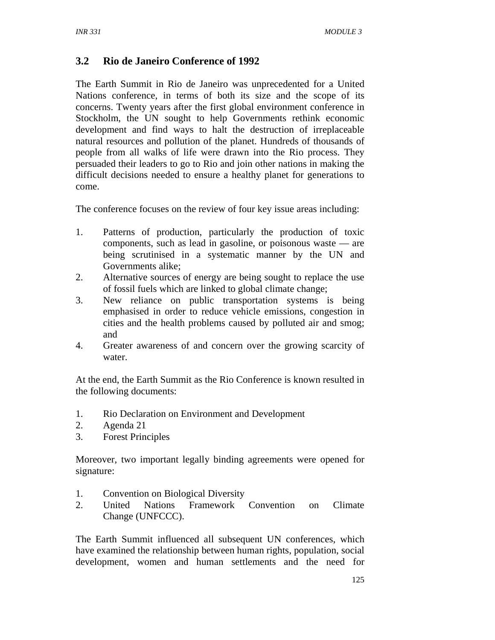## **3.2 Rio de Janeiro Conference of 1992**

The Earth Summit in Rio de Janeiro was unprecedented for a United Nations conference, in terms of both its size and the scope of its concerns. Twenty years after the first global environment conference in Stockholm, the UN sought to help Governments rethink economic development and find ways to halt the destruction of irreplaceable natural resources and pollution of the planet. Hundreds of thousands of people from all walks of life were drawn into the Rio process. They persuaded their leaders to go to Rio and join other nations in making the difficult decisions needed to ensure a healthy planet for generations to come.

The conference focuses on the review of four key issue areas including:

- 1. Patterns of production, particularly the production of toxic components, such as lead in gasoline, or poisonous waste — are being scrutinised in a systematic manner by the UN and Governments alike;
- 2. Alternative sources of energy are being sought to replace the use of fossil fuels which are linked to global climate change;
- 3. New reliance on public transportation systems is being emphasised in order to reduce vehicle emissions, congestion in cities and the health problems caused by polluted air and smog; and
- 4. Greater awareness of and concern over the growing scarcity of water.

At the end, the Earth Summit as the Rio Conference is known resulted in the following documents:

- 1. Rio Declaration on Environment and Development
- 2. Agenda 21
- 3. Forest Principles

Moreover, two important legally binding agreements were opened for signature:

- 1. Convention on Biological Diversity
- 2. United Nations Framework Convention on Climate Change (UNFCCC).

The Earth Summit influenced all subsequent UN conferences, which have examined the relationship between human rights, population, social development, women and human settlements and the need for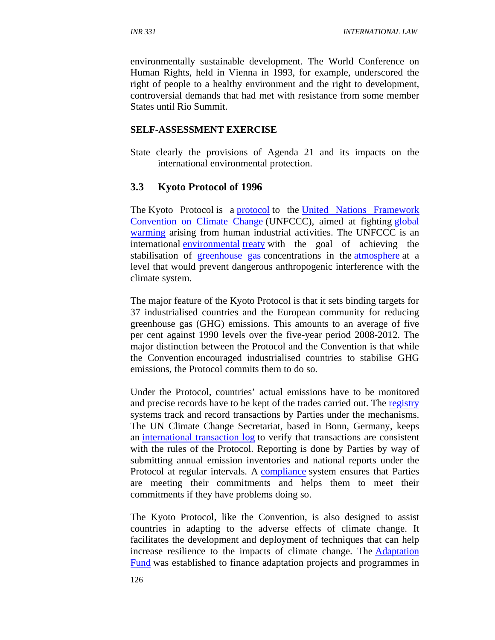#### **SELF-ASSESSMENT EXERCISE**

State clearly the provisions of Agenda 21 and its impacts on the international environmental protection.

#### **3.3 Kyoto Protocol of 1996**

The Kyoto Protocol is a protocol to the United Nations Framework Convention on Climate Change (UNFCCC), aimed at fighting global warming arising from human industrial activities. The UNFCCC is an international environmental treaty with the goal of achieving the stabilisation of greenhouse gas concentrations in the atmosphere at a level that would prevent dangerous anthropogenic interference with the climate system.

The major feature of the Kyoto Protocol is that it sets binding targets for 37 industrialised countries and the European community for reducing greenhouse gas (GHG) emissions. This amounts to an average of five per cent against 1990 levels over the five-year period 2008-2012. The major distinction between the Protocol and the Convention is that while the Convention encouraged industrialised countries to stabilise GHG emissions, the Protocol commits them to do so.

Under the Protocol, countries' actual emissions have to be monitored and precise records have to be kept of the trades carried out. The registry systems track and record transactions by Parties under the mechanisms. The UN Climate Change Secretariat, based in Bonn, Germany, keeps an international transaction log to verify that transactions are consistent with the rules of the Protocol. Reporting is done by Parties by way of submitting annual emission inventories and national reports under the Protocol at regular intervals. A compliance system ensures that Parties are meeting their commitments and helps them to meet their commitments if they have problems doing so.

The Kyoto Protocol, like the Convention, is also designed to assist countries in adapting to the adverse effects of climate change. It facilitates the development and deployment of techniques that can help increase resilience to the impacts of climate change. The Adaptation **Fund** was established to finance adaptation projects and programmes in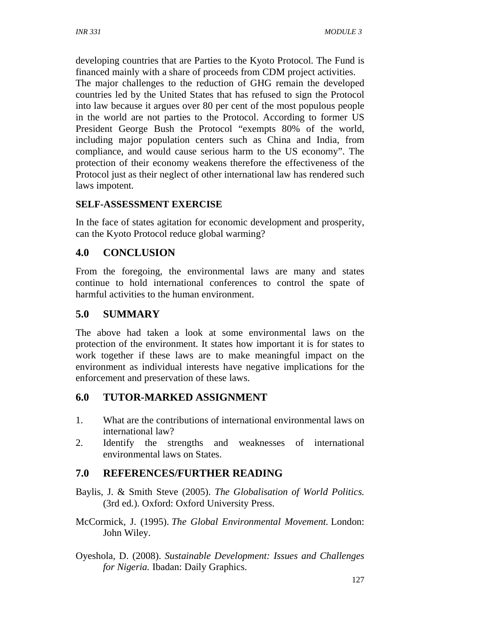developing countries that are Parties to the Kyoto Protocol. The Fund is financed mainly with a share of proceeds from CDM project activities.

The major challenges to the reduction of GHG remain the developed countries led by the United States that has refused to sign the Protocol into law because it argues over 80 per cent of the most populous people in the world are not parties to the Protocol. According to former US President George Bush the Protocol "exempts 80% of the world, including major population centers such as China and India, from compliance, and would cause serious harm to the US economy". The protection of their economy weakens therefore the effectiveness of the Protocol just as their neglect of other international law has rendered such laws impotent.

# **SELF-ASSESSMENT EXERCISE**

In the face of states agitation for economic development and prosperity, can the Kyoto Protocol reduce global warming?

# **4.0 CONCLUSION**

From the foregoing, the environmental laws are many and states continue to hold international conferences to control the spate of harmful activities to the human environment.

# **5.0 SUMMARY**

The above had taken a look at some environmental laws on the protection of the environment. It states how important it is for states to work together if these laws are to make meaningful impact on the environment as individual interests have negative implications for the enforcement and preservation of these laws.

# **6.0 TUTOR-MARKED ASSIGNMENT**

- 1. What are the contributions of international environmental laws on international law?
- 2. Identify the strengths and weaknesses of international environmental laws on States.

# **7.0 REFERENCES/FURTHER READING**

- Baylis, J. & Smith Steve (2005). *The Globalisation of World Politics.* (3rd ed.). Oxford: Oxford University Press.
- McCormick, J. (1995). *The Global Environmental Movement.* London: John Wiley.
- Oyeshola, D. (2008). *Sustainable Development: Issues and Challenges for Nigeria.* Ibadan: Daily Graphics.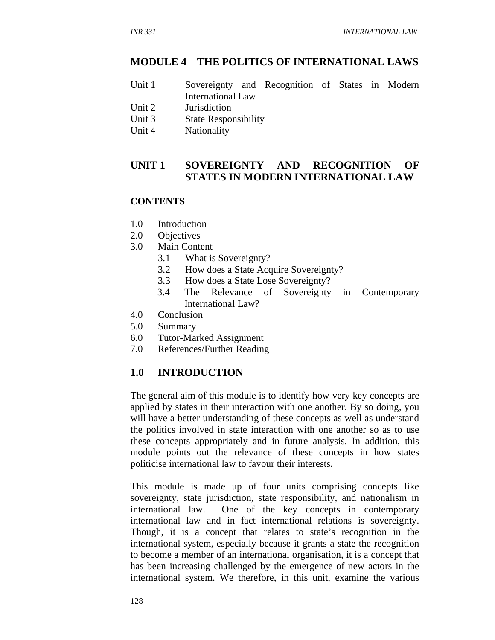### **MODULE 4 THE POLITICS OF INTERNATIONAL LAWS**

- Unit 1 Sovereignty and Recognition of States in Modern International Law
- Unit 2 Jurisdiction
- Unit 3 State Responsibility
- Unit 4 Nationality

## **UNIT 1 SOVEREIGNTY AND RECOGNITION OF STATES IN MODERN INTERNATIONAL LAW**

#### **CONTENTS**

- 1.0 Introduction
- 2.0 Objectives
- 3.0 Main Content
	- 3.1 What is Sovereignty?
	- 3.2 How does a State Acquire Sovereignty?
	- 3.3 How does a State Lose Sovereignty?
	- 3.4 The Relevance of Sovereignty in Contemporary International Law?
- 4.0 Conclusion
- 5.0 Summary
- 6.0 Tutor-Marked Assignment
- 7.0 References/Further Reading

## **1.0 INTRODUCTION**

The general aim of this module is to identify how very key concepts are applied by states in their interaction with one another. By so doing, you will have a better understanding of these concepts as well as understand the politics involved in state interaction with one another so as to use these concepts appropriately and in future analysis. In addition, this module points out the relevance of these concepts in how states politicise international law to favour their interests.

This module is made up of four units comprising concepts like sovereignty, state jurisdiction, state responsibility, and nationalism in international law. One of the key concepts in contemporary international law and in fact international relations is sovereignty. Though, it is a concept that relates to state's recognition in the international system, especially because it grants a state the recognition to become a member of an international organisation, it is a concept that has been increasing challenged by the emergence of new actors in the international system. We therefore, in this unit, examine the various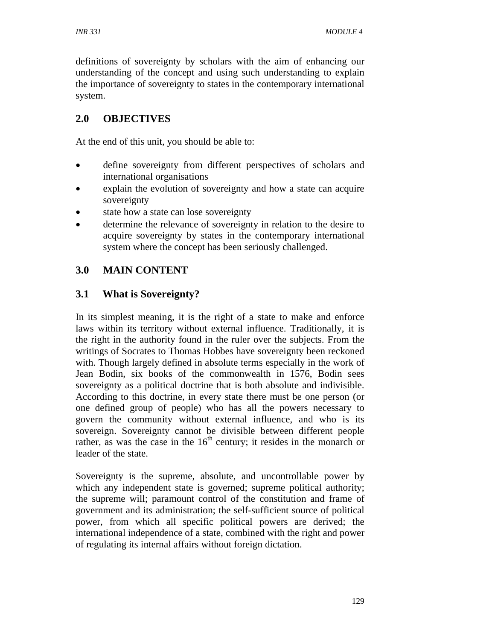definitions of sovereignty by scholars with the aim of enhancing our understanding of the concept and using such understanding to explain the importance of sovereignty to states in the contemporary international system.

# **2.0 OBJECTIVES**

At the end of this unit, you should be able to:

- define sovereignty from different perspectives of scholars and international organisations
- explain the evolution of sovereignty and how a state can acquire sovereignty
- state how a state can lose sovereignty
- determine the relevance of sovereignty in relation to the desire to acquire sovereignty by states in the contemporary international system where the concept has been seriously challenged.

# **3.0 MAIN CONTENT**

# **3.1 What is Sovereignty?**

In its simplest meaning, it is the right of a state to make and enforce laws within its territory without external influence. Traditionally, it is the right in the authority found in the ruler over the subjects. From the writings of Socrates to Thomas Hobbes have sovereignty been reckoned with. Though largely defined in absolute terms especially in the work of Jean Bodin, six books of the commonwealth in 1576, Bodin sees sovereignty as a political doctrine that is both absolute and indivisible. According to this doctrine, in every state there must be one person (or one defined group of people) who has all the powers necessary to govern the community without external influence, and who is its sovereign. Sovereignty cannot be divisible between different people rather, as was the case in the  $16<sup>th</sup>$  century; it resides in the monarch or leader of the state.

Sovereignty is the supreme, absolute, and uncontrollable power by which any independent state is governed; supreme political authority; the supreme will; paramount control of the constitution and frame of government and its administration; the self-sufficient source of political power, from which all specific political powers are derived; the international independence of a state, combined with the right and power of regulating its internal affairs without foreign dictation.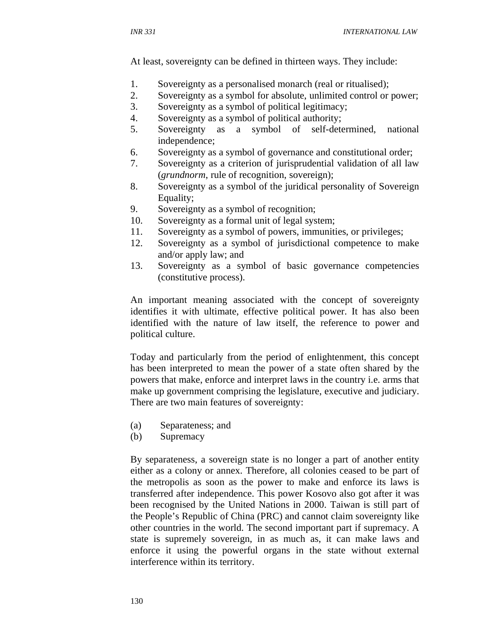At least, sovereignty can be defined in thirteen ways. They include:

- 1. Sovereignty as a personalised monarch (real or ritualised);
- 2. Sovereignty as a symbol for absolute, unlimited control or power;
- 3. Sovereignty as a symbol of political legitimacy;
- 4. Sovereignty as a symbol of political authority;
- 5. Sovereignty as a symbol of self-determined, national independence;
- 6. Sovereignty as a symbol of governance and constitutional order;
- 7. Sovereignty as a criterion of jurisprudential validation of all law (*grundnorm*, rule of recognition, sovereign);
- 8. Sovereignty as a symbol of the juridical personality of Sovereign Equality;
- 9. Sovereignty as a symbol of recognition;
- 10. Sovereignty as a formal unit of legal system;
- 11. Sovereignty as a symbol of powers, immunities, or privileges;
- 12. Sovereignty as a symbol of jurisdictional competence to make and/or apply law; and
- 13. Sovereignty as a symbol of basic governance competencies (constitutive process).

An important meaning associated with the concept of sovereignty identifies it with ultimate, effective political power. It has also been identified with the nature of law itself, the reference to power and political culture.

Today and particularly from the period of enlightenment, this concept has been interpreted to mean the power of a state often shared by the powers that make, enforce and interpret laws in the country i.e. arms that make up government comprising the legislature, executive and judiciary. There are two main features of sovereignty:

- (a) Separateness; and
- (b) Supremacy

By separateness, a sovereign state is no longer a part of another entity either as a colony or annex. Therefore, all colonies ceased to be part of the metropolis as soon as the power to make and enforce its laws is transferred after independence. This power Kosovo also got after it was been recognised by the United Nations in 2000. Taiwan is still part of the People's Republic of China (PRC) and cannot claim sovereignty like other countries in the world. The second important part if supremacy. A state is supremely sovereign, in as much as, it can make laws and enforce it using the powerful organs in the state without external interference within its territory.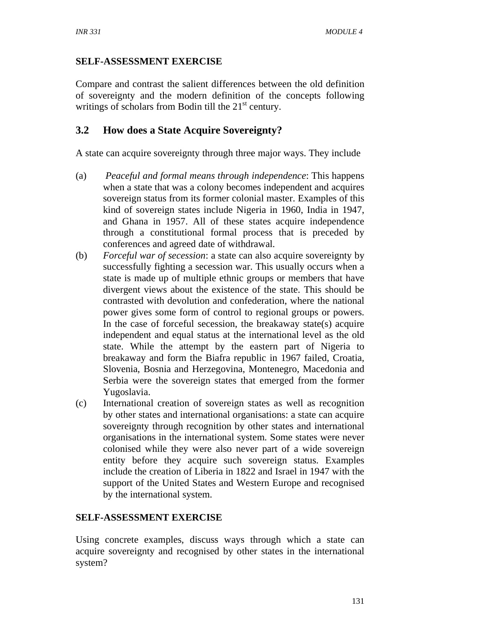#### **SELF-ASSESSMENT EXERCISE**

Compare and contrast the salient differences between the old definition of sovereignty and the modern definition of the concepts following writings of scholars from Bodin till the  $21<sup>st</sup>$  century.

### **3.2 How does a State Acquire Sovereignty?**

A state can acquire sovereignty through three major ways. They include

- (a) *Peaceful and formal means through independence*: This happens when a state that was a colony becomes independent and acquires sovereign status from its former colonial master. Examples of this kind of sovereign states include Nigeria in 1960, India in 1947, and Ghana in 1957. All of these states acquire independence through a constitutional formal process that is preceded by conferences and agreed date of withdrawal.
- (b) *Forceful war of secession*: a state can also acquire sovereignty by successfully fighting a secession war. This usually occurs when a state is made up of multiple ethnic groups or members that have divergent views about the existence of the state. This should be contrasted with devolution and confederation, where the national power gives some form of control to regional groups or powers. In the case of forceful secession, the breakaway state(s) acquire independent and equal status at the international level as the old state. While the attempt by the eastern part of Nigeria to breakaway and form the Biafra republic in 1967 failed, Croatia, Slovenia, Bosnia and Herzegovina, Montenegro, Macedonia and Serbia were the sovereign states that emerged from the former Yugoslavia.
- (c) International creation of sovereign states as well as recognition by other states and international organisations: a state can acquire sovereignty through recognition by other states and international organisations in the international system. Some states were never colonised while they were also never part of a wide sovereign entity before they acquire such sovereign status. Examples include the creation of Liberia in 1822 and Israel in 1947 with the support of the United States and Western Europe and recognised by the international system.

#### **SELF-ASSESSMENT EXERCISE**

Using concrete examples, discuss ways through which a state can acquire sovereignty and recognised by other states in the international system?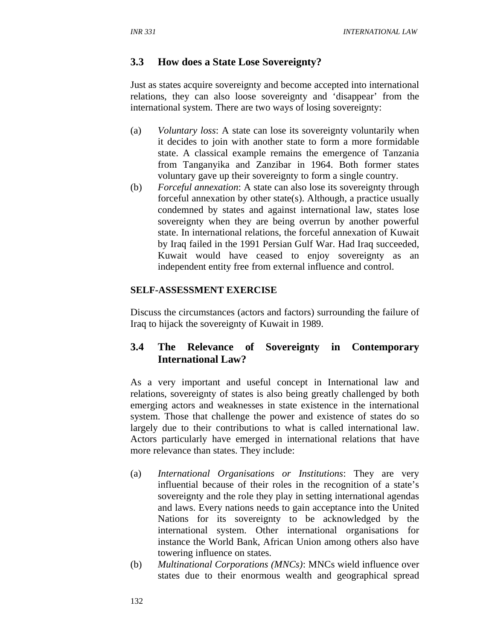#### **3.3 How does a State Lose Sovereignty?**

Just as states acquire sovereignty and become accepted into international relations, they can also loose sovereignty and 'disappear' from the international system. There are two ways of losing sovereignty:

- (a) *Voluntary loss*: A state can lose its sovereignty voluntarily when it decides to join with another state to form a more formidable state. A classical example remains the emergence of Tanzania from Tanganyika and Zanzibar in 1964. Both former states voluntary gave up their sovereignty to form a single country.
- (b) *Forceful annexation*: A state can also lose its sovereignty through forceful annexation by other state(s). Although, a practice usually condemned by states and against international law, states lose sovereignty when they are being overrun by another powerful state. In international relations, the forceful annexation of Kuwait by Iraq failed in the 1991 Persian Gulf War. Had Iraq succeeded, Kuwait would have ceased to enjoy sovereignty as an independent entity free from external influence and control.

#### **SELF-ASSESSMENT EXERCISE**

Discuss the circumstances (actors and factors) surrounding the failure of Iraq to hijack the sovereignty of Kuwait in 1989.

# **3.4 The Relevance of Sovereignty in Contemporary International Law?**

As a very important and useful concept in International law and relations, sovereignty of states is also being greatly challenged by both emerging actors and weaknesses in state existence in the international system. Those that challenge the power and existence of states do so largely due to their contributions to what is called international law. Actors particularly have emerged in international relations that have more relevance than states. They include:

- (a) *International Organisations or Institutions*: They are very influential because of their roles in the recognition of a state's sovereignty and the role they play in setting international agendas and laws. Every nations needs to gain acceptance into the United Nations for its sovereignty to be acknowledged by the international system. Other international organisations for instance the World Bank, African Union among others also have towering influence on states.
- (b) *Multinational Corporations (MNCs)*: MNCs wield influence over states due to their enormous wealth and geographical spread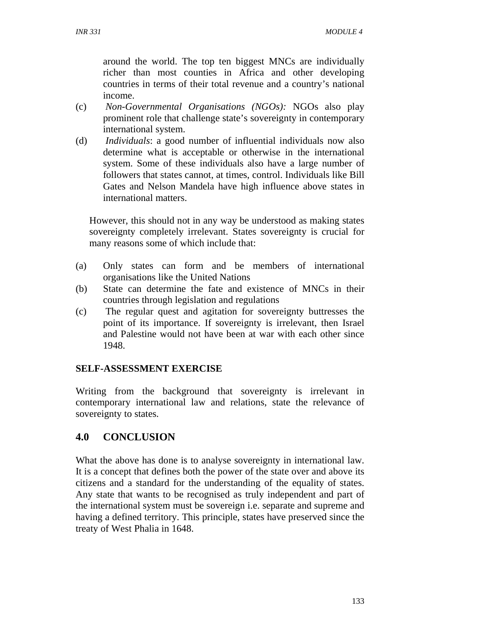around the world. The top ten biggest MNCs are individually richer than most counties in Africa and other developing countries in terms of their total revenue and a country's national income.

- (c) *Non-Governmental Organisations (NGOs):* NGOs also play prominent role that challenge state's sovereignty in contemporary international system.
- (d) *Individuals*: a good number of influential individuals now also determine what is acceptable or otherwise in the international system. Some of these individuals also have a large number of followers that states cannot, at times, control. Individuals like Bill Gates and Nelson Mandela have high influence above states in international matters.

However, this should not in any way be understood as making states sovereignty completely irrelevant. States sovereignty is crucial for many reasons some of which include that:

- (a) Only states can form and be members of international organisations like the United Nations
- (b) State can determine the fate and existence of MNCs in their countries through legislation and regulations
- (c) The regular quest and agitation for sovereignty buttresses the point of its importance. If sovereignty is irrelevant, then Israel and Palestine would not have been at war with each other since 1948.

#### **SELF-ASSESSMENT EXERCISE**

Writing from the background that sovereignty is irrelevant in contemporary international law and relations, state the relevance of sovereignty to states.

## **4.0 CONCLUSION**

What the above has done is to analyse sovereignty in international law. It is a concept that defines both the power of the state over and above its citizens and a standard for the understanding of the equality of states. Any state that wants to be recognised as truly independent and part of the international system must be sovereign i.e. separate and supreme and having a defined territory. This principle, states have preserved since the treaty of West Phalia in 1648.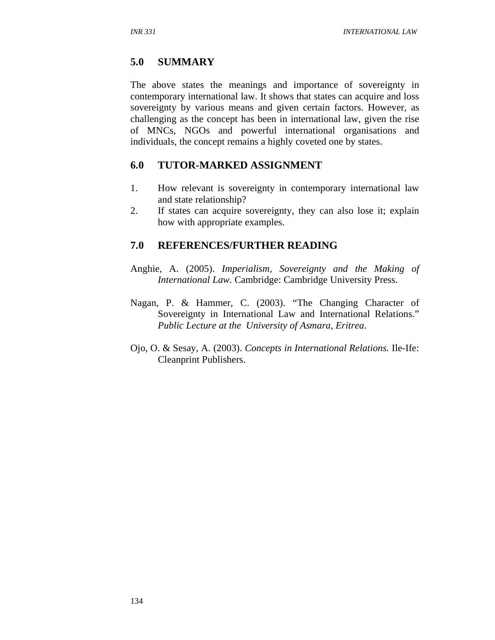# **5.0 SUMMARY**

The above states the meanings and importance of sovereignty in contemporary international law. It shows that states can acquire and loss sovereignty by various means and given certain factors. However, as challenging as the concept has been in international law, given the rise of MNCs, NGOs and powerful international organisations and individuals, the concept remains a highly coveted one by states.

## **6.0 TUTOR-MARKED ASSIGNMENT**

- 1. How relevant is sovereignty in contemporary international law and state relationship?
- 2. If states can acquire sovereignty, they can also lose it; explain how with appropriate examples.

## **7.0 REFERENCES/FURTHER READING**

- Anghie, A. (2005). *Imperialism, Sovereignty and the Making of International Law.* Cambridge: Cambridge University Press.
- Nagan, P. & Hammer, C. (2003). "The Changing Character of Sovereignty in International Law and International Relations." *Public Lecture at the University of Asmara, Eritrea*.
- Ojo, O. & Sesay, A. (2003). *Concepts in International Relations.* Ile-Ife: Cleanprint Publishers.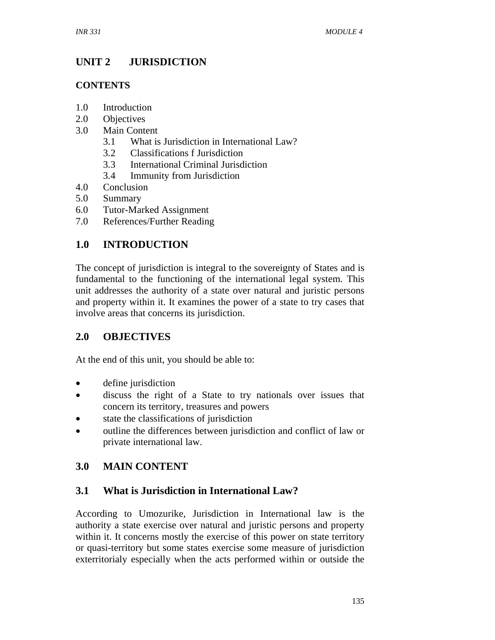# **UNIT 2 JURISDICTION**

### **CONTENTS**

- 1.0 Introduction
- 2.0 Objectives
- 3.0 Main Content
	- 3.1 What is Jurisdiction in International Law?
	- 3.2 Classifications f Jurisdiction
	- 3.3 International Criminal Jurisdiction
	- 3.4 Immunity from Jurisdiction
- 4.0 Conclusion
- 5.0 Summary
- 6.0 Tutor-Marked Assignment
- 7.0 References/Further Reading

# **1.0 INTRODUCTION**

The concept of jurisdiction is integral to the sovereignty of States and is fundamental to the functioning of the international legal system. This unit addresses the authority of a state over natural and juristic persons and property within it. It examines the power of a state to try cases that involve areas that concerns its jurisdiction.

# **2.0 OBJECTIVES**

At the end of this unit, you should be able to:

- define jurisdiction
- discuss the right of a State to try nationals over issues that concern its territory, treasures and powers
- state the classifications of jurisdiction
- outline the differences between jurisdiction and conflict of law or private international law.

# **3.0 MAIN CONTENT**

## **3.1 What is Jurisdiction in International Law?**

According to Umozurike, Jurisdiction in International law is the authority a state exercise over natural and juristic persons and property within it. It concerns mostly the exercise of this power on state territory or quasi-territory but some states exercise some measure of jurisdiction exterritorialy especially when the acts performed within or outside the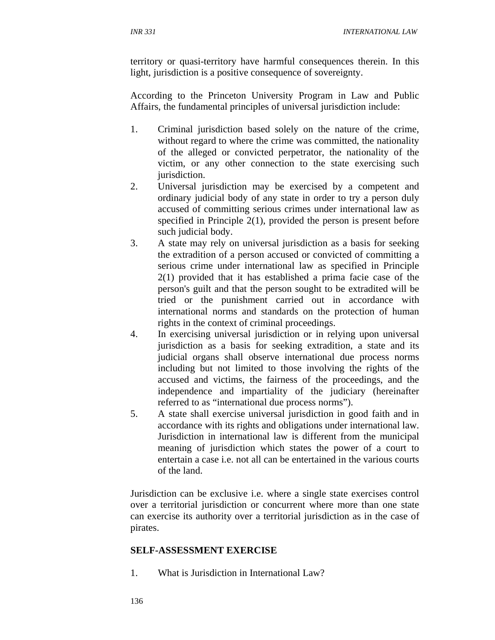territory or quasi-territory have harmful consequences therein. In this light, jurisdiction is a positive consequence of sovereignty.

According to the Princeton University Program in Law and Public Affairs, the fundamental principles of universal jurisdiction include:

- 1. Criminal jurisdiction based solely on the nature of the crime, without regard to where the crime was committed, the nationality of the alleged or convicted perpetrator, the nationality of the victim, or any other connection to the state exercising such jurisdiction.
- 2. Universal jurisdiction may be exercised by a competent and ordinary judicial body of any state in order to try a person duly accused of committing serious crimes under international law as specified in Principle 2(1), provided the person is present before such judicial body.
- 3. A state may rely on universal jurisdiction as a basis for seeking the extradition of a person accused or convicted of committing a serious crime under international law as specified in Principle 2(1) provided that it has established a prima facie case of the person's guilt and that the person sought to be extradited will be tried or the punishment carried out in accordance with international norms and standards on the protection of human rights in the context of criminal proceedings.
- 4. In exercising universal jurisdiction or in relying upon universal jurisdiction as a basis for seeking extradition, a state and its judicial organs shall observe international due process norms including but not limited to those involving the rights of the accused and victims, the fairness of the proceedings, and the independence and impartiality of the judiciary (hereinafter referred to as "international due process norms").
- 5. A state shall exercise universal jurisdiction in good faith and in accordance with its rights and obligations under international law. Jurisdiction in international law is different from the municipal meaning of jurisdiction which states the power of a court to entertain a case i.e. not all can be entertained in the various courts of the land.

Jurisdiction can be exclusive i.e. where a single state exercises control over a territorial jurisdiction or concurrent where more than one state can exercise its authority over a territorial jurisdiction as in the case of pirates.

## **SELF-ASSESSMENT EXERCISE**

1. What is Jurisdiction in International Law?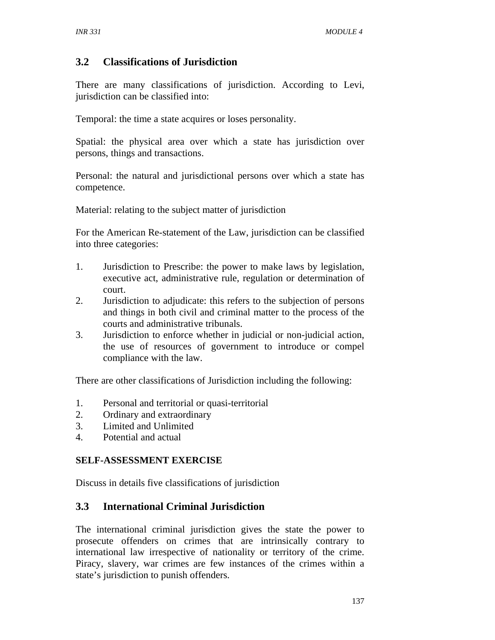## **3.2 Classifications of Jurisdiction**

There are many classifications of jurisdiction. According to Levi, jurisdiction can be classified into:

Temporal: the time a state acquires or loses personality.

Spatial: the physical area over which a state has jurisdiction over persons, things and transactions.

Personal: the natural and jurisdictional persons over which a state has competence.

Material: relating to the subject matter of jurisdiction

For the American Re-statement of the Law, jurisdiction can be classified into three categories:

- 1. Jurisdiction to Prescribe: the power to make laws by legislation, executive act, administrative rule, regulation or determination of court.
- 2. Jurisdiction to adjudicate: this refers to the subjection of persons and things in both civil and criminal matter to the process of the courts and administrative tribunals.
- 3. Jurisdiction to enforce whether in judicial or non-judicial action, the use of resources of government to introduce or compel compliance with the law.

There are other classifications of Jurisdiction including the following:

- 1. Personal and territorial or quasi-territorial
- 2. Ordinary and extraordinary
- 3. Limited and Unlimited
- 4. Potential and actual

## **SELF-ASSESSMENT EXERCISE**

Discuss in details five classifications of jurisdiction

## **3.3 International Criminal Jurisdiction**

The international criminal jurisdiction gives the state the power to prosecute offenders on crimes that are intrinsically contrary to international law irrespective of nationality or territory of the crime. Piracy, slavery, war crimes are few instances of the crimes within a state's jurisdiction to punish offenders.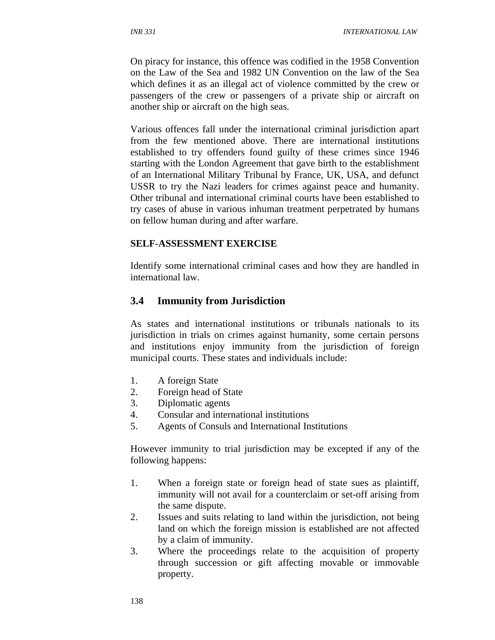On piracy for instance, this offence was codified in the 1958 Convention on the Law of the Sea and 1982 UN Convention on the law of the Sea which defines it as an illegal act of violence committed by the crew or passengers of the crew or passengers of a private ship or aircraft on another ship or aircraft on the high seas.

Various offences fall under the international criminal jurisdiction apart from the few mentioned above. There are international institutions established to try offenders found guilty of these crimes since 1946 starting with the London Agreement that gave birth to the establishment of an International Military Tribunal by France, UK, USA, and defunct USSR to try the Nazi leaders for crimes against peace and humanity. Other tribunal and international criminal courts have been established to try cases of abuse in various inhuman treatment perpetrated by humans on fellow human during and after warfare.

#### **SELF-ASSESSMENT EXERCISE**

Identify some international criminal cases and how they are handled in international law.

#### **3.4 Immunity from Jurisdiction**

As states and international institutions or tribunals nationals to its jurisdiction in trials on crimes against humanity, some certain persons and institutions enjoy immunity from the jurisdiction of foreign municipal courts. These states and individuals include:

- 1. A foreign State
- 2. Foreign head of State
- 3. Diplomatic agents
- 4. Consular and international institutions
- 5. Agents of Consuls and International Institutions

However immunity to trial jurisdiction may be excepted if any of the following happens:

- 1. When a foreign state or foreign head of state sues as plaintiff, immunity will not avail for a counterclaim or set-off arising from the same dispute.
- 2. Issues and suits relating to land within the jurisdiction, not being land on which the foreign mission is established are not affected by a claim of immunity.
- 3. Where the proceedings relate to the acquisition of property through succession or gift affecting movable or immovable property.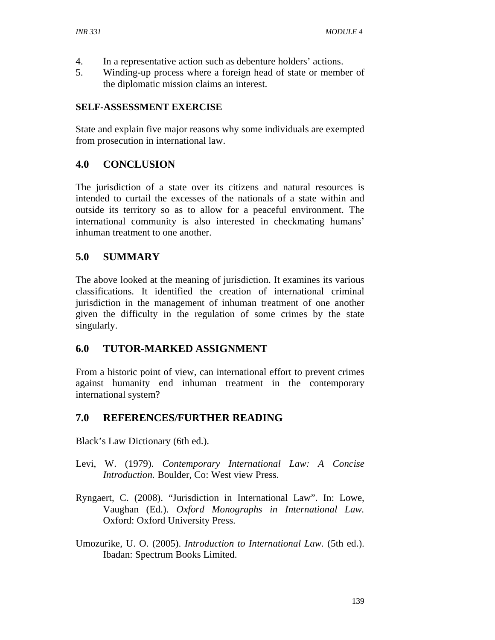- 4. In a representative action such as debenture holders' actions.
- 5. Winding-up process where a foreign head of state or member of the diplomatic mission claims an interest.

### **SELF-ASSESSMENT EXERCISE**

State and explain five major reasons why some individuals are exempted from prosecution in international law.

# **4.0 CONCLUSION**

The jurisdiction of a state over its citizens and natural resources is intended to curtail the excesses of the nationals of a state within and outside its territory so as to allow for a peaceful environment. The international community is also interested in checkmating humans' inhuman treatment to one another.

# **5.0 SUMMARY**

The above looked at the meaning of jurisdiction. It examines its various classifications. It identified the creation of international criminal jurisdiction in the management of inhuman treatment of one another given the difficulty in the regulation of some crimes by the state singularly.

# **6.0 TUTOR-MARKED ASSIGNMENT**

From a historic point of view, can international effort to prevent crimes against humanity end inhuman treatment in the contemporary international system?

# **7.0 REFERENCES/FURTHER READING**

Black's Law Dictionary (6th ed.).

- Levi, W. (1979). *Contemporary International Law: A Concise Introduction.* Boulder, Co: West view Press.
- Ryngaert, C. (2008). "Jurisdiction in International Law". In: Lowe, Vaughan (Ed.). *Oxford Monographs in International Law.*  Oxford: Oxford University Press.
- Umozurike, U. O. (2005). *Introduction to International Law.* (5th ed.). Ibadan: Spectrum Books Limited.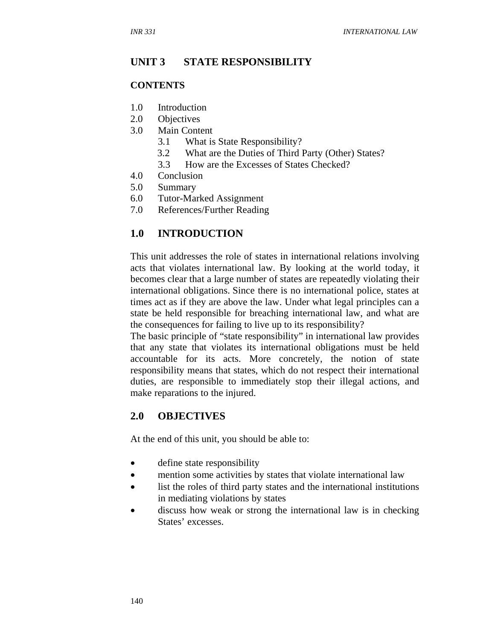#### **UNIT 3 STATE RESPONSIBILITY**

#### **CONTENTS**

- 1.0 Introduction
- 2.0 Objectives
- 3.0 Main Content
	- 3.1 What is State Responsibility?
	- 3.2 What are the Duties of Third Party (Other) States?
	- 3.3 How are the Excesses of States Checked?
- 4.0 Conclusion
- 5.0 Summary
- 6.0 Tutor-Marked Assignment
- 7.0 References/Further Reading

### **1.0 INTRODUCTION**

This unit addresses the role of states in international relations involving acts that violates international law. By looking at the world today, it becomes clear that a large number of states are repeatedly violating their international obligations. Since there is no international police, states at times act as if they are above the law. Under what legal principles can a state be held responsible for breaching international law, and what are the consequences for failing to live up to its responsibility?

The basic principle of "state responsibility" in international law provides that any state that violates its international obligations must be held accountable for its acts. More concretely, the notion of state responsibility means that states, which do not respect their international duties, are responsible to immediately stop their illegal actions, and make reparations to the injured.

#### **2.0 OBJECTIVES**

At the end of this unit, you should be able to:

- define state responsibility
- mention some activities by states that violate international law
- list the roles of third party states and the international institutions in mediating violations by states
- discuss how weak or strong the international law is in checking States' excesses.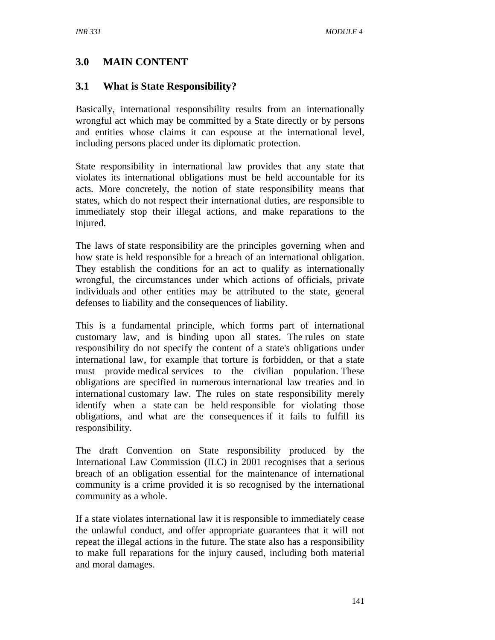# **3.0 MAIN CONTENT**

# **3.1 What is State Responsibility?**

Basically, international responsibility results from an internationally wrongful act which may be committed by a State directly or by persons and entities whose claims it can espouse at the international level, including persons placed under its diplomatic protection.

State responsibility in international law provides that any state that violates its international obligations must be held accountable for its acts. More concretely, the notion of state responsibility means that states, which do not respect their international duties, are responsible to immediately stop their illegal actions, and make reparations to the injured.

The laws of state responsibility are the principles governing when and how state is held responsible for a breach of an international obligation. They establish the conditions for an act to qualify as internationally wrongful, the circumstances under which actions of officials, private individuals and other entities may be attributed to the state, general defenses to liability and the consequences of liability.

This is a fundamental principle, which forms part of international customary law, and is binding upon all states. The rules on state responsibility do not specify the content of a state's obligations under international law, for example that torture is forbidden, or that a state must provide medical services to the civilian population. These obligations are specified in numerous international law treaties and in international customary law. The rules on state responsibility merely identify when a state can be held responsible for violating those obligations, and what are the consequences if it fails to fulfill its responsibility.

The draft Convention on State responsibility produced by the International Law Commission (ILC) in 2001 recognises that a serious breach of an obligation essential for the maintenance of international community is a crime provided it is so recognised by the international community as a whole.

If a state violates international law it is responsible to immediately cease the unlawful conduct, and offer appropriate guarantees that it will not repeat the illegal actions in the future. The state also has a responsibility to make full reparations for the injury caused, including both material and moral damages.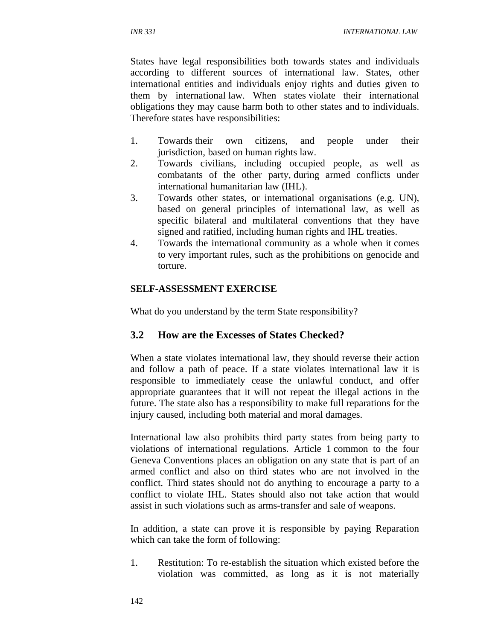*INR 331 INTERNATIONAL LAW* 

States have legal responsibilities both towards states and individuals according to different sources of international law. States, other international entities and individuals enjoy rights and duties given to them by international law. When states violate their international obligations they may cause harm both to other states and to individuals. Therefore states have responsibilities:

- 1. Towards their own citizens, and people under their jurisdiction, based on human rights law.
- 2. Towards civilians, including occupied people, as well as combatants of the other party, during armed conflicts under international humanitarian law (IHL).
- 3. Towards other states, or international organisations (e.g. UN), based on general principles of international law, as well as specific bilateral and multilateral conventions that they have signed and ratified, including human rights and IHL treaties.
- 4. Towards the international community as a whole when it comes to very important rules, such as the prohibitions on genocide and torture.

### **SELF-ASSESSMENT EXERCISE**

What do you understand by the term State responsibility?

## **3.2 How are the Excesses of States Checked?**

When a state violates international law, they should reverse their action and follow a path of peace. If a state violates international law it is responsible to immediately cease the unlawful conduct, and offer appropriate guarantees that it will not repeat the illegal actions in the future. The state also has a responsibility to make full reparations for the injury caused, including both material and moral damages.

International law also prohibits third party states from being party to violations of international regulations. Article 1 common to the four Geneva Conventions places an obligation on any state that is part of an armed conflict and also on third states who are not involved in the conflict. Third states should not do anything to encourage a party to a conflict to violate IHL. States should also not take action that would assist in such violations such as arms-transfer and sale of weapons.

In addition, a state can prove it is responsible by paying Reparation which can take the form of following:

1. Restitution: To re-establish the situation which existed before the violation was committed, as long as it is not materially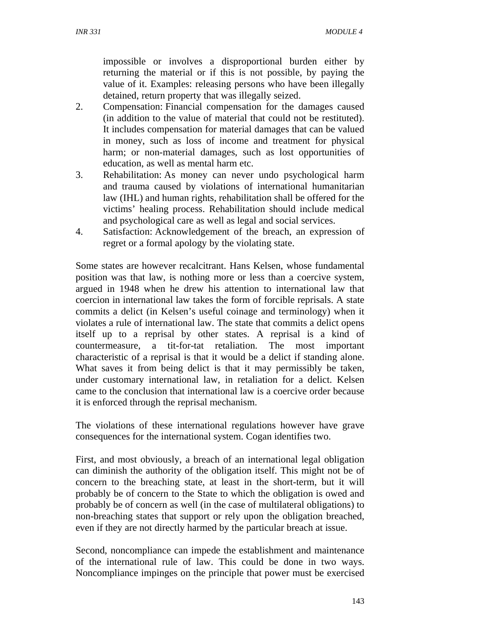impossible or involves a disproportional burden either by returning the material or if this is not possible, by paying the value of it. Examples: releasing persons who have been illegally detained, return property that was illegally seized.

- 2. Compensation: Financial compensation for the damages caused (in addition to the value of material that could not be restituted). It includes compensation for material damages that can be valued in money, such as loss of income and treatment for physical harm; or non-material damages, such as lost opportunities of education, as well as mental harm etc.
- 3. Rehabilitation: As money can never undo psychological harm and trauma caused by violations of international humanitarian law (IHL) and human rights, rehabilitation shall be offered for the victims' healing process. Rehabilitation should include medical and psychological care as well as legal and social services.
- 4. Satisfaction: Acknowledgement of the breach, an expression of regret or a formal apology by the violating state.

Some states are however recalcitrant. Hans Kelsen, whose fundamental position was that law, is nothing more or less than a coercive system, argued in 1948 when he drew his attention to international law that coercion in international law takes the form of forcible reprisals. A state commits a delict (in Kelsen's useful coinage and terminology) when it violates a rule of international law. The state that commits a delict opens itself up to a reprisal by other states. A reprisal is a kind of countermeasure, a tit-for-tat retaliation. The most important characteristic of a reprisal is that it would be a delict if standing alone. What saves it from being delict is that it may permissibly be taken, under customary international law, in retaliation for a delict. Kelsen came to the conclusion that international law is a coercive order because it is enforced through the reprisal mechanism.

The violations of these international regulations however have grave consequences for the international system. Cogan identifies two.

First, and most obviously, a breach of an international legal obligation can diminish the authority of the obligation itself. This might not be of concern to the breaching state, at least in the short-term, but it will probably be of concern to the State to which the obligation is owed and probably be of concern as well (in the case of multilateral obligations) to non-breaching states that support or rely upon the obligation breached, even if they are not directly harmed by the particular breach at issue.

Second, noncompliance can impede the establishment and maintenance of the international rule of law. This could be done in two ways. Noncompliance impinges on the principle that power must be exercised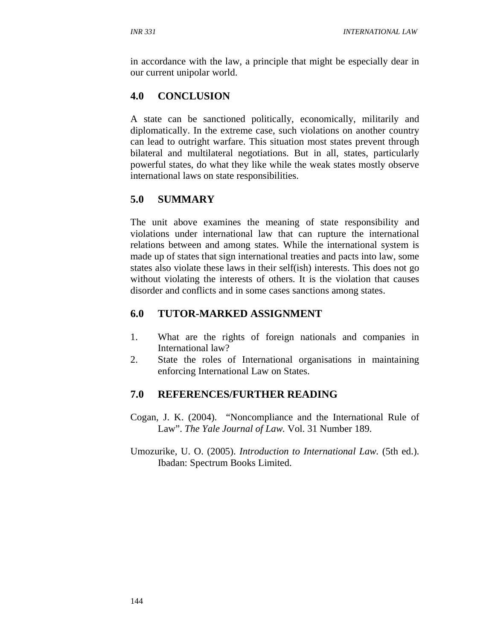in accordance with the law, a principle that might be especially dear in our current unipolar world.

# **4.0 CONCLUSION**

A state can be sanctioned politically, economically, militarily and diplomatically. In the extreme case, such violations on another country can lead to outright warfare. This situation most states prevent through bilateral and multilateral negotiations. But in all, states, particularly powerful states, do what they like while the weak states mostly observe international laws on state responsibilities.

# **5.0 SUMMARY**

The unit above examines the meaning of state responsibility and violations under international law that can rupture the international relations between and among states. While the international system is made up of states that sign international treaties and pacts into law, some states also violate these laws in their self(ish) interests. This does not go without violating the interests of others. It is the violation that causes disorder and conflicts and in some cases sanctions among states.

# **6.0 TUTOR-MARKED ASSIGNMENT**

- 1. What are the rights of foreign nationals and companies in International law?
- 2. State the roles of International organisations in maintaining enforcing International Law on States.

## **7.0 REFERENCES/FURTHER READING**

- Cogan, J. K. (2004). "Noncompliance and the International Rule of Law". *The Yale Journal of Law.* Vol. 31 Number 189.
- Umozurike, U. O. (2005). *Introduction to International Law.* (5th ed.). Ibadan: Spectrum Books Limited.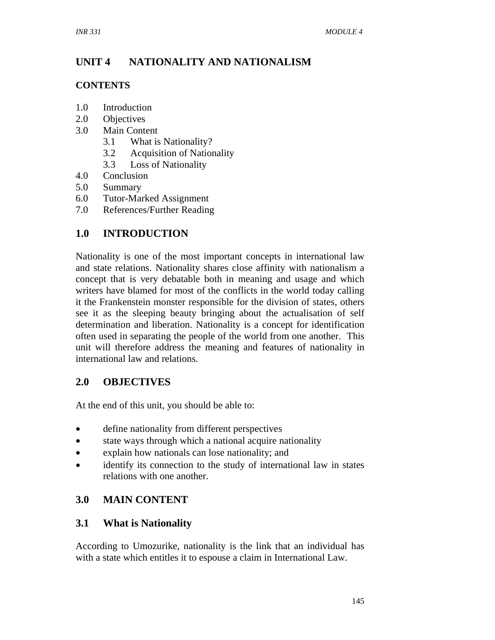# **UNIT 4 NATIONALITY AND NATIONALISM**

### **CONTENTS**

- 1.0 Introduction
- 2.0 Objectives
- 3.0 Main Content
	- 3.1 What is Nationality?
	- 3.2 Acquisition of Nationality
	- 3.3 Loss of Nationality
- 4.0 Conclusion
- 5.0 Summary
- 6.0 Tutor-Marked Assignment
- 7.0 References/Further Reading

# **1.0 INTRODUCTION**

Nationality is one of the most important concepts in international law and state relations. Nationality shares close affinity with nationalism a concept that is very debatable both in meaning and usage and which writers have blamed for most of the conflicts in the world today calling it the Frankenstein monster responsible for the division of states, others see it as the sleeping beauty bringing about the actualisation of self determination and liberation. Nationality is a concept for identification often used in separating the people of the world from one another. This unit will therefore address the meaning and features of nationality in international law and relations.

## **2.0 OBJECTIVES**

At the end of this unit, you should be able to:

- define nationality from different perspectives
- state ways through which a national acquire nationality
- explain how nationals can lose nationality; and
- identify its connection to the study of international law in states relations with one another.

# **3.0 MAIN CONTENT**

## **3.1 What is Nationality**

According to Umozurike, nationality is the link that an individual has with a state which entitles it to espouse a claim in International Law.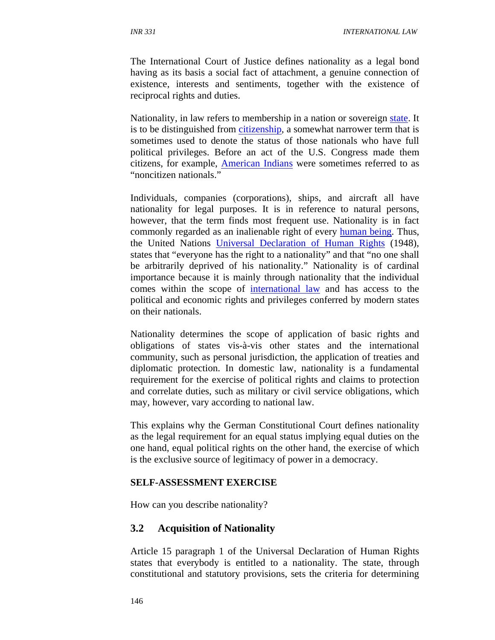The International Court of Justice defines nationality as a legal bond having as its basis a social fact of attachment, a genuine connection of existence, interests and sentiments, together with the existence of reciprocal rights and duties.

Nationality, in law refers to membership in a nation or sovereign state. It is to be distinguished from citizenship, a somewhat narrower term that is sometimes used to denote the status of those nationals who have full political privileges. Before an act of the U.S. Congress made them citizens, for example, American Indians were sometimes referred to as "noncitizen nationals."

Individuals, companies (corporations), ships, and aircraft all have nationality for legal purposes. It is in reference to natural persons, however, that the term finds most frequent use. Nationality is in fact commonly regarded as an inalienable right of every human being. Thus, the United Nations Universal Declaration of Human Rights (1948), states that "everyone has the right to a nationality" and that "no one shall be arbitrarily deprived of his nationality." Nationality is of cardinal importance because it is mainly through nationality that the individual comes within the scope of international law and has access to the political and economic rights and privileges conferred by modern states on their nationals.

Nationality determines the scope of application of basic rights and obligations of states vis-à-vis other states and the international community, such as personal jurisdiction, the application of treaties and diplomatic protection. In domestic law, nationality is a fundamental requirement for the exercise of political rights and claims to protection and correlate duties, such as military or civil service obligations, which may, however, vary according to national law.

This explains why the German Constitutional Court defines nationality as the legal requirement for an equal status implying equal duties on the one hand, equal political rights on the other hand, the exercise of which is the exclusive source of legitimacy of power in a democracy.

#### **SELF-ASSESSMENT EXERCISE**

How can you describe nationality?

### **3.2 Acquisition of Nationality**

Article 15 paragraph 1 of the Universal Declaration of Human Rights states that everybody is entitled to a nationality. The state, through constitutional and statutory provisions, sets the criteria for determining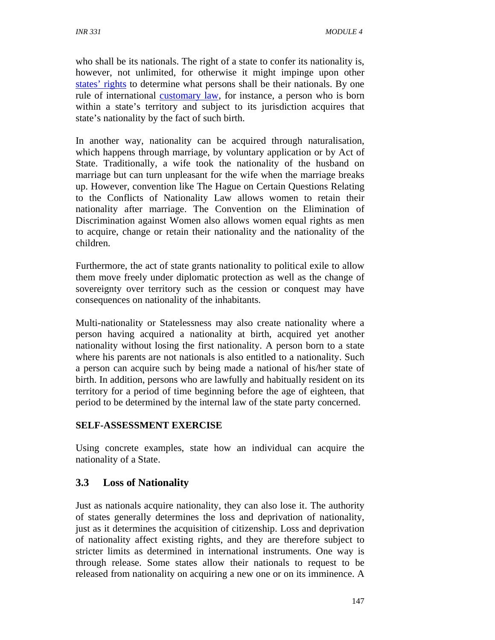who shall be its nationals. The right of a state to confer its nationality is, however, not unlimited, for otherwise it might impinge upon other states' rights to determine what persons shall be their nationals. By one rule of international customary law, for instance, a person who is born within a state's territory and subject to its jurisdiction acquires that state's nationality by the fact of such birth.

In another way, nationality can be acquired through naturalisation, which happens through marriage, by voluntary application or by Act of State. Traditionally, a wife took the nationality of the husband on marriage but can turn unpleasant for the wife when the marriage breaks up. However, convention like The Hague on Certain Questions Relating to the Conflicts of Nationality Law allows women to retain their nationality after marriage. The Convention on the Elimination of Discrimination against Women also allows women equal rights as men to acquire, change or retain their nationality and the nationality of the children.

Furthermore, the act of state grants nationality to political exile to allow them move freely under diplomatic protection as well as the change of sovereignty over territory such as the cession or conquest may have consequences on nationality of the inhabitants.

Multi-nationality or Statelessness may also create nationality where a person having acquired a nationality at birth, acquired yet another nationality without losing the first nationality. A person born to a state where his parents are not nationals is also entitled to a nationality. Such a person can acquire such by being made a national of his/her state of birth. In addition, persons who are lawfully and habitually resident on its territory for a period of time beginning before the age of eighteen, that period to be determined by the internal law of the state party concerned.

### **SELF-ASSESSMENT EXERCISE**

Using concrete examples, state how an individual can acquire the nationality of a State.

## **3.3 Loss of Nationality**

Just as nationals acquire nationality, they can also lose it. The authority of states generally determines the loss and deprivation of nationality, just as it determines the acquisition of citizenship. Loss and deprivation of nationality affect existing rights, and they are therefore subject to stricter limits as determined in international instruments. One way is through release. Some states allow their nationals to request to be released from nationality on acquiring a new one or on its imminence. A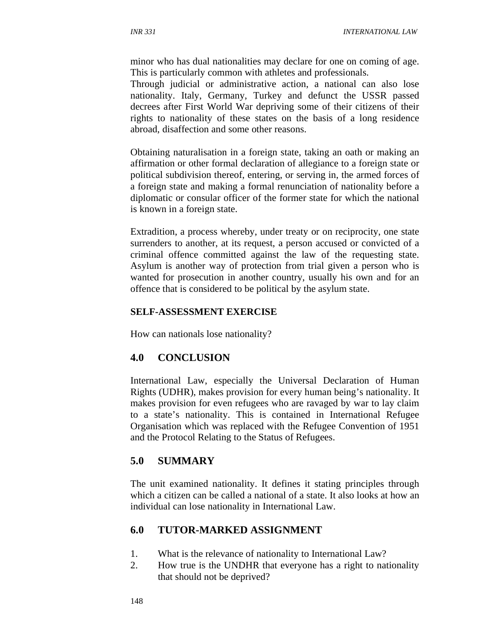minor who has dual nationalities may declare for one on coming of age. This is particularly common with athletes and professionals.

Through judicial or administrative action, a national can also lose nationality. Italy, Germany, Turkey and defunct the USSR passed decrees after First World War depriving some of their citizens of their rights to nationality of these states on the basis of a long residence abroad, disaffection and some other reasons.

Obtaining naturalisation in a foreign state, taking an oath or making an affirmation or other formal declaration of allegiance to a foreign state or political subdivision thereof, entering, or serving in, the armed forces of a foreign state and making a formal renunciation of nationality before a diplomatic or consular officer of the former state for which the national is known in a foreign state.

Extradition, a process whereby, under treaty or on reciprocity, one state surrenders to another, at its request, a person accused or convicted of a criminal offence committed against the law of the requesting state. Asylum is another way of protection from trial given a person who is wanted for prosecution in another country, usually his own and for an offence that is considered to be political by the asylum state.

#### **SELF-ASSESSMENT EXERCISE**

How can nationals lose nationality?

#### **4.0 CONCLUSION**

International Law, especially the Universal Declaration of Human Rights (UDHR), makes provision for every human being's nationality. It makes provision for even refugees who are ravaged by war to lay claim to a state's nationality. This is contained in International Refugee Organisation which was replaced with the Refugee Convention of 1951 and the Protocol Relating to the Status of Refugees.

#### **5.0 SUMMARY**

The unit examined nationality. It defines it stating principles through which a citizen can be called a national of a state. It also looks at how an individual can lose nationality in International Law.

#### **6.0 TUTOR-MARKED ASSIGNMENT**

- 1. What is the relevance of nationality to International Law?
- 2. How true is the UNDHR that everyone has a right to nationality that should not be deprived?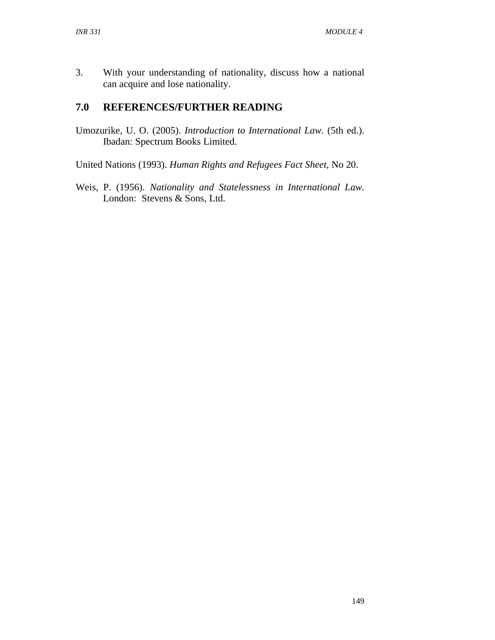3. With your understanding of nationality, discuss how a national can acquire and lose nationality.

# **7.0 REFERENCES/FURTHER READING**

Umozurike, U. O. (2005). *Introduction to International Law.* (5th ed.). Ibadan: Spectrum Books Limited.

United Nations (1993). *Human Rights and Refugees Fact Sheet*, No 20.

Weis, P. (1956). *Nationality and Statelessness in International Law*. London: Stevens & Sons, Ltd.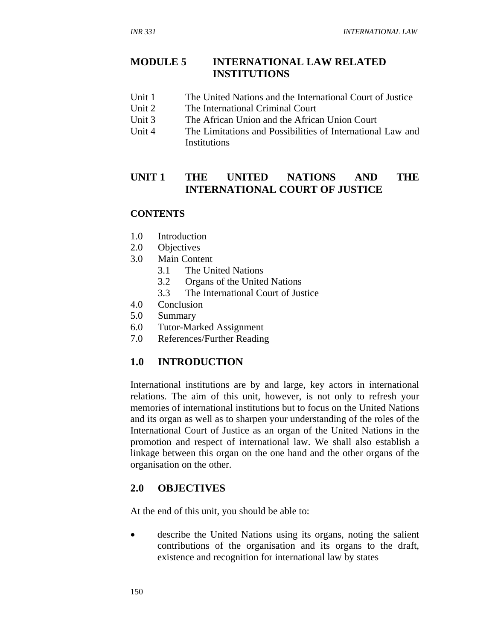## **MODULE 5 INTERNATIONAL LAW RELATED INSTITUTIONS**

- Unit 1 The United Nations and the International Court of Justice
- Unit 2 The International Criminal Court
- Unit 3 The African Union and the African Union Court
- Unit 4 The Limitations and Possibilities of International Law and **Institutions**

# **UNIT 1 THE UNITED NATIONS AND THE INTERNATIONAL COURT OF JUSTICE**

### **CONTENTS**

- 1.0 Introduction
- 2.0 Objectives
- 3.0 Main Content
	- 3.1 The United Nations
	- 3.2 Organs of the United Nations
	- 3.3 The International Court of Justice
- 4.0 Conclusion
- 5.0 Summary
- 6.0 Tutor-Marked Assignment
- 7.0 References/Further Reading

## **1.0 INTRODUCTION**

International institutions are by and large, key actors in international relations. The aim of this unit, however, is not only to refresh your memories of international institutions but to focus on the United Nations and its organ as well as to sharpen your understanding of the roles of the International Court of Justice as an organ of the United Nations in the promotion and respect of international law. We shall also establish a linkage between this organ on the one hand and the other organs of the organisation on the other.

## **2.0 OBJECTIVES**

At the end of this unit, you should be able to:

• describe the United Nations using its organs, noting the salient contributions of the organisation and its organs to the draft, existence and recognition for international law by states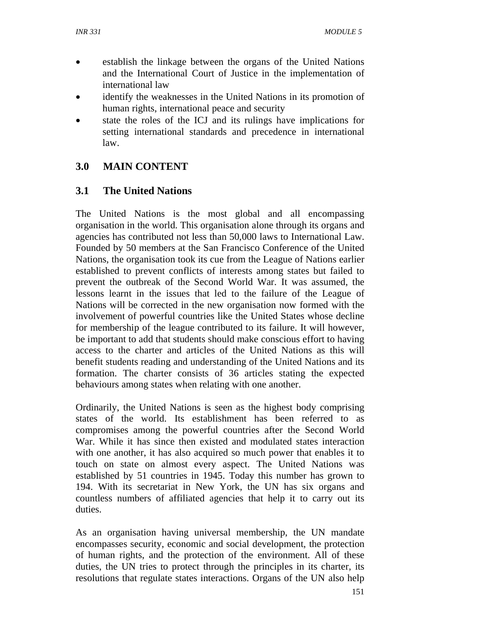- establish the linkage between the organs of the United Nations and the International Court of Justice in the implementation of international law
- identify the weaknesses in the United Nations in its promotion of human rights, international peace and security
- state the roles of the ICJ and its rulings have implications for setting international standards and precedence in international law.

# **3.0 MAIN CONTENT**

# **3.1 The United Nations**

The United Nations is the most global and all encompassing organisation in the world. This organisation alone through its organs and agencies has contributed not less than 50,000 laws to International Law. Founded by 50 members at the San Francisco Conference of the United Nations, the organisation took its cue from the League of Nations earlier established to prevent conflicts of interests among states but failed to prevent the outbreak of the Second World War. It was assumed, the lessons learnt in the issues that led to the failure of the League of Nations will be corrected in the new organisation now formed with the involvement of powerful countries like the United States whose decline for membership of the league contributed to its failure. It will however, be important to add that students should make conscious effort to having access to the charter and articles of the United Nations as this will benefit students reading and understanding of the United Nations and its formation. The charter consists of 36 articles stating the expected behaviours among states when relating with one another.

Ordinarily, the United Nations is seen as the highest body comprising states of the world. Its establishment has been referred to as compromises among the powerful countries after the Second World War. While it has since then existed and modulated states interaction with one another, it has also acquired so much power that enables it to touch on state on almost every aspect. The United Nations was established by 51 countries in 1945. Today this number has grown to 194. With its secretariat in New York, the UN has six organs and countless numbers of affiliated agencies that help it to carry out its duties.

As an organisation having universal membership, the UN mandate encompasses security, economic and social development, the protection of human rights, and the protection of the environment. All of these duties, the UN tries to protect through the principles in its charter, its resolutions that regulate states interactions. Organs of the UN also help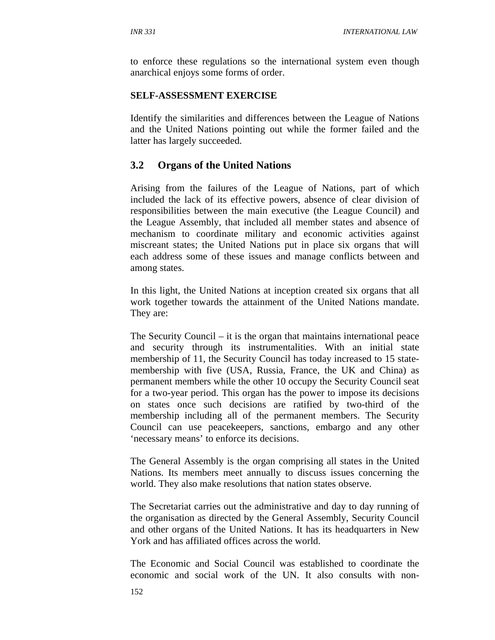to enforce these regulations so the international system even though anarchical enjoys some forms of order.

#### **SELF-ASSESSMENT EXERCISE**

Identify the similarities and differences between the League of Nations and the United Nations pointing out while the former failed and the latter has largely succeeded.

### **3.2 Organs of the United Nations**

Arising from the failures of the League of Nations, part of which included the lack of its effective powers, absence of clear division of responsibilities between the main executive (the League Council) and the League Assembly, that included all member states and absence of mechanism to coordinate military and economic activities against miscreant states; the United Nations put in place six organs that will each address some of these issues and manage conflicts between and among states.

In this light, the United Nations at inception created six organs that all work together towards the attainment of the United Nations mandate. They are:

The Security Council – it is the organ that maintains international peace and security through its instrumentalities. With an initial state membership of 11, the Security Council has today increased to 15 statemembership with five (USA, Russia, France, the UK and China) as permanent members while the other 10 occupy the Security Council seat for a two-year period. This organ has the power to impose its decisions on states once such decisions are ratified by two-third of the membership including all of the permanent members. The Security Council can use peacekeepers, sanctions, embargo and any other 'necessary means' to enforce its decisions.

The General Assembly is the organ comprising all states in the United Nations. Its members meet annually to discuss issues concerning the world. They also make resolutions that nation states observe.

The Secretariat carries out the administrative and day to day running of the organisation as directed by the General Assembly, Security Council and other organs of the United Nations. It has its headquarters in New York and has affiliated offices across the world.

The Economic and Social Council was established to coordinate the economic and social work of the UN. It also consults with non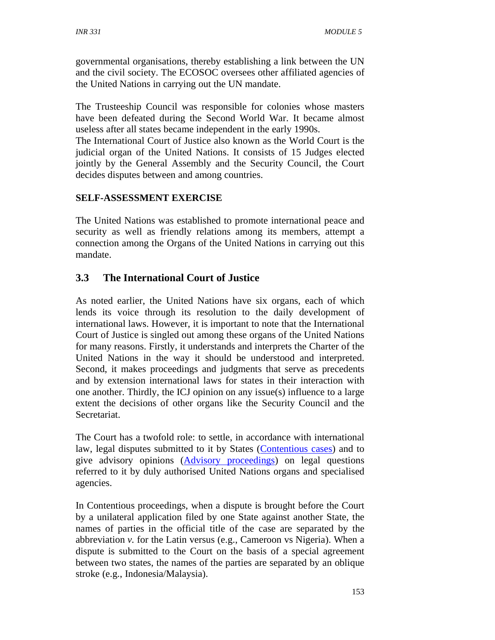governmental organisations, thereby establishing a link between the UN and the civil society. The ECOSOC oversees other affiliated agencies of the United Nations in carrying out the UN mandate.

The Trusteeship Council was responsible for colonies whose masters have been defeated during the Second World War. It became almost useless after all states became independent in the early 1990s.

The International Court of Justice also known as the World Court is the judicial organ of the United Nations. It consists of 15 Judges elected jointly by the General Assembly and the Security Council, the Court decides disputes between and among countries.

### **SELF-ASSESSMENT EXERCISE**

The United Nations was established to promote international peace and security as well as friendly relations among its members, attempt a connection among the Organs of the United Nations in carrying out this mandate.

# **3.3 The International Court of Justice**

As noted earlier, the United Nations have six organs, each of which lends its voice through its resolution to the daily development of international laws. However, it is important to note that the International Court of Justice is singled out among these organs of the United Nations for many reasons. Firstly, it understands and interprets the Charter of the United Nations in the way it should be understood and interpreted. Second, it makes proceedings and judgments that serve as precedents and by extension international laws for states in their interaction with one another. Thirdly, the ICJ opinion on any issue(s) influence to a large extent the decisions of other organs like the Security Council and the Secretariat.

The Court has a twofold role: to settle, in accordance with international law, legal disputes submitted to it by States (Contentious cases) and to give advisory opinions (Advisory proceedings) on legal questions referred to it by duly authorised United Nations organs and specialised agencies.

In Contentious proceedings, when a dispute is brought before the Court by a unilateral application filed by one State against another State, the names of parties in the official title of the case are separated by the abbreviation *v.* for the Latin versus (e.g., Cameroon vs Nigeria). When a dispute is submitted to the Court on the basis of a special agreement between two states, the names of the parties are separated by an oblique stroke (e.g., Indonesia/Malaysia).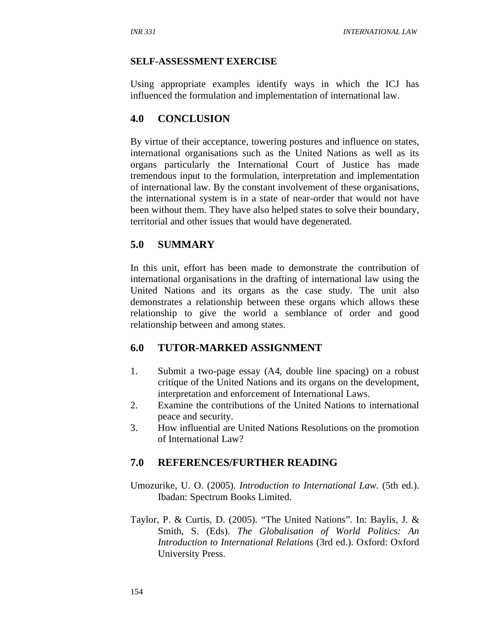#### **SELF-ASSESSMENT EXERCISE**

Using appropriate examples identify ways in which the ICJ has influenced the formulation and implementation of international law.

### **4.0 CONCLUSION**

By virtue of their acceptance, towering postures and influence on states, international organisations such as the United Nations as well as its organs particularly the International Court of Justice has made tremendous input to the formulation, interpretation and implementation of international law. By the constant involvement of these organisations, the international system is in a state of near-order that would not have been without them. They have also helped states to solve their boundary, territorial and other issues that would have degenerated.

## **5.0 SUMMARY**

In this unit, effort has been made to demonstrate the contribution of international organisations in the drafting of international law using the United Nations and its organs as the case study. The unit also demonstrates a relationship between these organs which allows these relationship to give the world a semblance of order and good relationship between and among states.

### **6.0 TUTOR-MARKED ASSIGNMENT**

- 1. Submit a two-page essay (A4, double line spacing) on a robust critique of the United Nations and its organs on the development, interpretation and enforcement of International Laws.
- 2. Examine the contributions of the United Nations to international peace and security.
- 3. How influential are United Nations Resolutions on the promotion of International Law?

### **7.0 REFERENCES/FURTHER READING**

- Umozurike, U. O. (2005). *Introduction to International Law.* (5th ed.). Ibadan: Spectrum Books Limited.
- Taylor, P. & Curtis, D. (2005). "The United Nations". In: Baylis, J. & Smith, S. (Eds). *The Globalisation of World Politics: An Introduction to International Relations* (3rd ed.). Oxford: Oxford University Press.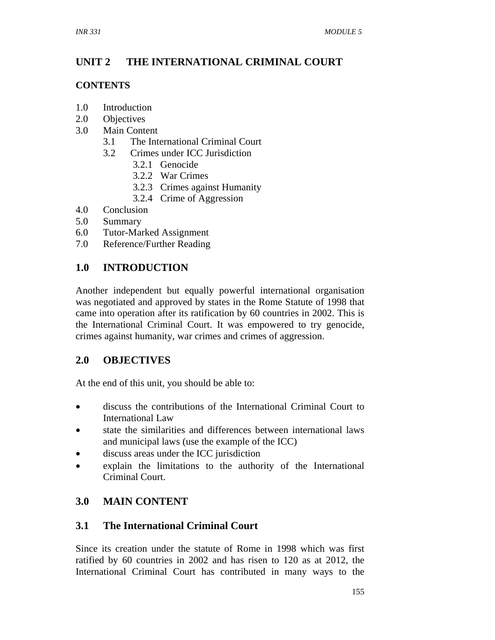# **UNIT 2 THE INTERNATIONAL CRIMINAL COURT**

### **CONTENTS**

- 1.0 Introduction
- 2.0 Objectives
- 3.0 Main Content
	- 3.1 The International Criminal Court
	- 3.2 Crimes under ICC Jurisdiction
		- 3.2.1 Genocide
		- 3.2.2 War Crimes
		- 3.2.3 Crimes against Humanity
		- 3.2.4 Crime of Aggression
- 4.0 Conclusion
- 5.0 Summary
- 6.0 Tutor-Marked Assignment
- 7.0 Reference/Further Reading

# **1.0 INTRODUCTION**

Another independent but equally powerful international organisation was negotiated and approved by states in the Rome Statute of 1998 that came into operation after its ratification by 60 countries in 2002. This is the International Criminal Court. It was empowered to try genocide, crimes against humanity, war crimes and crimes of aggression.

# **2.0 OBJECTIVES**

At the end of this unit, you should be able to:

- discuss the contributions of the International Criminal Court to International Law
- state the similarities and differences between international laws and municipal laws (use the example of the ICC)
- discuss areas under the ICC jurisdiction
- explain the limitations to the authority of the International Criminal Court.

# **3.0 MAIN CONTENT**

# **3.1 The International Criminal Court**

Since its creation under the statute of Rome in 1998 which was first ratified by 60 countries in 2002 and has risen to 120 as at 2012, the International Criminal Court has contributed in many ways to the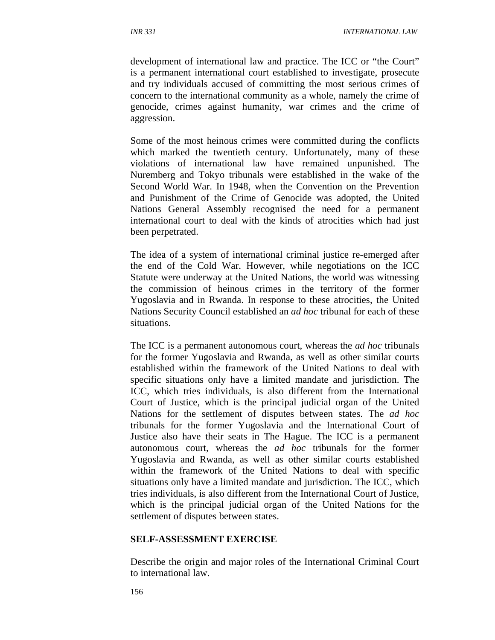development of international law and practice. The ICC or "the Court" is a permanent international court established to investigate, prosecute and try individuals accused of committing the most serious crimes of concern to the international community as a whole, namely the crime of genocide, crimes against humanity, war crimes and the crime of aggression.

Some of the most heinous crimes were committed during the conflicts which marked the twentieth century. Unfortunately, many of these violations of international law have remained unpunished. The Nuremberg and Tokyo tribunals were established in the wake of the Second World War. In 1948, when the Convention on the Prevention and Punishment of the Crime of Genocide was adopted, the United Nations General Assembly recognised the need for a permanent international court to deal with the kinds of atrocities which had just been perpetrated.

The idea of a system of international criminal justice re-emerged after the end of the Cold War. However, while negotiations on the ICC Statute were underway at the United Nations, the world was witnessing the commission of heinous crimes in the territory of the former Yugoslavia and in Rwanda. In response to these atrocities, the United Nations Security Council established an *ad hoc* tribunal for each of these situations.

The ICC is a permanent autonomous court, whereas the *ad hoc* tribunals for the former Yugoslavia and Rwanda, as well as other similar courts established within the framework of the United Nations to deal with specific situations only have a limited mandate and jurisdiction. The ICC, which tries individuals, is also different from the International Court of Justice, which is the principal judicial organ of the United Nations for the settlement of disputes between states. The *ad hoc* tribunals for the former Yugoslavia and the International Court of Justice also have their seats in The Hague. The ICC is a permanent autonomous court, whereas the *ad hoc* tribunals for the former Yugoslavia and Rwanda, as well as other similar courts established within the framework of the United Nations to deal with specific situations only have a limited mandate and jurisdiction. The ICC, which tries individuals, is also different from the International Court of Justice, which is the principal judicial organ of the United Nations for the settlement of disputes between states.

#### **SELF-ASSESSMENT EXERCISE**

Describe the origin and major roles of the International Criminal Court to international law.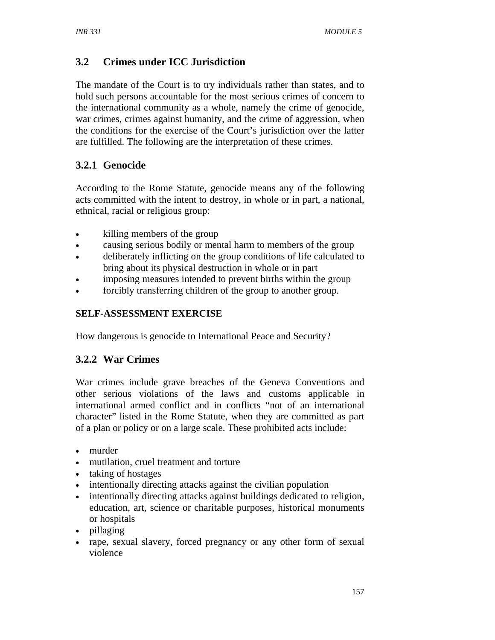# **3.2 Crimes under ICC Jurisdiction**

The mandate of the Court is to try individuals rather than states, and to hold such persons accountable for the most serious crimes of concern to the international community as a whole, namely the crime of genocide, war crimes, crimes against humanity, and the crime of aggression, when the conditions for the exercise of the Court's jurisdiction over the latter are fulfilled. The following are the interpretation of these crimes.

# **3.2.1 Genocide**

According to the Rome Statute, genocide means any of the following acts committed with the intent to destroy, in whole or in part, a national, ethnical, racial or religious group:

- killing members of the group
- causing serious bodily or mental harm to members of the group
- deliberately inflicting on the group conditions of life calculated to bring about its physical destruction in whole or in part
- imposing measures intended to prevent births within the group
- forcibly transferring children of the group to another group.

# **SELF-ASSESSMENT EXERCISE**

How dangerous is genocide to International Peace and Security?

# **3.2.2 War Crimes**

War crimes include grave breaches of the Geneva Conventions and other serious violations of the laws and customs applicable in international armed conflict and in conflicts "not of an international character" listed in the Rome Statute, when they are committed as part of a plan or policy or on a large scale. These prohibited acts include:

- murder
- mutilation, cruel treatment and torture
- taking of hostages
- intentionally directing attacks against the civilian population
- intentionally directing attacks against buildings dedicated to religion, education, art, science or charitable purposes, historical monuments or hospitals
- pillaging
- rape, sexual slavery, forced pregnancy or any other form of sexual violence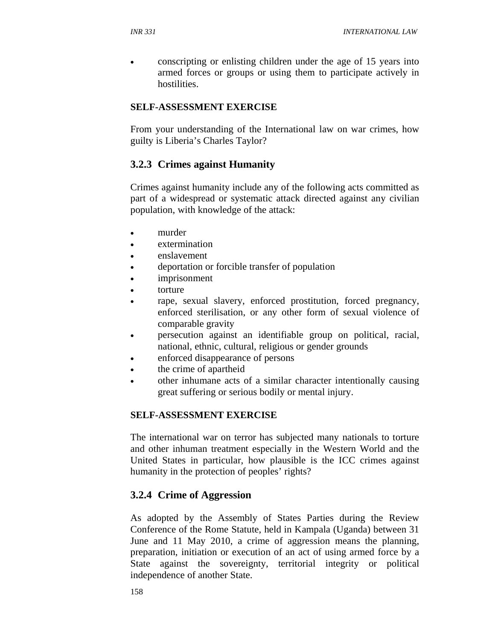• conscripting or enlisting children under the age of 15 years into armed forces or groups or using them to participate actively in hostilities.

### **SELF-ASSESSMENT EXERCISE**

From your understanding of the International law on war crimes, how guilty is Liberia's Charles Taylor?

### **3.2.3 Crimes against Humanity**

Crimes against humanity include any of the following acts committed as part of a widespread or systematic attack directed against any civilian population, with knowledge of the attack:

- murder
- extermination
- enslavement
- deportation or forcible transfer of population
- imprisonment
- **torture**
- rape, sexual slavery, enforced prostitution, forced pregnancy, enforced sterilisation, or any other form of sexual violence of comparable gravity
- persecution against an identifiable group on political, racial, national, ethnic, cultural, religious or gender grounds
- enforced disappearance of persons
- the crime of apartheid
- other inhumane acts of a similar character intentionally causing great suffering or serious bodily or mental injury.

#### **SELF-ASSESSMENT EXERCISE**

The international war on terror has subjected many nationals to torture and other inhuman treatment especially in the Western World and the United States in particular, how plausible is the ICC crimes against humanity in the protection of peoples' rights?

### **3.2.4 Crime of Aggression**

As adopted by the Assembly of States Parties during the Review Conference of the Rome Statute, held in Kampala (Uganda) between 31 June and 11 May 2010, a crime of aggression means the planning, preparation, initiation or execution of an act of using armed force by a State against the sovereignty, territorial integrity or political independence of another State.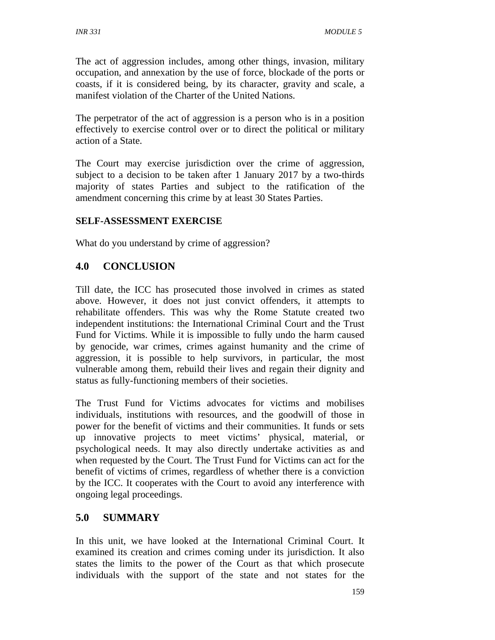The act of aggression includes, among other things, invasion, military occupation, and annexation by the use of force, blockade of the ports or coasts, if it is considered being, by its character, gravity and scale, a manifest violation of the Charter of the United Nations.

The perpetrator of the act of aggression is a person who is in a position effectively to exercise control over or to direct the political or military action of a State.

The Court may exercise jurisdiction over the crime of aggression, subject to a decision to be taken after 1 January 2017 by a two-thirds majority of states Parties and subject to the ratification of the amendment concerning this crime by at least 30 States Parties.

### **SELF-ASSESSMENT EXERCISE**

What do you understand by crime of aggression?

# **4.0 CONCLUSION**

Till date, the ICC has prosecuted those involved in crimes as stated above. However, it does not just convict offenders, it attempts to rehabilitate offenders. This was why the Rome Statute created two independent institutions: the International Criminal Court and the Trust Fund for Victims. While it is impossible to fully undo the harm caused by genocide, war crimes, crimes against humanity and the crime of aggression, it is possible to help survivors, in particular, the most vulnerable among them, rebuild their lives and regain their dignity and status as fully-functioning members of their societies.

The Trust Fund for Victims advocates for victims and mobilises individuals, institutions with resources, and the goodwill of those in power for the benefit of victims and their communities. It funds or sets up innovative projects to meet victims' physical, material, or psychological needs. It may also directly undertake activities as and when requested by the Court. The Trust Fund for Victims can act for the benefit of victims of crimes, regardless of whether there is a conviction by the ICC. It cooperates with the Court to avoid any interference with ongoing legal proceedings.

## **5.0 SUMMARY**

In this unit, we have looked at the International Criminal Court. It examined its creation and crimes coming under its jurisdiction. It also states the limits to the power of the Court as that which prosecute individuals with the support of the state and not states for the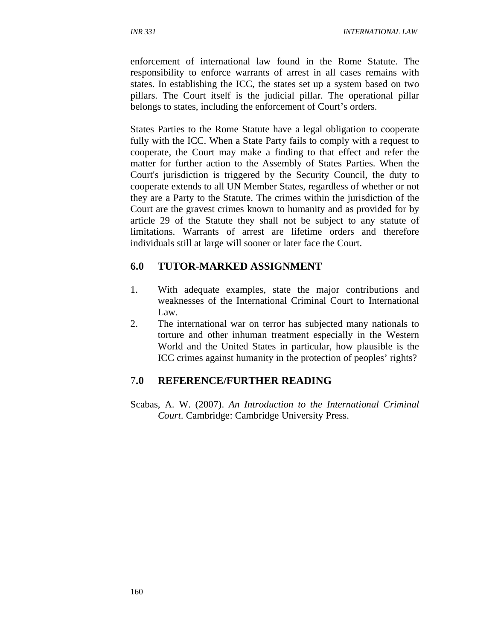enforcement of international law found in the Rome Statute. The responsibility to enforce warrants of arrest in all cases remains with states. In establishing the ICC, the states set up a system based on two pillars. The Court itself is the judicial pillar. The operational pillar belongs to states, including the enforcement of Court's orders.

States Parties to the Rome Statute have a legal obligation to cooperate fully with the ICC. When a State Party fails to comply with a request to cooperate, the Court may make a finding to that effect and refer the matter for further action to the Assembly of States Parties. When the Court's jurisdiction is triggered by the Security Council, the duty to cooperate extends to all UN Member States, regardless of whether or not they are a Party to the Statute. The crimes within the jurisdiction of the Court are the gravest crimes known to humanity and as provided for by article 29 of the Statute they shall not be subject to any statute of limitations. Warrants of arrest are lifetime orders and therefore individuals still at large will sooner or later face the Court.

### **6.0 TUTOR-MARKED ASSIGNMENT**

- 1. With adequate examples, state the major contributions and weaknesses of the International Criminal Court to International Law.
- 2. The international war on terror has subjected many nationals to torture and other inhuman treatment especially in the Western World and the United States in particular, how plausible is the ICC crimes against humanity in the protection of peoples' rights?

### 7**.0 REFERENCE/FURTHER READING**

Scabas, A. W. (2007). *An Introduction to the International Criminal Court*. Cambridge: Cambridge University Press.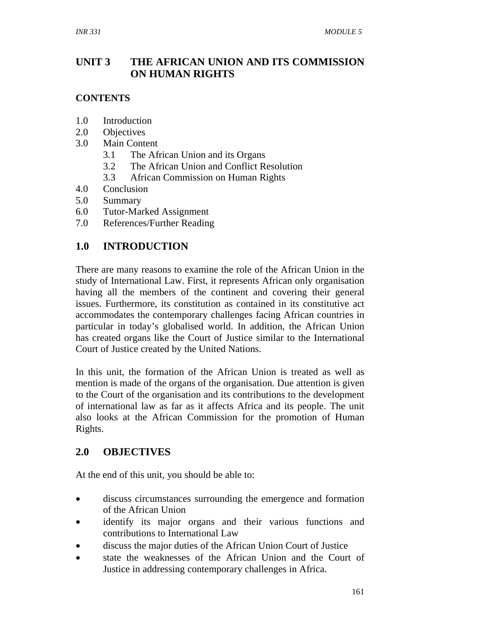# **UNIT 3 THE AFRICAN UNION AND ITS COMMISSION ON HUMAN RIGHTS**

## **CONTENTS**

- 1.0 Introduction
- 2.0 Objectives
- 3.0 Main Content
	- 3.1 The African Union and its Organs
	- 3.2 The African Union and Conflict Resolution
	- 3.3 African Commission on Human Rights
- 4.0 Conclusion
- 5.0 Summary
- 6.0 Tutor-Marked Assignment
- 7.0 References/Further Reading

# **1.0 INTRODUCTION**

There are many reasons to examine the role of the African Union in the study of International Law. First, it represents African only organisation having all the members of the continent and covering their general issues. Furthermore, its constitution as contained in its constitutive act accommodates the contemporary challenges facing African countries in particular in today's globalised world. In addition, the African Union has created organs like the Court of Justice similar to the International Court of Justice created by the United Nations.

In this unit, the formation of the African Union is treated as well as mention is made of the organs of the organisation. Due attention is given to the Court of the organisation and its contributions to the development of international law as far as it affects Africa and its people. The unit also looks at the African Commission for the promotion of Human Rights.

# **2.0 OBJECTIVES**

At the end of this unit, you should be able to:

- discuss circumstances surrounding the emergence and formation of the African Union
- identify its major organs and their various functions and contributions to International Law
- discuss the major duties of the African Union Court of Justice
- state the weaknesses of the African Union and the Court of Justice in addressing contemporary challenges in Africa.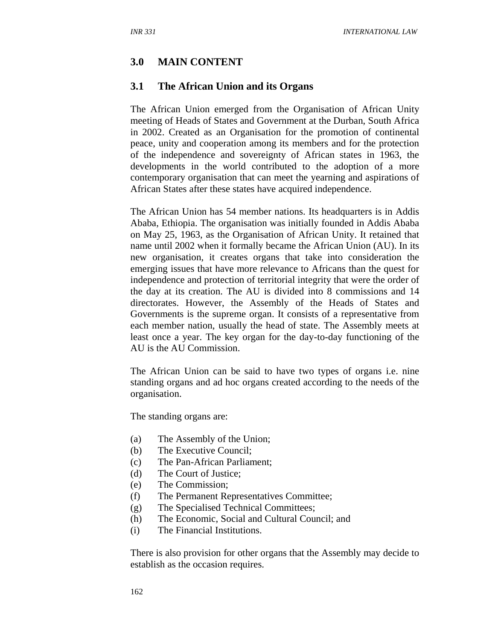### **3.0 MAIN CONTENT**

#### **3.1 The African Union and its Organs**

The African Union emerged from the Organisation of African Unity meeting of Heads of States and Government at the Durban, South Africa in 2002. Created as an Organisation for the promotion of continental peace, unity and cooperation among its members and for the protection of the independence and sovereignty of African states in 1963, the developments in the world contributed to the adoption of a more contemporary organisation that can meet the yearning and aspirations of African States after these states have acquired independence.

The African Union has 54 member nations. Its headquarters is in Addis Ababa, Ethiopia. The organisation was initially founded in Addis Ababa on May 25, 1963, as the Organisation of African Unity. It retained that name until 2002 when it formally became the African Union (AU). In its new organisation, it creates organs that take into consideration the emerging issues that have more relevance to Africans than the quest for independence and protection of territorial integrity that were the order of the day at its creation. The AU is divided into 8 commissions and 14 directorates. However, the Assembly of the Heads of States and Governments is the supreme organ. It consists of a representative from each member nation, usually the head of state. The Assembly meets at least once a year. The key organ for the day-to-day functioning of the AU is the AU Commission.

The African Union can be said to have two types of organs i.e. nine standing organs and ad hoc organs created according to the needs of the organisation.

The standing organs are:

- (a) The Assembly of the Union;
- (b) The Executive Council;
- (c) The Pan-African Parliament;
- (d) The Court of Justice;
- (e) The Commission;
- (f) The Permanent Representatives Committee;
- (g) The Specialised Technical Committees;
- (h) The Economic, Social and Cultural Council; and
- (i) The Financial Institutions.

There is also provision for other organs that the Assembly may decide to establish as the occasion requires.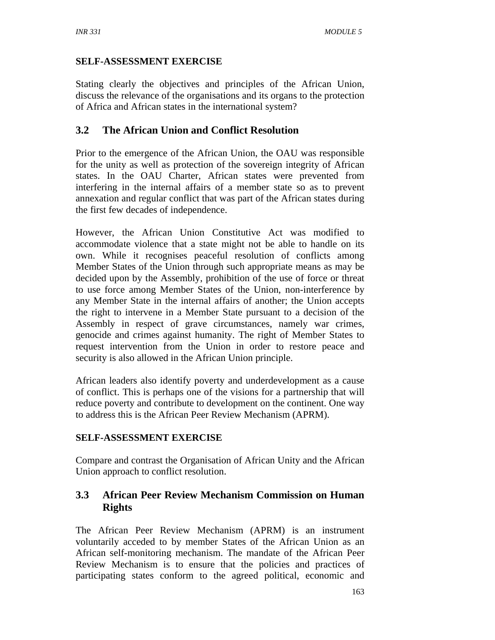### **SELF-ASSESSMENT EXERCISE**

Stating clearly the objectives and principles of the African Union, discuss the relevance of the organisations and its organs to the protection of Africa and African states in the international system?

### **3.2 The African Union and Conflict Resolution**

Prior to the emergence of the African Union, the OAU was responsible for the unity as well as protection of the sovereign integrity of African states. In the OAU Charter, African states were prevented from interfering in the internal affairs of a member state so as to prevent annexation and regular conflict that was part of the African states during the first few decades of independence.

However, the African Union Constitutive Act was modified to accommodate violence that a state might not be able to handle on its own. While it recognises peaceful resolution of conflicts among Member States of the Union through such appropriate means as may be decided upon by the Assembly, prohibition of the use of force or threat to use force among Member States of the Union, non-interference by any Member State in the internal affairs of another; the Union accepts the right to intervene in a Member State pursuant to a decision of the Assembly in respect of grave circumstances, namely war crimes, genocide and crimes against humanity. The right of Member States to request intervention from the Union in order to restore peace and security is also allowed in the African Union principle.

African leaders also identify poverty and underdevelopment as a cause of conflict. This is perhaps one of the visions for a partnership that will reduce poverty and contribute to development on the continent. One way to address this is the African Peer Review Mechanism (APRM).

### **SELF-ASSESSMENT EXERCISE**

Compare and contrast the Organisation of African Unity and the African Union approach to conflict resolution.

## **3.3 African Peer Review Mechanism Commission on Human Rights**

The African Peer Review Mechanism (APRM) is an instrument voluntarily acceded to by member States of the African Union as an African self-monitoring mechanism. The mandate of the African Peer Review Mechanism is to ensure that the policies and practices of participating states conform to the agreed political, economic and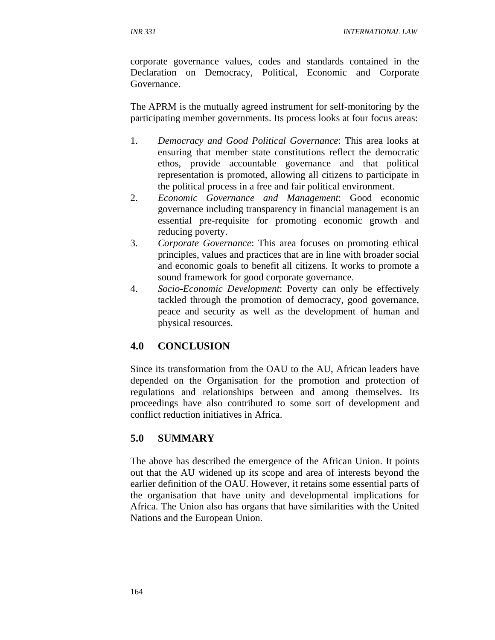corporate governance values, codes and standards contained in the Declaration on Democracy, Political, Economic and Corporate Governance.

The APRM is the mutually agreed instrument for self-monitoring by the participating member governments. Its process looks at four focus areas:

- 1. *Democracy and Good Political Governance*: This area looks at ensuring that member state constitutions reflect the democratic ethos, provide accountable governance and that political representation is promoted, allowing all citizens to participate in the political process in a free and fair political environment.
- 2. *Economic Governance and Management*: Good economic governance including transparency in financial management is an essential pre-requisite for promoting economic growth and reducing poverty.
- 3. *Corporate Governance*: This area focuses on promoting ethical principles, values and practices that are in line with broader social and economic goals to benefit all citizens. It works to promote a sound framework for good corporate governance.
- 4. *Socio-Economic Development*: Poverty can only be effectively tackled through the promotion of democracy, good governance, peace and security as well as the development of human and physical resources.

# **4.0 CONCLUSION**

Since its transformation from the OAU to the AU, African leaders have depended on the Organisation for the promotion and protection of regulations and relationships between and among themselves. Its proceedings have also contributed to some sort of development and conflict reduction initiatives in Africa.

## **5.0 SUMMARY**

The above has described the emergence of the African Union. It points out that the AU widened up its scope and area of interests beyond the earlier definition of the OAU. However, it retains some essential parts of the organisation that have unity and developmental implications for Africa. The Union also has organs that have similarities with the United Nations and the European Union.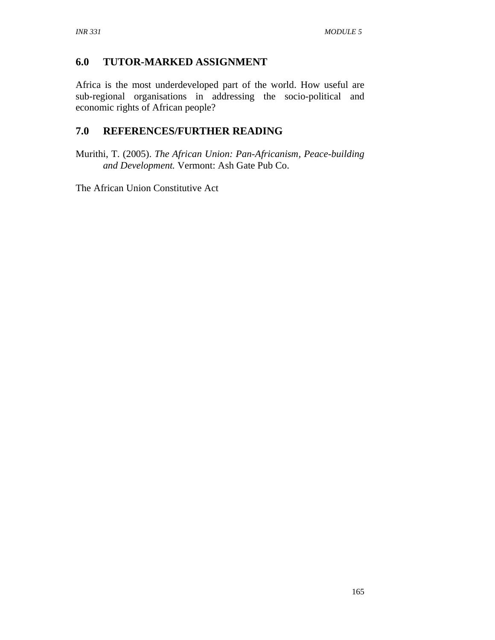# **6.0 TUTOR-MARKED ASSIGNMENT**

Africa is the most underdeveloped part of the world. How useful are sub-regional organisations in addressing the socio-political and economic rights of African people?

# **7.0 REFERENCES/FURTHER READING**

Murithi, T. (2005). *The African Union: Pan-Africanism, Peace-building and Development.* Vermont: Ash Gate Pub Co.

The African Union Constitutive Act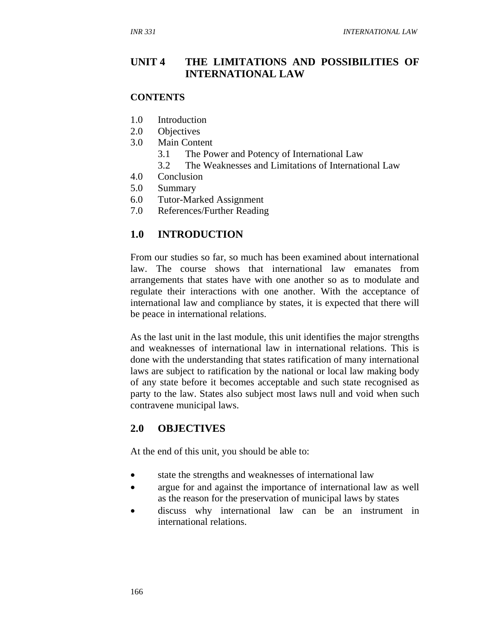## **UNIT 4 THE LIMITATIONS AND POSSIBILITIES OF INTERNATIONAL LAW**

#### **CONTENTS**

- 1.0 Introduction
- 2.0 Objectives
- 3.0 Main Content
	- 3.1 The Power and Potency of International Law
	- 3.2 The Weaknesses and Limitations of International Law
- 4.0 Conclusion
- 5.0 Summary
- 6.0 Tutor-Marked Assignment
- 7.0 References/Further Reading

# **1.0 INTRODUCTION**

From our studies so far, so much has been examined about international law. The course shows that international law emanates from arrangements that states have with one another so as to modulate and regulate their interactions with one another. With the acceptance of international law and compliance by states, it is expected that there will be peace in international relations.

As the last unit in the last module, this unit identifies the major strengths and weaknesses of international law in international relations. This is done with the understanding that states ratification of many international laws are subject to ratification by the national or local law making body of any state before it becomes acceptable and such state recognised as party to the law. States also subject most laws null and void when such contravene municipal laws.

### **2.0 OBJECTIVES**

At the end of this unit, you should be able to:

- state the strengths and weaknesses of international law
- argue for and against the importance of international law as well as the reason for the preservation of municipal laws by states
- discuss why international law can be an instrument in international relations.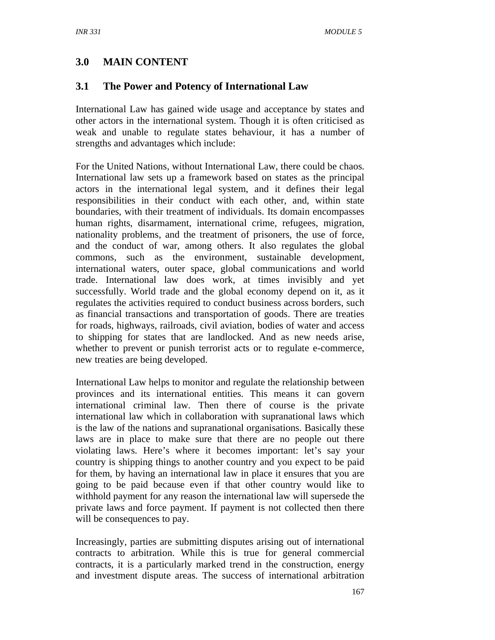# **3.0 MAIN CONTENT**

# **3.1 The Power and Potency of International Law**

International Law has gained wide usage and acceptance by states and other actors in the international system. Though it is often criticised as weak and unable to regulate states behaviour, it has a number of strengths and advantages which include:

For the United Nations, without International Law, there could be chaos. International law sets up a framework based on states as the principal actors in the international legal system, and it defines their legal responsibilities in their conduct with each other, and, within state boundaries, with their treatment of individuals. Its domain encompasses human rights, disarmament, international crime, refugees, migration, nationality problems, and the treatment of prisoners, the use of force, and the conduct of war, among others. It also regulates the global commons, such as the environment, sustainable development, international waters, outer space, global communications and world trade. International law does work, at times invisibly and yet successfully. World trade and the global economy depend on it, as it regulates the activities required to conduct business across borders, such as financial transactions and transportation of goods. There are treaties for roads, highways, railroads, civil aviation, bodies of water and access to shipping for states that are landlocked. And as new needs arise, whether to prevent or punish terrorist acts or to regulate e-commerce, new treaties are being developed.

International Law helps to monitor and regulate the relationship between provinces and its international entities. This means it can govern international criminal law. Then there of course is the private international law which in collaboration with supranational laws which is the law of the nations and supranational organisations. Basically these laws are in place to make sure that there are no people out there violating laws. Here's where it becomes important: let's say your country is shipping things to another country and you expect to be paid for them, by having an international law in place it ensures that you are going to be paid because even if that other country would like to withhold payment for any reason the international law will supersede the private laws and force payment. If payment is not collected then there will be consequences to pay.

Increasingly, parties are submitting disputes arising out of international contracts to arbitration. While this is true for general commercial contracts, it is a particularly marked trend in the construction, energy and investment dispute areas. The success of international arbitration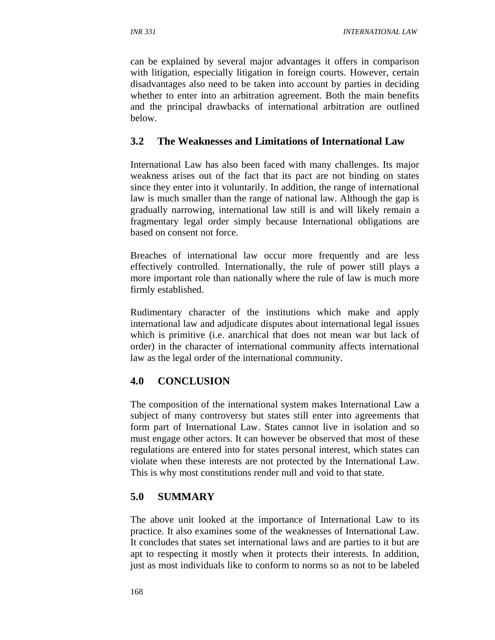can be explained by several major advantages it offers in comparison with litigation, especially litigation in foreign courts. However, certain disadvantages also need to be taken into account by parties in deciding whether to enter into an arbitration agreement. Both the main benefits and the principal drawbacks of international arbitration are outlined below.

### **3.2 The Weaknesses and Limitations of International Law**

International Law has also been faced with many challenges. Its major weakness arises out of the fact that its pact are not binding on states since they enter into it voluntarily. In addition, the range of international law is much smaller than the range of national law. Although the gap is gradually narrowing, international law still is and will likely remain a fragmentary legal order simply because International obligations are based on consent not force.

Breaches of international law occur more frequently and are less effectively controlled. Internationally, the rule of power still plays a more important role than nationally where the rule of law is much more firmly established.

Rudimentary character of the institutions which make and apply international law and adjudicate disputes about international legal issues which is primitive (i.e. anarchical that does not mean war but lack of order) in the character of international community affects international law as the legal order of the international community.

## **4.0 CONCLUSION**

The composition of the international system makes International Law a subject of many controversy but states still enter into agreements that form part of International Law. States cannot live in isolation and so must engage other actors. It can however be observed that most of these regulations are entered into for states personal interest, which states can violate when these interests are not protected by the International Law. This is why most constitutions render null and void to that state.

### **5.0 SUMMARY**

The above unit looked at the importance of International Law to its practice. It also examines some of the weaknesses of International Law. It concludes that states set international laws and are parties to it but are apt to respecting it mostly when it protects their interests. In addition, just as most individuals like to conform to norms so as not to be labeled